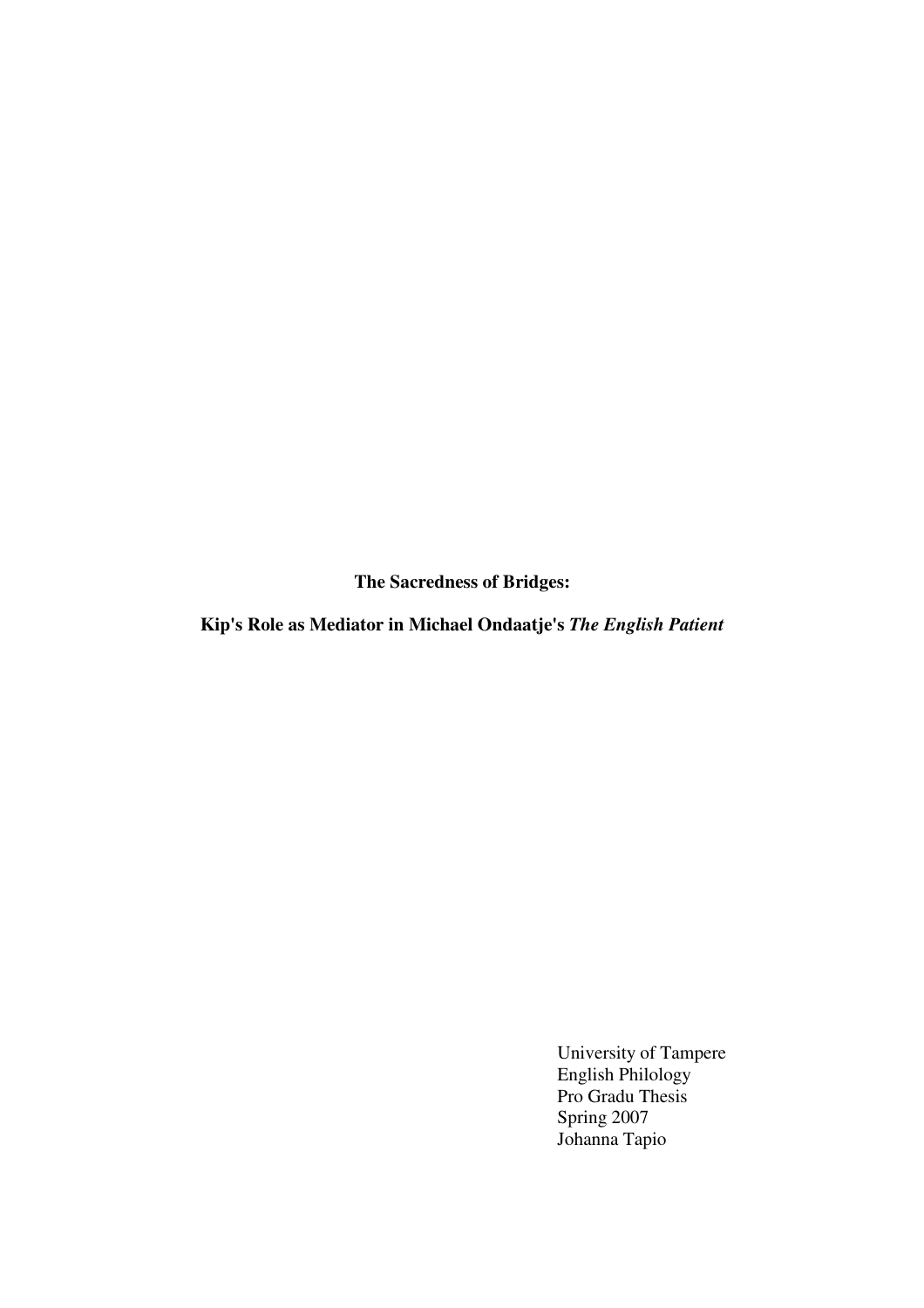**The Sacredness of Bridges:** 

**Kip's Role as Mediator in Michael Ondaatje's** *The English Patient*

 University of Tampere English Philology Pro Gradu Thesis Spring 2007 Johanna Tapio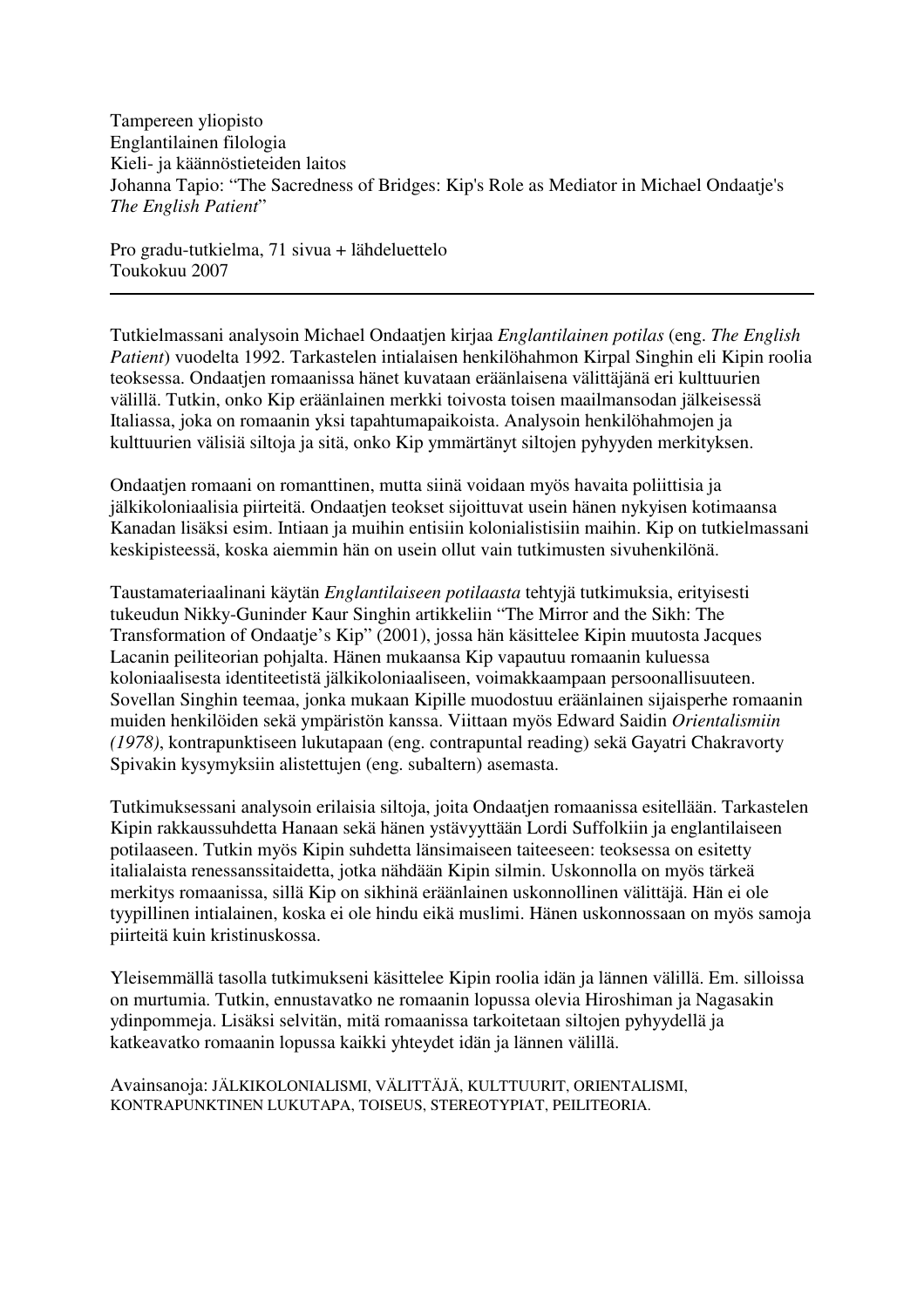Tampereen yliopisto Englantilainen filologia Kieli- ja käännöstieteiden laitos Johanna Tapio: "The Sacredness of Bridges: Kip's Role as Mediator in Michael Ondaatje's *The English Patient*"

Pro gradu-tutkielma, 71 sivua + lähdeluettelo Toukokuu 2007

Tutkielmassani analysoin Michael Ondaatjen kirjaa *Englantilainen potilas* (eng. *The English Patient*) vuodelta 1992. Tarkastelen intialaisen henkilöhahmon Kirpal Singhin eli Kipin roolia teoksessa. Ondaatjen romaanissa hänet kuvataan eräänlaisena välittäjänä eri kulttuurien välillä. Tutkin, onko Kip eräänlainen merkki toivosta toisen maailmansodan jälkeisessä Italiassa, joka on romaanin yksi tapahtumapaikoista. Analysoin henkilöhahmojen ja kulttuurien välisiä siltoja ja sitä, onko Kip ymmärtänyt siltojen pyhyyden merkityksen.

Ondaatjen romaani on romanttinen, mutta siinä voidaan myös havaita poliittisia ja jälkikoloniaalisia piirteitä. Ondaatjen teokset sijoittuvat usein hänen nykyisen kotimaansa Kanadan lisäksi esim. Intiaan ja muihin entisiin kolonialistisiin maihin. Kip on tutkielmassani keskipisteessä, koska aiemmin hän on usein ollut vain tutkimusten sivuhenkilönä.

Taustamateriaalinani käytän *Englantilaiseen potilaasta* tehtyjä tutkimuksia, erityisesti tukeudun Nikky-Guninder Kaur Singhin artikkeliin "The Mirror and the Sikh: The Transformation of Ondaatje's Kip" (2001), jossa hän käsittelee Kipin muutosta Jacques Lacanin peiliteorian pohjalta. Hänen mukaansa Kip vapautuu romaanin kuluessa koloniaalisesta identiteetistä jälkikoloniaaliseen, voimakkaampaan persoonallisuuteen. Sovellan Singhin teemaa, jonka mukaan Kipille muodostuu eräänlainen sijaisperhe romaanin muiden henkilöiden sekä ympäristön kanssa. Viittaan myös Edward Saidin *Orientalismiin (1978)*, kontrapunktiseen lukutapaan (eng. contrapuntal reading) sekä Gayatri Chakravorty Spivakin kysymyksiin alistettujen (eng. subaltern) asemasta.

Tutkimuksessani analysoin erilaisia siltoja, joita Ondaatjen romaanissa esitellään. Tarkastelen Kipin rakkaussuhdetta Hanaan sekä hänen ystävyyttään Lordi Suffolkiin ja englantilaiseen potilaaseen. Tutkin myös Kipin suhdetta länsimaiseen taiteeseen: teoksessa on esitetty italialaista renessanssitaidetta, jotka nähdään Kipin silmin. Uskonnolla on myös tärkeä merkitys romaanissa, sillä Kip on sikhinä eräänlainen uskonnollinen välittäjä. Hän ei ole tyypillinen intialainen, koska ei ole hindu eikä muslimi. Hänen uskonnossaan on myös samoja piirteitä kuin kristinuskossa.

Yleisemmällä tasolla tutkimukseni käsittelee Kipin roolia idän ja lännen välillä. Em. silloissa on murtumia. Tutkin, ennustavatko ne romaanin lopussa olevia Hiroshiman ja Nagasakin ydinpommeja. Lisäksi selvitän, mitä romaanissa tarkoitetaan siltojen pyhyydellä ja katkeavatko romaanin lopussa kaikki yhteydet idän ja lännen välillä.

Avainsanoja: JÄLKIKOLONIALISMI, VÄLITTÄJÄ, KULTTUURIT, ORIENTALISMI, KONTRAPUNKTINEN LUKUTAPA, TOISEUS, STEREOTYPIAT, PEILITEORIA.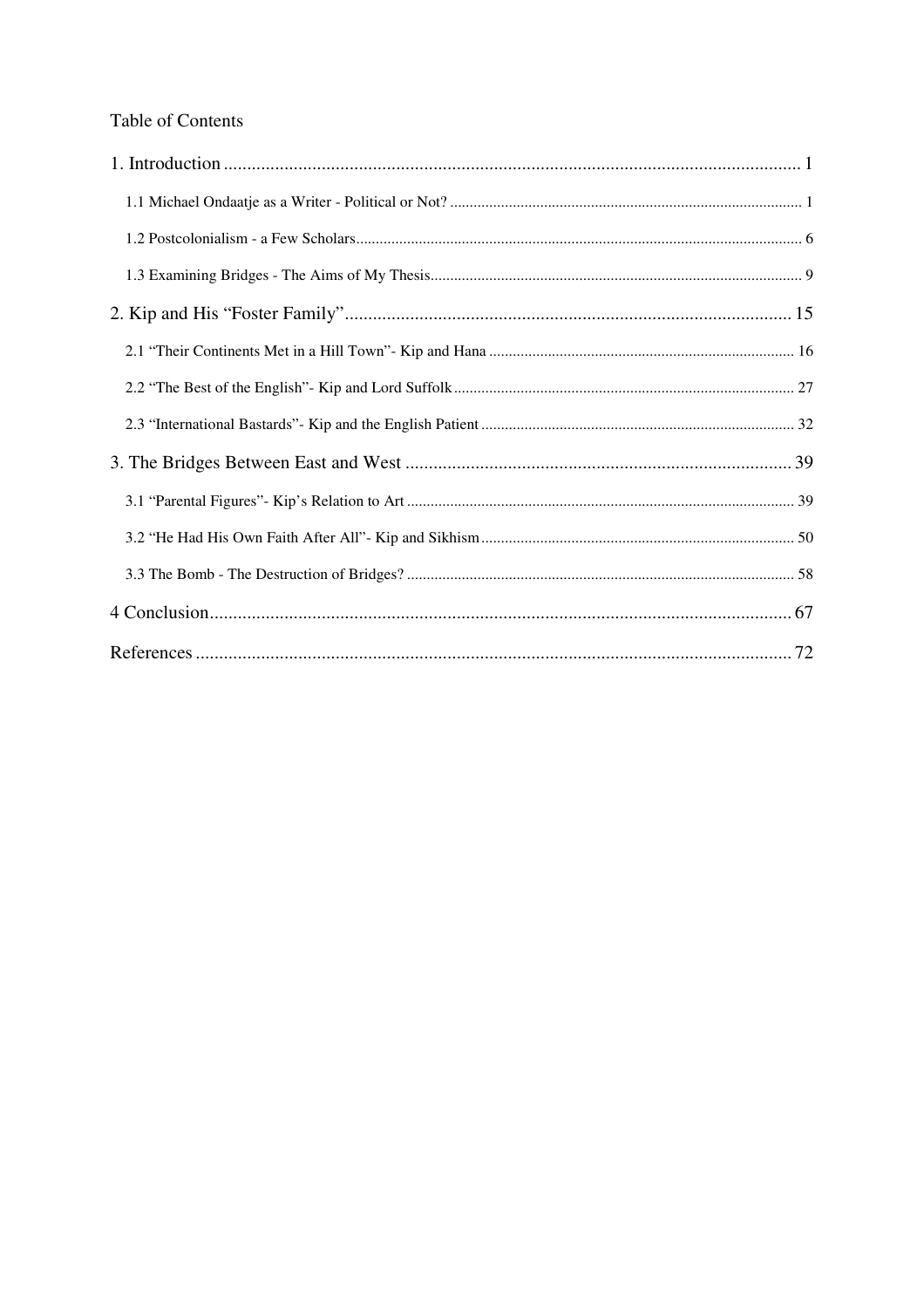# Table of Contents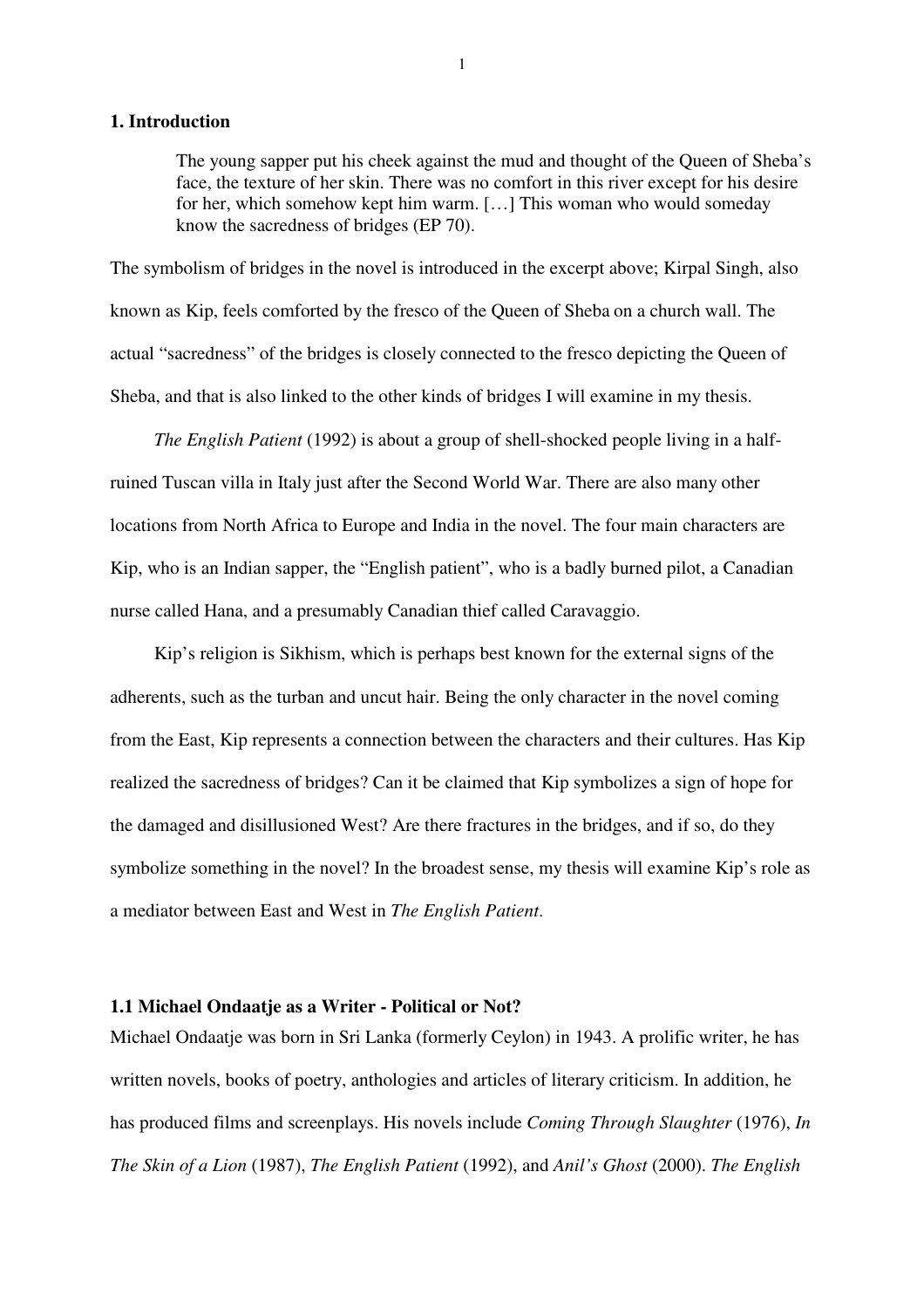#### **1. Introduction**

The young sapper put his cheek against the mud and thought of the Queen of Sheba's face, the texture of her skin. There was no comfort in this river except for his desire for her, which somehow kept him warm. […] This woman who would someday know the sacredness of bridges (EP 70).

The symbolism of bridges in the novel is introduced in the excerpt above; Kirpal Singh, also known as Kip, feels comforted by the fresco of the Queen of Sheba on a church wall. The actual "sacredness" of the bridges is closely connected to the fresco depicting the Queen of Sheba, and that is also linked to the other kinds of bridges I will examine in my thesis.

*The English Patient* (1992) is about a group of shell-shocked people living in a halfruined Tuscan villa in Italy just after the Second World War. There are also many other locations from North Africa to Europe and India in the novel. The four main characters are Kip, who is an Indian sapper, the "English patient", who is a badly burned pilot, a Canadian nurse called Hana, and a presumably Canadian thief called Caravaggio.

Kip's religion is Sikhism, which is perhaps best known for the external signs of the adherents, such as the turban and uncut hair. Being the only character in the novel coming from the East, Kip represents a connection between the characters and their cultures. Has Kip realized the sacredness of bridges? Can it be claimed that Kip symbolizes a sign of hope for the damaged and disillusioned West? Are there fractures in the bridges, and if so, do they symbolize something in the novel? In the broadest sense, my thesis will examine Kip's role as a mediator between East and West in *The English Patient*.

#### **1.1 Michael Ondaatje as a Writer - Political or Not?**

Michael Ondaatje was born in Sri Lanka (formerly Ceylon) in 1943. A prolific writer, he has written novels, books of poetry, anthologies and articles of literary criticism. In addition, he has produced films and screenplays. His novels include *Coming Through Slaughter* (1976), *In The Skin of a Lion* (1987), *The English Patient* (1992), and *Anil's Ghost* (2000). *The English*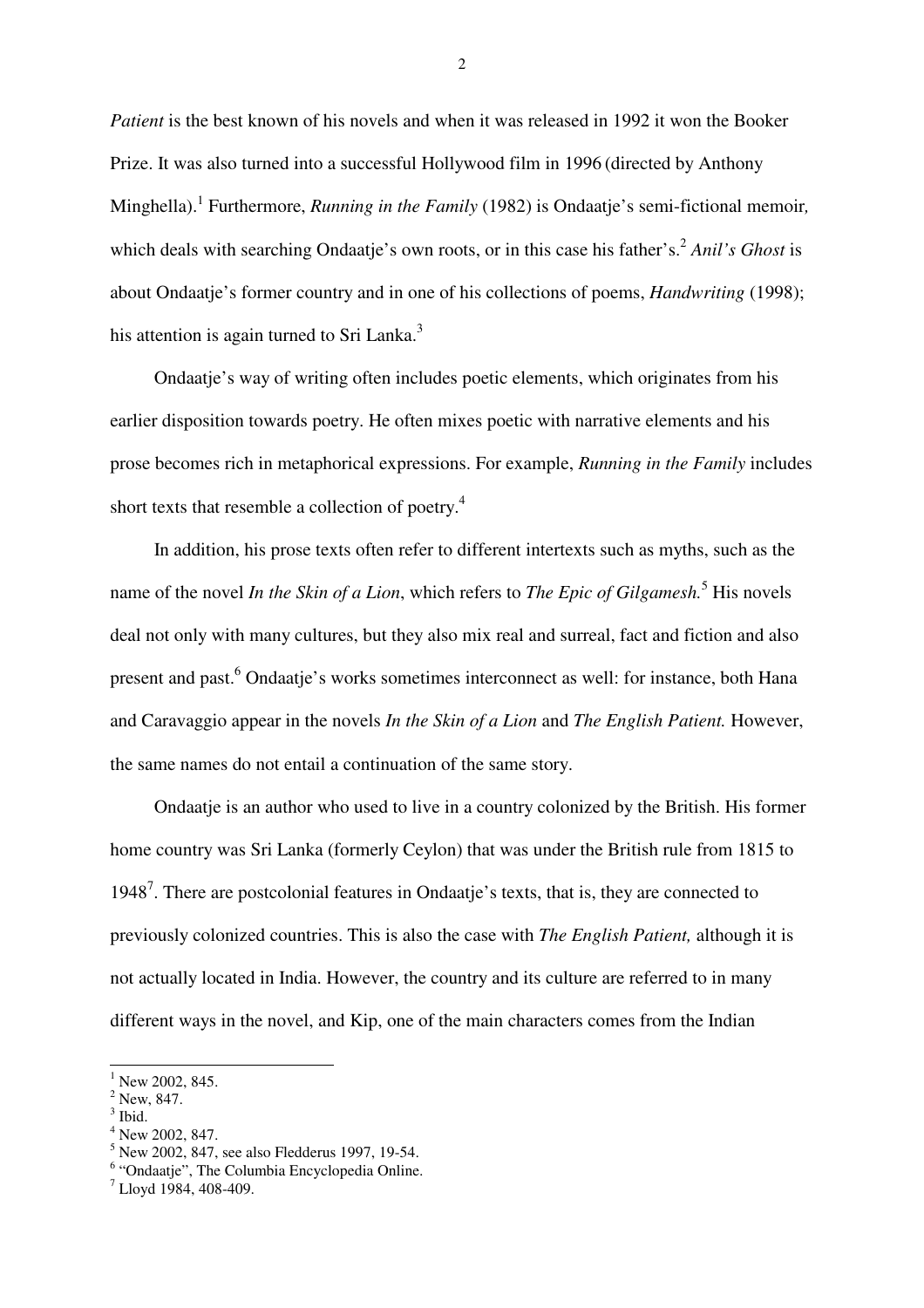*Patient* is the best known of his novels and when it was released in 1992 it won the Booker Prize. It was also turned into a successful Hollywood film in 1996 (directed by Anthony Minghella).<sup>1</sup> Furthermore, *Running in the Family* (1982) is Ondaatje's semi-fictional memoir, which deals with searching Ondaatje's own roots, or in this case his father's.<sup>2</sup> Anil's Ghost is about Ondaatje's former country and in one of his collections of poems, *Handwriting* (1998); his attention is again turned to Sri Lanka. $3$ 

Ondaatje's way of writing often includes poetic elements, which originates from his earlier disposition towards poetry. He often mixes poetic with narrative elements and his prose becomes rich in metaphorical expressions. For example, *Running in the Family* includes short texts that resemble a collection of poetry.<sup>4</sup>

In addition, his prose texts often refer to different intertexts such as myths, such as the name of the novel *In the Skin of a Lion*, which refers to *The Epic of Gilgamesh*.<sup>5</sup> His novels deal not only with many cultures, but they also mix real and surreal, fact and fiction and also present and past.<sup>6</sup> Ondaatje's works sometimes interconnect as well: for instance, both Hana and Caravaggio appear in the novels *In the Skin of a Lion* and *The English Patient.* However, the same names do not entail a continuation of the same story.

Ondaatje is an author who used to live in a country colonized by the British. His former home country was Sri Lanka (formerly Ceylon) that was under the British rule from 1815 to 1948<sup>7</sup>. There are postcolonial features in Ondaatje's texts, that is, they are connected to previously colonized countries. This is also the case with *The English Patient,* although it is not actually located in India. However, the country and its culture are referred to in many different ways in the novel, and Kip, one of the main characters comes from the Indian

- $2$  New, 847.
- <sup>3</sup> Ibid.

 $\overline{a}$ 

- 4 New 2002, 847.
- <sup>5</sup> New 2002, 847, see also Fledderus 1997, 19-54.
- <sup>6</sup> "Ondaatje", The Columbia Encyclopedia Online.

 $1$  New 2002, 845.

<sup>7</sup> Lloyd 1984, 408-409.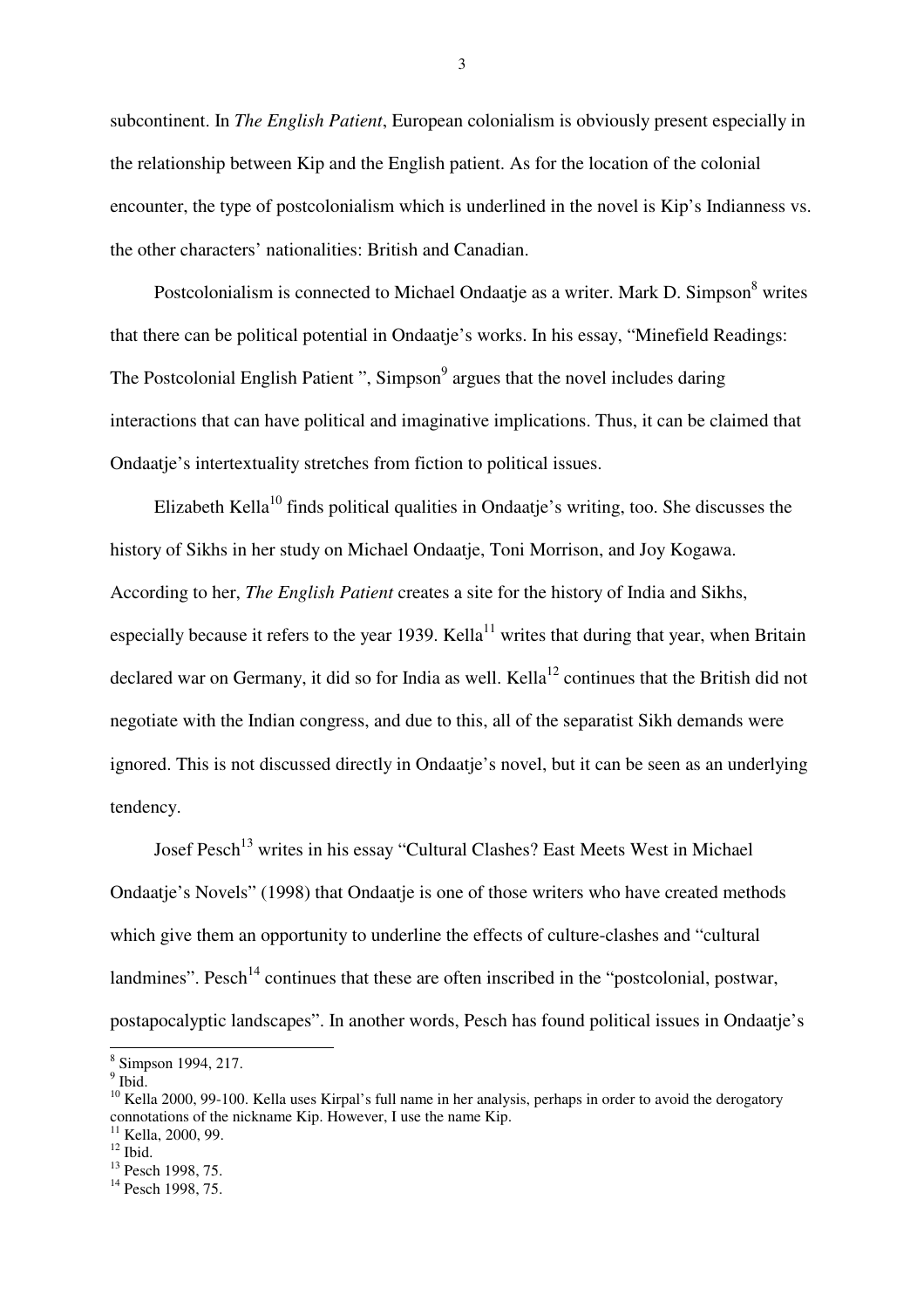subcontinent. In *The English Patient*, European colonialism is obviously present especially in the relationship between Kip and the English patient. As for the location of the colonial encounter, the type of postcolonialism which is underlined in the novel is Kip's Indianness vs. the other characters' nationalities: British and Canadian.

Postcolonialism is connected to Michael Ondaatje as a writer. Mark D. Simpson<sup>8</sup> writes that there can be political potential in Ondaatje's works. In his essay, "Minefield Readings: The Postcolonial English Patient ", Simpson<sup>9</sup> argues that the novel includes daring interactions that can have political and imaginative implications. Thus, it can be claimed that Ondaatje's intertextuality stretches from fiction to political issues.

Elizabeth Kella<sup>10</sup> finds political qualities in Ondaatie's writing, too. She discusses the history of Sikhs in her study on Michael Ondaatje, Toni Morrison, and Joy Kogawa. According to her, *The English Patient* creates a site for the history of India and Sikhs, especially because it refers to the year 1939. Kella<sup>11</sup> writes that during that year, when Britain declared war on Germany, it did so for India as well. Kella<sup>12</sup> continues that the British did not negotiate with the Indian congress, and due to this, all of the separatist Sikh demands were ignored. This is not discussed directly in Ondaatje's novel, but it can be seen as an underlying tendency.

Josef Pesch<sup>13</sup> writes in his essay "Cultural Clashes? East Meets West in Michael Ondaatje's Novels" (1998) that Ondaatje is one of those writers who have created methods which give them an opportunity to underline the effects of culture-clashes and "cultural landmines". Pesch<sup>14</sup> continues that these are often inscribed in the "postcolonial, postwar, postapocalyptic landscapes". In another words, Pesch has found political issues in Ondaatje's

 8 Simpson 1994, 217.

 $<sup>9</sup>$  Ibid.</sup>

<sup>&</sup>lt;sup>10</sup> Kella 2000, 99-100. Kella uses Kirpal's full name in her analysis, perhaps in order to avoid the derogatory connotations of the nickname Kip. However, I use the name Kip.

 $11$  Kella, 2000, 99.

 $12$  Ibid.

<sup>&</sup>lt;sup>13</sup> Pesch 1998, 75.

 $14$  Pesch 1998, 75.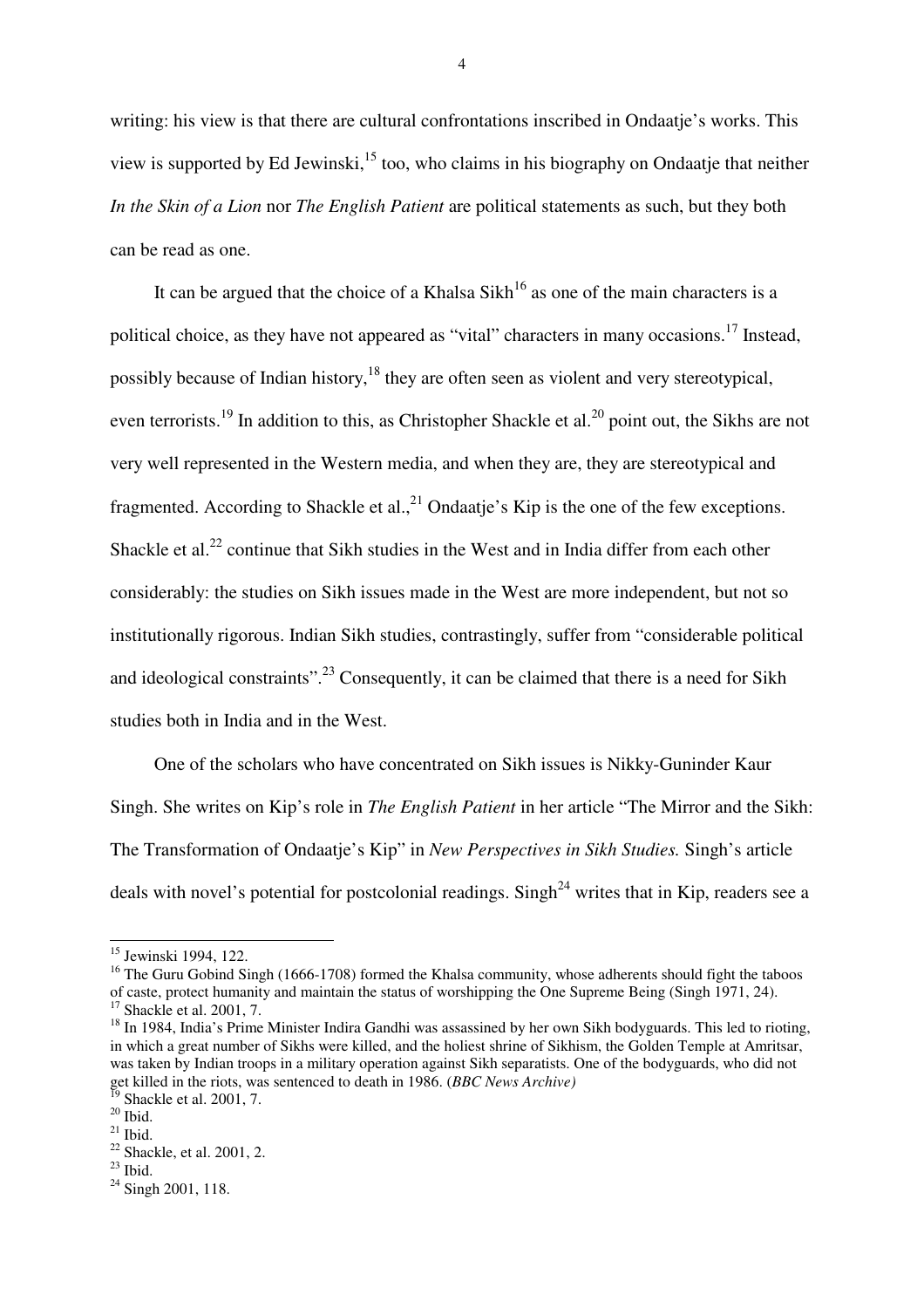writing: his view is that there are cultural confrontations inscribed in Ondaatje's works. This view is supported by Ed Jewinski, $^{15}$  too, who claims in his biography on Ondaatje that neither *In the Skin of a Lion* nor *The English Patient* are political statements as such, but they both can be read as one.

It can be argued that the choice of a Khalsa Sikh<sup>16</sup> as one of the main characters is a political choice, as they have not appeared as "vital" characters in many occasions.<sup>17</sup> Instead, possibly because of Indian history,  $18$  they are often seen as violent and very stereotypical, even terrorists.<sup>19</sup> In addition to this, as Christopher Shackle et al.<sup>20</sup> point out, the Sikhs are not very well represented in the Western media, and when they are, they are stereotypical and fragmented. According to Shackle et al.,  $^{21}$  Ondaatje's Kip is the one of the few exceptions. Shackle et al.<sup>22</sup> continue that Sikh studies in the West and in India differ from each other considerably: the studies on Sikh issues made in the West are more independent, but not so institutionally rigorous. Indian Sikh studies, contrastingly, suffer from "considerable political and ideological constraints".<sup>23</sup> Consequently, it can be claimed that there is a need for Sikh studies both in India and in the West.

One of the scholars who have concentrated on Sikh issues is Nikky-Guninder Kaur Singh. She writes on Kip's role in *The English Patient* in her article "The Mirror and the Sikh: The Transformation of Ondaatje's Kip" in *New Perspectives in Sikh Studies.* Singh's article deals with novel's potential for postcolonial readings. Singh<sup>24</sup> writes that in Kip, readers see a

 $\overline{a}$ 

<sup>&</sup>lt;sup>15</sup> Jewinski 1994, 122.

<sup>&</sup>lt;sup>16</sup> The Guru Gobind Singh (1666-1708) formed the Khalsa community, whose adherents should fight the taboos of caste, protect humanity and maintain the status of worshipping the One Supreme Being (Singh 1971, 24). <sup>17</sup> Shackle et al. 2001, 7.

<sup>&</sup>lt;sup>18</sup> In 1984, India's Prime Minister Indira Gandhi was assassined by her own Sikh bodyguards. This led to rioting, in which a great number of Sikhs were killed, and the holiest shrine of Sikhism, the Golden Temple at Amritsar, was taken by Indian troops in a military operation against Sikh separatists. One of the bodyguards, who did not get killed in the riots, was sentenced to death in 1986. (*BBC News Archive*)

 $^{19}$  Shackle et al. 2001, 7.

 $20$  Ibid.

 $^{21}$  Ibid.

 $22$  Shackle, et al. 2001, 2.

 $23$  Ibid.

<sup>&</sup>lt;sup>24</sup> Singh 2001, 118.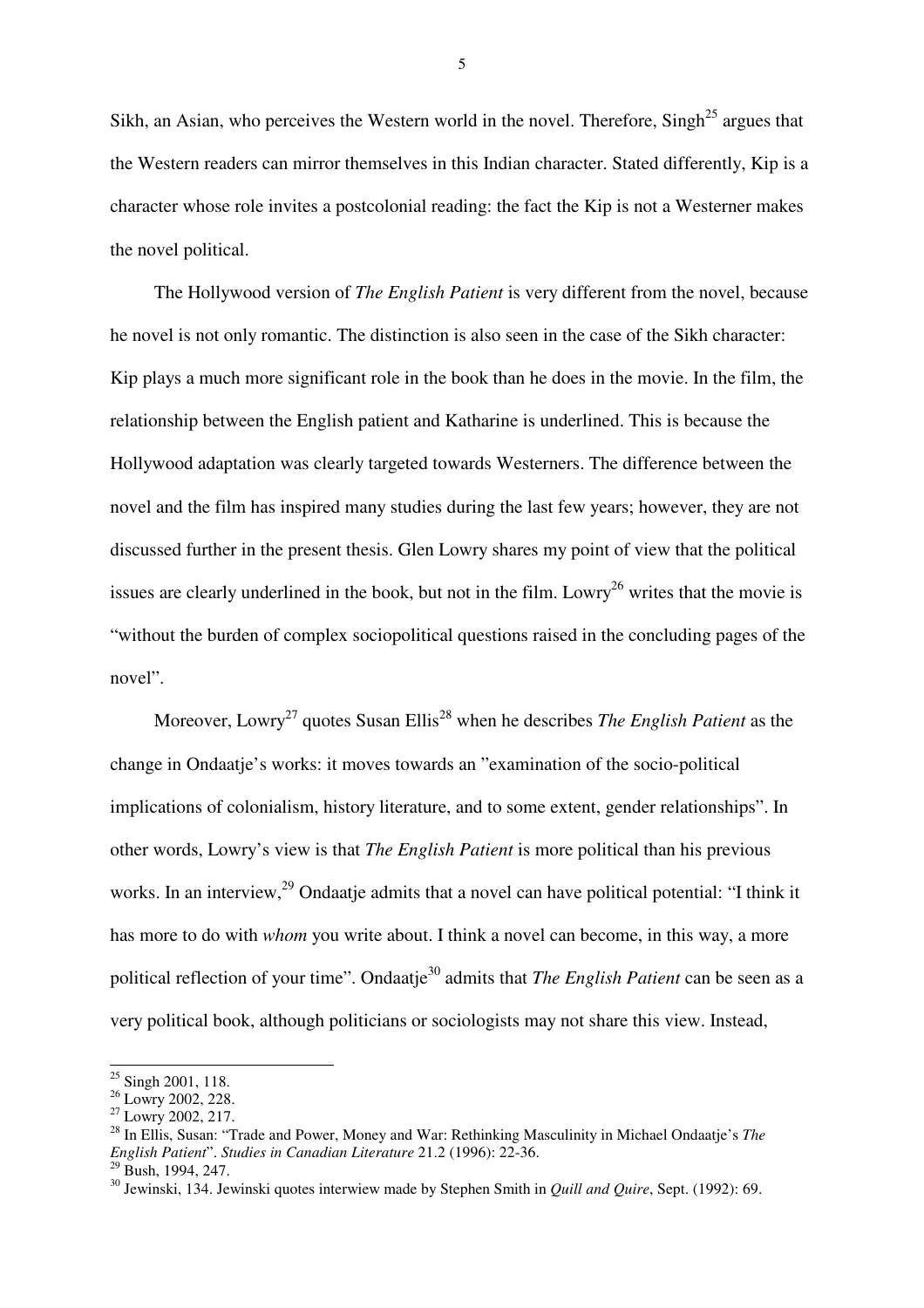Sikh, an Asian, who perceives the Western world in the novel. Therefore,  $Singh^{25}$  argues that the Western readers can mirror themselves in this Indian character. Stated differently, Kip is a character whose role invites a postcolonial reading: the fact the Kip is not a Westerner makes the novel political.

The Hollywood version of *The English Patient* is very different from the novel, because he novel is not only romantic. The distinction is also seen in the case of the Sikh character: Kip plays a much more significant role in the book than he does in the movie. In the film, the relationship between the English patient and Katharine is underlined. This is because the Hollywood adaptation was clearly targeted towards Westerners. The difference between the novel and the film has inspired many studies during the last few years; however, they are not discussed further in the present thesis. Glen Lowry shares my point of view that the political issues are clearly underlined in the book, but not in the film. Lowry<sup>26</sup> writes that the movie is "without the burden of complex sociopolitical questions raised in the concluding pages of the novel".

Moreover, Lowry<sup>27</sup> quotes Susan Ellis<sup>28</sup> when he describes *The English Patient* as the change in Ondaatje's works: it moves towards an "examination of the socio-political implications of colonialism, history literature, and to some extent, gender relationships". In other words, Lowry's view is that *The English Patient* is more political than his previous works. In an interview,<sup>29</sup> Ondaatje admits that a novel can have political potential: "I think it has more to do with *whom* you write about. I think a novel can become, in this way, a more political reflection of your time". Ondaatie<sup>30</sup> admits that *The English Patient* can be seen as a very political book, although politicians or sociologists may not share this view. Instead,

 $25$  Singh 2001, 118.

 $^{26}$  Lowry 2002, 228.

 $^{27}$  Lowry 2002, 217.

<sup>28</sup> In Ellis, Susan: "Trade and Power, Money and War: Rethinking Masculinity in Michael Ondaatje's *The English Patient*". *Studies in Canadian Literature* 21.2 (1996): 22-36.

 $29$  Bush, 1994, 247.

<sup>30</sup> Jewinski, 134. Jewinski quotes interwiew made by Stephen Smith in *Quill and Quire*, Sept. (1992): 69.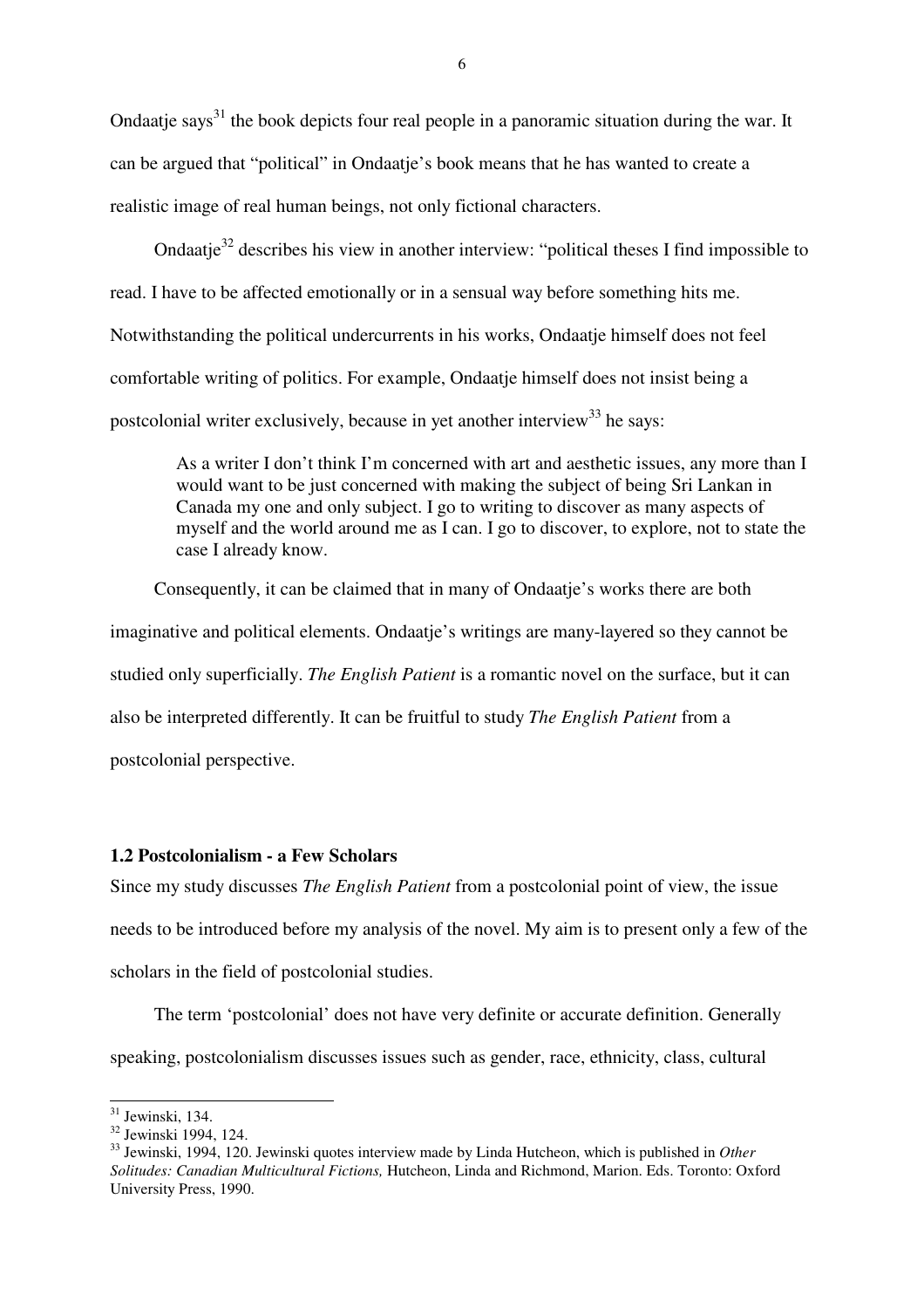Ondaatje says<sup>31</sup> the book depicts four real people in a panoramic situation during the war. It can be argued that "political" in Ondaatje's book means that he has wanted to create a realistic image of real human beings, not only fictional characters.

Ondaatie<sup>32</sup> describes his view in another interview: "political theses I find impossible to read. I have to be affected emotionally or in a sensual way before something hits me. Notwithstanding the political undercurrents in his works, Ondaatje himself does not feel comfortable writing of politics. For example, Ondaatje himself does not insist being a postcolonial writer exclusively, because in yet another interview<sup>33</sup> he says:

As a writer I don't think I'm concerned with art and aesthetic issues, any more than I would want to be just concerned with making the subject of being Sri Lankan in Canada my one and only subject. I go to writing to discover as many aspects of myself and the world around me as I can. I go to discover, to explore, not to state the case I already know.

Consequently, it can be claimed that in many of Ondaatje's works there are both imaginative and political elements. Ondaatje's writings are many-layered so they cannot be studied only superficially. *The English Patient* is a romantic novel on the surface, but it can also be interpreted differently. It can be fruitful to study *The English Patient* from a postcolonial perspective.

#### **1.2 Postcolonialism - a Few Scholars**

Since my study discusses *The English Patient* from a postcolonial point of view, the issue needs to be introduced before my analysis of the novel. My aim is to present only a few of the scholars in the field of postcolonial studies.

The term 'postcolonial' does not have very definite or accurate definition. Generally speaking, postcolonialism discusses issues such as gender, race, ethnicity, class, cultural

 $\overline{a}$  $31$  Jewinski, 134.

<sup>32</sup> Jewinski 1994, 124.

<sup>33</sup> Jewinski, 1994, 120. Jewinski quotes interview made by Linda Hutcheon, which is published in *Other Solitudes: Canadian Multicultural Fictions,* Hutcheon, Linda and Richmond, Marion. Eds. Toronto: Oxford University Press, 1990.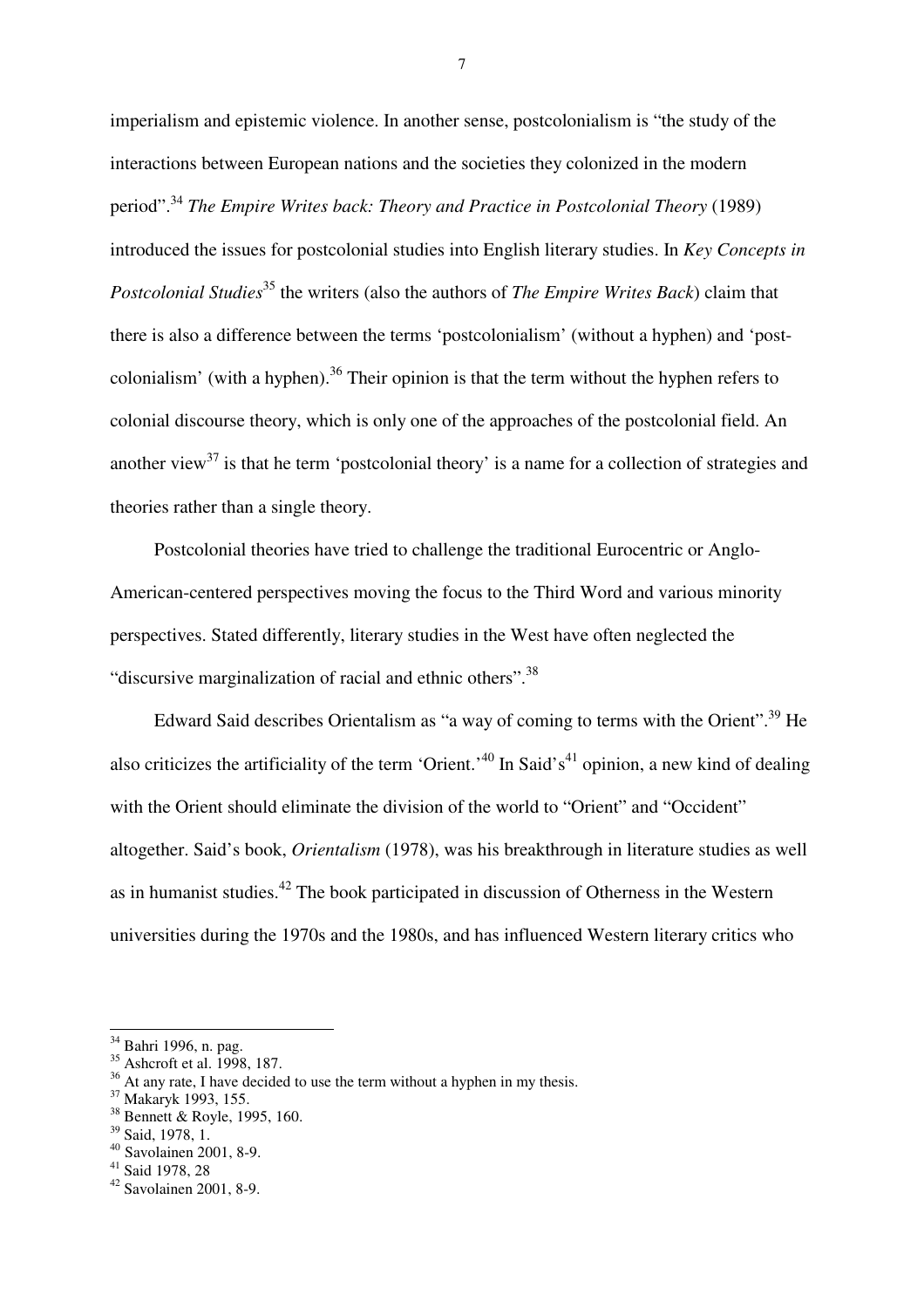imperialism and epistemic violence. In another sense, postcolonialism is "the study of the interactions between European nations and the societies they colonized in the modern period".<sup>34</sup> *The Empire Writes back: Theory and Practice in Postcolonial Theory* (1989) introduced the issues for postcolonial studies into English literary studies. In *Key Concepts in Postcolonial Studies*<sup>35</sup> the writers (also the authors of *The Empire Writes Back*) claim that there is also a difference between the terms 'postcolonialism' (without a hyphen) and 'postcolonialism' (with a hyphen).<sup>36</sup> Their opinion is that the term without the hyphen refers to colonial discourse theory, which is only one of the approaches of the postcolonial field. An another view<sup>37</sup> is that he term 'postcolonial theory' is a name for a collection of strategies and theories rather than a single theory.

Postcolonial theories have tried to challenge the traditional Eurocentric or Anglo-American-centered perspectives moving the focus to the Third Word and various minority perspectives. Stated differently, literary studies in the West have often neglected the "discursive marginalization of racial and ethnic others". $^{38}$ 

Edward Said describes Orientalism as "a way of coming to terms with the Orient".<sup>39</sup> He also criticizes the artificiality of the term 'Orient.'<sup>40</sup> In Said's<sup>41</sup> opinion, a new kind of dealing with the Orient should eliminate the division of the world to "Orient" and "Occident" altogether. Said's book, *Orientalism* (1978), was his breakthrough in literature studies as well as in humanist studies.<sup>42</sup> The book participated in discussion of Otherness in the Western universities during the 1970s and the 1980s, and has influenced Western literary critics who

 $\overline{a}$ 

<sup>&</sup>lt;sup>34</sup> Bahri 1996, n. pag.

<sup>35</sup> Ashcroft et al. 1998, 187.

<sup>&</sup>lt;sup>36</sup> At any rate, I have decided to use the term without a hyphen in my thesis.

<sup>37</sup> Makaryk 1993, 155.

<sup>38</sup> Bennett & Royle, 1995, 160.

<sup>39</sup> Said, 1978, 1.

<sup>40</sup> Savolainen 2001, 8-9.

<sup>41</sup> Said 1978, 28

<sup>42</sup> Savolainen 2001, 8-9.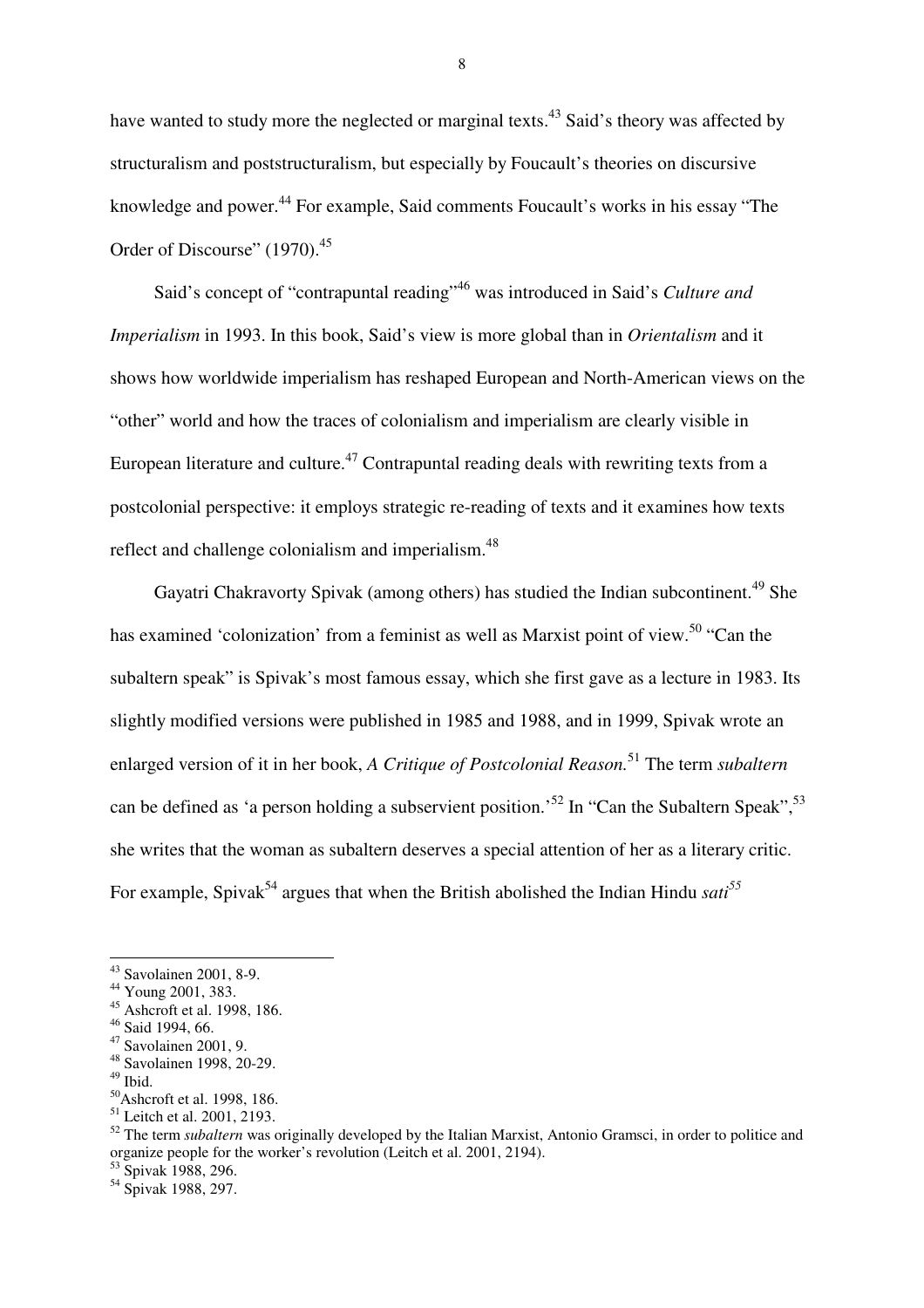have wanted to study more the neglected or marginal texts.<sup>43</sup> Said's theory was affected by structuralism and poststructuralism, but especially by Foucault's theories on discursive knowledge and power.<sup>44</sup> For example, Said comments Foucault's works in his essay "The Order of Discourse" (1970).<sup>45</sup>

Said's concept of "contrapuntal reading"<sup>46</sup> was introduced in Said's *Culture and Imperialism* in 1993. In this book, Said's view is more global than in *Orientalism* and it shows how worldwide imperialism has reshaped European and North-American views on the "other" world and how the traces of colonialism and imperialism are clearly visible in European literature and culture.<sup>47</sup> Contrapuntal reading deals with rewriting texts from a postcolonial perspective: it employs strategic re-reading of texts and it examines how texts reflect and challenge colonialism and imperialism.<sup>48</sup>

Gayatri Chakravorty Spivak (among others) has studied the Indian subcontinent.<sup>49</sup> She has examined 'colonization' from a feminist as well as Marxist point of view.<sup>50</sup> "Can the subaltern speak" is Spivak's most famous essay, which she first gave as a lecture in 1983. Its slightly modified versions were published in 1985 and 1988, and in 1999, Spivak wrote an enlarged version of it in her book, *A Critique of Postcolonial Reason.*<sup>51</sup> The term *subaltern* can be defined as 'a person holding a subservient position.<sup>52</sup> In "Can the Subaltern Speak",  $^{53}$ she writes that the woman as subaltern deserves a special attention of her as a literary critic. For example, Spivak<sup>54</sup> argues that when the British abolished the Indian Hindu *sati*<sup>55</sup>

 $\overline{a}$ 

<sup>50</sup>Ashcroft et al. 1998, 186.

<sup>43</sup> Savolainen 2001, 8-9.

<sup>44</sup> Young 2001, 383.

<sup>45</sup> Ashcroft et al. 1998, 186.

<sup>46</sup> Said 1994, 66.

<sup>47</sup> Savolainen 2001, 9.

<sup>48</sup> Savolainen 1998, 20-29.

 $49$  Ibid.

<sup>&</sup>lt;sup>51</sup> Leitch et al. 2001, 2193.

<sup>52</sup> The term *subaltern* was originally developed by the Italian Marxist, Antonio Gramsci, in order to politice and organize people for the worker's revolution (Leitch et al. 2001, 2194).

<sup>53</sup> Spivak 1988, 296.

<sup>54</sup> Spivak 1988, 297.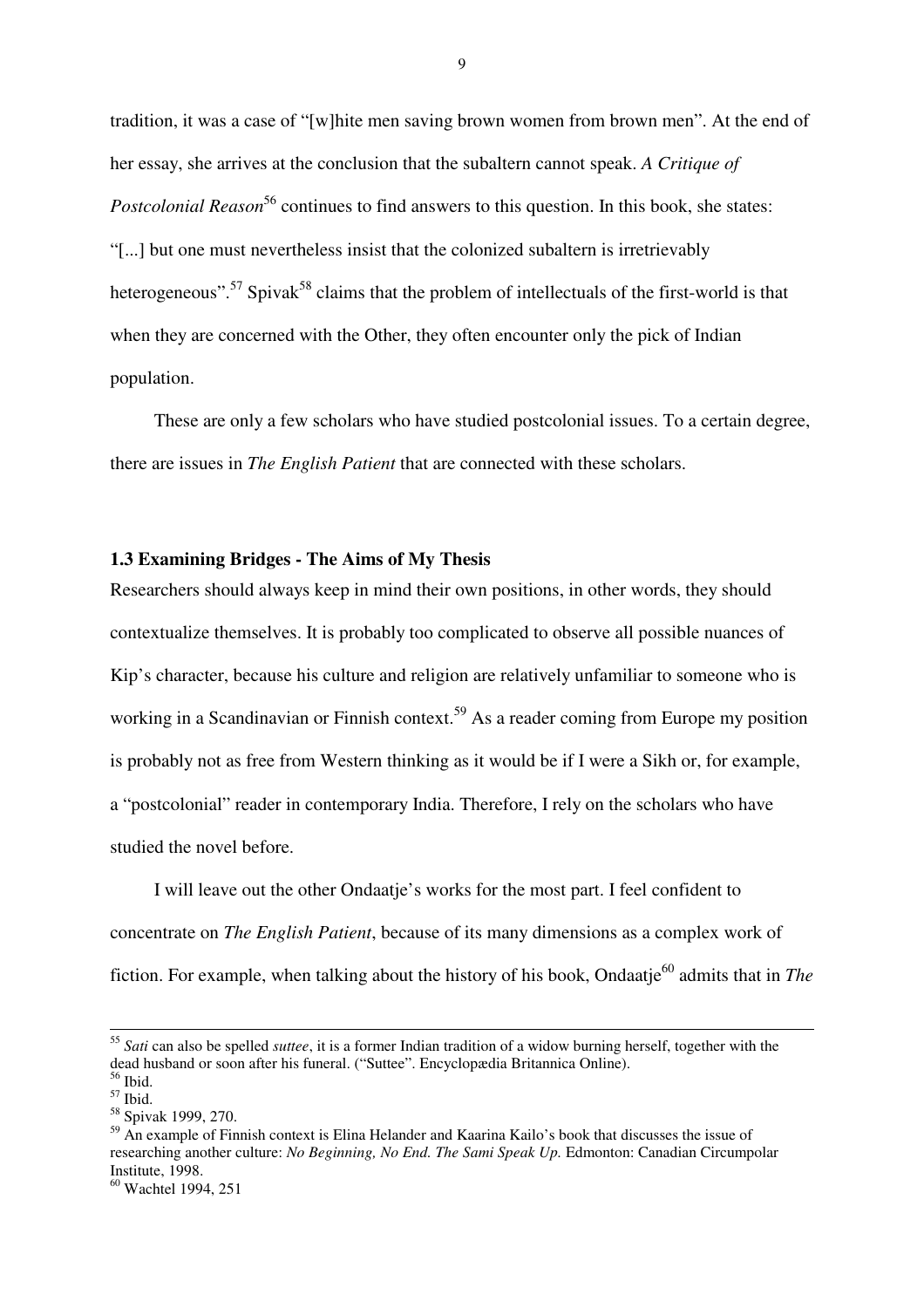tradition, it was a case of "[w]hite men saving brown women from brown men". At the end of her essay, she arrives at the conclusion that the subaltern cannot speak. *A Critique of Postcolonial Reason*<sup>56</sup> continues to find answers to this question. In this book, she states: "[...] but one must nevertheless insist that the colonized subaltern is irretrievably heterogeneous".<sup>57</sup> Spivak<sup>58</sup> claims that the problem of intellectuals of the first-world is that when they are concerned with the Other, they often encounter only the pick of Indian population.

These are only a few scholars who have studied postcolonial issues. To a certain degree, there are issues in *The English Patient* that are connected with these scholars.

## **1.3 Examining Bridges - The Aims of My Thesis**

Researchers should always keep in mind their own positions, in other words, they should contextualize themselves. It is probably too complicated to observe all possible nuances of Kip's character, because his culture and religion are relatively unfamiliar to someone who is working in a Scandinavian or Finnish context.<sup>59</sup> As a reader coming from Europe my position is probably not as free from Western thinking as it would be if I were a Sikh or, for example, a "postcolonial" reader in contemporary India. Therefore, I rely on the scholars who have studied the novel before.

I will leave out the other Ondaatje's works for the most part. I feel confident to concentrate on *The English Patient*, because of its many dimensions as a complex work of fiction. For example, when talking about the history of his book, Ondaatje<sup>60</sup> admits that in *The* 

<sup>55</sup> *Sati* can also be spelled *suttee*, it is a former Indian tradition of a widow burning herself, together with the dead husband or soon after his funeral. ("Suttee". Encyclopædia Britannica Online). <sup>56</sup> Ibid.

 $57$  Ibid.

<sup>58</sup> Spivak 1999, 270.

<sup>&</sup>lt;sup>59</sup> An example of Finnish context is Elina Helander and Kaarina Kailo's book that discusses the issue of researching another culture: *No Beginning, No End. The Sami Speak Up.* Edmonton: Canadian Circumpolar Institute, 1998.

<sup>60</sup> Wachtel 1994, 251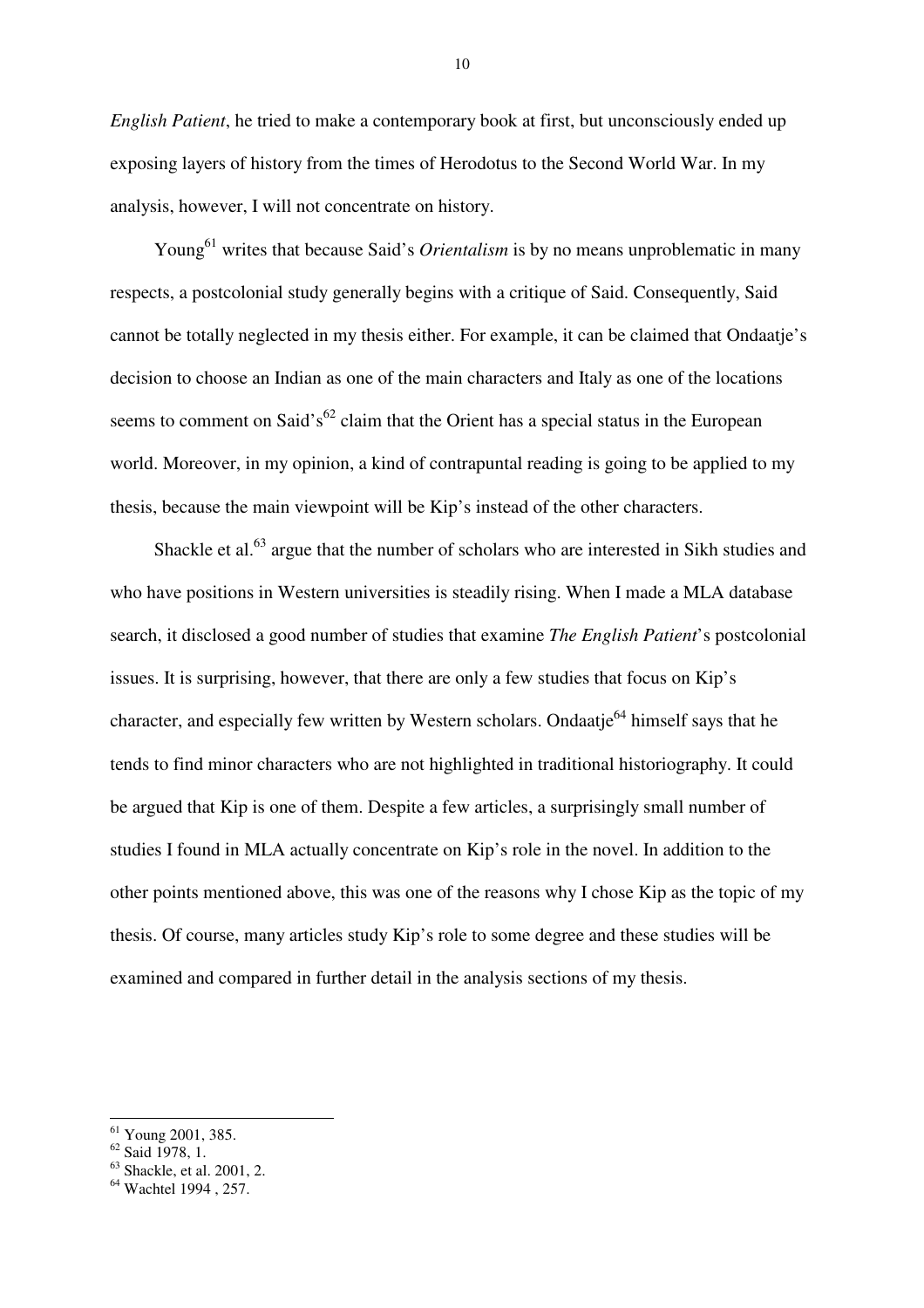*English Patient*, he tried to make a contemporary book at first, but unconsciously ended up exposing layers of history from the times of Herodotus to the Second World War. In my analysis, however, I will not concentrate on history.

Young<sup>61</sup> writes that because Said's *Orientalism* is by no means unproblematic in many respects, a postcolonial study generally begins with a critique of Said. Consequently, Said cannot be totally neglected in my thesis either. For example, it can be claimed that Ondaatje's decision to choose an Indian as one of the main characters and Italy as one of the locations seems to comment on Said's<sup>62</sup> claim that the Orient has a special status in the European world. Moreover, in my opinion, a kind of contrapuntal reading is going to be applied to my thesis, because the main viewpoint will be Kip's instead of the other characters.

Shackle et al.<sup>63</sup> argue that the number of scholars who are interested in Sikh studies and who have positions in Western universities is steadily rising. When I made a MLA database search, it disclosed a good number of studies that examine *The English Patient*'s postcolonial issues. It is surprising, however, that there are only a few studies that focus on Kip's character, and especially few written by Western scholars. Ondaatje<sup>64</sup> himself says that he tends to find minor characters who are not highlighted in traditional historiography. It could be argued that Kip is one of them. Despite a few articles, a surprisingly small number of studies I found in MLA actually concentrate on Kip's role in the novel. In addition to the other points mentioned above, this was one of the reasons why I chose Kip as the topic of my thesis. Of course, many articles study Kip's role to some degree and these studies will be examined and compared in further detail in the analysis sections of my thesis.

 $62$  Said 1978, 1.

<sup>61</sup> Young 2001, 385.

 $63$  Shackle, et al. 2001, 2.

<sup>&</sup>lt;sup>64</sup> Wachtel 1994, 257.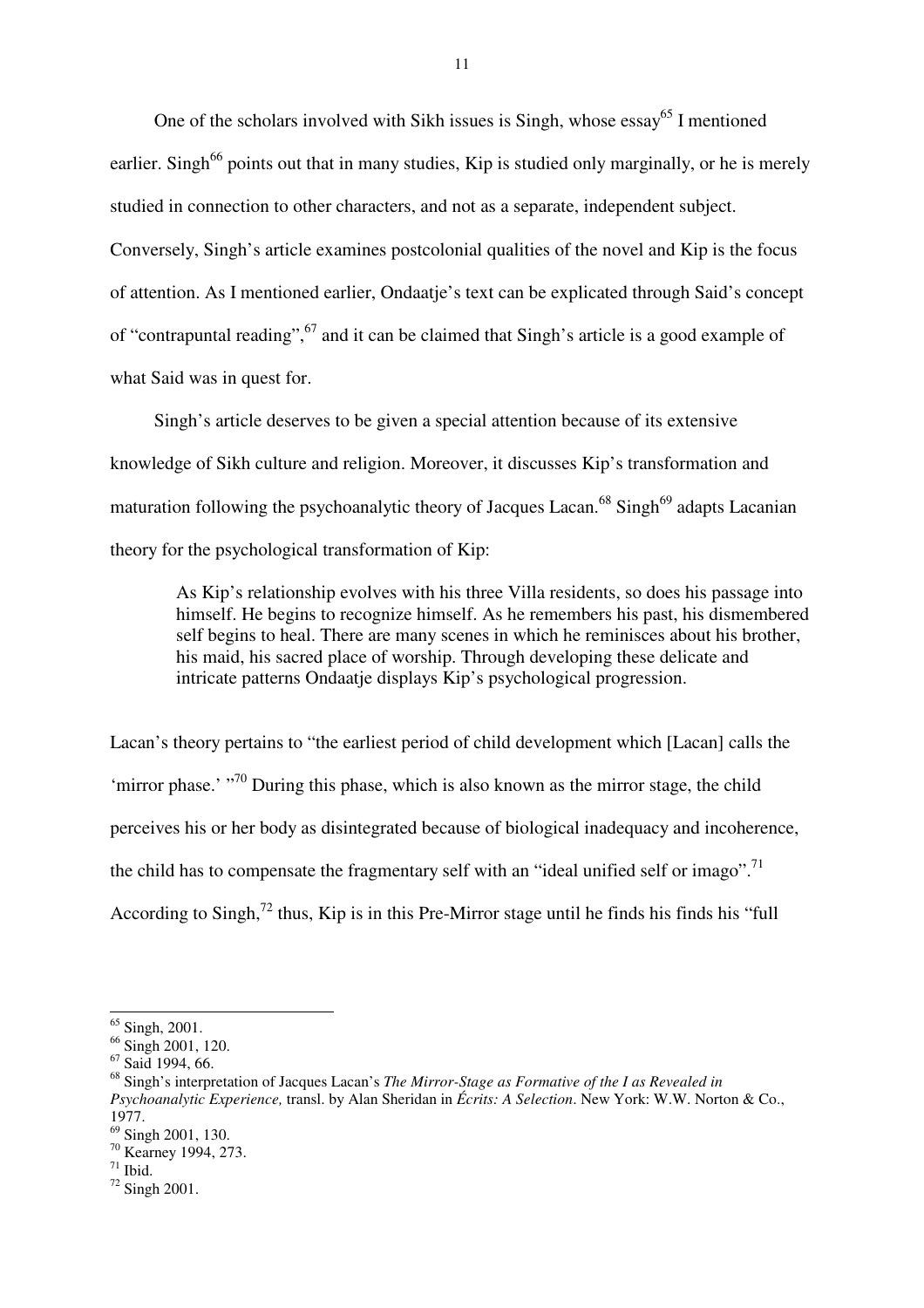One of the scholars involved with Sikh issues is Singh, whose essay<sup>65</sup> I mentioned earlier. Singh<sup>66</sup> points out that in many studies, Kip is studied only marginally, or he is merely studied in connection to other characters, and not as a separate, independent subject. Conversely, Singh's article examines postcolonial qualities of the novel and Kip is the focus of attention. As I mentioned earlier, Ondaatje's text can be explicated through Said's concept of "contrapuntal reading", <sup>67</sup> and it can be claimed that Singh's article is a good example of what Said was in quest for.

Singh's article deserves to be given a special attention because of its extensive knowledge of Sikh culture and religion. Moreover, it discusses Kip's transformation and maturation following the psychoanalytic theory of Jacques Lacan.<sup>68</sup> Singh<sup>69</sup> adapts Lacanian theory for the psychological transformation of Kip:

As Kip's relationship evolves with his three Villa residents, so does his passage into himself. He begins to recognize himself. As he remembers his past, his dismembered self begins to heal. There are many scenes in which he reminisces about his brother, his maid, his sacred place of worship. Through developing these delicate and intricate patterns Ondaatje displays Kip's psychological progression.

Lacan's theory pertains to "the earliest period of child development which [Lacan] calls the 'mirror phase.'  $\cdot$ <sup>70</sup> During this phase, which is also known as the mirror stage, the child perceives his or her body as disintegrated because of biological inadequacy and incoherence, the child has to compensate the fragmentary self with an "ideal unified self or imago".<sup>71</sup> According to Singh,<sup>72</sup> thus, Kip is in this Pre-Mirror stage until he finds his finds his "full"

 $\overline{a}$ 

<sup>70</sup> Kearney 1994, 273.

 $65$  Singh, 2001.

 $66$  Singh 2001, 120.

<sup>67</sup> Said 1994, 66.

<sup>68</sup> Singh's interpretation of Jacques Lacan's *The Mirror-Stage as Formative of the I as Revealed in Psychoanalytic Experience,* transl. by Alan Sheridan in *Écrits: A Selection*. New York: W.W. Norton & Co., 1977.

<sup>69</sup> Singh 2001, 130.

 $71$  Ibid.

<sup>72</sup> Singh 2001.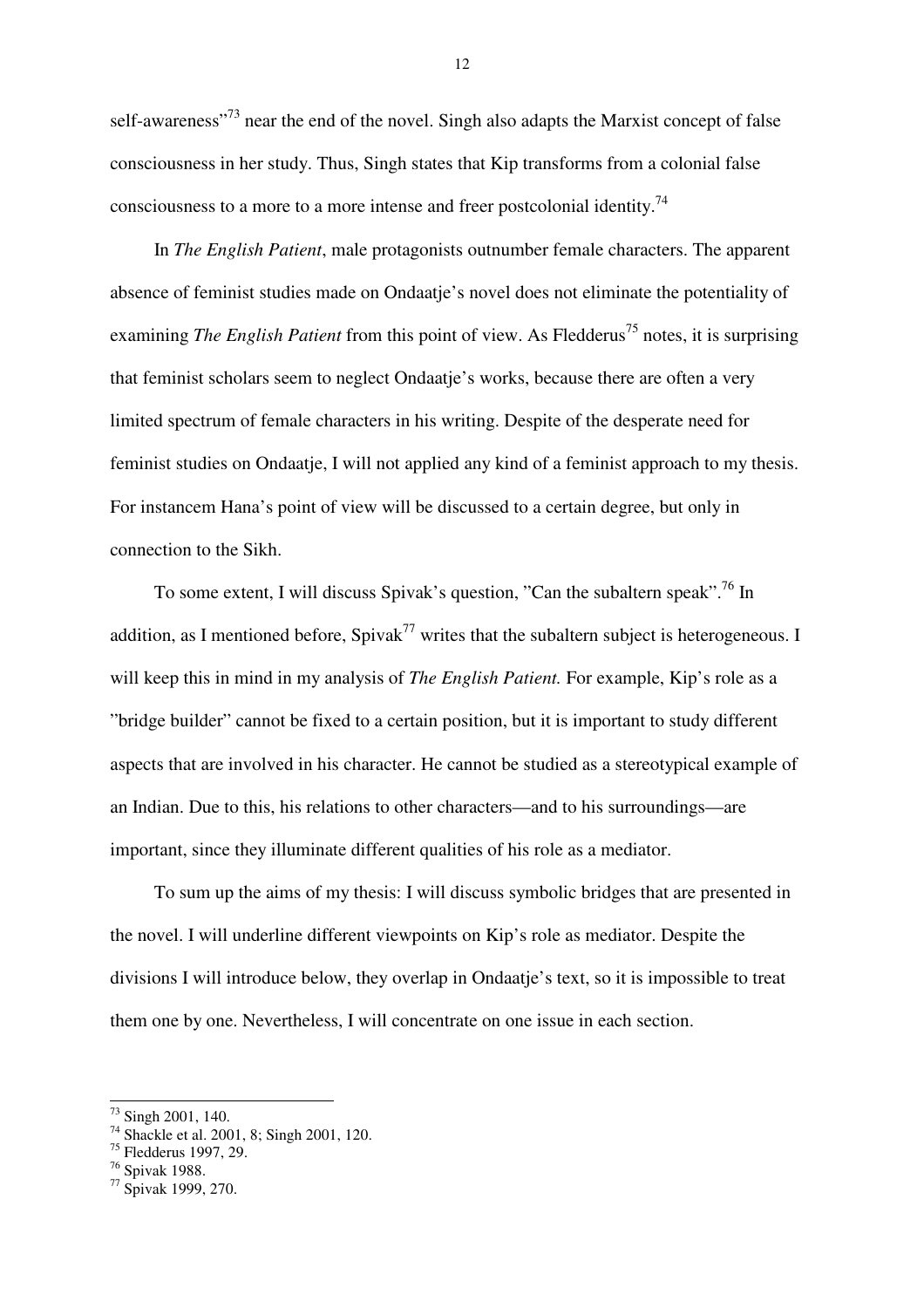self-awareness<sup>"73</sup> near the end of the novel. Singh also adapts the Marxist concept of false consciousness in her study. Thus, Singh states that Kip transforms from a colonial false consciousness to a more to a more intense and freer postcolonial identity.<sup>74</sup>

In *The English Patient*, male protagonists outnumber female characters. The apparent absence of feminist studies made on Ondaatje's novel does not eliminate the potentiality of examining *The English Patient* from this point of view. As Fledderus<sup>75</sup> notes, it is surprising that feminist scholars seem to neglect Ondaatje's works, because there are often a very limited spectrum of female characters in his writing. Despite of the desperate need for feminist studies on Ondaatje, I will not applied any kind of a feminist approach to my thesis. For instancem Hana's point of view will be discussed to a certain degree, but only in connection to the Sikh.

To some extent, I will discuss Spivak's question, "Can the subaltern speak".<sup>76</sup> In addition, as I mentioned before,  $Spivak^{77}$  writes that the subaltern subject is heterogeneous. I will keep this in mind in my analysis of *The English Patient.* For example, Kip's role as a "bridge builder" cannot be fixed to a certain position, but it is important to study different aspects that are involved in his character. He cannot be studied as a stereotypical example of an Indian. Due to this, his relations to other characters—and to his surroundings—are important, since they illuminate different qualities of his role as a mediator.

To sum up the aims of my thesis: I will discuss symbolic bridges that are presented in the novel. I will underline different viewpoints on Kip's role as mediator. Despite the divisions I will introduce below, they overlap in Ondaatje's text, so it is impossible to treat them one by one. Nevertheless, I will concentrate on one issue in each section.

<sup>&</sup>lt;sup>73</sup> Singh 2001, 140.

<sup>&</sup>lt;sup>74</sup> Shackle et al. 2001, 8; Singh 2001, 120.

<sup>75</sup> Fledderus 1997, 29.

<sup>76</sup> Spivak 1988.

<sup>77</sup> Spivak 1999, 270.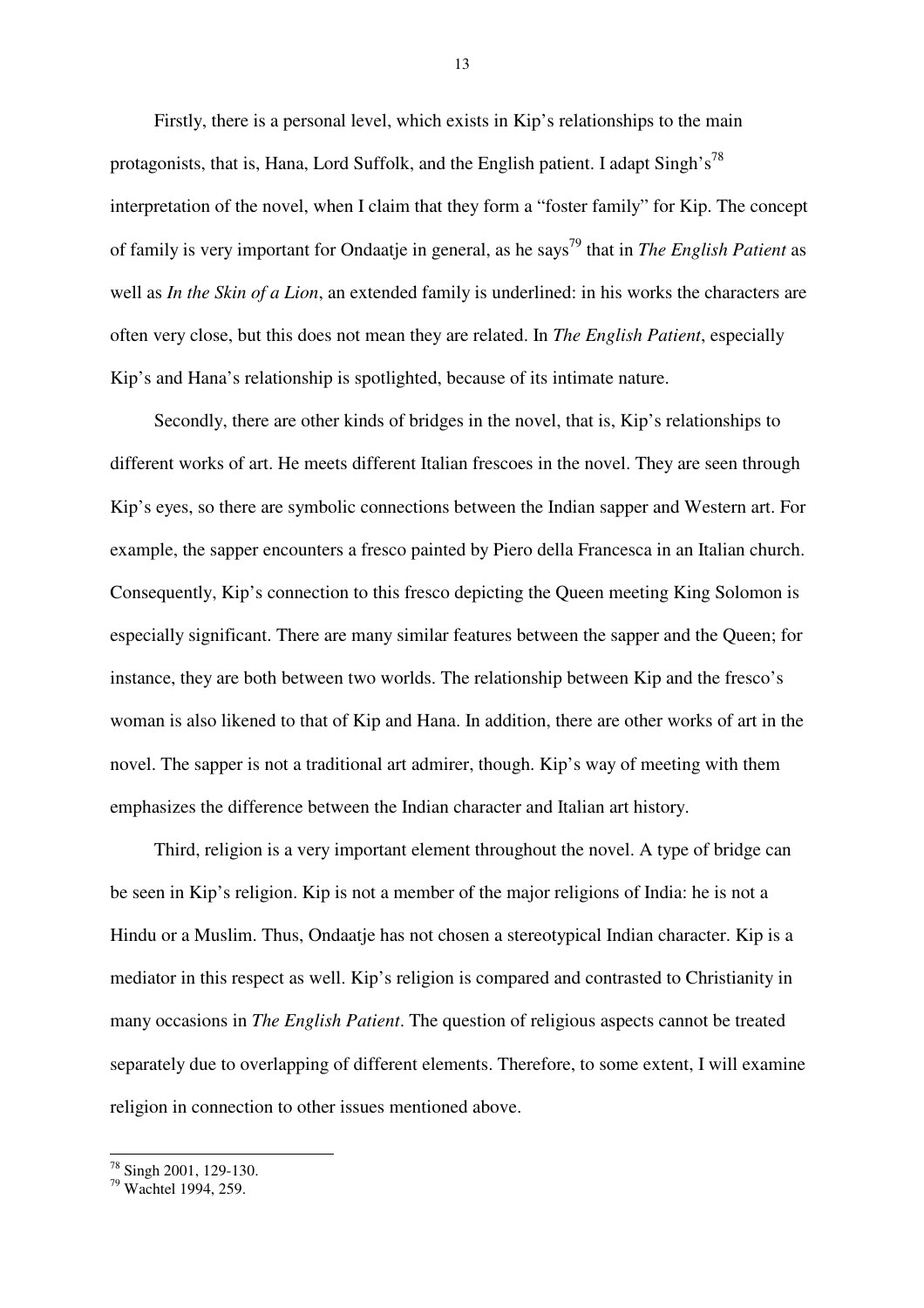Firstly, there is a personal level, which exists in Kip's relationships to the main protagonists, that is, Hana, Lord Suffolk, and the English patient. I adapt  $\text{Singh's}^{78}$ interpretation of the novel, when I claim that they form a "foster family" for Kip. The concept of family is very important for Ondaatje in general, as he says<sup>79</sup> that in *The English Patient* as well as *In the Skin of a Lion*, an extended family is underlined: in his works the characters are often very close, but this does not mean they are related. In *The English Patient*, especially Kip's and Hana's relationship is spotlighted, because of its intimate nature.

Secondly, there are other kinds of bridges in the novel, that is, Kip's relationships to different works of art. He meets different Italian frescoes in the novel. They are seen through Kip's eyes, so there are symbolic connections between the Indian sapper and Western art. For example, the sapper encounters a fresco painted by Piero della Francesca in an Italian church. Consequently, Kip's connection to this fresco depicting the Queen meeting King Solomon is especially significant. There are many similar features between the sapper and the Queen; for instance, they are both between two worlds. The relationship between Kip and the fresco's woman is also likened to that of Kip and Hana. In addition, there are other works of art in the novel. The sapper is not a traditional art admirer, though. Kip's way of meeting with them emphasizes the difference between the Indian character and Italian art history.

Third, religion is a very important element throughout the novel. A type of bridge can be seen in Kip's religion. Kip is not a member of the major religions of India: he is not a Hindu or a Muslim. Thus, Ondaatje has not chosen a stereotypical Indian character. Kip is a mediator in this respect as well. Kip's religion is compared and contrasted to Christianity in many occasions in *The English Patient*. The question of religious aspects cannot be treated separately due to overlapping of different elements. Therefore, to some extent, I will examine religion in connection to other issues mentioned above.

 $\overline{a}$ <sup>78</sup> Singh 2001, 129-130.

<sup>79</sup> Wachtel 1994, 259.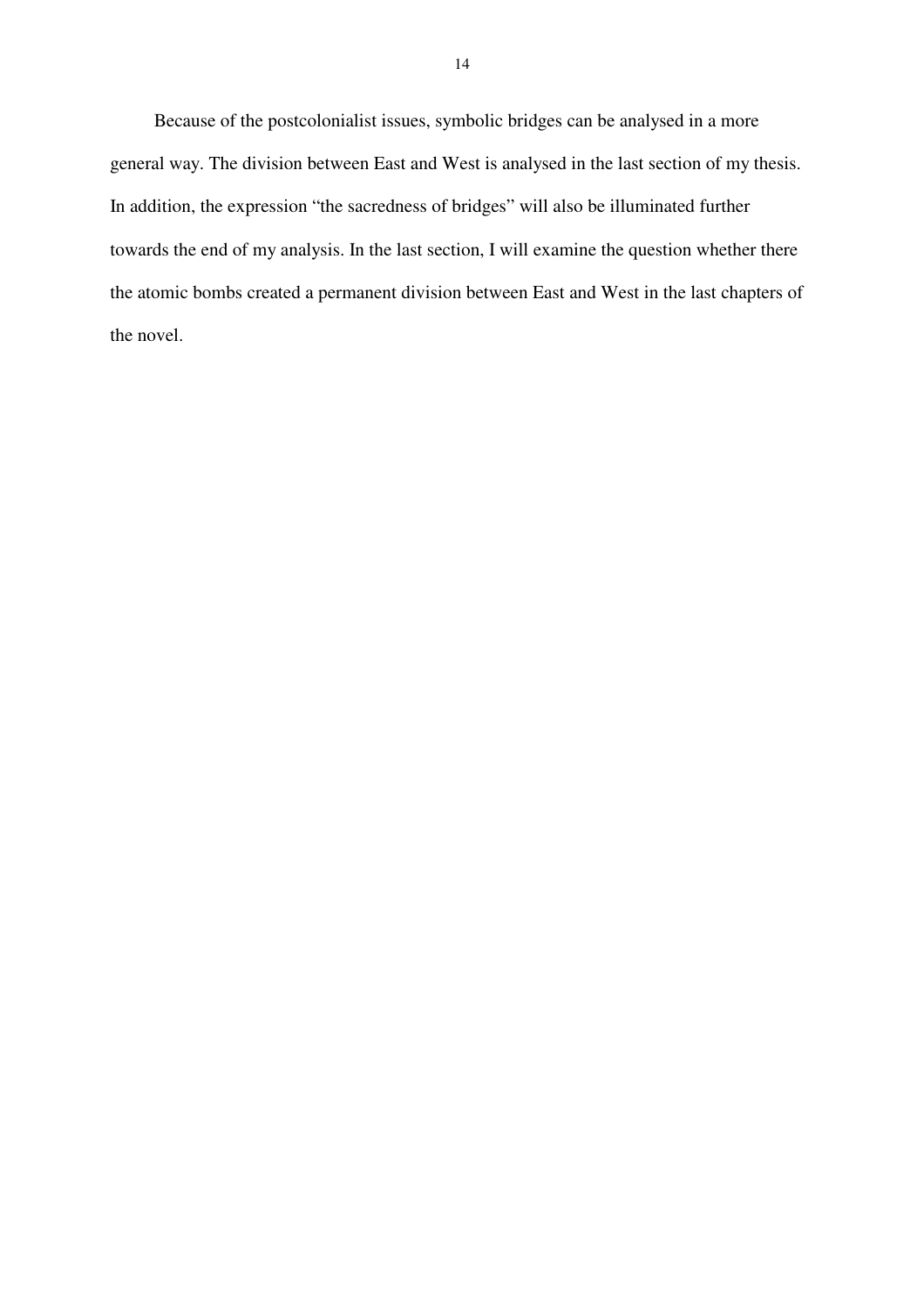Because of the postcolonialist issues, symbolic bridges can be analysed in a more general way. The division between East and West is analysed in the last section of my thesis. In addition, the expression "the sacredness of bridges" will also be illuminated further towards the end of my analysis. In the last section, I will examine the question whether there the atomic bombs created a permanent division between East and West in the last chapters of the novel.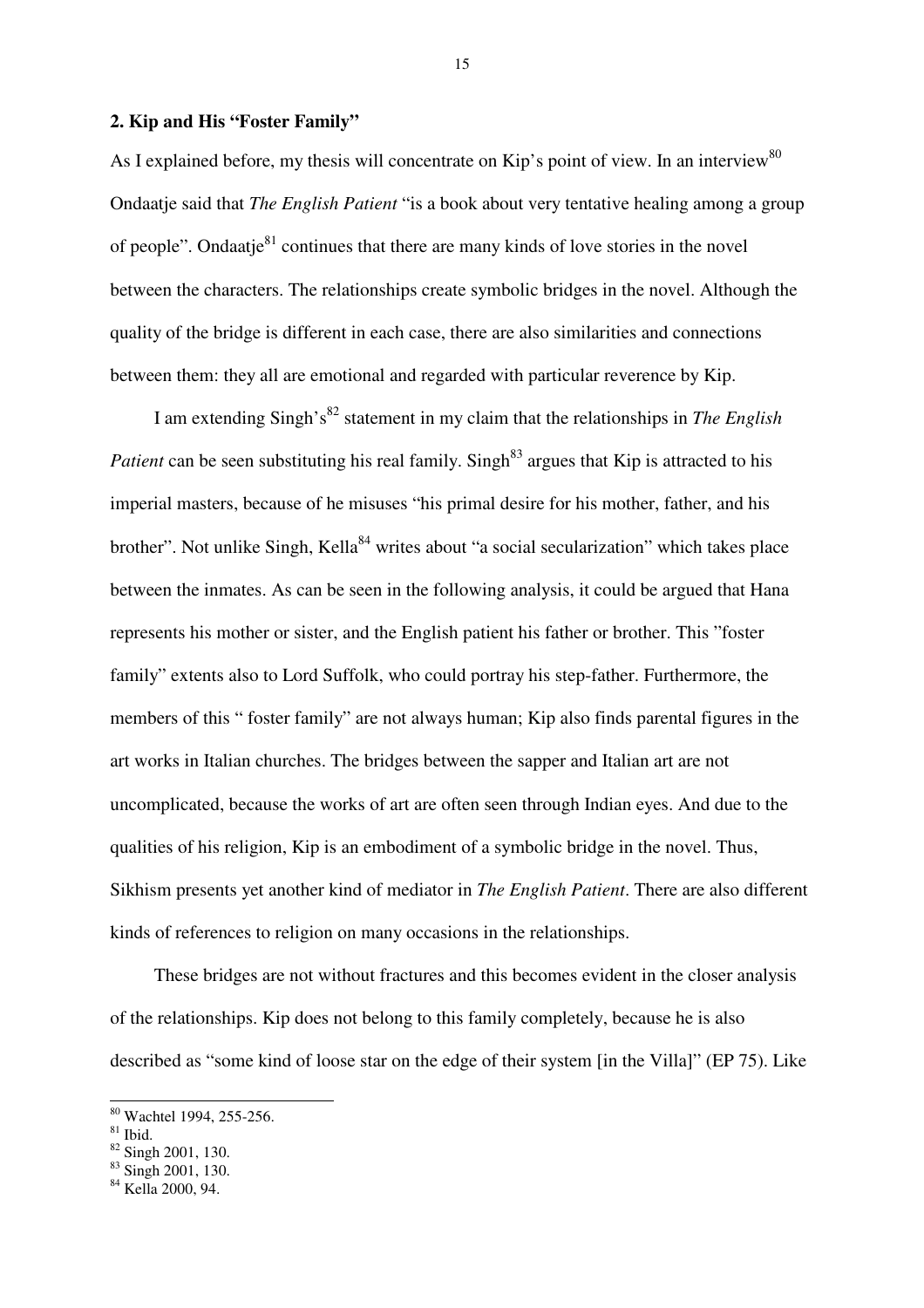## **2. Kip and His "Foster Family"**

As I explained before, my thesis will concentrate on Kip's point of view. In an interview<sup>80</sup> Ondaatje said that *The English Patient* "is a book about very tentative healing among a group of people". Ondaatje $81$  continues that there are many kinds of love stories in the novel between the characters. The relationships create symbolic bridges in the novel. Although the quality of the bridge is different in each case, there are also similarities and connections between them: they all are emotional and regarded with particular reverence by Kip.

I am extending Singh's<sup>82</sup> statement in my claim that the relationships in *The English Patient* can be seen substituting his real family. Singh<sup>83</sup> argues that Kip is attracted to his imperial masters, because of he misuses "his primal desire for his mother, father, and his brother". Not unlike Singh, Kella<sup>84</sup> writes about "a social secularization" which takes place between the inmates. As can be seen in the following analysis, it could be argued that Hana represents his mother or sister, and the English patient his father or brother. This "foster family" extents also to Lord Suffolk, who could portray his step-father. Furthermore, the members of this " foster family" are not always human; Kip also finds parental figures in the art works in Italian churches. The bridges between the sapper and Italian art are not uncomplicated, because the works of art are often seen through Indian eyes. And due to the qualities of his religion, Kip is an embodiment of a symbolic bridge in the novel. Thus, Sikhism presents yet another kind of mediator in *The English Patient*. There are also different kinds of references to religion on many occasions in the relationships.

These bridges are not without fractures and this becomes evident in the closer analysis of the relationships. Kip does not belong to this family completely, because he is also described as "some kind of loose star on the edge of their system [in the Villa]" (EP 75). Like

 $\overline{a}$ 

<sup>&</sup>lt;sup>80</sup> Wachtel 1994, 255-256.

 $81$  Ibid.

<sup>&</sup>lt;sup>82</sup> Singh 2001, 130.

<sup>83</sup> Singh 2001, 130.

<sup>&</sup>lt;sup>84</sup> Kella 2000, 94.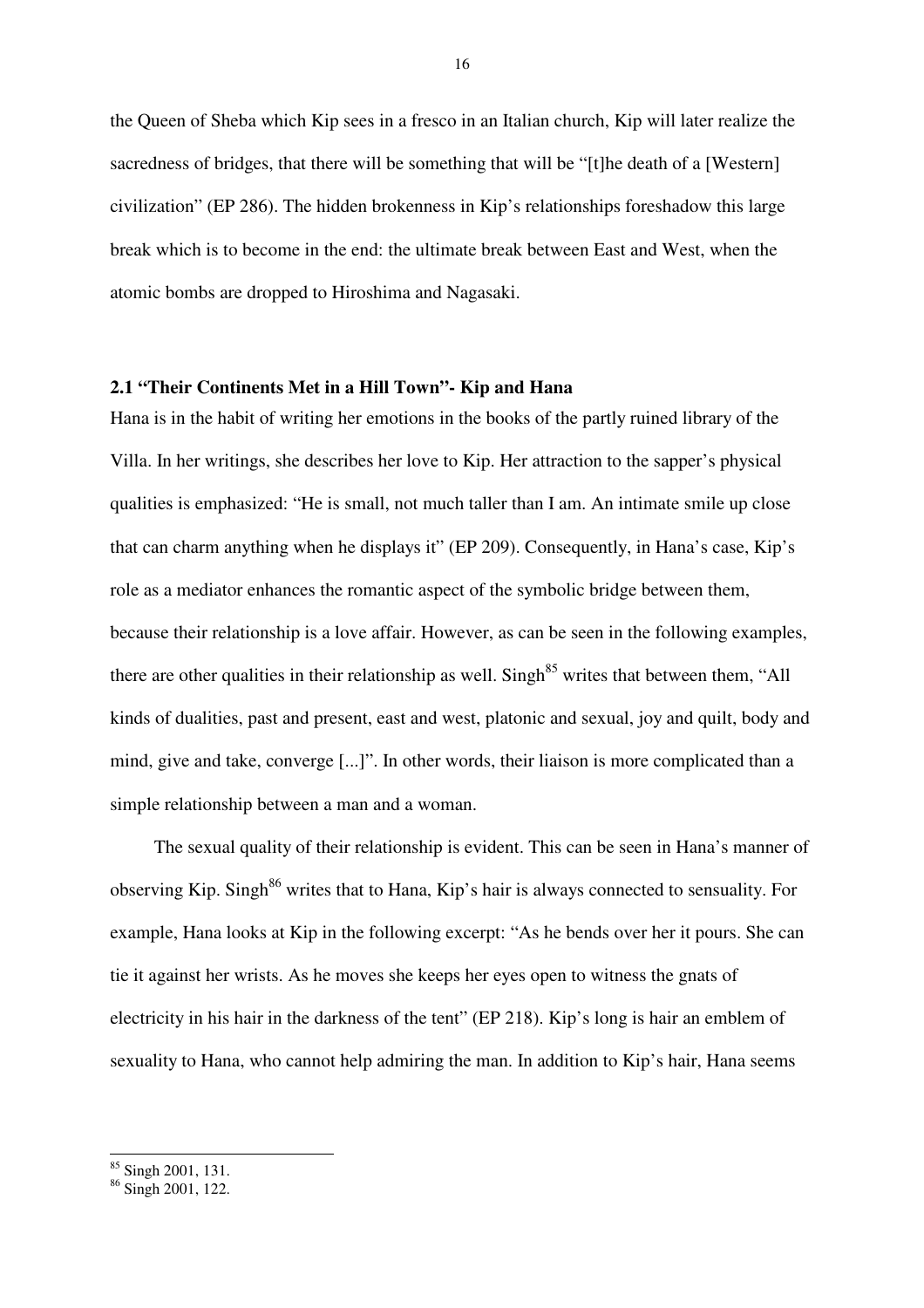the Queen of Sheba which Kip sees in a fresco in an Italian church, Kip will later realize the sacredness of bridges, that there will be something that will be "[t]he death of a [Western] civilization" (EP 286). The hidden brokenness in Kip's relationships foreshadow this large break which is to become in the end: the ultimate break between East and West, when the atomic bombs are dropped to Hiroshima and Nagasaki.

## **2.1 "Their Continents Met in a Hill Town"- Kip and Hana**

Hana is in the habit of writing her emotions in the books of the partly ruined library of the Villa. In her writings, she describes her love to Kip. Her attraction to the sapper's physical qualities is emphasized: "He is small, not much taller than I am. An intimate smile up close that can charm anything when he displays it" (EP 209). Consequently, in Hana's case, Kip's role as a mediator enhances the romantic aspect of the symbolic bridge between them, because their relationship is a love affair. However, as can be seen in the following examples, there are other qualities in their relationship as well. Singh<sup>85</sup> writes that between them, "All kinds of dualities, past and present, east and west, platonic and sexual, joy and quilt, body and mind, give and take, converge [...]". In other words, their liaison is more complicated than a simple relationship between a man and a woman.

The sexual quality of their relationship is evident. This can be seen in Hana's manner of observing Kip. Singh<sup>86</sup> writes that to Hana, Kip's hair is always connected to sensuality. For example, Hana looks at Kip in the following excerpt: "As he bends over her it pours. She can tie it against her wrists. As he moves she keeps her eyes open to witness the gnats of electricity in his hair in the darkness of the tent" (EP 218). Kip's long is hair an emblem of sexuality to Hana, who cannot help admiring the man. In addition to Kip's hair, Hana seems

<sup>&</sup>lt;sup>85</sup> Singh 2001, 131.

<sup>&</sup>lt;sup>86</sup> Singh 2001, 122.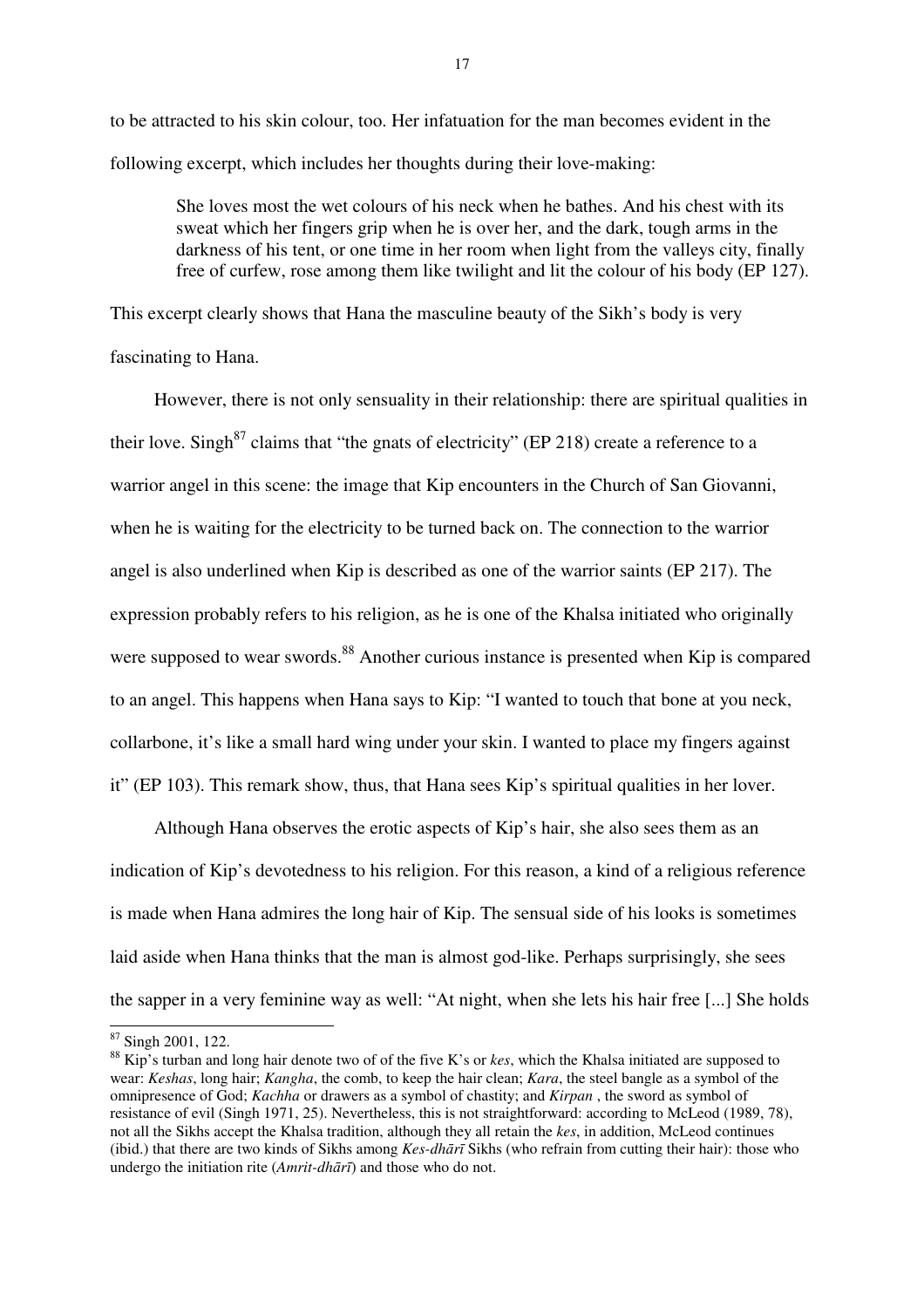to be attracted to his skin colour, too. Her infatuation for the man becomes evident in the following excerpt, which includes her thoughts during their love-making:

She loves most the wet colours of his neck when he bathes. And his chest with its sweat which her fingers grip when he is over her, and the dark, tough arms in the darkness of his tent, or one time in her room when light from the valleys city, finally free of curfew, rose among them like twilight and lit the colour of his body (EP 127).

This excerpt clearly shows that Hana the masculine beauty of the Sikh's body is very fascinating to Hana.

However, there is not only sensuality in their relationship: there are spiritual qualities in their love. Singh $87$  claims that "the gnats of electricity" (EP 218) create a reference to a warrior angel in this scene: the image that Kip encounters in the Church of San Giovanni, when he is waiting for the electricity to be turned back on. The connection to the warrior angel is also underlined when Kip is described as one of the warrior saints (EP 217). The expression probably refers to his religion, as he is one of the Khalsa initiated who originally were supposed to wear swords.<sup>88</sup> Another curious instance is presented when Kip is compared to an angel. This happens when Hana says to Kip: "I wanted to touch that bone at you neck, collarbone, it's like a small hard wing under your skin. I wanted to place my fingers against it" (EP 103). This remark show, thus, that Hana sees Kip's spiritual qualities in her lover.

Although Hana observes the erotic aspects of Kip's hair, she also sees them as an indication of Kip's devotedness to his religion. For this reason, a kind of a religious reference is made when Hana admires the long hair of Kip. The sensual side of his looks is sometimes laid aside when Hana thinks that the man is almost god-like. Perhaps surprisingly, she sees the sapper in a very feminine way as well: "At night, when she lets his hair free [...] She holds

<sup>&</sup>lt;sup>87</sup> Singh 2001, 122.

<sup>88</sup> Kip's turban and long hair denote two of of the five K's or *kes*, which the Khalsa initiated are supposed to wear: *Keshas*, long hair; *Kangha*, the comb, to keep the hair clean; *Kara*, the steel bangle as a symbol of the omnipresence of God; *Kachha* or drawers as a symbol of chastity; and *Kirpan* , the sword as symbol of resistance of evil (Singh 1971, 25). Nevertheless, this is not straightforward: according to McLeod (1989, 78), not all the Sikhs accept the Khalsa tradition, although they all retain the *kes*, in addition, McLeod continues (ibid.) that there are two kinds of Sikhs among *Kes-dh*ā*r*ī Sikhs (who refrain from cutting their hair): those who undergo the initiation rite (*Amrit-dh*ā*r*ī) and those who do not.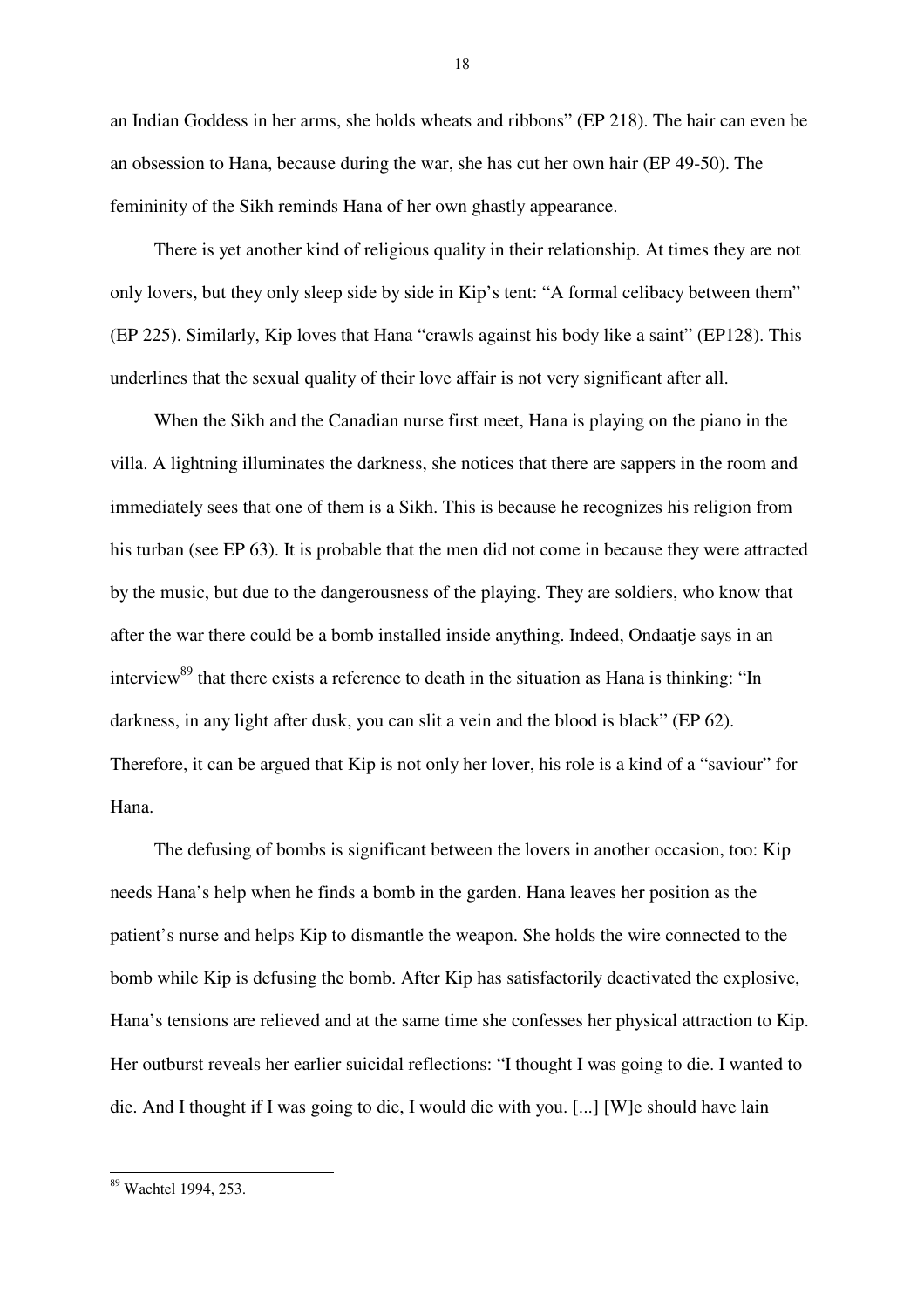an Indian Goddess in her arms, she holds wheats and ribbons" (EP 218). The hair can even be an obsession to Hana, because during the war, she has cut her own hair (EP 49-50). The femininity of the Sikh reminds Hana of her own ghastly appearance.

There is yet another kind of religious quality in their relationship. At times they are not only lovers, but they only sleep side by side in Kip's tent: "A formal celibacy between them" (EP 225). Similarly, Kip loves that Hana "crawls against his body like a saint" (EP128). This underlines that the sexual quality of their love affair is not very significant after all.

When the Sikh and the Canadian nurse first meet, Hana is playing on the piano in the villa. A lightning illuminates the darkness, she notices that there are sappers in the room and immediately sees that one of them is a Sikh. This is because he recognizes his religion from his turban (see EP 63). It is probable that the men did not come in because they were attracted by the music, but due to the dangerousness of the playing. They are soldiers, who know that after the war there could be a bomb installed inside anything. Indeed, Ondaatje says in an interview<sup>89</sup> that there exists a reference to death in the situation as Hana is thinking: "In darkness, in any light after dusk, you can slit a vein and the blood is black" (EP 62). Therefore, it can be argued that Kip is not only her lover, his role is a kind of a "saviour" for Hana.

The defusing of bombs is significant between the lovers in another occasion, too: Kip needs Hana's help when he finds a bomb in the garden. Hana leaves her position as the patient's nurse and helps Kip to dismantle the weapon. She holds the wire connected to the bomb while Kip is defusing the bomb. After Kip has satisfactorily deactivated the explosive, Hana's tensions are relieved and at the same time she confesses her physical attraction to Kip. Her outburst reveals her earlier suicidal reflections: "I thought I was going to die. I wanted to die. And I thought if I was going to die, I would die with you. [...] [W]e should have lain

<sup>&</sup>lt;sup>89</sup> Wachtel 1994, 253.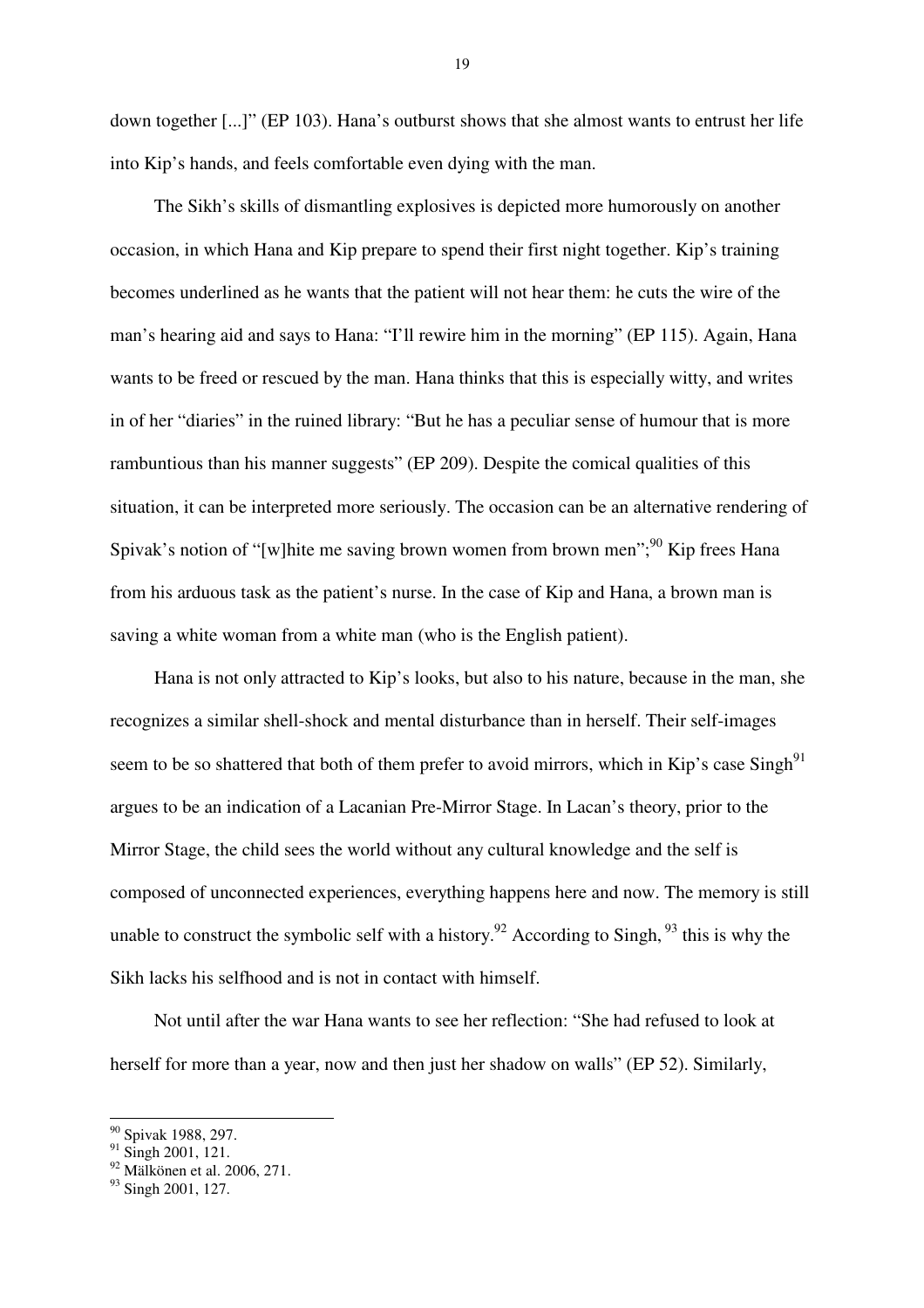down together [...]" (EP 103). Hana's outburst shows that she almost wants to entrust her life into Kip's hands, and feels comfortable even dying with the man.

The Sikh's skills of dismantling explosives is depicted more humorously on another occasion, in which Hana and Kip prepare to spend their first night together. Kip's training becomes underlined as he wants that the patient will not hear them: he cuts the wire of the man's hearing aid and says to Hana: "I'll rewire him in the morning" (EP 115). Again, Hana wants to be freed or rescued by the man. Hana thinks that this is especially witty, and writes in of her "diaries" in the ruined library: "But he has a peculiar sense of humour that is more rambuntious than his manner suggests" (EP 209). Despite the comical qualities of this situation, it can be interpreted more seriously. The occasion can be an alternative rendering of Spivak's notion of "[w]hite me saving brown women from brown men";  $90$  Kip frees Hana from his arduous task as the patient's nurse. In the case of Kip and Hana, a brown man is saving a white woman from a white man (who is the English patient).

Hana is not only attracted to Kip's looks, but also to his nature, because in the man, she recognizes a similar shell-shock and mental disturbance than in herself. Their self-images seem to be so shattered that both of them prefer to avoid mirrors, which in Kip's case Singh $91$ argues to be an indication of a Lacanian Pre-Mirror Stage. In Lacan's theory, prior to the Mirror Stage, the child sees the world without any cultural knowledge and the self is composed of unconnected experiences, everything happens here and now. The memory is still unable to construct the symbolic self with a history.<sup>92</sup> According to Singh,  $93$  this is why the Sikh lacks his selfhood and is not in contact with himself.

Not until after the war Hana wants to see her reflection: "She had refused to look at herself for more than a year, now and then just her shadow on walls" (EP 52). Similarly,

<sup>90</sup> Spivak 1988, 297.

 $^{91}$  Singh 2001, 121.

 $92$  Mälkönen et al. 2006, 271.

<sup>&</sup>lt;sup>93</sup> Singh 2001, 127.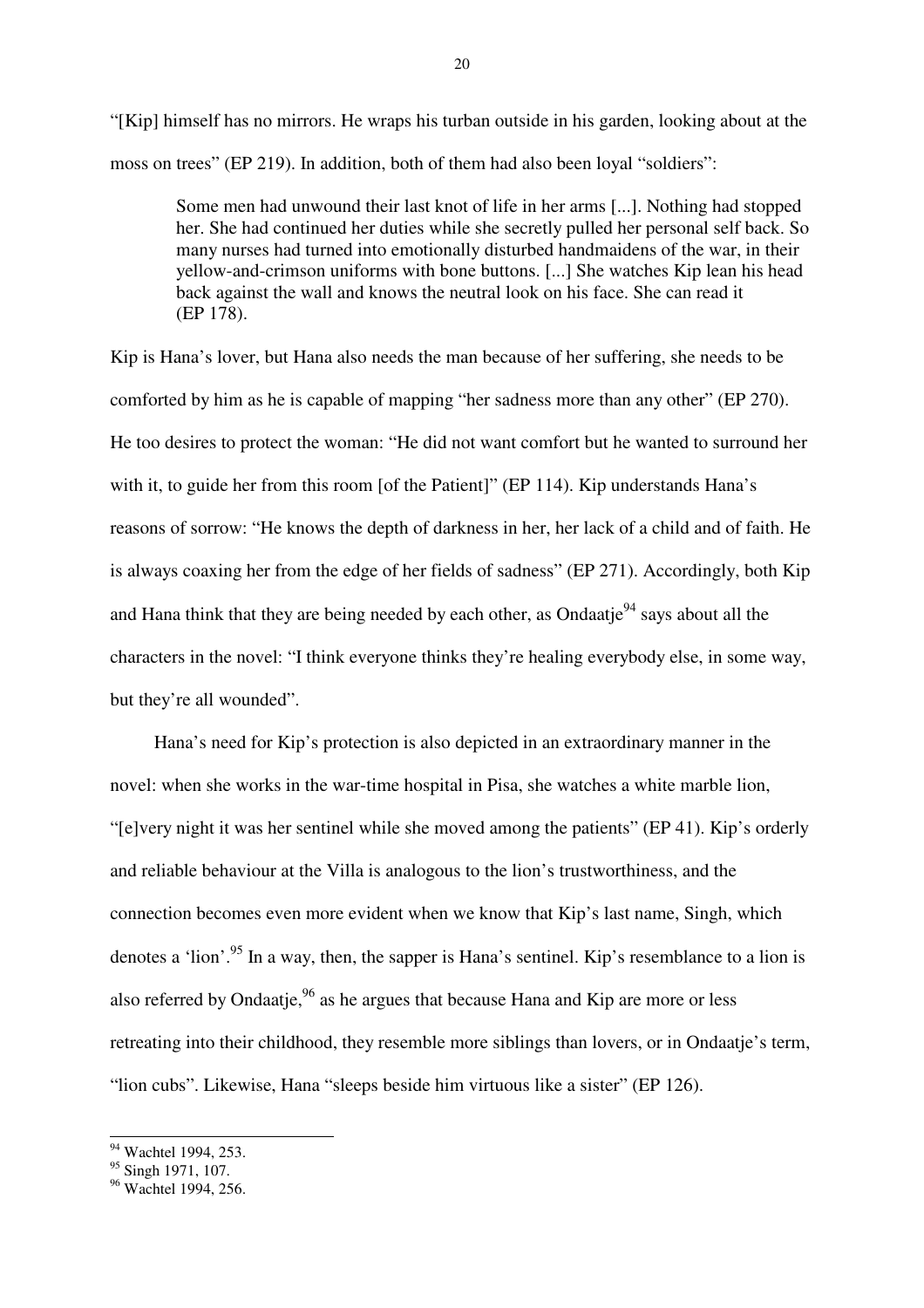"[Kip] himself has no mirrors. He wraps his turban outside in his garden, looking about at the moss on trees" (EP 219). In addition, both of them had also been loyal "soldiers":

Some men had unwound their last knot of life in her arms [...]. Nothing had stopped her. She had continued her duties while she secretly pulled her personal self back. So many nurses had turned into emotionally disturbed handmaidens of the war, in their yellow-and-crimson uniforms with bone buttons. [...] She watches Kip lean his head back against the wall and knows the neutral look on his face. She can read it (EP 178).

Kip is Hana's lover, but Hana also needs the man because of her suffering, she needs to be comforted by him as he is capable of mapping "her sadness more than any other" (EP 270). He too desires to protect the woman: "He did not want comfort but he wanted to surround her with it, to guide her from this room [of the Patient]" (EP 114). Kip understands Hana's reasons of sorrow: "He knows the depth of darkness in her, her lack of a child and of faith. He is always coaxing her from the edge of her fields of sadness" (EP 271). Accordingly, both Kip and Hana think that they are being needed by each other, as Ondaatje<sup>94</sup> says about all the characters in the novel: "I think everyone thinks they're healing everybody else, in some way, but they're all wounded".

Hana's need for Kip's protection is also depicted in an extraordinary manner in the novel: when she works in the war-time hospital in Pisa, she watches a white marble lion, "[e]very night it was her sentinel while she moved among the patients" (EP 41). Kip's orderly and reliable behaviour at the Villa is analogous to the lion's trustworthiness, and the connection becomes even more evident when we know that Kip's last name, Singh, which denotes a 'lion'.<sup>95</sup> In a way, then, the sapper is Hana's sentinel. Kip's resemblance to a lion is also referred by Ondaatie.<sup>96</sup> as he argues that because Hana and Kip are more or less retreating into their childhood, they resemble more siblings than lovers, or in Ondaatje's term, "lion cubs". Likewise, Hana "sleeps beside him virtuous like a sister" (EP 126).

<sup>&</sup>lt;sup>94</sup> Wachtel 1994, 253.

 $95$  Singh 1971, 107.

<sup>&</sup>lt;sup>96</sup> Wachtel 1994, 256.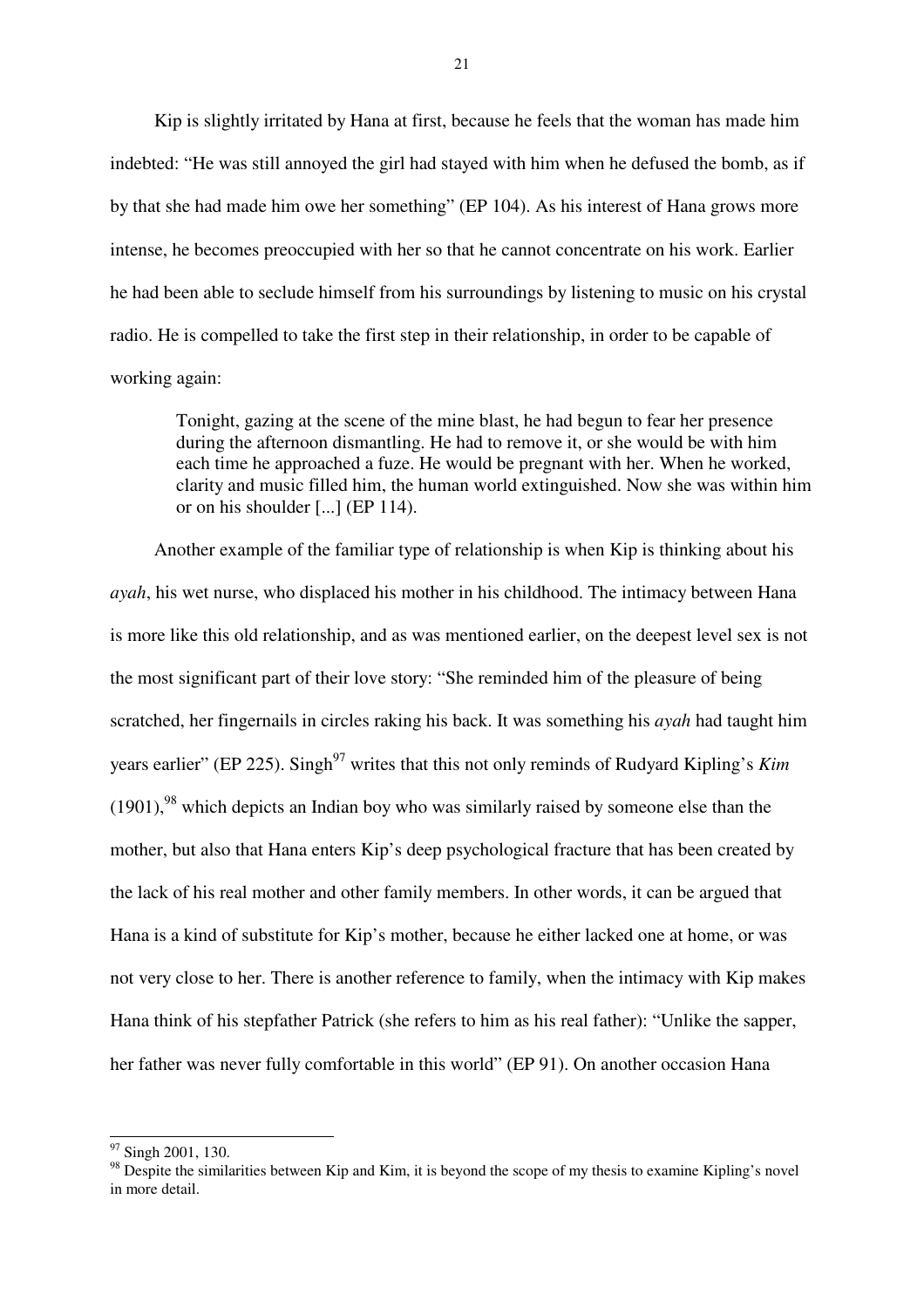Kip is slightly irritated by Hana at first, because he feels that the woman has made him indebted: "He was still annoyed the girl had stayed with him when he defused the bomb, as if by that she had made him owe her something" (EP 104). As his interest of Hana grows more intense, he becomes preoccupied with her so that he cannot concentrate on his work. Earlier he had been able to seclude himself from his surroundings by listening to music on his crystal radio. He is compelled to take the first step in their relationship, in order to be capable of working again:

Tonight, gazing at the scene of the mine blast, he had begun to fear her presence during the afternoon dismantling. He had to remove it, or she would be with him each time he approached a fuze. He would be pregnant with her. When he worked, clarity and music filled him, the human world extinguished. Now she was within him or on his shoulder [...] (EP 114).

Another example of the familiar type of relationship is when Kip is thinking about his *ayah*, his wet nurse, who displaced his mother in his childhood. The intimacy between Hana is more like this old relationship, and as was mentioned earlier, on the deepest level sex is not the most significant part of their love story: "She reminded him of the pleasure of being scratched, her fingernails in circles raking his back. It was something his *ayah* had taught him years earlier" (EP 225). Singh<sup>97</sup> writes that this not only reminds of Rudyard Kipling's *Kim*  $(1901)$ ,<sup>98</sup> which depicts an Indian boy who was similarly raised by someone else than the mother, but also that Hana enters Kip's deep psychological fracture that has been created by the lack of his real mother and other family members. In other words, it can be argued that Hana is a kind of substitute for Kip's mother, because he either lacked one at home, or was not very close to her. There is another reference to family, when the intimacy with Kip makes Hana think of his stepfather Patrick (she refers to him as his real father): "Unlike the sapper, her father was never fully comfortable in this world" (EP 91). On another occasion Hana

<sup>&</sup>lt;sup>97</sup> Singh 2001, 130.

<sup>&</sup>lt;sup>98</sup> Despite the similarities between Kip and Kim, it is beyond the scope of my thesis to examine Kipling's novel in more detail.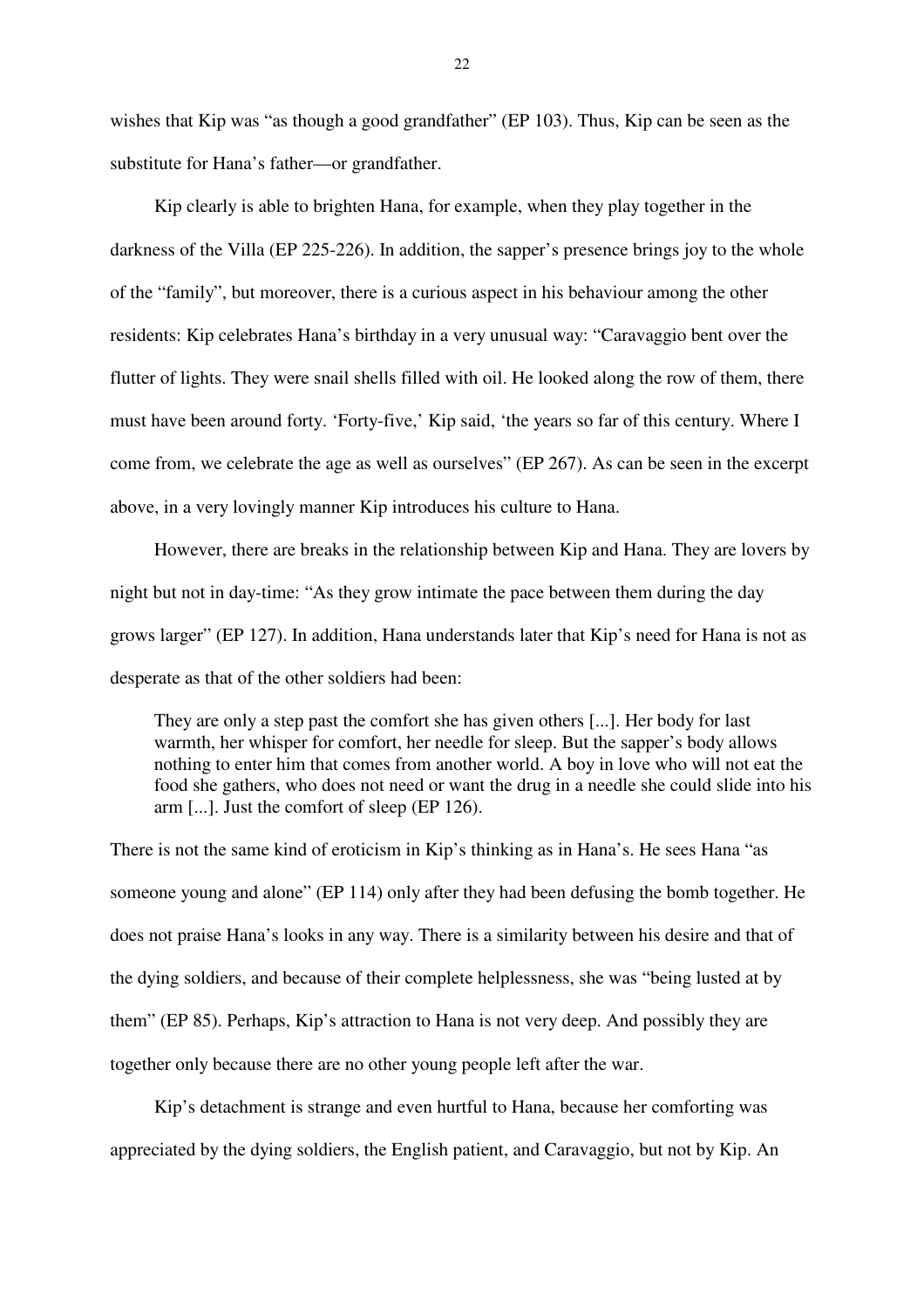wishes that Kip was "as though a good grandfather" (EP 103). Thus, Kip can be seen as the substitute for Hana's father—or grandfather.

Kip clearly is able to brighten Hana, for example, when they play together in the darkness of the Villa (EP 225-226). In addition, the sapper's presence brings joy to the whole of the "family", but moreover, there is a curious aspect in his behaviour among the other residents: Kip celebrates Hana's birthday in a very unusual way: "Caravaggio bent over the flutter of lights. They were snail shells filled with oil. He looked along the row of them, there must have been around forty. 'Forty-five,' Kip said, 'the years so far of this century. Where I come from, we celebrate the age as well as ourselves" (EP 267). As can be seen in the excerpt above, in a very lovingly manner Kip introduces his culture to Hana.

However, there are breaks in the relationship between Kip and Hana. They are lovers by night but not in day-time: "As they grow intimate the pace between them during the day grows larger" (EP 127). In addition, Hana understands later that Kip's need for Hana is not as desperate as that of the other soldiers had been:

They are only a step past the comfort she has given others [...]. Her body for last warmth, her whisper for comfort, her needle for sleep. But the sapper's body allows nothing to enter him that comes from another world. A boy in love who will not eat the food she gathers, who does not need or want the drug in a needle she could slide into his arm [...]. Just the comfort of sleep (EP 126).

There is not the same kind of eroticism in Kip's thinking as in Hana's. He sees Hana "as someone young and alone" (EP 114) only after they had been defusing the bomb together. He does not praise Hana's looks in any way. There is a similarity between his desire and that of the dying soldiers, and because of their complete helplessness, she was "being lusted at by them" (EP 85). Perhaps, Kip's attraction to Hana is not very deep. And possibly they are together only because there are no other young people left after the war.

Kip's detachment is strange and even hurtful to Hana, because her comforting was appreciated by the dying soldiers, the English patient, and Caravaggio, but not by Kip. An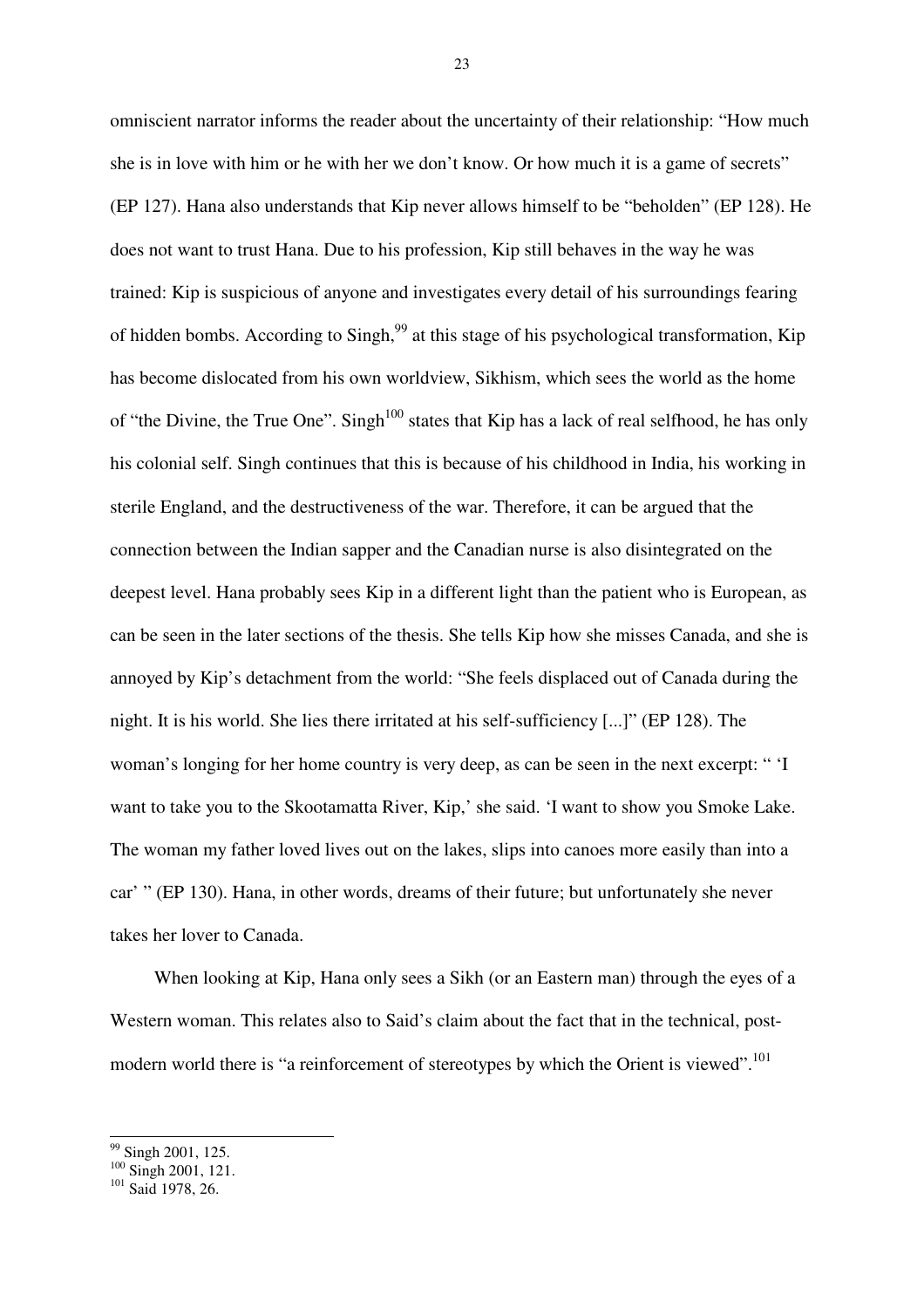omniscient narrator informs the reader about the uncertainty of their relationship: "How much she is in love with him or he with her we don't know. Or how much it is a game of secrets" (EP 127). Hana also understands that Kip never allows himself to be "beholden" (EP 128). He does not want to trust Hana. Due to his profession, Kip still behaves in the way he was trained: Kip is suspicious of anyone and investigates every detail of his surroundings fearing of hidden bombs. According to Singh,<sup>99</sup> at this stage of his psychological transformation, Kip has become dislocated from his own worldview, Sikhism, which sees the world as the home of "the Divine, the True One". Singh<sup>100</sup> states that Kip has a lack of real selfhood, he has only his colonial self. Singh continues that this is because of his childhood in India, his working in sterile England, and the destructiveness of the war. Therefore, it can be argued that the connection between the Indian sapper and the Canadian nurse is also disintegrated on the deepest level. Hana probably sees Kip in a different light than the patient who is European, as can be seen in the later sections of the thesis. She tells Kip how she misses Canada, and she is annoyed by Kip's detachment from the world: "She feels displaced out of Canada during the night. It is his world. She lies there irritated at his self-sufficiency [...]" (EP 128). The woman's longing for her home country is very deep, as can be seen in the next excerpt: " 'I want to take you to the Skootamatta River, Kip,' she said. 'I want to show you Smoke Lake. The woman my father loved lives out on the lakes, slips into canoes more easily than into a car' " (EP 130). Hana, in other words, dreams of their future; but unfortunately she never takes her lover to Canada.

When looking at Kip, Hana only sees a Sikh (or an Eastern man) through the eyes of a Western woman. This relates also to Said's claim about the fact that in the technical, postmodern world there is "a reinforcement of stereotypes by which the Orient is viewed".<sup>101</sup>

 $\overline{a}$ 

<sup>&</sup>lt;sup>99</sup> Singh 2001, 125.

<sup>&</sup>lt;sup>100</sup> Singh 2001, 121.

<sup>&</sup>lt;sup>101</sup> Said 1978, 26.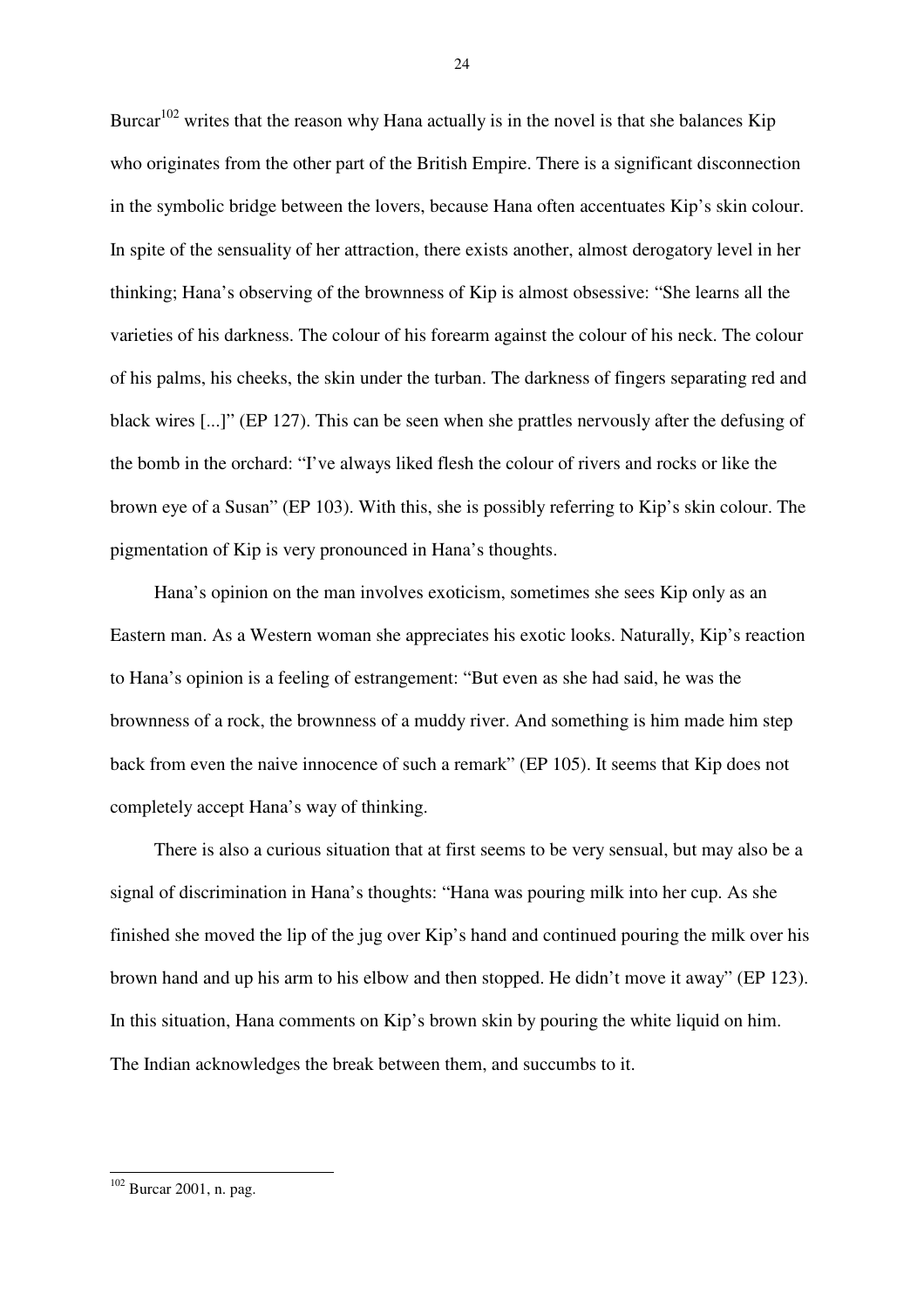Burcar<sup>102</sup> writes that the reason why Hana actually is in the novel is that she balances Kip who originates from the other part of the British Empire. There is a significant disconnection in the symbolic bridge between the lovers, because Hana often accentuates Kip's skin colour. In spite of the sensuality of her attraction, there exists another, almost derogatory level in her thinking; Hana's observing of the brownness of Kip is almost obsessive: "She learns all the varieties of his darkness. The colour of his forearm against the colour of his neck. The colour of his palms, his cheeks, the skin under the turban. The darkness of fingers separating red and black wires [...]" (EP 127). This can be seen when she prattles nervously after the defusing of the bomb in the orchard: "I've always liked flesh the colour of rivers and rocks or like the brown eye of a Susan" (EP 103). With this, she is possibly referring to Kip's skin colour. The pigmentation of Kip is very pronounced in Hana's thoughts.

Hana's opinion on the man involves exoticism, sometimes she sees Kip only as an Eastern man. As a Western woman she appreciates his exotic looks. Naturally, Kip's reaction to Hana's opinion is a feeling of estrangement: "But even as she had said, he was the brownness of a rock, the brownness of a muddy river. And something is him made him step back from even the naive innocence of such a remark" (EP 105). It seems that Kip does not completely accept Hana's way of thinking.

There is also a curious situation that at first seems to be very sensual, but may also be a signal of discrimination in Hana's thoughts: "Hana was pouring milk into her cup. As she finished she moved the lip of the jug over Kip's hand and continued pouring the milk over his brown hand and up his arm to his elbow and then stopped. He didn't move it away" (EP 123). In this situation, Hana comments on Kip's brown skin by pouring the white liquid on him. The Indian acknowledges the break between them, and succumbs to it.

 $24$ 

<sup>&</sup>lt;sup>102</sup> Burcar 2001, n. pag.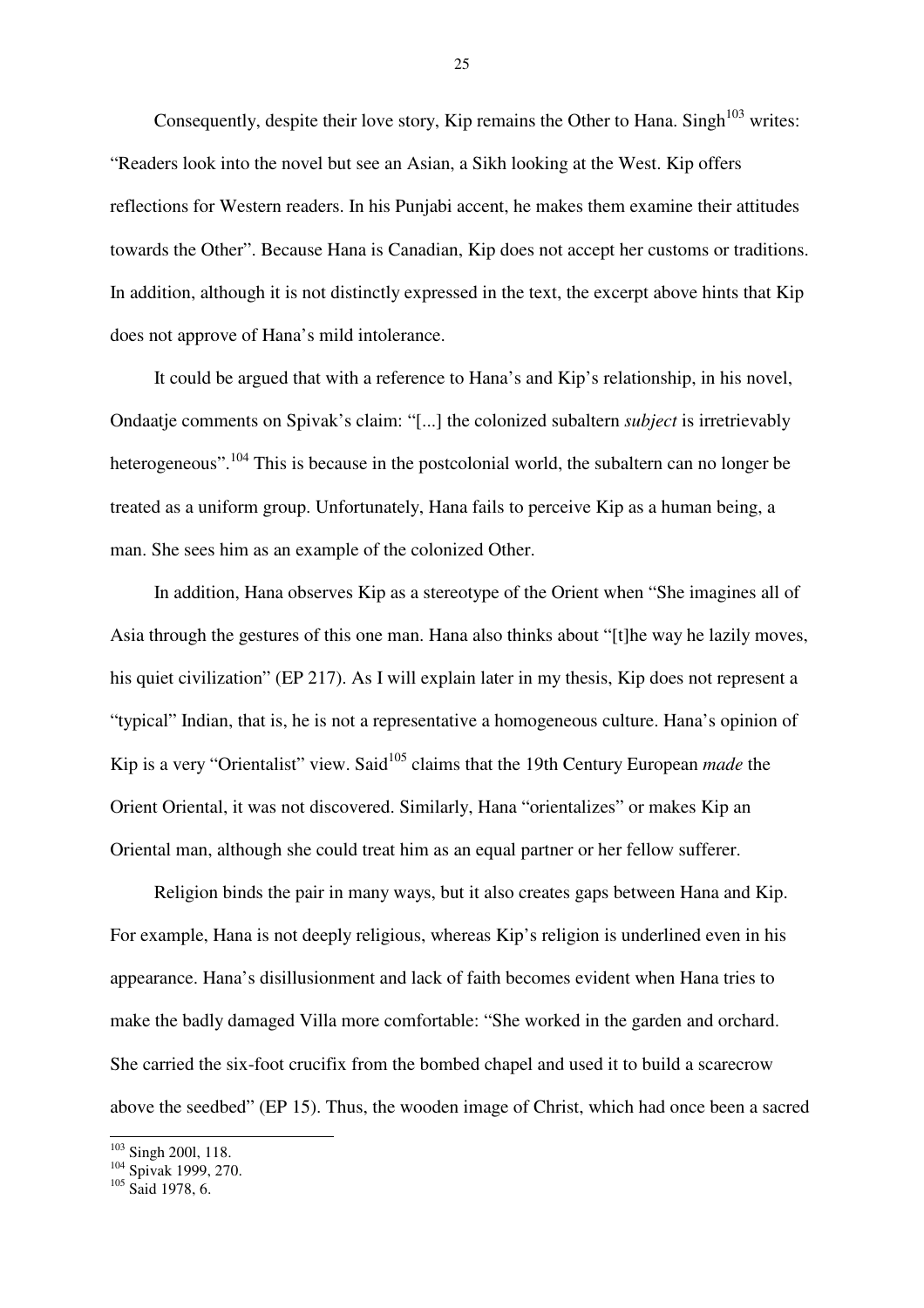Consequently, despite their love story, Kip remains the Other to Hana. Singh<sup> $103$ </sup> writes: "Readers look into the novel but see an Asian, a Sikh looking at the West. Kip offers reflections for Western readers. In his Punjabi accent, he makes them examine their attitudes towards the Other". Because Hana is Canadian, Kip does not accept her customs or traditions. In addition, although it is not distinctly expressed in the text, the excerpt above hints that Kip does not approve of Hana's mild intolerance.

It could be argued that with a reference to Hana's and Kip's relationship, in his novel, Ondaatje comments on Spivak's claim: "[...] the colonized subaltern *subject* is irretrievably heterogeneous".<sup>104</sup> This is because in the postcolonial world, the subaltern can no longer be treated as a uniform group. Unfortunately, Hana fails to perceive Kip as a human being, a man. She sees him as an example of the colonized Other.

In addition, Hana observes Kip as a stereotype of the Orient when "She imagines all of Asia through the gestures of this one man. Hana also thinks about "[t]he way he lazily moves, his quiet civilization" (EP 217). As I will explain later in my thesis, Kip does not represent a "typical" Indian, that is, he is not a representative a homogeneous culture. Hana's opinion of Kip is a very "Orientalist" view. Said<sup>105</sup> claims that the 19th Century European *made* the Orient Oriental, it was not discovered. Similarly, Hana "orientalizes" or makes Kip an Oriental man, although she could treat him as an equal partner or her fellow sufferer.

Religion binds the pair in many ways, but it also creates gaps between Hana and Kip. For example, Hana is not deeply religious, whereas Kip's religion is underlined even in his appearance. Hana's disillusionment and lack of faith becomes evident when Hana tries to make the badly damaged Villa more comfortable: "She worked in the garden and orchard. She carried the six-foot crucifix from the bombed chapel and used it to build a scarecrow above the seedbed" (EP 15). Thus, the wooden image of Christ, which had once been a sacred

 $\overline{\phantom{a}}$ 

<sup>&</sup>lt;sup>103</sup> Singh 2001, 118.

<sup>104</sup> Spivak 1999, 270.

<sup>&</sup>lt;sup>105</sup> Said 1978, 6.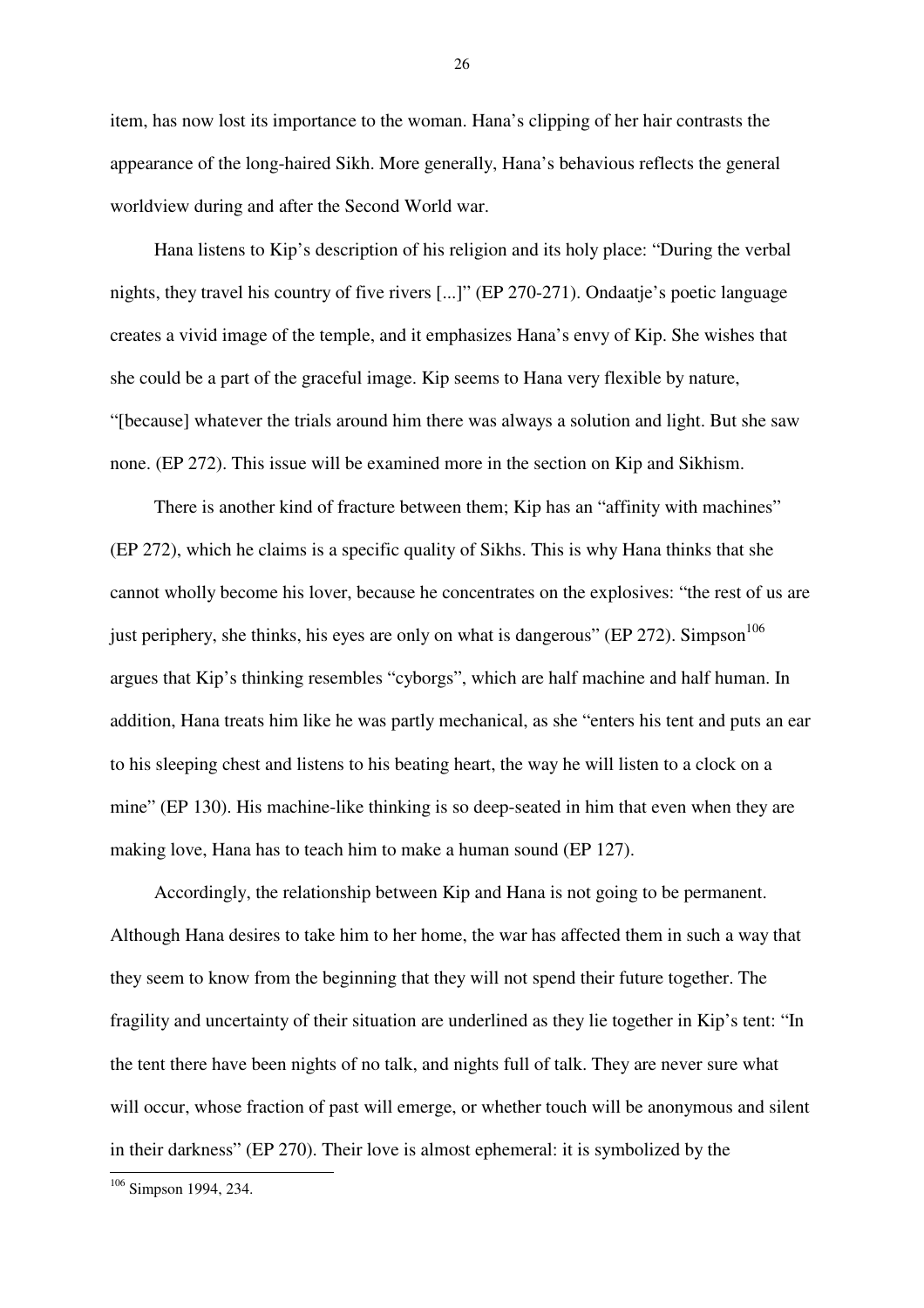item, has now lost its importance to the woman. Hana's clipping of her hair contrasts the appearance of the long-haired Sikh. More generally, Hana's behavious reflects the general worldview during and after the Second World war.

Hana listens to Kip's description of his religion and its holy place: "During the verbal nights, they travel his country of five rivers [...]" (EP 270-271). Ondaatje's poetic language creates a vivid image of the temple, and it emphasizes Hana's envy of Kip. She wishes that she could be a part of the graceful image. Kip seems to Hana very flexible by nature, "[because] whatever the trials around him there was always a solution and light. But she saw none. (EP 272). This issue will be examined more in the section on Kip and Sikhism.

There is another kind of fracture between them; Kip has an "affinity with machines" (EP 272), which he claims is a specific quality of Sikhs. This is why Hana thinks that she cannot wholly become his lover, because he concentrates on the explosives: "the rest of us are just periphery, she thinks, his eyes are only on what is dangerous" (EP 272). Simpson<sup>106</sup> argues that Kip's thinking resembles "cyborgs", which are half machine and half human. In addition, Hana treats him like he was partly mechanical, as she "enters his tent and puts an ear to his sleeping chest and listens to his beating heart, the way he will listen to a clock on a mine" (EP 130). His machine-like thinking is so deep-seated in him that even when they are making love, Hana has to teach him to make a human sound (EP 127).

Accordingly, the relationship between Kip and Hana is not going to be permanent. Although Hana desires to take him to her home, the war has affected them in such a way that they seem to know from the beginning that they will not spend their future together. The fragility and uncertainty of their situation are underlined as they lie together in Kip's tent: "In the tent there have been nights of no talk, and nights full of talk. They are never sure what will occur, whose fraction of past will emerge, or whether touch will be anonymous and silent in their darkness" (EP 270). Their love is almost ephemeral: it is symbolized by the

 $\overline{a}$ 

<sup>&</sup>lt;sup>106</sup> Simpson 1994, 234.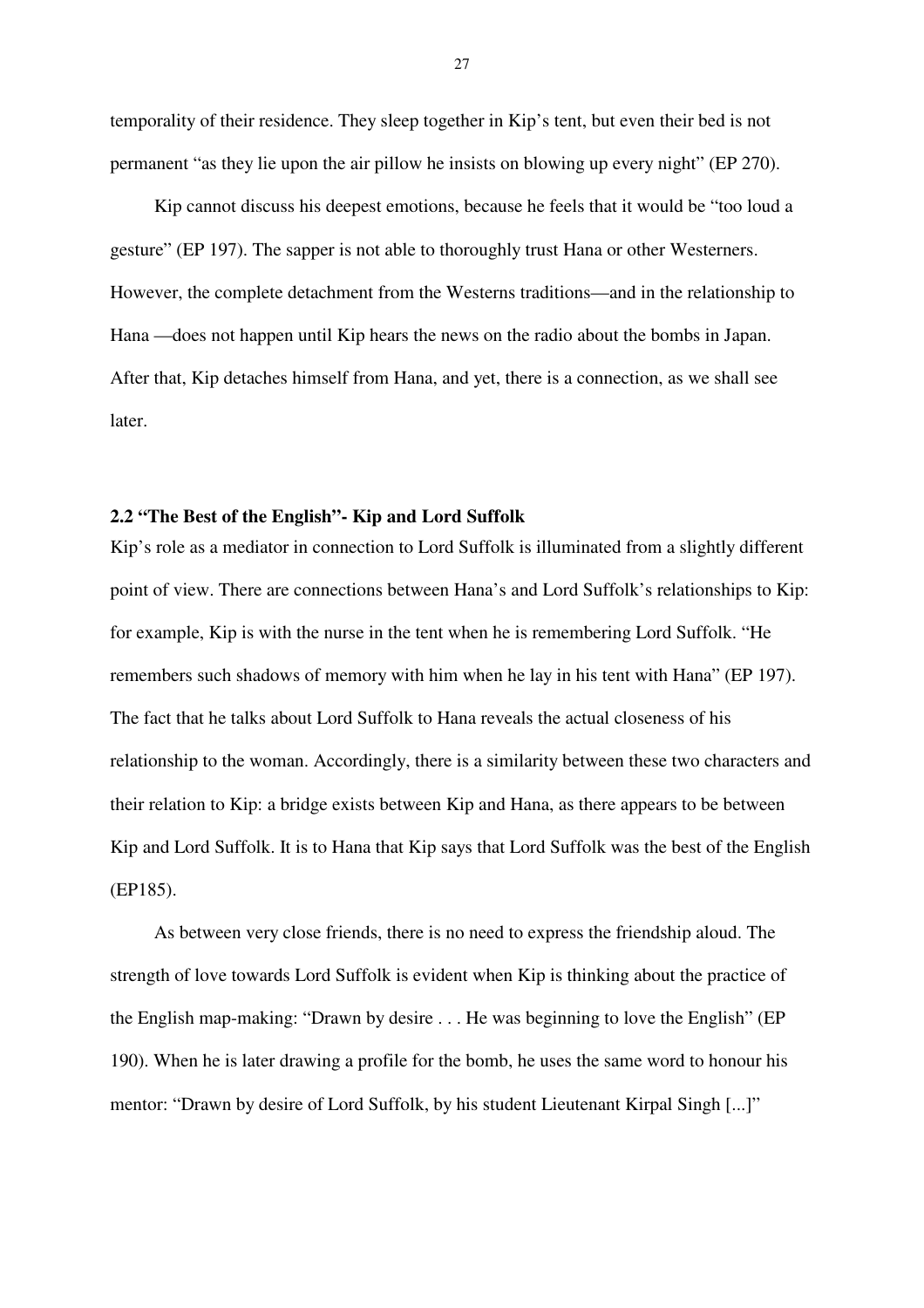temporality of their residence. They sleep together in Kip's tent, but even their bed is not permanent "as they lie upon the air pillow he insists on blowing up every night" (EP 270).

Kip cannot discuss his deepest emotions, because he feels that it would be "too loud a gesture" (EP 197). The sapper is not able to thoroughly trust Hana or other Westerners. However, the complete detachment from the Westerns traditions—and in the relationship to Hana —does not happen until Kip hears the news on the radio about the bombs in Japan. After that, Kip detaches himself from Hana, and yet, there is a connection, as we shall see later.

#### **2.2 "The Best of the English"- Kip and Lord Suffolk**

Kip's role as a mediator in connection to Lord Suffolk is illuminated from a slightly different point of view. There are connections between Hana's and Lord Suffolk's relationships to Kip: for example, Kip is with the nurse in the tent when he is remembering Lord Suffolk. "He remembers such shadows of memory with him when he lay in his tent with Hana" (EP 197). The fact that he talks about Lord Suffolk to Hana reveals the actual closeness of his relationship to the woman. Accordingly, there is a similarity between these two characters and their relation to Kip: a bridge exists between Kip and Hana, as there appears to be between Kip and Lord Suffolk. It is to Hana that Kip says that Lord Suffolk was the best of the English (EP185).

As between very close friends, there is no need to express the friendship aloud. The strength of love towards Lord Suffolk is evident when Kip is thinking about the practice of the English map-making: "Drawn by desire . . . He was beginning to love the English" (EP 190). When he is later drawing a profile for the bomb, he uses the same word to honour his mentor: "Drawn by desire of Lord Suffolk, by his student Lieutenant Kirpal Singh [...]"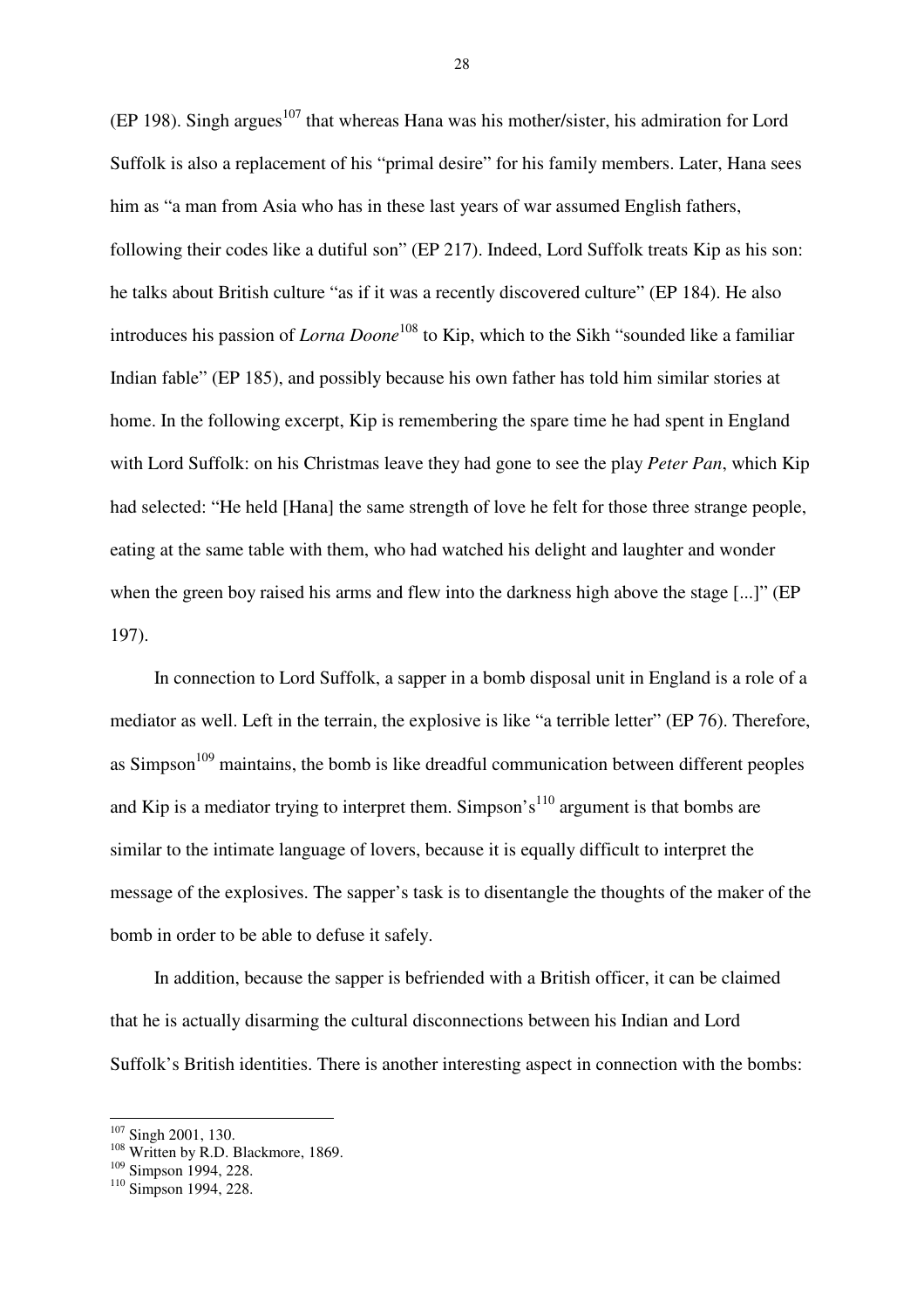(EP 198). Singh argues<sup>107</sup> that whereas Hana was his mother/sister, his admiration for Lord Suffolk is also a replacement of his "primal desire" for his family members. Later, Hana sees him as "a man from Asia who has in these last years of war assumed English fathers, following their codes like a dutiful son" (EP 217). Indeed, Lord Suffolk treats Kip as his son: he talks about British culture "as if it was a recently discovered culture" (EP 184). He also introduces his passion of *Lorna Doone*<sup>108</sup> to Kip, which to the Sikh "sounded like a familiar Indian fable" (EP 185), and possibly because his own father has told him similar stories at home. In the following excerpt, Kip is remembering the spare time he had spent in England with Lord Suffolk: on his Christmas leave they had gone to see the play *Peter Pan*, which Kip had selected: "He held [Hana] the same strength of love he felt for those three strange people, eating at the same table with them, who had watched his delight and laughter and wonder when the green boy raised his arms and flew into the darkness high above the stage [...]" (EP 197).

In connection to Lord Suffolk, a sapper in a bomb disposal unit in England is a role of a mediator as well. Left in the terrain, the explosive is like "a terrible letter" (EP 76). Therefore, as Simpson<sup>109</sup> maintains, the bomb is like dreadful communication between different peoples and Kip is a mediator trying to interpret them. Simpson's<sup>110</sup> argument is that bombs are similar to the intimate language of lovers, because it is equally difficult to interpret the message of the explosives. The sapper's task is to disentangle the thoughts of the maker of the bomb in order to be able to defuse it safely.

In addition, because the sapper is befriended with a British officer, it can be claimed that he is actually disarming the cultural disconnections between his Indian and Lord Suffolk's British identities. There is another interesting aspect in connection with the bombs:

 $\overline{\phantom{a}}$ 

<sup>&</sup>lt;sup>107</sup> Singh 2001, 130.

 $108$  Written by R.D. Blackmore, 1869.

<sup>&</sup>lt;sup>109</sup> Simpson 1994, 228.

<sup>&</sup>lt;sup>110</sup> Simpson 1994, 228.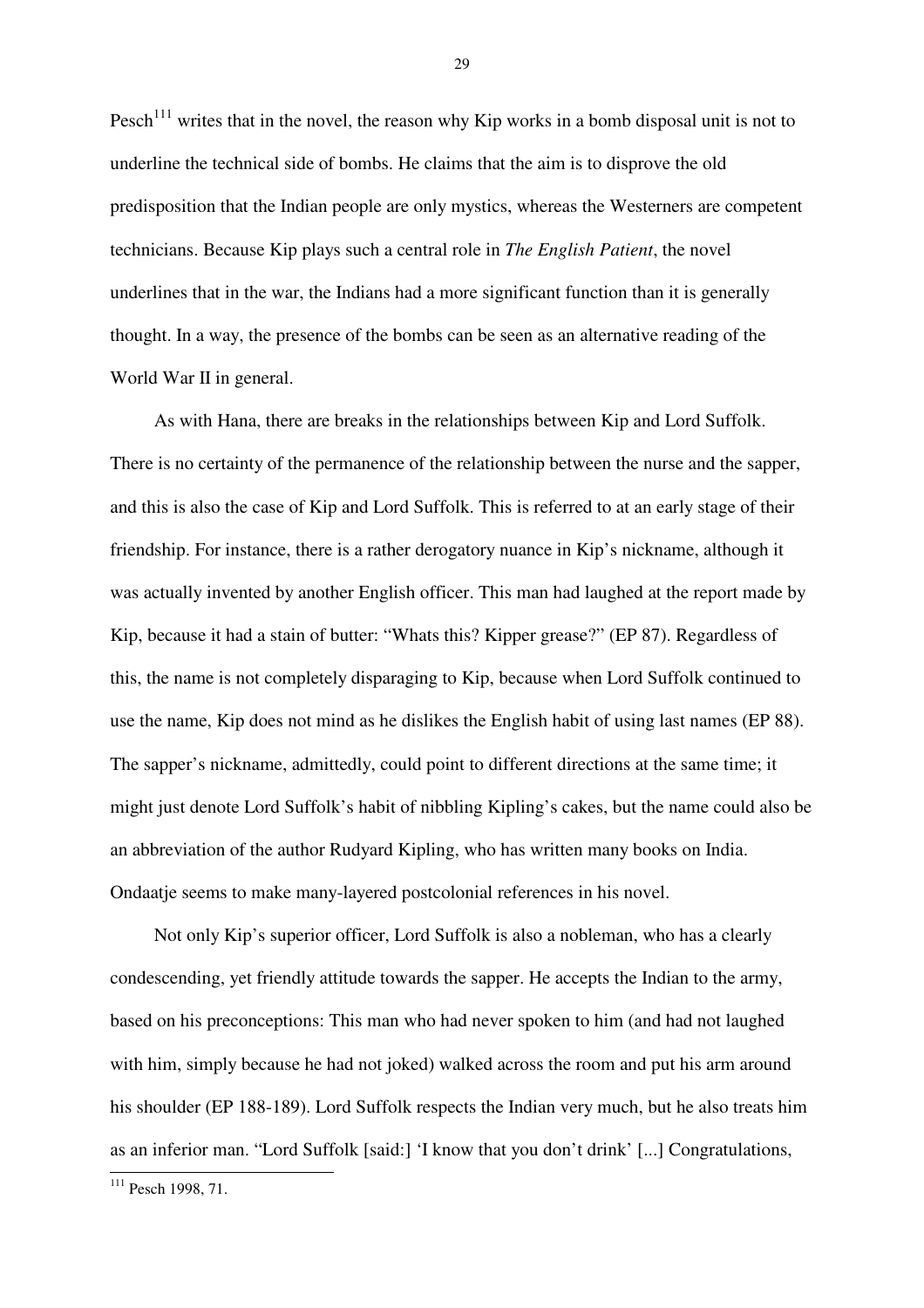Pesch<sup>111</sup> writes that in the novel, the reason why Kip works in a bomb disposal unit is not to underline the technical side of bombs. He claims that the aim is to disprove the old predisposition that the Indian people are only mystics, whereas the Westerners are competent technicians. Because Kip plays such a central role in *The English Patient*, the novel underlines that in the war, the Indians had a more significant function than it is generally thought. In a way, the presence of the bombs can be seen as an alternative reading of the World War II in general.

As with Hana, there are breaks in the relationships between Kip and Lord Suffolk. There is no certainty of the permanence of the relationship between the nurse and the sapper, and this is also the case of Kip and Lord Suffolk. This is referred to at an early stage of their friendship. For instance, there is a rather derogatory nuance in Kip's nickname, although it was actually invented by another English officer. This man had laughed at the report made by Kip, because it had a stain of butter: "Whats this? Kipper grease?" (EP 87). Regardless of this, the name is not completely disparaging to Kip, because when Lord Suffolk continued to use the name, Kip does not mind as he dislikes the English habit of using last names (EP 88). The sapper's nickname, admittedly, could point to different directions at the same time; it might just denote Lord Suffolk's habit of nibbling Kipling's cakes, but the name could also be an abbreviation of the author Rudyard Kipling, who has written many books on India. Ondaatje seems to make many-layered postcolonial references in his novel.

Not only Kip's superior officer, Lord Suffolk is also a nobleman, who has a clearly condescending, yet friendly attitude towards the sapper. He accepts the Indian to the army, based on his preconceptions: This man who had never spoken to him (and had not laughed with him, simply because he had not joked) walked across the room and put his arm around his shoulder (EP 188-189). Lord Suffolk respects the Indian very much, but he also treats him as an inferior man. "Lord Suffolk [said:] 'I know that you don't drink' [...] Congratulations,

 $\overline{a}$ 

<sup>&</sup>lt;sup>111</sup> Pesch 1998, 71.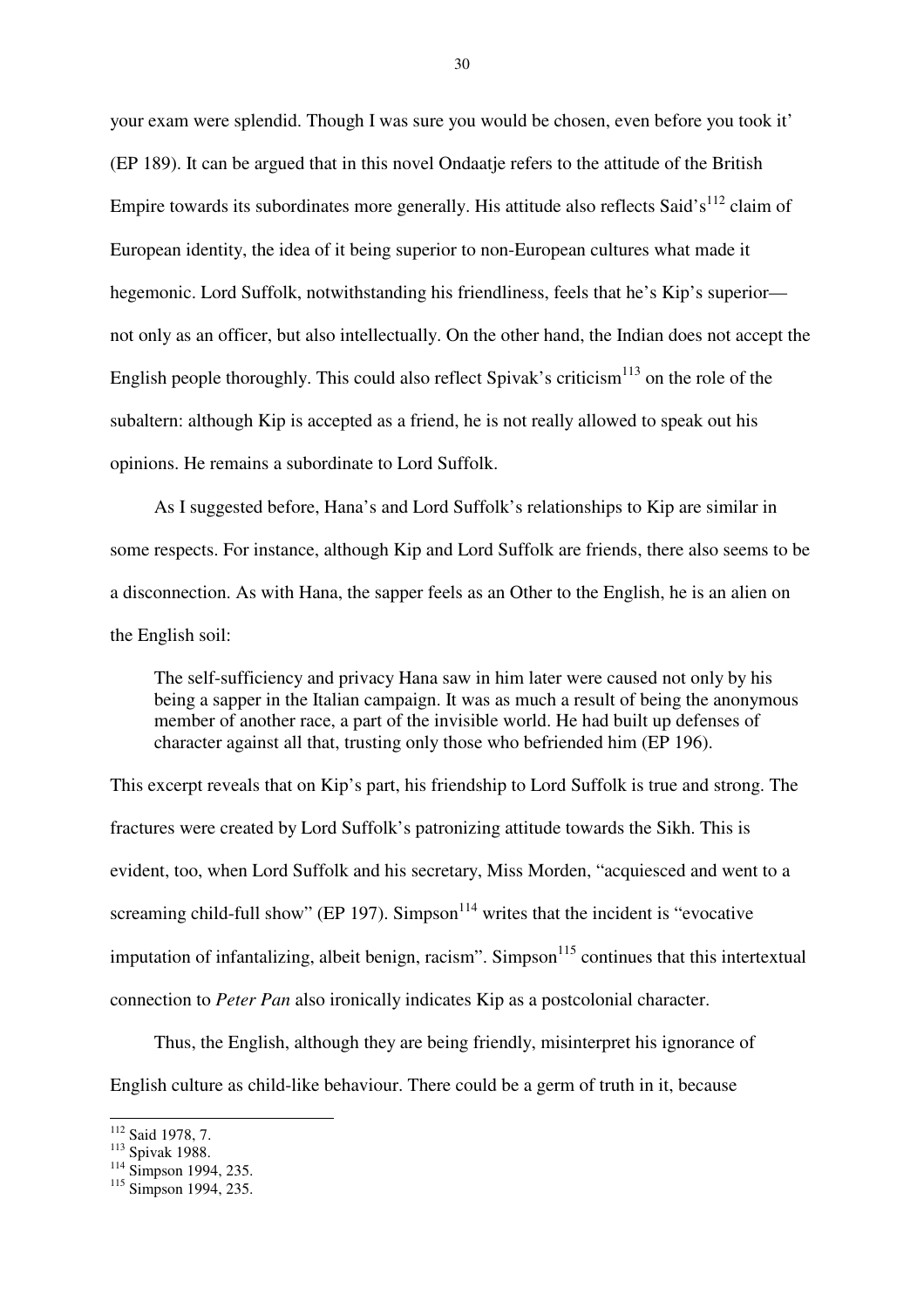your exam were splendid. Though I was sure you would be chosen, even before you took it' (EP 189). It can be argued that in this novel Ondaatje refers to the attitude of the British Empire towards its subordinates more generally. His attitude also reflects Said's<sup>112</sup> claim of European identity, the idea of it being superior to non-European cultures what made it hegemonic. Lord Suffolk, notwithstanding his friendliness, feels that he's Kip's superior not only as an officer, but also intellectually. On the other hand, the Indian does not accept the English people thoroughly. This could also reflect Spivak's criticism<sup>113</sup> on the role of the subaltern: although Kip is accepted as a friend, he is not really allowed to speak out his opinions. He remains a subordinate to Lord Suffolk.

As I suggested before, Hana's and Lord Suffolk's relationships to Kip are similar in some respects. For instance, although Kip and Lord Suffolk are friends, there also seems to be a disconnection. As with Hana, the sapper feels as an Other to the English, he is an alien on the English soil:

The self-sufficiency and privacy Hana saw in him later were caused not only by his being a sapper in the Italian campaign. It was as much a result of being the anonymous member of another race, a part of the invisible world. He had built up defenses of character against all that, trusting only those who befriended him (EP 196).

This excerpt reveals that on Kip's part, his friendship to Lord Suffolk is true and strong. The fractures were created by Lord Suffolk's patronizing attitude towards the Sikh. This is evident, too, when Lord Suffolk and his secretary, Miss Morden, "acquiesced and went to a screaming child-full show" (EP 197). Simpson<sup>114</sup> writes that the incident is "evocative" imputation of infantalizing, albeit benign, racism". Simpson<sup>115</sup> continues that this intertextual connection to *Peter Pan* also ironically indicates Kip as a postcolonial character.

Thus, the English, although they are being friendly, misinterpret his ignorance of English culture as child-like behaviour. There could be a germ of truth in it, because

 $\overline{\phantom{a}}$ 

<sup>&</sup>lt;sup>112</sup> Said 1978, 7.

<sup>113</sup> Spivak 1988.

 $^{114}$  Simpson 1994, 235.

 $115$  Simpson 1994, 235.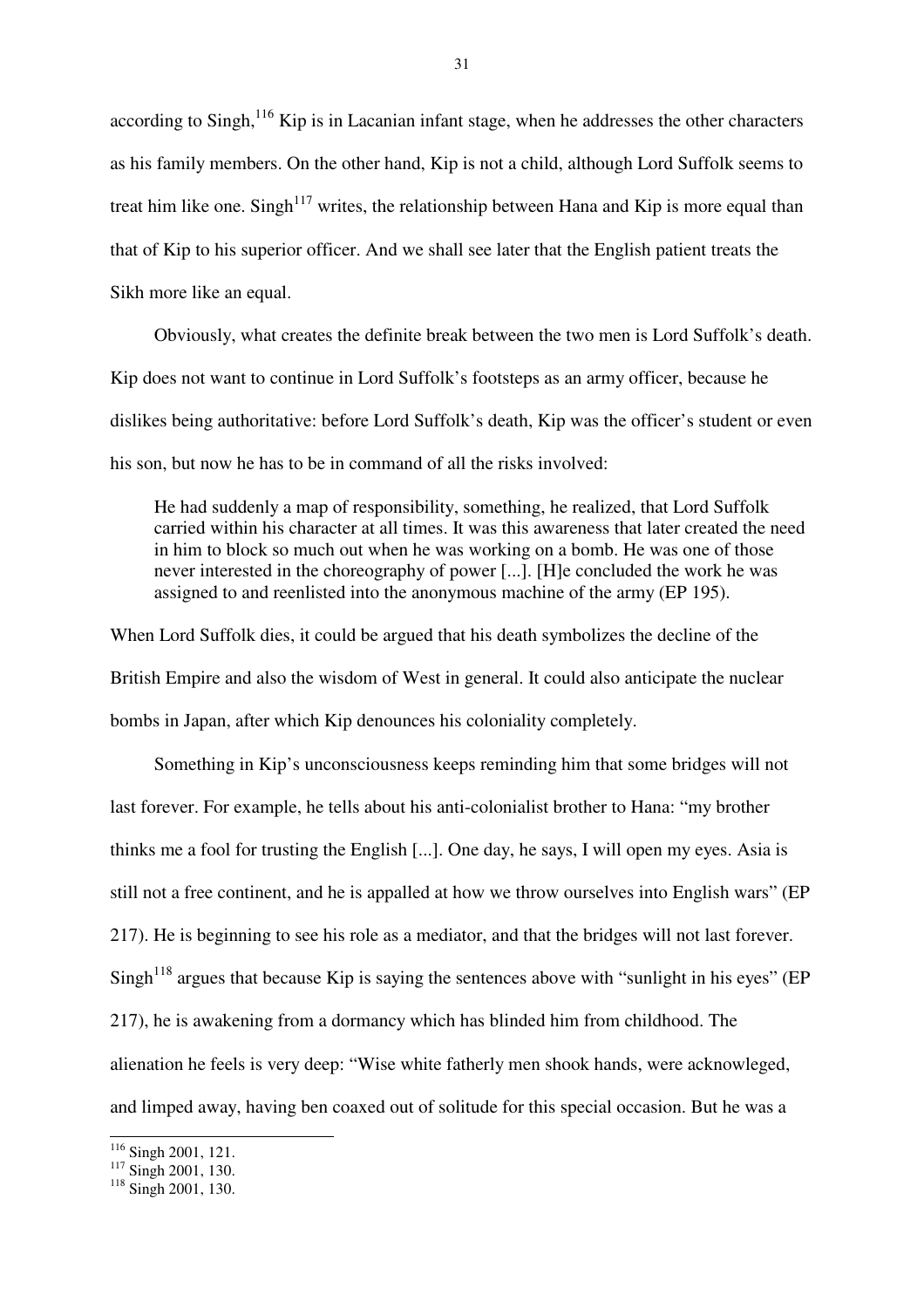according to Singh, $^{116}$  Kip is in Lacanian infant stage, when he addresses the other characters as his family members. On the other hand, Kip is not a child, although Lord Suffolk seems to treat him like one. Singh<sup>117</sup> writes, the relationship between Hana and Kip is more equal than that of Kip to his superior officer. And we shall see later that the English patient treats the Sikh more like an equal.

Obviously, what creates the definite break between the two men is Lord Suffolk's death. Kip does not want to continue in Lord Suffolk's footsteps as an army officer, because he dislikes being authoritative: before Lord Suffolk's death, Kip was the officer's student or even his son, but now he has to be in command of all the risks involved:

He had suddenly a map of responsibility, something, he realized, that Lord Suffolk carried within his character at all times. It was this awareness that later created the need in him to block so much out when he was working on a bomb. He was one of those never interested in the choreography of power [...]. [H]e concluded the work he was assigned to and reenlisted into the anonymous machine of the army (EP 195).

When Lord Suffolk dies, it could be argued that his death symbolizes the decline of the British Empire and also the wisdom of West in general. It could also anticipate the nuclear bombs in Japan, after which Kip denounces his coloniality completely.

Something in Kip's unconsciousness keeps reminding him that some bridges will not last forever. For example, he tells about his anti-colonialist brother to Hana: "my brother thinks me a fool for trusting the English [...]. One day, he says, I will open my eyes. Asia is still not a free continent, and he is appalled at how we throw ourselves into English wars" (EP 217). He is beginning to see his role as a mediator, and that the bridges will not last forever.  $S$ ingh<sup>118</sup> argues that because Kip is saying the sentences above with "sunlight in his eyes" (EP 217), he is awakening from a dormancy which has blinded him from childhood. The alienation he feels is very deep: "Wise white fatherly men shook hands, were acknowleged, and limped away, having ben coaxed out of solitude for this special occasion. But he was a

 $\overline{\phantom{a}}$ 

<sup>&</sup>lt;sup>116</sup> Singh 2001, 121.

<sup>&</sup>lt;sup>117</sup> Singh 2001, 130.

<sup>&</sup>lt;sup>118</sup> Singh 2001, 130.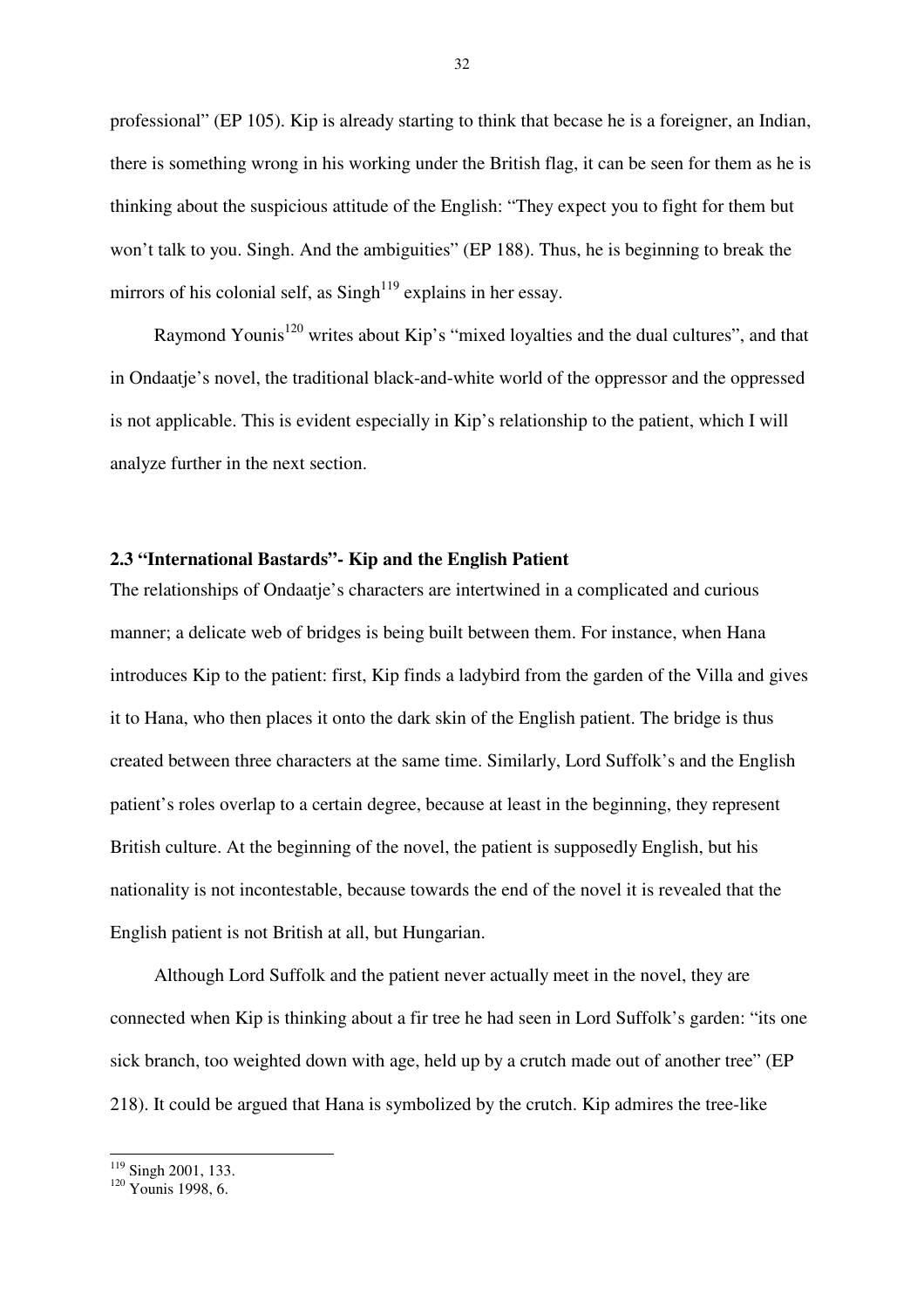professional" (EP 105). Kip is already starting to think that becase he is a foreigner, an Indian, there is something wrong in his working under the British flag, it can be seen for them as he is thinking about the suspicious attitude of the English: "They expect you to fight for them but won't talk to you. Singh. And the ambiguities" (EP 188). Thus, he is beginning to break the mirrors of his colonial self, as  $Singh^{119}$  explains in her essay.

Raymond Younis<sup>120</sup> writes about Kip's "mixed loyalties and the dual cultures", and that in Ondaatje's novel, the traditional black-and-white world of the oppressor and the oppressed is not applicable. This is evident especially in Kip's relationship to the patient, which I will analyze further in the next section.

## **2.3 "International Bastards"- Kip and the English Patient**

The relationships of Ondaatje's characters are intertwined in a complicated and curious manner; a delicate web of bridges is being built between them. For instance, when Hana introduces Kip to the patient: first, Kip finds a ladybird from the garden of the Villa and gives it to Hana, who then places it onto the dark skin of the English patient. The bridge is thus created between three characters at the same time. Similarly, Lord Suffolk's and the English patient's roles overlap to a certain degree, because at least in the beginning, they represent British culture. At the beginning of the novel, the patient is supposedly English, but his nationality is not incontestable, because towards the end of the novel it is revealed that the English patient is not British at all, but Hungarian.

Although Lord Suffolk and the patient never actually meet in the novel, they are connected when Kip is thinking about a fir tree he had seen in Lord Suffolk's garden: "its one sick branch, too weighted down with age, held up by a crutch made out of another tree" (EP 218). It could be argued that Hana is symbolized by the crutch. Kip admires the tree-like

<sup>&</sup>lt;sup>119</sup> Singh 2001, 133.

<sup>120</sup> Younis 1998, 6.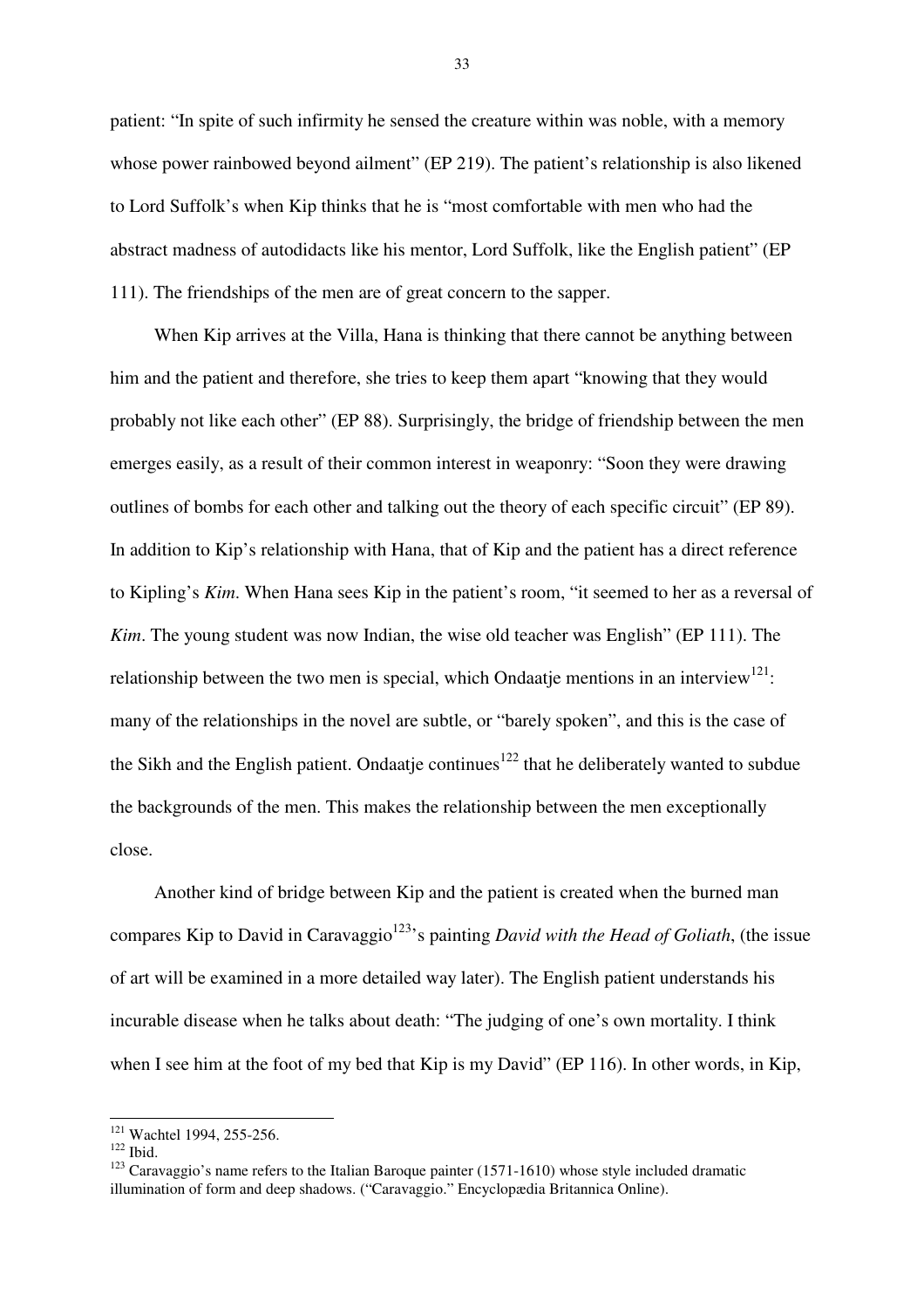patient: "In spite of such infirmity he sensed the creature within was noble, with a memory whose power rainbowed beyond ailment" (EP 219). The patient's relationship is also likened to Lord Suffolk's when Kip thinks that he is "most comfortable with men who had the abstract madness of autodidacts like his mentor, Lord Suffolk, like the English patient" (EP 111). The friendships of the men are of great concern to the sapper.

When Kip arrives at the Villa, Hana is thinking that there cannot be anything between him and the patient and therefore, she tries to keep them apart "knowing that they would probably not like each other" (EP 88). Surprisingly, the bridge of friendship between the men emerges easily, as a result of their common interest in weaponry: "Soon they were drawing outlines of bombs for each other and talking out the theory of each specific circuit" (EP 89). In addition to Kip's relationship with Hana, that of Kip and the patient has a direct reference to Kipling's *Kim*. When Hana sees Kip in the patient's room, "it seemed to her as a reversal of *Kim*. The young student was now Indian, the wise old teacher was English" (EP 111). The relationship between the two men is special, which Ondaatje mentions in an interview<sup>121</sup>: many of the relationships in the novel are subtle, or "barely spoken", and this is the case of the Sikh and the English patient. Ondaatje continues<sup>122</sup> that he deliberately wanted to subdue the backgrounds of the men. This makes the relationship between the men exceptionally close.

Another kind of bridge between Kip and the patient is created when the burned man compares Kip to David in Caravaggio<sup>123</sup>'s painting *David with the Head of Goliath*, (the issue of art will be examined in a more detailed way later). The English patient understands his incurable disease when he talks about death: "The judging of one's own mortality. I think when I see him at the foot of my bed that Kip is my David" (EP 116). In other words, in Kip,

 $\overline{\phantom{a}}$ 

<sup>&</sup>lt;sup>121</sup> Wachtel 1994, 255-256.

 $122$  Ibid.

<sup>&</sup>lt;sup>123</sup> Caravaggio's name refers to the Italian Baroque painter (1571-1610) whose style included dramatic illumination of form and deep shadows. ("Caravaggio." Encyclopædia Britannica Online).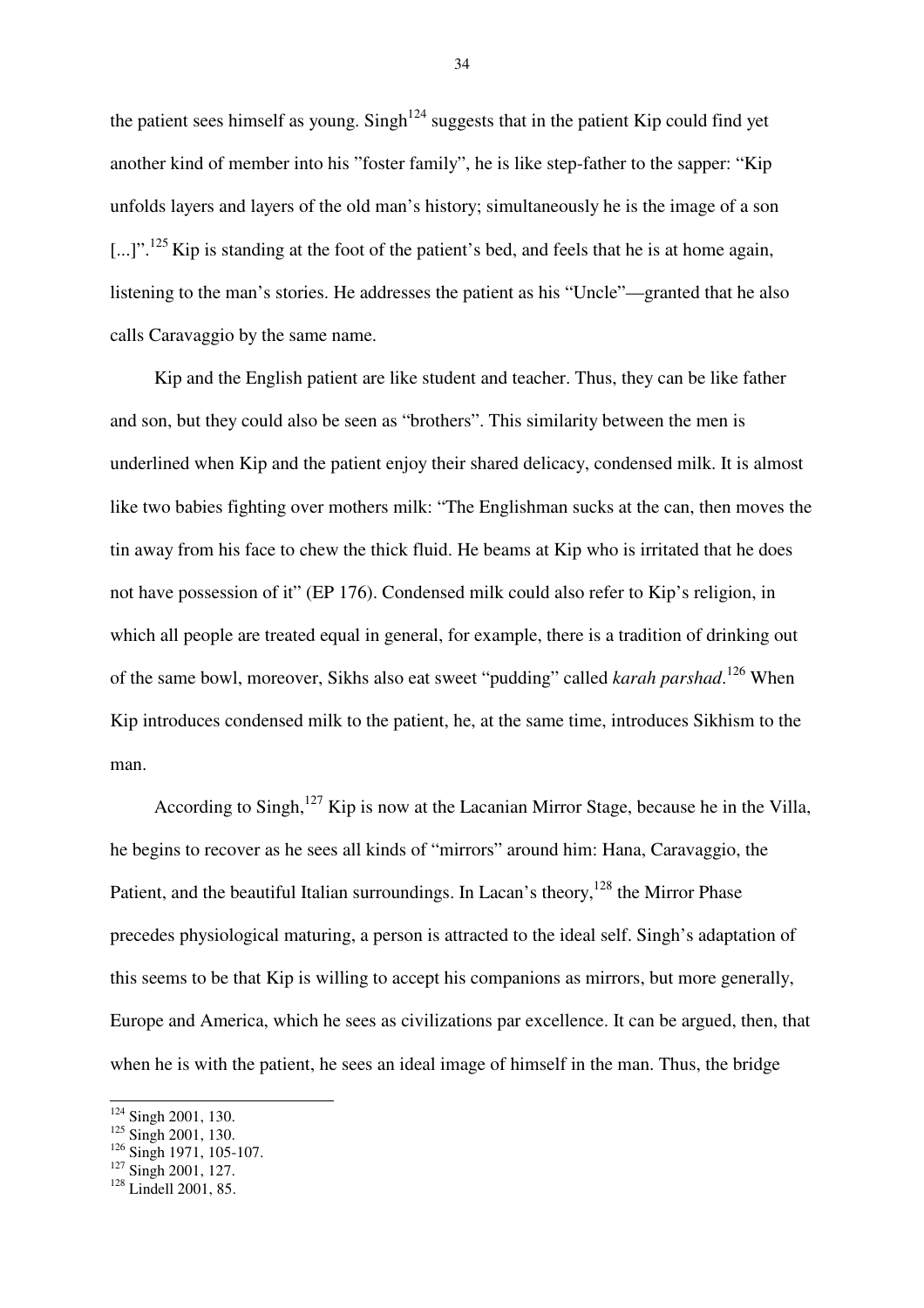the patient sees himself as young. Singh<sup>124</sup> suggests that in the patient Kip could find yet another kind of member into his "foster family", he is like step-father to the sapper: "Kip unfolds layers and layers of the old man's history; simultaneously he is the image of a son  $\lbrack ... \rbrack$ <sup>".125</sup>Kip is standing at the foot of the patient's bed, and feels that he is at home again, listening to the man's stories. He addresses the patient as his "Uncle"—granted that he also calls Caravaggio by the same name.

Kip and the English patient are like student and teacher. Thus, they can be like father and son, but they could also be seen as "brothers". This similarity between the men is underlined when Kip and the patient enjoy their shared delicacy, condensed milk. It is almost like two babies fighting over mothers milk: "The Englishman sucks at the can, then moves the tin away from his face to chew the thick fluid. He beams at Kip who is irritated that he does not have possession of it" (EP 176). Condensed milk could also refer to Kip's religion, in which all people are treated equal in general, for example, there is a tradition of drinking out of the same bowl, moreover, Sikhs also eat sweet "pudding" called *karah parshad*.<sup>126</sup> When Kip introduces condensed milk to the patient, he, at the same time, introduces Sikhism to the man.

According to Singh,<sup>127</sup> Kip is now at the Lacanian Mirror Stage, because he in the Villa, he begins to recover as he sees all kinds of "mirrors" around him: Hana, Caravaggio, the Patient, and the beautiful Italian surroundings. In Lacan's theory,  $128$  the Mirror Phase precedes physiological maturing, a person is attracted to the ideal self. Singh's adaptation of this seems to be that Kip is willing to accept his companions as mirrors, but more generally, Europe and America, which he sees as civilizations par excellence. It can be argued, then, that when he is with the patient, he sees an ideal image of himself in the man. Thus, the bridge

 $\overline{a}$ <sup>124</sup> Singh 2001, 130.

 $125$  Singh 2001, 130.

 $\frac{126}{126}$  Singh 1971, 105-107.

 $127$  Singh 2001, 127.

<sup>&</sup>lt;sup>128</sup> Lindell 2001, 85.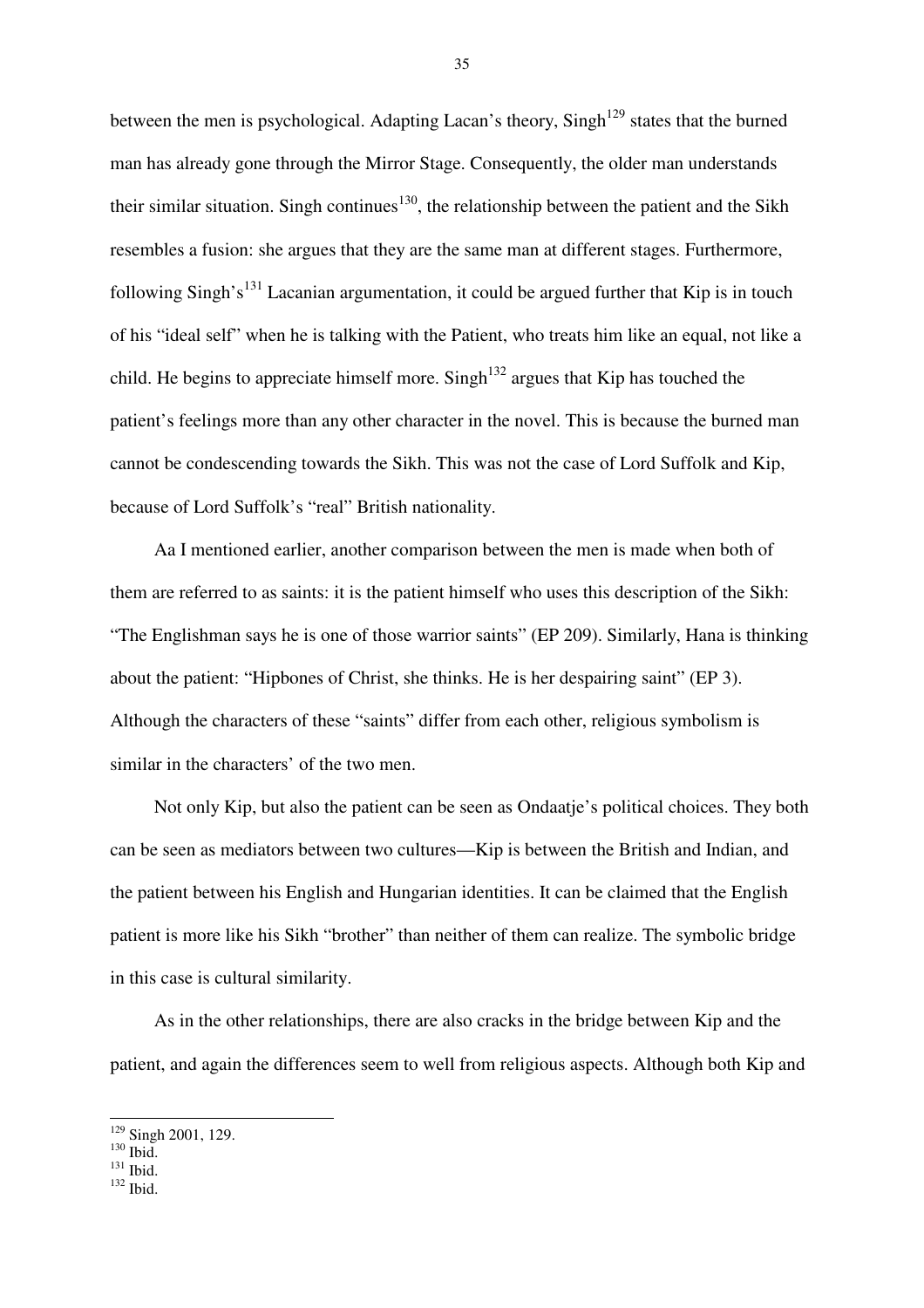between the men is psychological. Adapting Lacan's theory, Singh<sup>129</sup> states that the burned man has already gone through the Mirror Stage. Consequently, the older man understands their similar situation. Singh continues<sup>130</sup>, the relationship between the patient and the Sikh resembles a fusion: she argues that they are the same man at different stages. Furthermore, following Singh's<sup>131</sup> Lacanian argumentation, it could be argued further that Kip is in touch of his "ideal self" when he is talking with the Patient, who treats him like an equal, not like a child. He begins to appreciate himself more. Singh<sup>132</sup> argues that Kip has touched the patient's feelings more than any other character in the novel. This is because the burned man cannot be condescending towards the Sikh. This was not the case of Lord Suffolk and Kip, because of Lord Suffolk's "real" British nationality.

Aa I mentioned earlier, another comparison between the men is made when both of them are referred to as saints: it is the patient himself who uses this description of the Sikh: "The Englishman says he is one of those warrior saints" (EP 209). Similarly, Hana is thinking about the patient: "Hipbones of Christ, she thinks. He is her despairing saint" (EP 3). Although the characters of these "saints" differ from each other, religious symbolism is similar in the characters' of the two men.

Not only Kip, but also the patient can be seen as Ondaatje's political choices. They both can be seen as mediators between two cultures—Kip is between the British and Indian, and the patient between his English and Hungarian identities. It can be claimed that the English patient is more like his Sikh "brother" than neither of them can realize. The symbolic bridge in this case is cultural similarity.

As in the other relationships, there are also cracks in the bridge between Kip and the patient, and again the differences seem to well from religious aspects. Although both Kip and

 $\overline{a}$ 

<sup>&</sup>lt;sup>129</sup> Singh 2001, 129.

 $130$  Ibid.

 $^{131}$  Ibid.

<sup>132</sup> Ibid.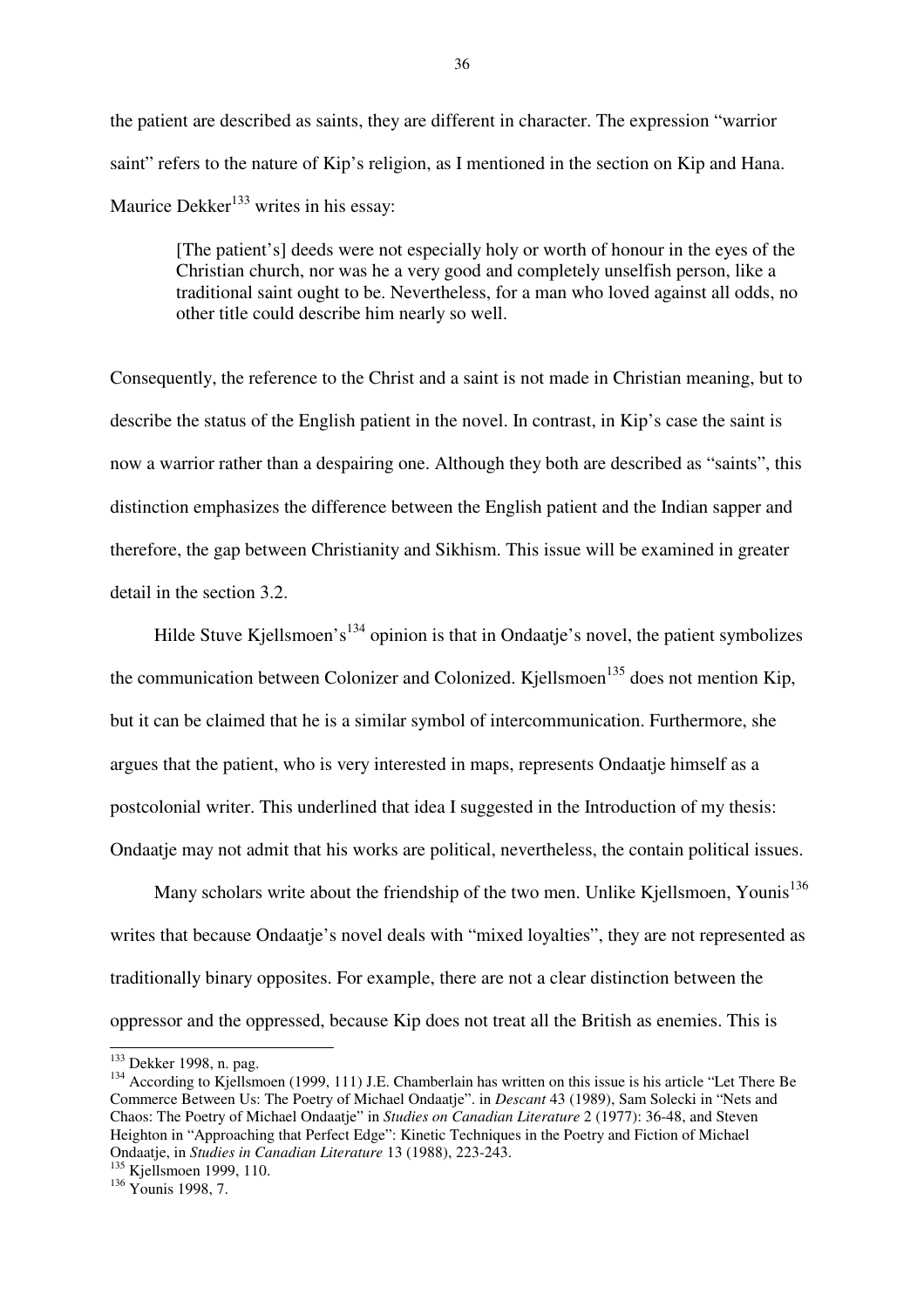the patient are described as saints, they are different in character. The expression "warrior saint" refers to the nature of Kip's religion, as I mentioned in the section on Kip and Hana. Maurice Dekker<sup>133</sup> writes in his essay:

[The patient's] deeds were not especially holy or worth of honour in the eyes of the Christian church, nor was he a very good and completely unselfish person, like a traditional saint ought to be. Nevertheless, for a man who loved against all odds, no other title could describe him nearly so well.

Consequently, the reference to the Christ and a saint is not made in Christian meaning, but to describe the status of the English patient in the novel. In contrast, in Kip's case the saint is now a warrior rather than a despairing one. Although they both are described as "saints", this distinction emphasizes the difference between the English patient and the Indian sapper and therefore, the gap between Christianity and Sikhism. This issue will be examined in greater detail in the section 3.2.

Hilde Stuve Kjellsmoen's<sup>134</sup> opinion is that in Ondaatje's novel, the patient symbolizes the communication between Colonizer and Colonized. Kjellsmoen<sup>135</sup> does not mention Kip, but it can be claimed that he is a similar symbol of intercommunication. Furthermore, she argues that the patient, who is very interested in maps, represents Ondaatje himself as a postcolonial writer. This underlined that idea I suggested in the Introduction of my thesis: Ondaatje may not admit that his works are political, nevertheless, the contain political issues.

Many scholars write about the friendship of the two men. Unlike Kjellsmoen, Younis<sup>136</sup> writes that because Ondaatje's novel deals with "mixed loyalties", they are not represented as traditionally binary opposites. For example, there are not a clear distinction between the oppressor and the oppressed, because Kip does not treat all the British as enemies. This is

<sup>&</sup>lt;sup>133</sup> Dekker 1998, n. pag.

<sup>&</sup>lt;sup>134</sup> According to Kiellsmoen (1999, 111) J.E. Chamberlain has written on this issue is his article "Let There Be Commerce Between Us: The Poetry of Michael Ondaatje". in *Descant* 43 (1989), Sam Solecki in "Nets and Chaos: The Poetry of Michael Ondaatje" in *Studies on Canadian Literature* 2 (1977): 36-48, and Steven Heighton in "Approaching that Perfect Edge": Kinetic Techniques in the Poetry and Fiction of Michael Ondaatje, in *Studies in Canadian Literature* 13 (1988), 223-243.

<sup>&</sup>lt;sup>135</sup> Kjellsmoen 1999, 110.

<sup>136</sup> Younis 1998, 7.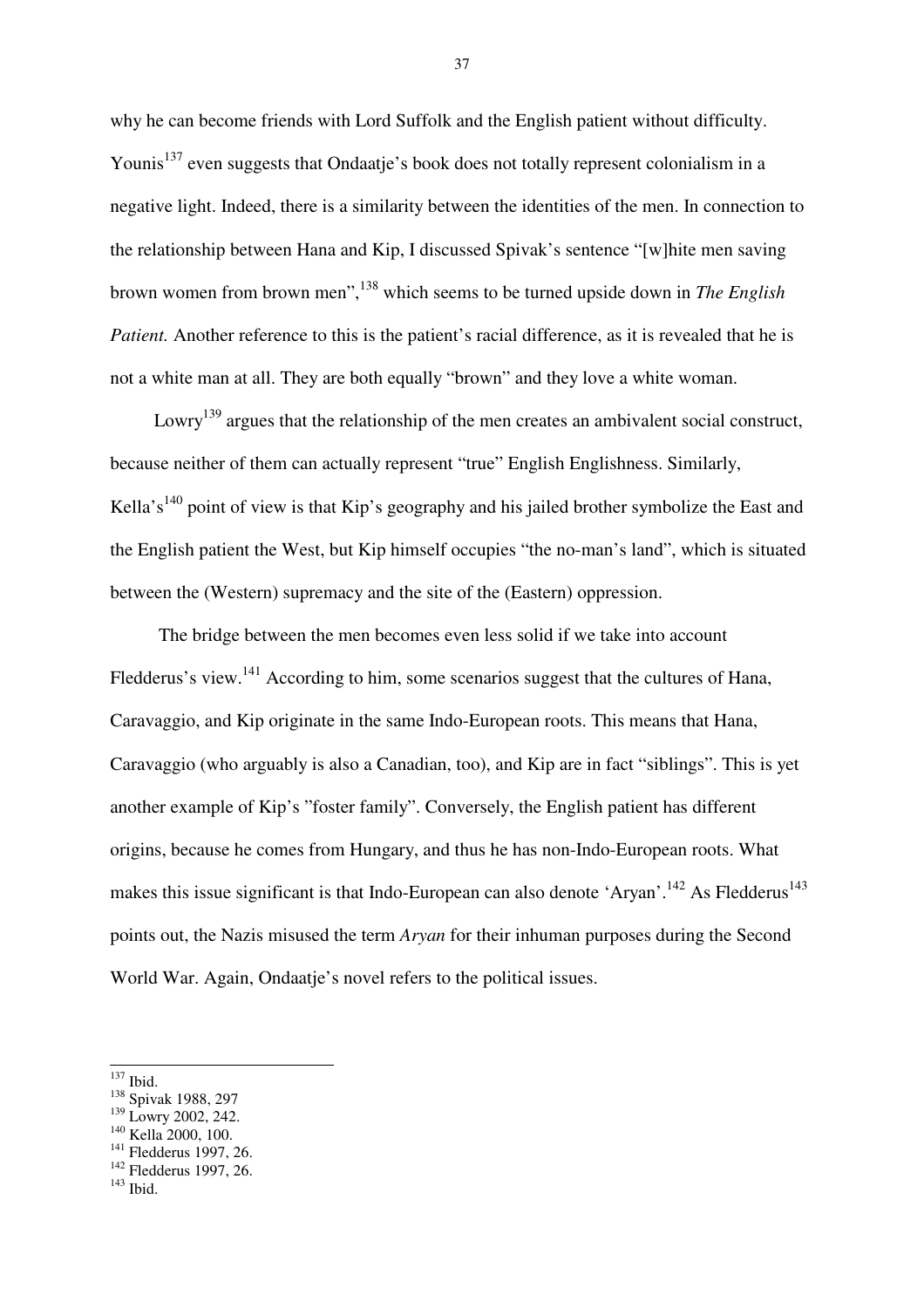why he can become friends with Lord Suffolk and the English patient without difficulty. Younis<sup>137</sup> even suggests that Ondaatie's book does not totally represent colonialism in a negative light. Indeed, there is a similarity between the identities of the men. In connection to the relationship between Hana and Kip, I discussed Spivak's sentence "[w]hite men saving brown women from brown men",<sup>138</sup> which seems to be turned upside down in *The English Patient.* Another reference to this is the patient's racial difference, as it is revealed that he is not a white man at all. They are both equally "brown" and they love a white woman.

Lowry<sup>139</sup> argues that the relationship of the men creates an ambivalent social construct, because neither of them can actually represent "true" English Englishness. Similarly, Kella's<sup>140</sup> point of view is that Kip's geography and his jailed brother symbolize the East and the English patient the West, but Kip himself occupies "the no-man's land", which is situated between the (Western) supremacy and the site of the (Eastern) oppression.

 The bridge between the men becomes even less solid if we take into account Fledderus's view.<sup>141</sup> According to him, some scenarios suggest that the cultures of Hana, Caravaggio, and Kip originate in the same Indo-European roots. This means that Hana, Caravaggio (who arguably is also a Canadian, too), and Kip are in fact "siblings". This is yet another example of Kip's "foster family". Conversely, the English patient has different origins, because he comes from Hungary, and thus he has non-Indo-European roots. What makes this issue significant is that Indo-European can also denote 'Aryan'.<sup>142</sup> As Fledderus<sup>143</sup> points out, the Nazis misused the term *Aryan* for their inhuman purposes during the Second World War. Again, Ondaatje's novel refers to the political issues.

<sup>140</sup> Kella 2000, 100.

 $\overline{a}$ <sup>137</sup> Ibid.

<sup>138</sup> Spivak 1988, 297

<sup>&</sup>lt;sup>139</sup> Lowry 2002, 242.

<sup>141</sup> Fledderus 1997, 26.

<sup>142</sup> Fledderus 1997, 26.

 $143$  Ibid.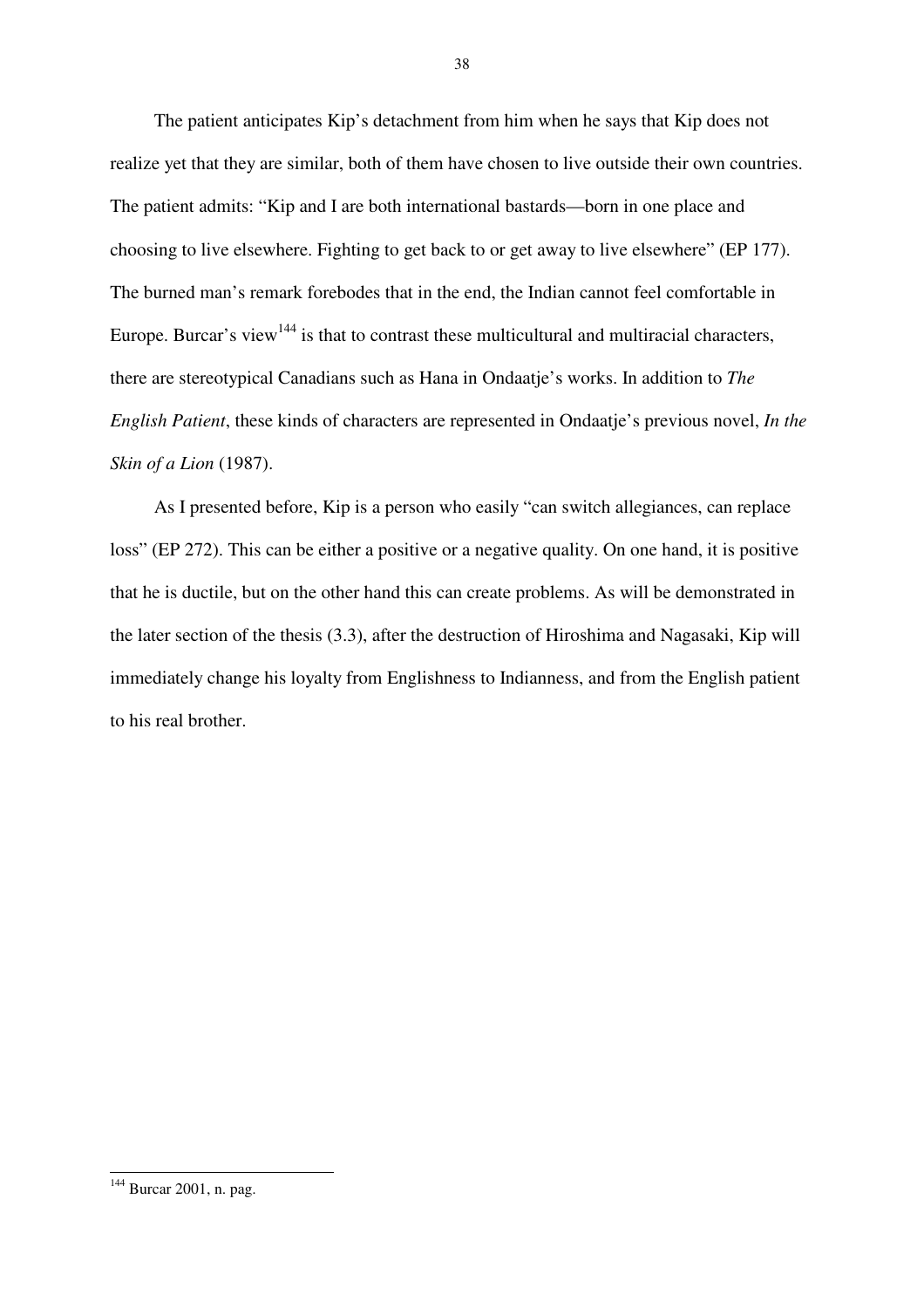The patient anticipates Kip's detachment from him when he says that Kip does not realize yet that they are similar, both of them have chosen to live outside their own countries. The patient admits: "Kip and I are both international bastards—born in one place and choosing to live elsewhere. Fighting to get back to or get away to live elsewhere" (EP 177). The burned man's remark forebodes that in the end, the Indian cannot feel comfortable in Europe. Burcar's view<sup>144</sup> is that to contrast these multicultural and multiracial characters, there are stereotypical Canadians such as Hana in Ondaatje's works. In addition to *The English Patient*, these kinds of characters are represented in Ondaatje's previous novel, *In the Skin of a Lion* (1987).

As I presented before, Kip is a person who easily "can switch allegiances, can replace loss" (EP 272). This can be either a positive or a negative quality. On one hand, it is positive that he is ductile, but on the other hand this can create problems. As will be demonstrated in the later section of the thesis (3.3), after the destruction of Hiroshima and Nagasaki, Kip will immediately change his loyalty from Englishness to Indianness, and from the English patient to his real brother.

<sup>&</sup>lt;sup>144</sup> Burcar 2001, n. pag.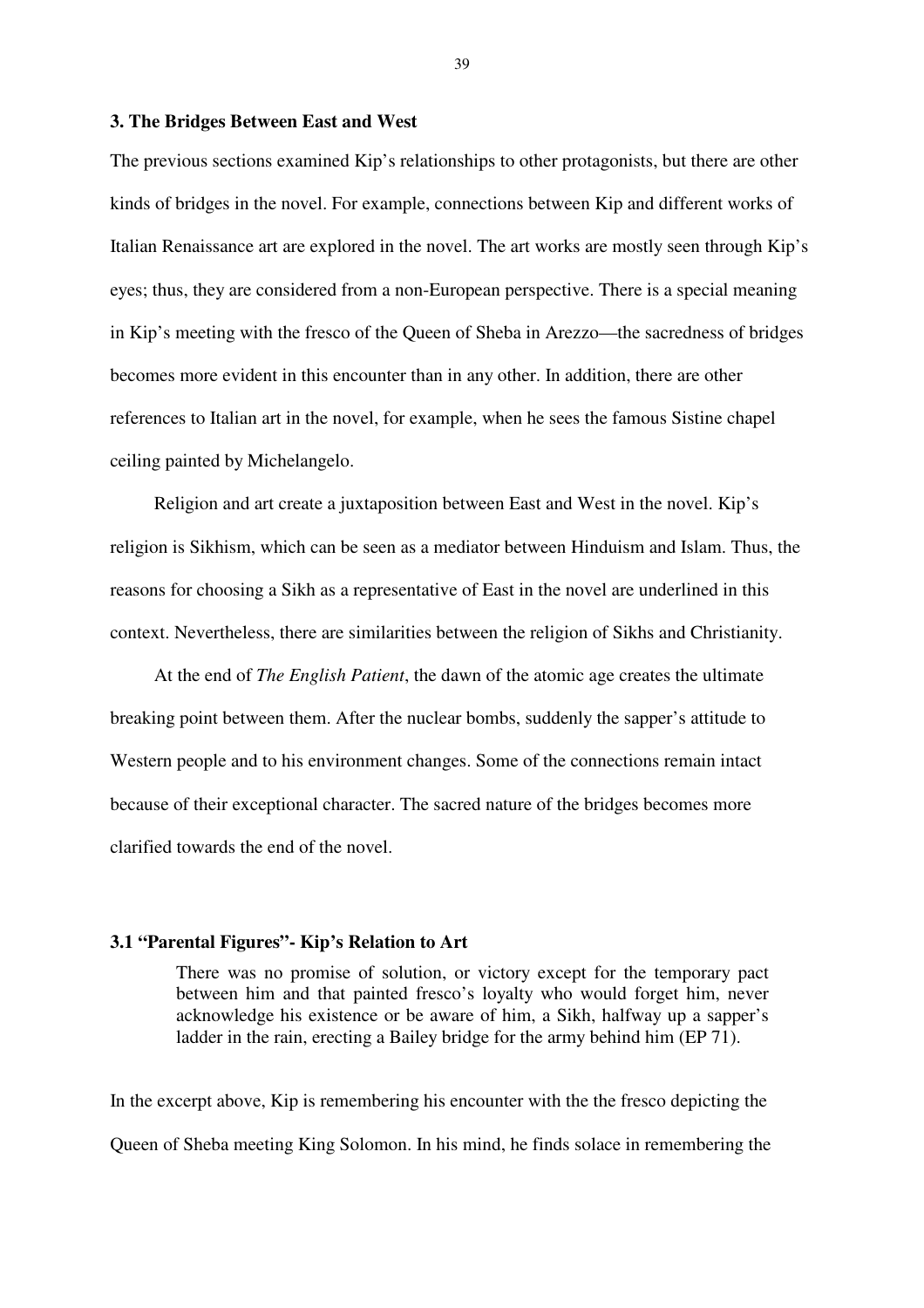#### **3. The Bridges Between East and West**

The previous sections examined Kip's relationships to other protagonists, but there are other kinds of bridges in the novel. For example, connections between Kip and different works of Italian Renaissance art are explored in the novel. The art works are mostly seen through Kip's eyes; thus, they are considered from a non-European perspective. There is a special meaning in Kip's meeting with the fresco of the Queen of Sheba in Arezzo—the sacredness of bridges becomes more evident in this encounter than in any other. In addition, there are other references to Italian art in the novel, for example, when he sees the famous Sistine chapel ceiling painted by Michelangelo.

Religion and art create a juxtaposition between East and West in the novel. Kip's religion is Sikhism, which can be seen as a mediator between Hinduism and Islam. Thus, the reasons for choosing a Sikh as a representative of East in the novel are underlined in this context. Nevertheless, there are similarities between the religion of Sikhs and Christianity.

At the end of *The English Patient*, the dawn of the atomic age creates the ultimate breaking point between them. After the nuclear bombs, suddenly the sapper's attitude to Western people and to his environment changes. Some of the connections remain intact because of their exceptional character. The sacred nature of the bridges becomes more clarified towards the end of the novel.

# **3.1 "Parental Figures"- Kip's Relation to Art**

There was no promise of solution, or victory except for the temporary pact between him and that painted fresco's loyalty who would forget him, never acknowledge his existence or be aware of him, a Sikh, halfway up a sapper's ladder in the rain, erecting a Bailey bridge for the army behind him (EP 71).

In the excerpt above, Kip is remembering his encounter with the the fresco depicting the Queen of Sheba meeting King Solomon. In his mind, he finds solace in remembering the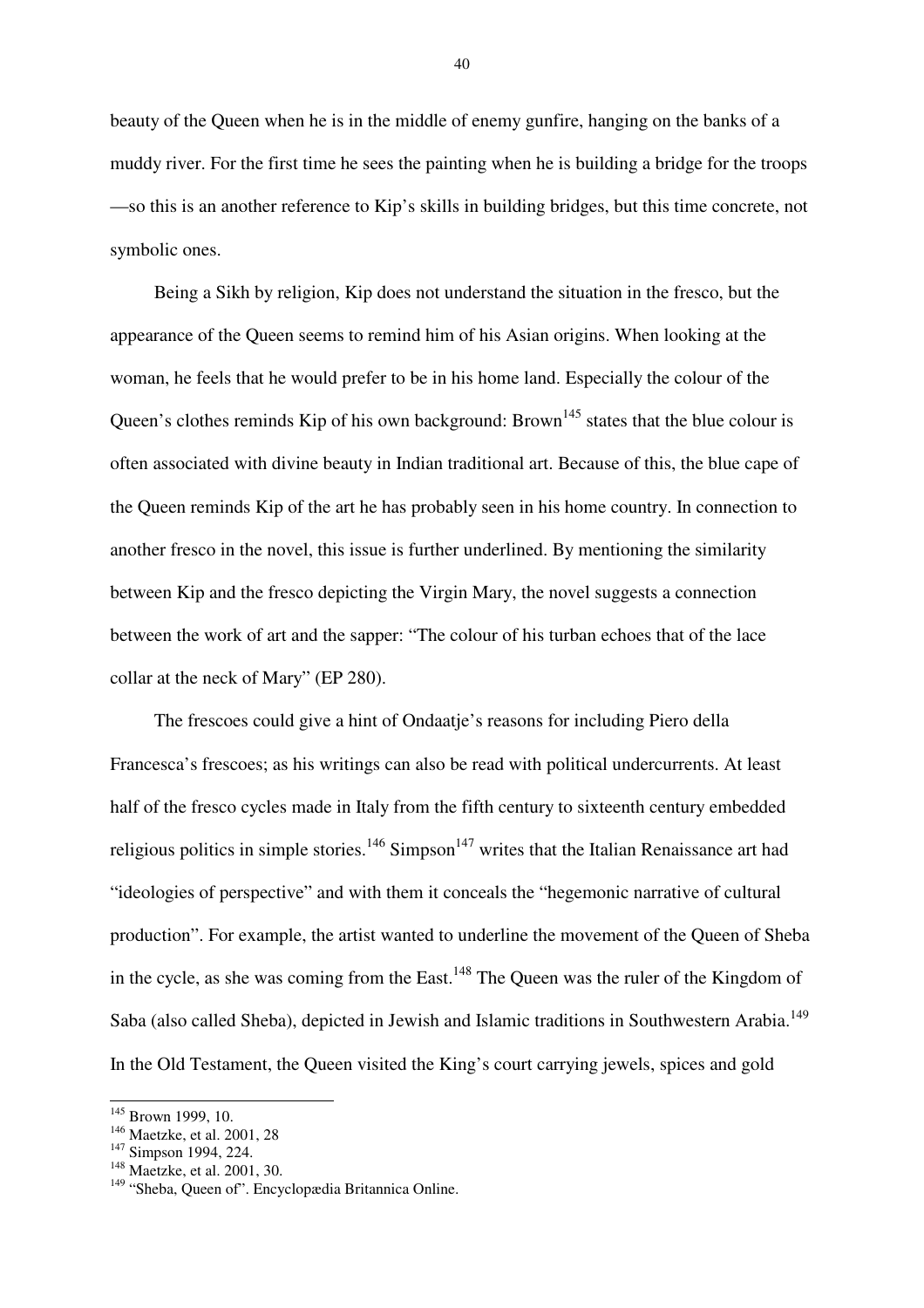beauty of the Queen when he is in the middle of enemy gunfire, hanging on the banks of a muddy river. For the first time he sees the painting when he is building a bridge for the troops —so this is an another reference to Kip's skills in building bridges, but this time concrete, not symbolic ones.

Being a Sikh by religion, Kip does not understand the situation in the fresco, but the appearance of the Queen seems to remind him of his Asian origins. When looking at the woman, he feels that he would prefer to be in his home land. Especially the colour of the Queen's clothes reminds Kip of his own background: Brown<sup>145</sup> states that the blue colour is often associated with divine beauty in Indian traditional art. Because of this, the blue cape of the Queen reminds Kip of the art he has probably seen in his home country. In connection to another fresco in the novel, this issue is further underlined. By mentioning the similarity between Kip and the fresco depicting the Virgin Mary, the novel suggests a connection between the work of art and the sapper: "The colour of his turban echoes that of the lace collar at the neck of Mary" (EP 280).

The frescoes could give a hint of Ondaatje's reasons for including Piero della Francesca's frescoes; as his writings can also be read with political undercurrents. At least half of the fresco cycles made in Italy from the fifth century to sixteenth century embedded religious politics in simple stories.<sup>146</sup> Simpson<sup>147</sup> writes that the Italian Renaissance art had "ideologies of perspective" and with them it conceals the "hegemonic narrative of cultural production". For example, the artist wanted to underline the movement of the Queen of Sheba in the cycle, as she was coming from the East.<sup>148</sup> The Queen was the ruler of the Kingdom of Saba (also called Sheba), depicted in Jewish and Islamic traditions in Southwestern Arabia.<sup>149</sup> In the Old Testament, the Queen visited the King's court carrying jewels, spices and gold

 $\overline{a}$ 

<sup>&</sup>lt;sup>145</sup> Brown 1999, 10.

<sup>&</sup>lt;sup>146</sup> Maetzke, et al. 2001, 28

<sup>&</sup>lt;sup>147</sup> Simpson 1994, 224.

<sup>&</sup>lt;sup>148</sup> Maetzke, et al. 2001, 30.

<sup>149</sup> "Sheba, Queen of". Encyclopædia Britannica Online.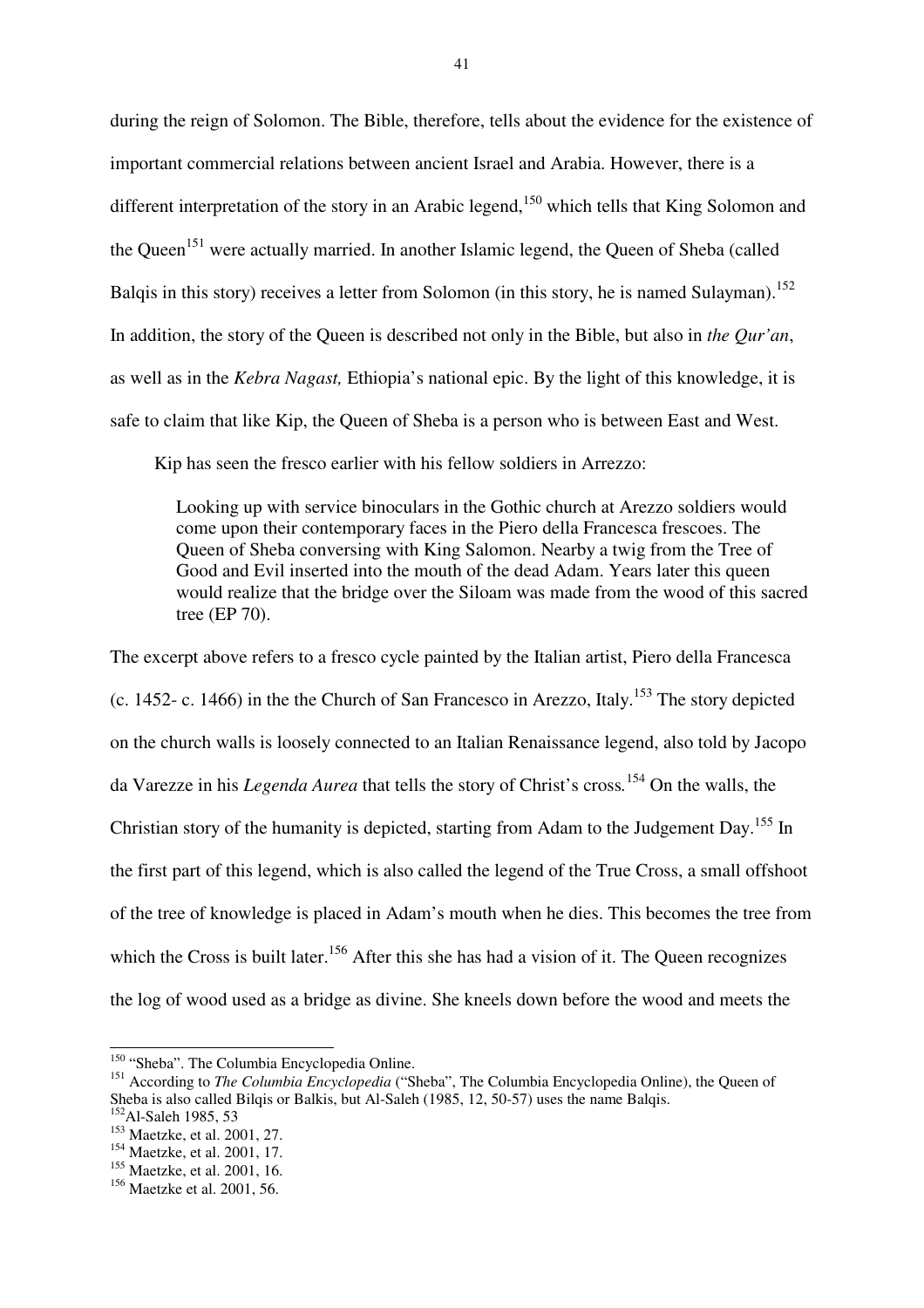during the reign of Solomon. The Bible, therefore, tells about the evidence for the existence of important commercial relations between ancient Israel and Arabia. However, there is a different interpretation of the story in an Arabic legend,<sup>150</sup> which tells that King Solomon and the Queen<sup>151</sup> were actually married. In another Islamic legend, the Queen of Sheba (called Balqis in this story) receives a letter from Solomon (in this story, he is named Sulayman).<sup>152</sup> In addition, the story of the Queen is described not only in the Bible, but also in *the Qur'an*, as well as in the *Kebra Nagast,* Ethiopia's national epic. By the light of this knowledge, it is safe to claim that like Kip, the Queen of Sheba is a person who is between East and West.

Kip has seen the fresco earlier with his fellow soldiers in Arrezzo:

Looking up with service binoculars in the Gothic church at Arezzo soldiers would come upon their contemporary faces in the Piero della Francesca frescoes. The Queen of Sheba conversing with King Salomon. Nearby a twig from the Tree of Good and Evil inserted into the mouth of the dead Adam. Years later this queen would realize that the bridge over the Siloam was made from the wood of this sacred tree (EP 70).

The excerpt above refers to a fresco cycle painted by the Italian artist, Piero della Francesca (c. 1452- c. 1466) in the the Church of San Francesco in Arezzo, Italy.<sup>153</sup> The story depicted on the church walls is loosely connected to an Italian Renaissance legend, also told by Jacopo da Varezze in his *Legenda Aurea* that tells the story of Christ's cross*.* <sup>154</sup> On the walls, the Christian story of the humanity is depicted, starting from Adam to the Judgement Day.<sup>155</sup> In the first part of this legend, which is also called the legend of the True Cross, a small offshoot of the tree of knowledge is placed in Adam's mouth when he dies. This becomes the tree from which the Cross is built later.<sup>156</sup> After this she has had a vision of it. The Queen recognizes the log of wood used as a bridge as divine. She kneels down before the wood and meets the

<sup>&</sup>lt;sup>150</sup> "Sheba". The Columbia Encyclopedia Online.

<sup>&</sup>lt;sup>151</sup> According to *The Columbia Encyclopedia* ("Sheba", The Columbia Encyclopedia Online), the Queen of Sheba is also called Bilgis or Balkis, but Al-Saleh (1985, 12, 50-57) uses the name Balgis.  $^{152}$ Al-Saleh 1985, 53

<sup>153</sup> Maetzke, et al. 2001, 27.

<sup>&</sup>lt;sup>154</sup> Maetzke, et al. 2001, 17.

<sup>&</sup>lt;sup>155</sup> Maetzke, et al. 2001, 16.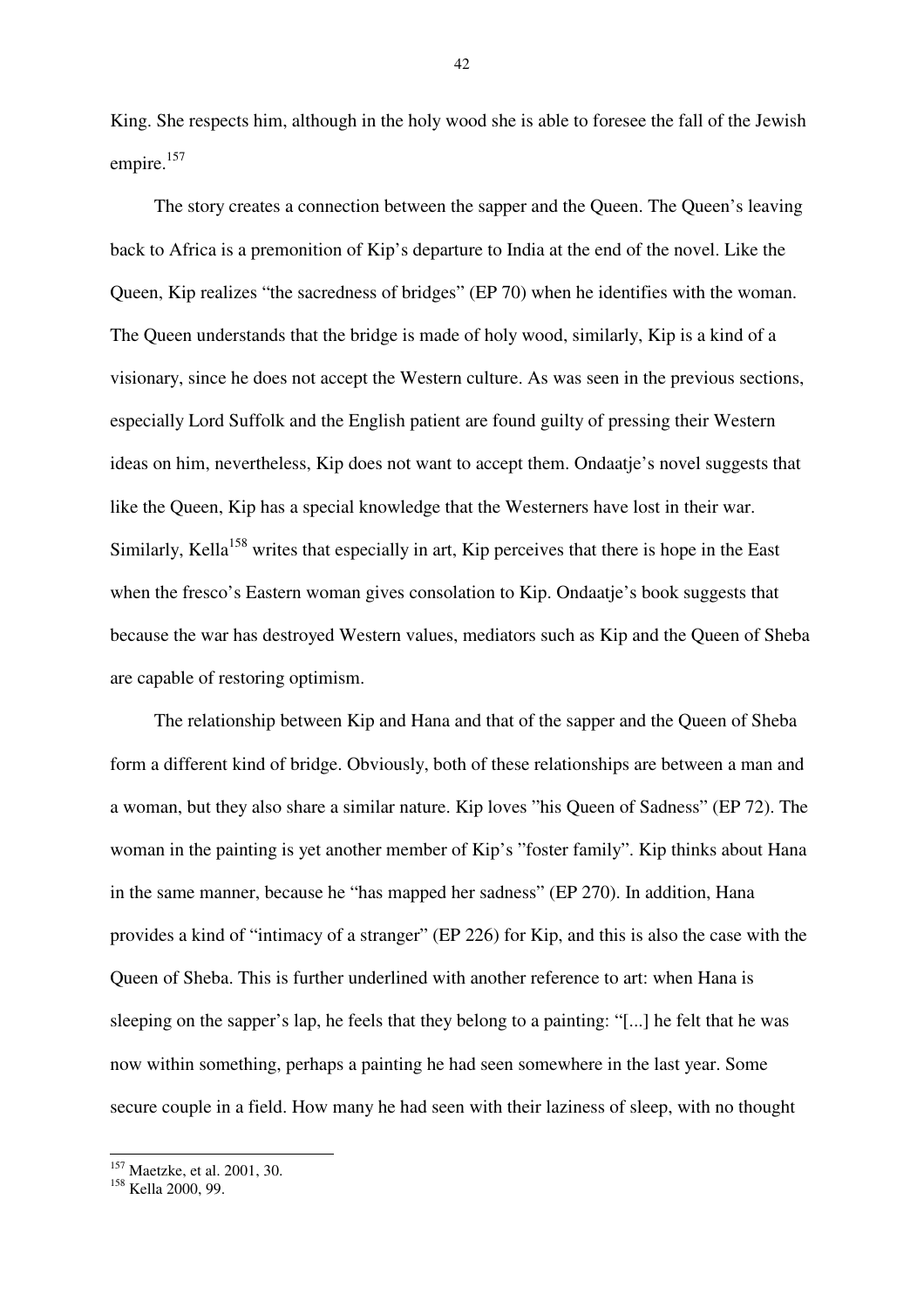King. She respects him, although in the holy wood she is able to foresee the fall of the Jewish empire.<sup>157</sup>

The story creates a connection between the sapper and the Queen. The Queen's leaving back to Africa is a premonition of Kip's departure to India at the end of the novel. Like the Queen, Kip realizes "the sacredness of bridges" (EP 70) when he identifies with the woman. The Queen understands that the bridge is made of holy wood, similarly, Kip is a kind of a visionary, since he does not accept the Western culture. As was seen in the previous sections, especially Lord Suffolk and the English patient are found guilty of pressing their Western ideas on him, nevertheless, Kip does not want to accept them. Ondaatje's novel suggests that like the Queen, Kip has a special knowledge that the Westerners have lost in their war. Similarly, Kella<sup>158</sup> writes that especially in art, Kip perceives that there is hope in the East when the fresco's Eastern woman gives consolation to Kip. Ondaatje's book suggests that because the war has destroyed Western values, mediators such as Kip and the Queen of Sheba are capable of restoring optimism.

The relationship between Kip and Hana and that of the sapper and the Queen of Sheba form a different kind of bridge. Obviously, both of these relationships are between a man and a woman, but they also share a similar nature. Kip loves "his Queen of Sadness" (EP 72). The woman in the painting is yet another member of Kip's "foster family". Kip thinks about Hana in the same manner, because he "has mapped her sadness" (EP 270). In addition, Hana provides a kind of "intimacy of a stranger" (EP 226) for Kip, and this is also the case with the Queen of Sheba. This is further underlined with another reference to art: when Hana is sleeping on the sapper's lap, he feels that they belong to a painting: "[...] he felt that he was now within something, perhaps a painting he had seen somewhere in the last year. Some secure couple in a field. How many he had seen with their laziness of sleep, with no thought

 $\overline{a}$ 

<sup>&</sup>lt;sup>157</sup> Maetzke, et al. 2001, 30.

<sup>&</sup>lt;sup>158</sup> Kella 2000, 99.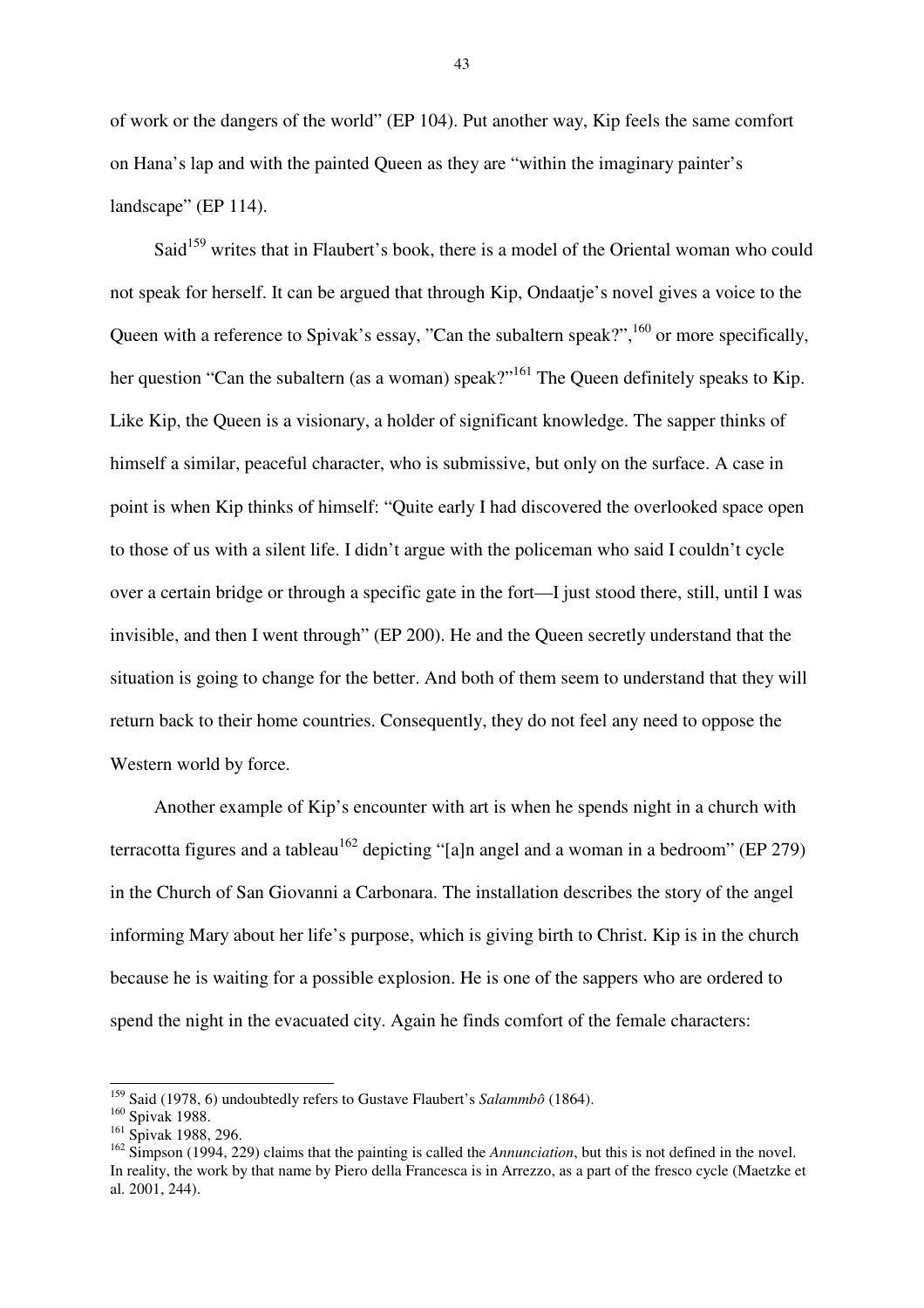of work or the dangers of the world" (EP 104). Put another way, Kip feels the same comfort on Hana's lap and with the painted Queen as they are "within the imaginary painter's landscape" (EP 114).

Said<sup>159</sup> writes that in Flaubert's book, there is a model of the Oriental woman who could not speak for herself. It can be argued that through Kip, Ondaatje's novel gives a voice to the Queen with a reference to Spivak's essay, "Can the subaltern speak?",  $^{160}$  or more specifically, her question "Can the subaltern (as a woman) speak?"<sup>161</sup> The Queen definitely speaks to Kip. Like Kip, the Queen is a visionary, a holder of significant knowledge. The sapper thinks of himself a similar, peaceful character, who is submissive, but only on the surface. A case in point is when Kip thinks of himself: "Quite early I had discovered the overlooked space open to those of us with a silent life. I didn't argue with the policeman who said I couldn't cycle over a certain bridge or through a specific gate in the fort—I just stood there, still, until I was invisible, and then I went through" (EP 200). He and the Queen secretly understand that the situation is going to change for the better. And both of them seem to understand that they will return back to their home countries. Consequently, they do not feel any need to oppose the Western world by force.

Another example of Kip's encounter with art is when he spends night in a church with terracotta figures and a tableau  $^{162}$  depicting "[a]n angel and a woman in a bedroom" (EP 279) in the Church of San Giovanni a Carbonara. The installation describes the story of the angel informing Mary about her life's purpose, which is giving birth to Christ. Kip is in the church because he is waiting for a possible explosion. He is one of the sappers who are ordered to spend the night in the evacuated city. Again he finds comfort of the female characters:

<sup>159</sup> Said (1978, 6) undoubtedly refers to Gustave Flaubert's *Salammbô* (1864).

<sup>&</sup>lt;sup>160</sup> Spivak 1988.

<sup>&</sup>lt;sup>161</sup> Spivak 1988, 296.

<sup>162</sup> Simpson (1994, 229) claims that the painting is called the *Annunciation*, but this is not defined in the novel. In reality, the work by that name by Piero della Francesca is in Arrezzo, as a part of the fresco cycle (Maetzke et al. 2001, 244).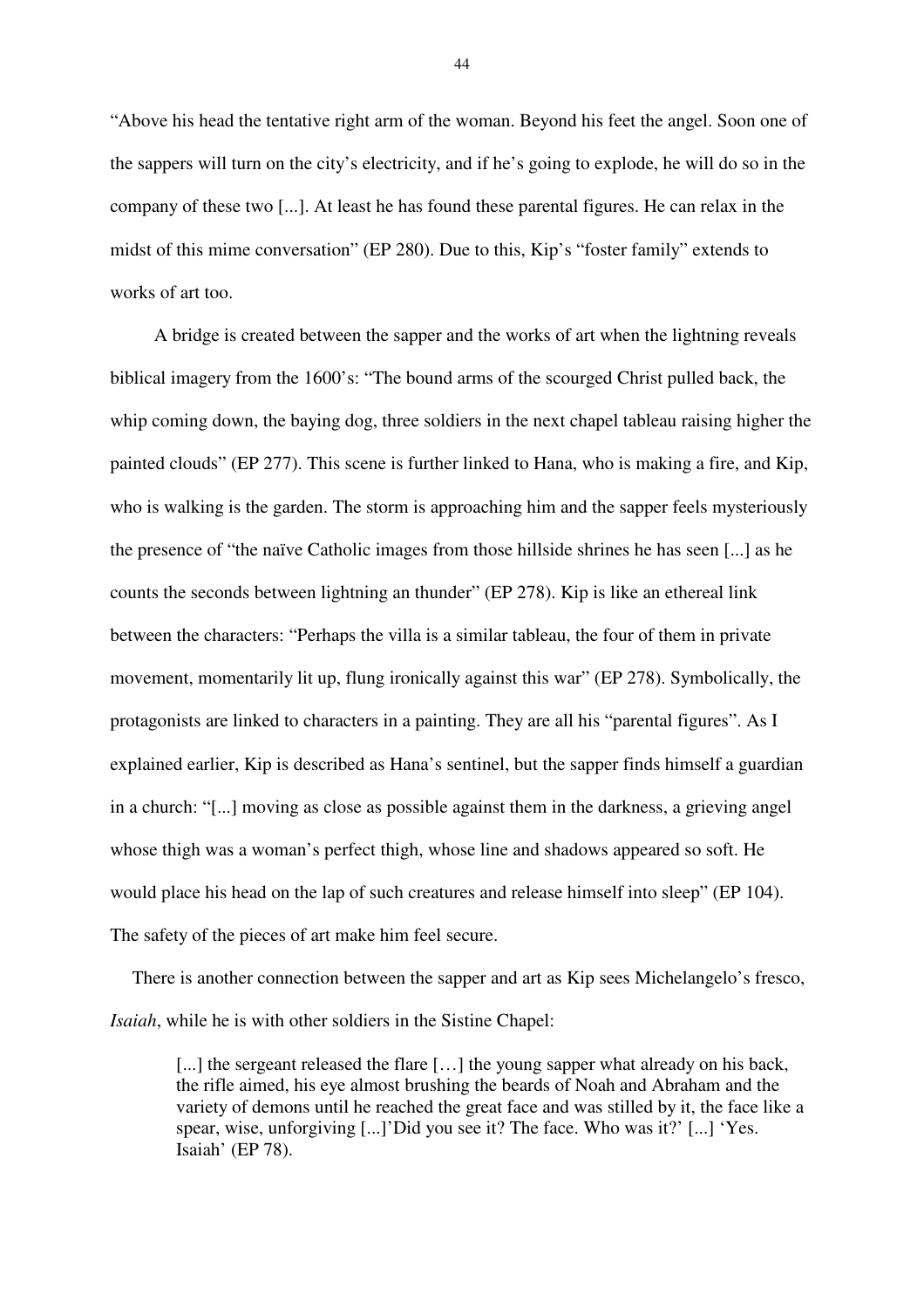"Above his head the tentative right arm of the woman. Beyond his feet the angel. Soon one of the sappers will turn on the city's electricity, and if he's going to explode, he will do so in the company of these two [...]. At least he has found these parental figures. He can relax in the midst of this mime conversation" (EP 280). Due to this, Kip's "foster family" extends to works of art too.

A bridge is created between the sapper and the works of art when the lightning reveals biblical imagery from the 1600's: "The bound arms of the scourged Christ pulled back, the whip coming down, the baying dog, three soldiers in the next chapel tableau raising higher the painted clouds" (EP 277). This scene is further linked to Hana, who is making a fire, and Kip, who is walking is the garden. The storm is approaching him and the sapper feels mysteriously the presence of "the naïve Catholic images from those hillside shrines he has seen [...] as he counts the seconds between lightning an thunder" (EP 278). Kip is like an ethereal link between the characters: "Perhaps the villa is a similar tableau, the four of them in private movement, momentarily lit up, flung ironically against this war" (EP 278). Symbolically, the protagonists are linked to characters in a painting. They are all his "parental figures". As I explained earlier, Kip is described as Hana's sentinel, but the sapper finds himself a guardian in a church: "[...] moving as close as possible against them in the darkness, a grieving angel whose thigh was a woman's perfect thigh, whose line and shadows appeared so soft. He would place his head on the lap of such creatures and release himself into sleep" (EP 104). The safety of the pieces of art make him feel secure.

There is another connection between the sapper and art as Kip sees Michelangelo's fresco, *Isaiah*, while he is with other soldiers in the Sistine Chapel:

[...] the sergeant released the flare [...] the young sapper what already on his back, the rifle aimed, his eye almost brushing the beards of Noah and Abraham and the variety of demons until he reached the great face and was stilled by it, the face like a spear, wise, unforgiving [...]'Did you see it? The face. Who was it?' [...] 'Yes. Isaiah' (EP 78).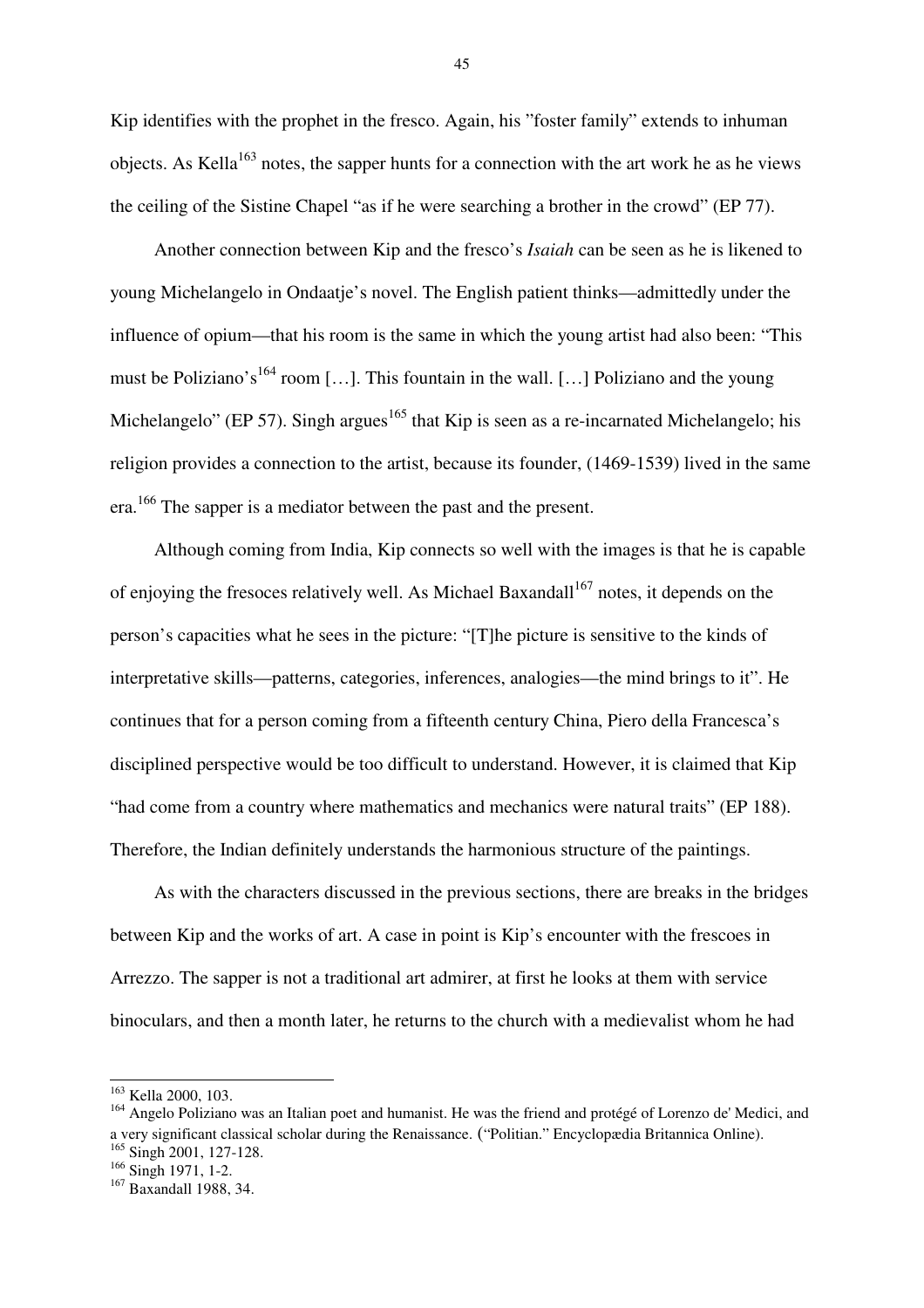Kip identifies with the prophet in the fresco. Again, his "foster family" extends to inhuman objects. As Kella<sup>163</sup> notes, the sapper hunts for a connection with the art work he as he views the ceiling of the Sistine Chapel "as if he were searching a brother in the crowd" (EP 77).

Another connection between Kip and the fresco's *Isaiah* can be seen as he is likened to young Michelangelo in Ondaatje's novel. The English patient thinks—admittedly under the influence of opium—that his room is the same in which the young artist had also been: "This must be Poliziano's<sup>164</sup> room [...]. This fountain in the wall. [...] Poliziano and the young Michelangelo" (EP 57). Singh argues<sup>165</sup> that Kip is seen as a re-incarnated Michelangelo; his religion provides a connection to the artist, because its founder, (1469-1539) lived in the same era.<sup>166</sup> The sapper is a mediator between the past and the present.

Although coming from India, Kip connects so well with the images is that he is capable of enjoying the fresoces relatively well. As Michael Baxandall<sup>167</sup> notes, it depends on the person's capacities what he sees in the picture: "[T]he picture is sensitive to the kinds of interpretative skills—patterns, categories, inferences, analogies—the mind brings to it". He continues that for a person coming from a fifteenth century China, Piero della Francesca's disciplined perspective would be too difficult to understand. However, it is claimed that Kip "had come from a country where mathematics and mechanics were natural traits" (EP 188). Therefore, the Indian definitely understands the harmonious structure of the paintings.

As with the characters discussed in the previous sections, there are breaks in the bridges between Kip and the works of art. A case in point is Kip's encounter with the frescoes in Arrezzo. The sapper is not a traditional art admirer, at first he looks at them with service binoculars, and then a month later, he returns to the church with a medievalist whom he had

 $\overline{a}$ 

<sup>163</sup> Kella 2000, 103.

<sup>&</sup>lt;sup>164</sup> Angelo Poliziano was an Italian poet and humanist. He was the friend and protégé of Lorenzo de' Medici, and a very significant classical scholar during the Renaissance. ("Politian." Encyclopædia Britannica Online).

<sup>&</sup>lt;sup>165</sup> Singh 2001, 127-128.

 $166$  Singh 1971, 1-2.

<sup>&</sup>lt;sup>167</sup> Baxandall 1988, 34.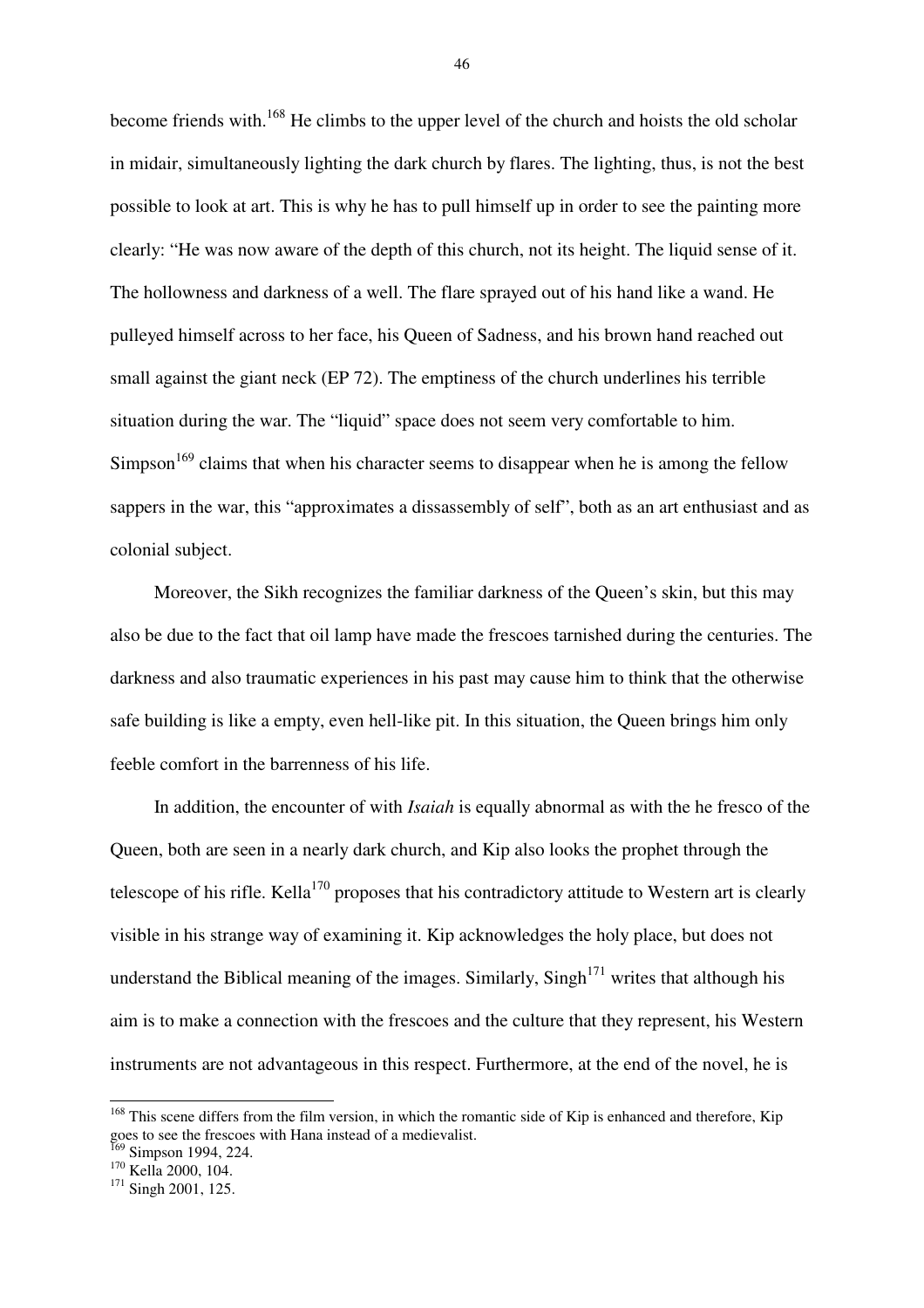become friends with.<sup>168</sup> He climbs to the upper level of the church and hoists the old scholar in midair, simultaneously lighting the dark church by flares. The lighting, thus, is not the best possible to look at art. This is why he has to pull himself up in order to see the painting more clearly: "He was now aware of the depth of this church, not its height. The liquid sense of it. The hollowness and darkness of a well. The flare sprayed out of his hand like a wand. He pulleyed himself across to her face, his Queen of Sadness, and his brown hand reached out small against the giant neck (EP 72). The emptiness of the church underlines his terrible situation during the war. The "liquid" space does not seem very comfortable to him.  $Simpson<sup>169</sup>$  claims that when his character seems to disappear when he is among the fellow sappers in the war, this "approximates a dissassembly of self", both as an art enthusiast and as colonial subject.

Moreover, the Sikh recognizes the familiar darkness of the Queen's skin, but this may also be due to the fact that oil lamp have made the frescoes tarnished during the centuries. The darkness and also traumatic experiences in his past may cause him to think that the otherwise safe building is like a empty, even hell-like pit. In this situation, the Queen brings him only feeble comfort in the barrenness of his life.

In addition, the encounter of with *Isaiah* is equally abnormal as with the he fresco of the Queen, both are seen in a nearly dark church, and Kip also looks the prophet through the telescope of his rifle. Kella<sup>170</sup> proposes that his contradictory attitude to Western art is clearly visible in his strange way of examining it. Kip acknowledges the holy place, but does not understand the Biblical meaning of the images. Similarly,  $Singh<sup>171</sup>$  writes that although his aim is to make a connection with the frescoes and the culture that they represent, his Western instruments are not advantageous in this respect. Furthermore, at the end of the novel, he is

 $\overline{a}$ 

<sup>&</sup>lt;sup>168</sup> This scene differs from the film version, in which the romantic side of Kip is enhanced and therefore, Kip goes to see the frescoes with Hana instead of a medievalist.

<sup>&</sup>lt;sup>169</sup> Simpson 1994, 224. <sup>170</sup> Kella 2000, 104.

<sup>&</sup>lt;sup>171</sup> Singh 2001, 125.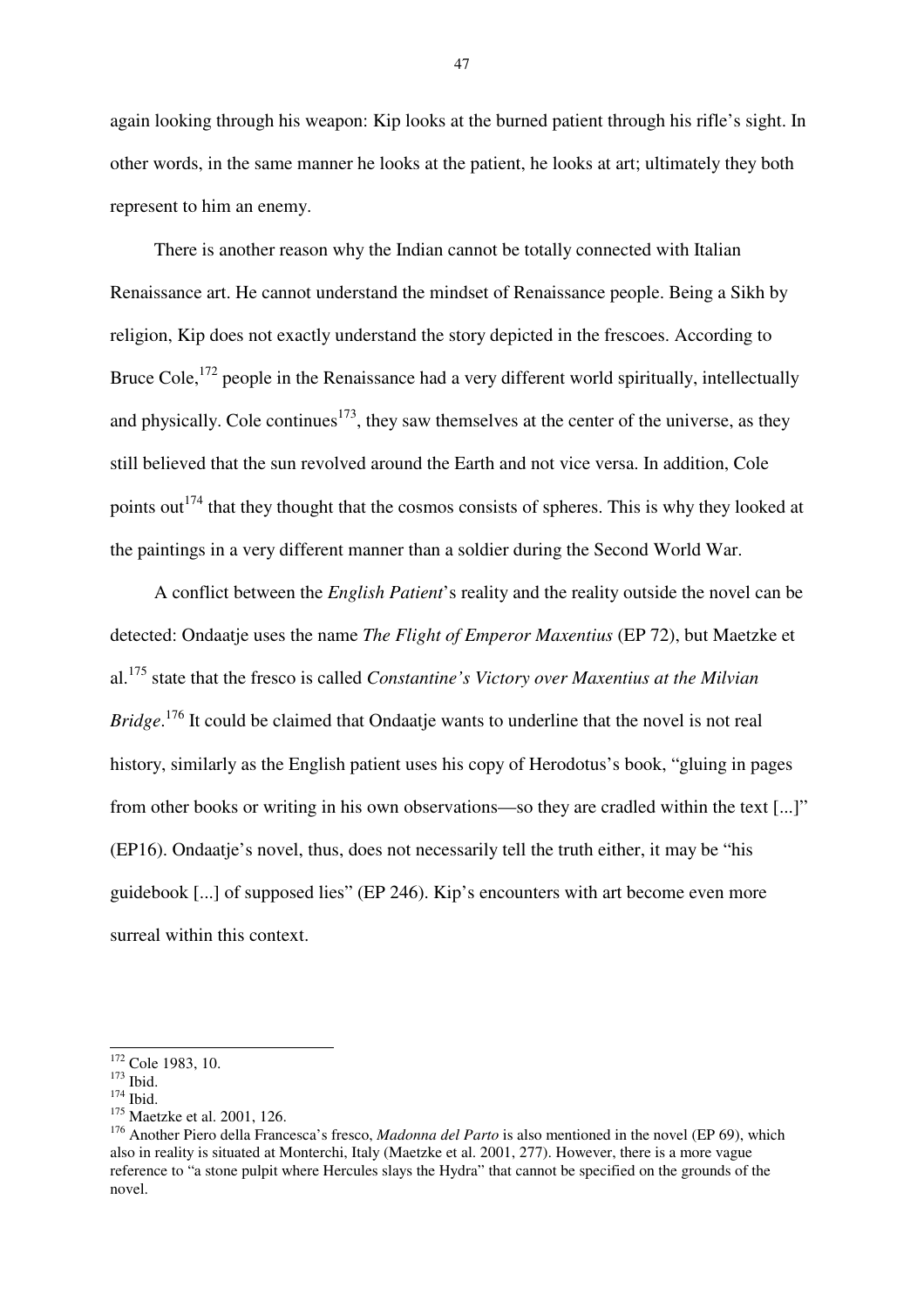again looking through his weapon: Kip looks at the burned patient through his rifle's sight. In other words, in the same manner he looks at the patient, he looks at art; ultimately they both represent to him an enemy.

There is another reason why the Indian cannot be totally connected with Italian Renaissance art. He cannot understand the mindset of Renaissance people. Being a Sikh by religion, Kip does not exactly understand the story depicted in the frescoes. According to Bruce Cole,<sup>172</sup> people in the Renaissance had a very different world spiritually, intellectually and physically. Cole continues<sup>173</sup>, they saw themselves at the center of the universe, as they still believed that the sun revolved around the Earth and not vice versa. In addition, Cole points out<sup> $174$ </sup> that they thought that the cosmos consists of spheres. This is why they looked at the paintings in a very different manner than a soldier during the Second World War.

A conflict between the *English Patient*'s reality and the reality outside the novel can be detected: Ondaatje uses the name *The Flight of Emperor Maxentius* (EP 72), but Maetzke et al.<sup>175</sup> state that the fresco is called *Constantine's Victory over Maxentius at the Milvian Bridge*. <sup>176</sup> It could be claimed that Ondaatje wants to underline that the novel is not real history, similarly as the English patient uses his copy of Herodotus's book, "gluing in pages from other books or writing in his own observations—so they are cradled within the text [...]" (EP16). Ondaatje's novel, thus, does not necessarily tell the truth either, it may be "his guidebook [...] of supposed lies" (EP 246). Kip's encounters with art become even more surreal within this context.

 $\overline{a}$ 

<sup>&</sup>lt;sup>172</sup> Cole 1983, 10.

 $173$  Ibid.

<sup>174</sup> Ibid.

<sup>&</sup>lt;sup>175</sup> Maetzke et al. 2001, 126.

<sup>176</sup> Another Piero della Francesca's fresco, *Madonna del Parto* is also mentioned in the novel (EP 69), which also in reality is situated at Monterchi, Italy (Maetzke et al. 2001, 277). However, there is a more vague reference to "a stone pulpit where Hercules slays the Hydra" that cannot be specified on the grounds of the novel.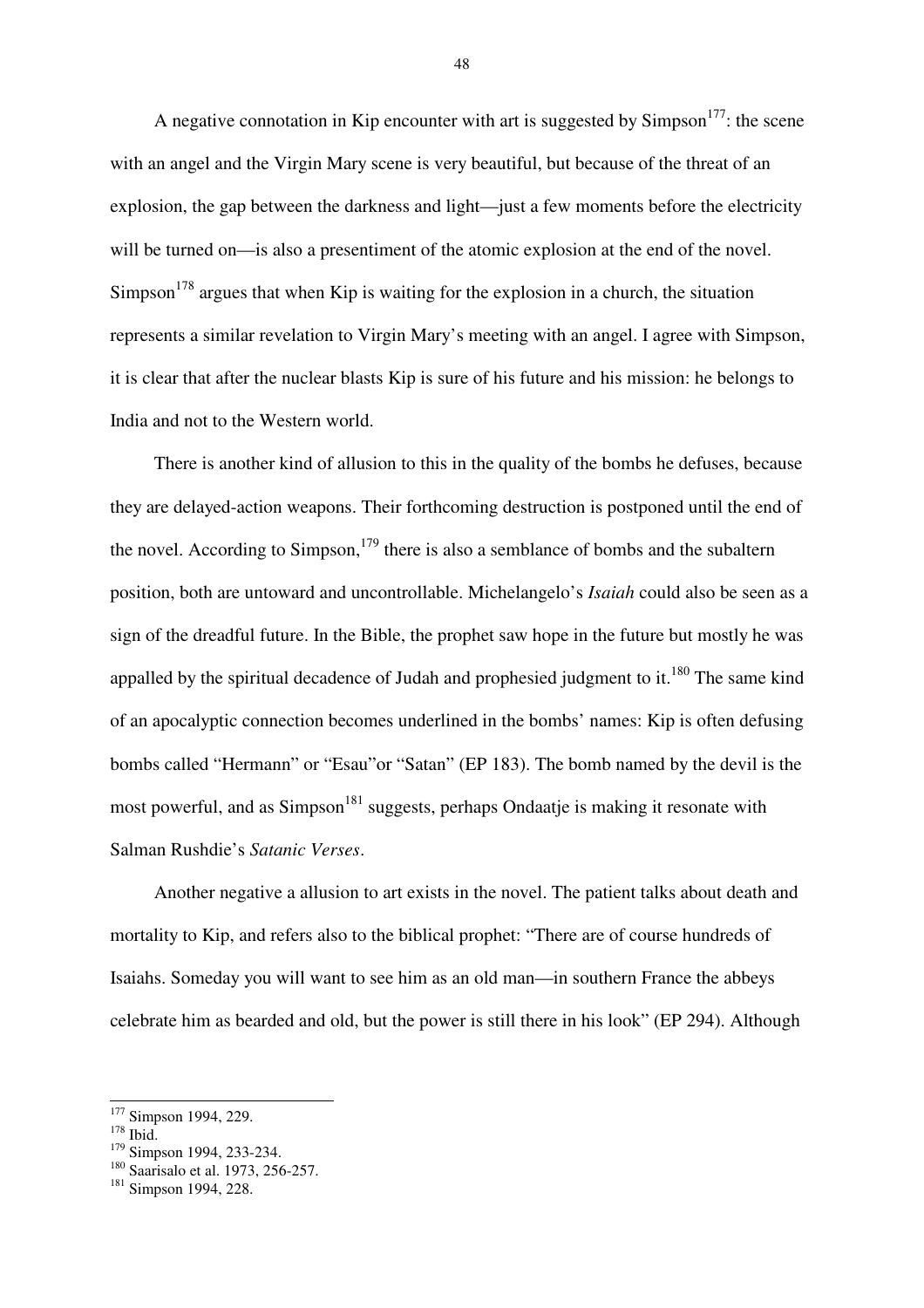A negative connotation in Kip encounter with art is suggested by  $Simpson<sup>177</sup>$ : the scene with an angel and the Virgin Mary scene is very beautiful, but because of the threat of an explosion, the gap between the darkness and light—just a few moments before the electricity will be turned on—is also a presentiment of the atomic explosion at the end of the novel.  $Simposn<sup>178</sup>$  argues that when Kip is waiting for the explosion in a church, the situation represents a similar revelation to Virgin Mary's meeting with an angel. I agree with Simpson, it is clear that after the nuclear blasts Kip is sure of his future and his mission: he belongs to India and not to the Western world.

There is another kind of allusion to this in the quality of the bombs he defuses, because they are delayed-action weapons. Their forthcoming destruction is postponed until the end of the novel. According to Simpson, $^{179}$  there is also a semblance of bombs and the subaltern position, both are untoward and uncontrollable. Michelangelo's *Isaiah* could also be seen as a sign of the dreadful future. In the Bible, the prophet saw hope in the future but mostly he was appalled by the spiritual decadence of Judah and prophesied judgment to it.<sup>180</sup> The same kind of an apocalyptic connection becomes underlined in the bombs' names: Kip is often defusing bombs called "Hermann" or "Esau"or "Satan" (EP 183). The bomb named by the devil is the most powerful, and as  $Simpson<sup>181</sup>$  suggests, perhaps Ondaatje is making it resonate with Salman Rushdie's *Satanic Verses*.

Another negative a allusion to art exists in the novel. The patient talks about death and mortality to Kip, and refers also to the biblical prophet: "There are of course hundreds of Isaiahs. Someday you will want to see him as an old man—in southern France the abbeys celebrate him as bearded and old, but the power is still there in his look" (EP 294). Although

 $\overline{a}$ 

<sup>&</sup>lt;sup>177</sup> Simpson 1994, 229.

<sup>&</sup>lt;sup>178</sup> Ibid.

<sup>&</sup>lt;sup>179</sup> Simpson 1994, 233-234.

<sup>&</sup>lt;sup>180</sup> Saarisalo et al. 1973, 256-257.

<sup>&</sup>lt;sup>181</sup> Simpson 1994, 228.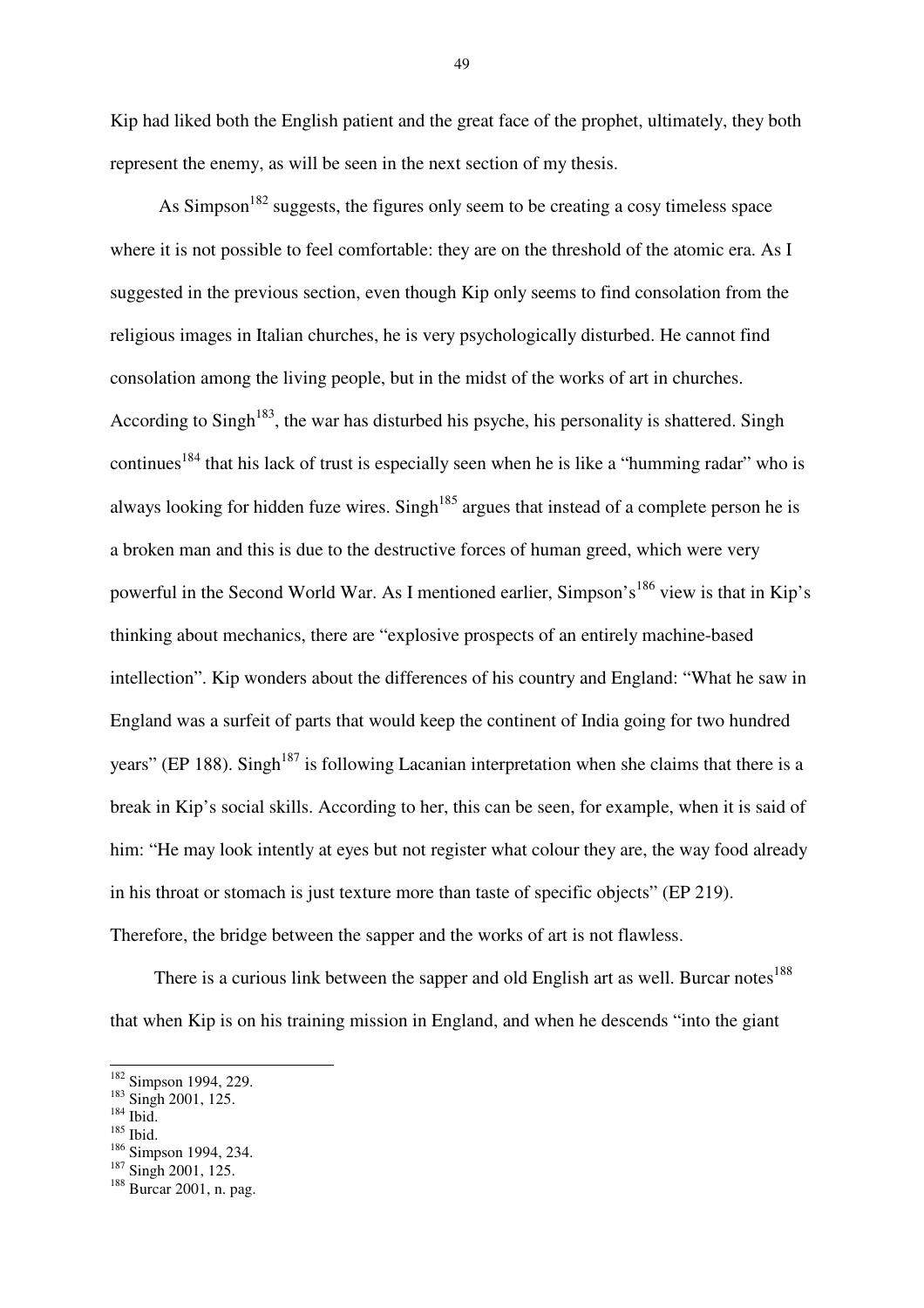Kip had liked both the English patient and the great face of the prophet, ultimately, they both represent the enemy, as will be seen in the next section of my thesis.

As  $Simpson<sup>182</sup>$  suggests, the figures only seem to be creating a cosy timeless space where it is not possible to feel comfortable: they are on the threshold of the atomic era. As I suggested in the previous section, even though Kip only seems to find consolation from the religious images in Italian churches, he is very psychologically disturbed. He cannot find consolation among the living people, but in the midst of the works of art in churches. According to Singh<sup>183</sup>, the war has disturbed his psyche, his personality is shattered. Singh continues<sup>184</sup> that his lack of trust is especially seen when he is like a "humming radar" who is always looking for hidden fuze wires. Singh<sup>185</sup> argues that instead of a complete person he is a broken man and this is due to the destructive forces of human greed, which were very powerful in the Second World War. As I mentioned earlier, Simpson's<sup>186</sup> view is that in Kip's thinking about mechanics, there are "explosive prospects of an entirely machine-based intellection". Kip wonders about the differences of his country and England: "What he saw in England was a surfeit of parts that would keep the continent of India going for two hundred years" (EP 188). Singh<sup>187</sup> is following Lacanian interpretation when she claims that there is a break in Kip's social skills. According to her, this can be seen, for example, when it is said of him: "He may look intently at eyes but not register what colour they are, the way food already in his throat or stomach is just texture more than taste of specific objects" (EP 219). Therefore, the bridge between the sapper and the works of art is not flawless.

There is a curious link between the sapper and old English art as well. Burcar notes<sup>188</sup> that when Kip is on his training mission in England, and when he descends "into the giant

 $^{184}$  Ibid.

 $\overline{a}$ 

<sup>185</sup> Ibid.

<sup>&</sup>lt;sup>182</sup> Simpson 1994, 229.

 $183$  Singh 2001, 125.

<sup>&</sup>lt;sup>186</sup> Simpson 1994, 234.

<sup>&</sup>lt;sup>187</sup> Singh 2001, 125.

<sup>188</sup> Burcar 2001, n. pag.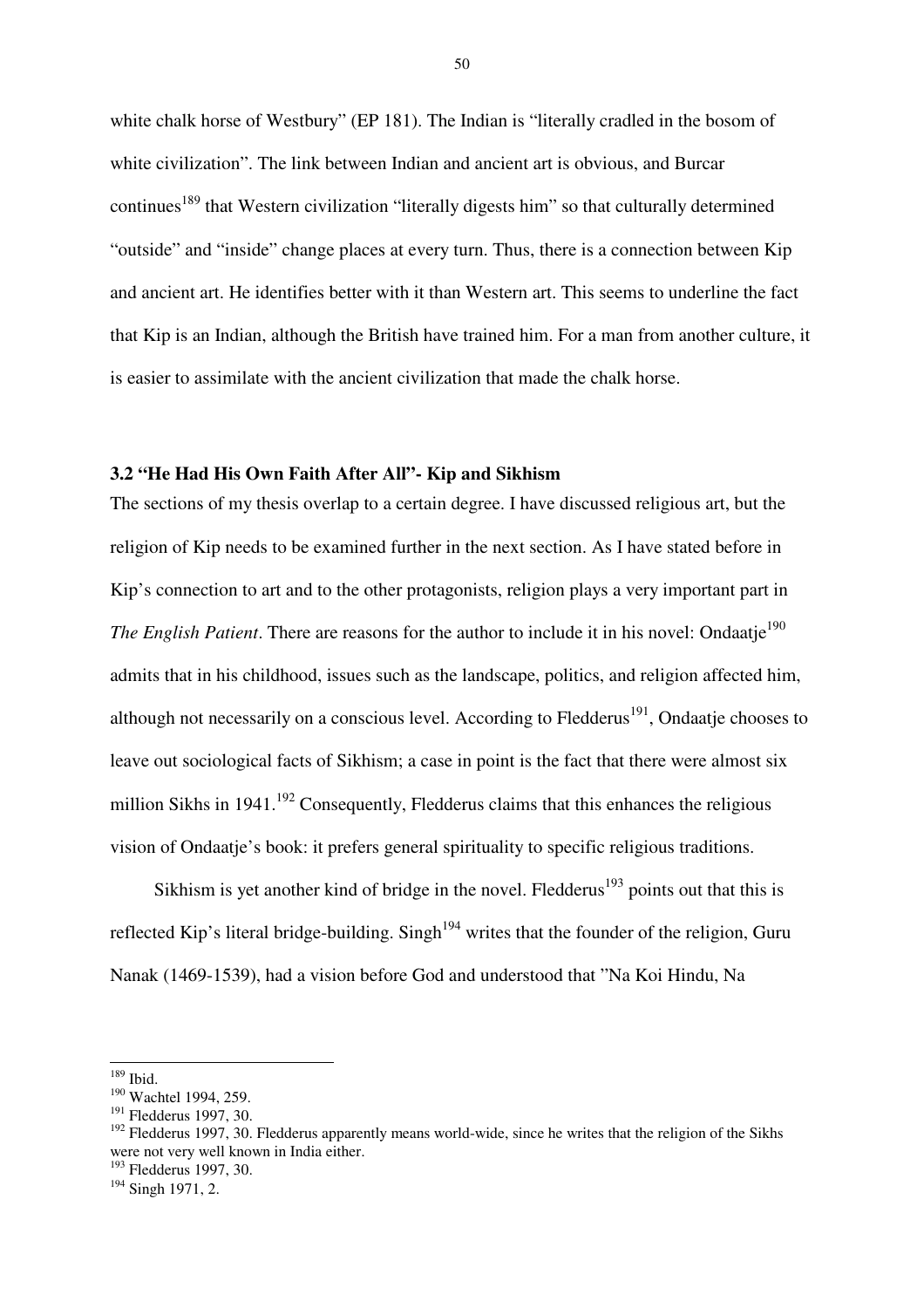white chalk horse of Westbury" (EP 181). The Indian is "literally cradled in the bosom of white civilization". The link between Indian and ancient art is obvious, and Burcar continues<sup>189</sup> that Western civilization "literally digests him" so that culturally determined "outside" and "inside" change places at every turn. Thus, there is a connection between Kip and ancient art. He identifies better with it than Western art. This seems to underline the fact that Kip is an Indian, although the British have trained him. For a man from another culture, it is easier to assimilate with the ancient civilization that made the chalk horse.

## **3.2 "He Had His Own Faith After All"- Kip and Sikhism**

The sections of my thesis overlap to a certain degree. I have discussed religious art, but the religion of Kip needs to be examined further in the next section. As I have stated before in Kip's connection to art and to the other protagonists, religion plays a very important part in *The English Patient*. There are reasons for the author to include it in his novel: Ondaatje<sup>190</sup> admits that in his childhood, issues such as the landscape, politics, and religion affected him, although not necessarily on a conscious level. According to Fledderus<sup>191</sup>, Ondaatje chooses to leave out sociological facts of Sikhism; a case in point is the fact that there were almost six million Sikhs in 1941.<sup>192</sup> Consequently, Fledderus claims that this enhances the religious vision of Ondaatje's book: it prefers general spirituality to specific religious traditions.

Sikhism is yet another kind of bridge in the novel. Fledderus<sup>193</sup> points out that this is reflected Kip's literal bridge-building. Singh<sup>194</sup> writes that the founder of the religion, Guru Nanak (1469-1539), had a vision before God and understood that "Na Koi Hindu, Na

<sup>189</sup> Ibid.

<sup>190</sup> Wachtel 1994, 259.

<sup>&</sup>lt;sup>191</sup> Fledderus 1997, 30.

<sup>&</sup>lt;sup>192</sup> Fledderus 1997, 30. Fledderus apparently means world-wide, since he writes that the religion of the Sikhs were not very well known in India either.

<sup>193</sup> Fledderus 1997, 30.

<sup>&</sup>lt;sup>194</sup> Singh 1971, 2.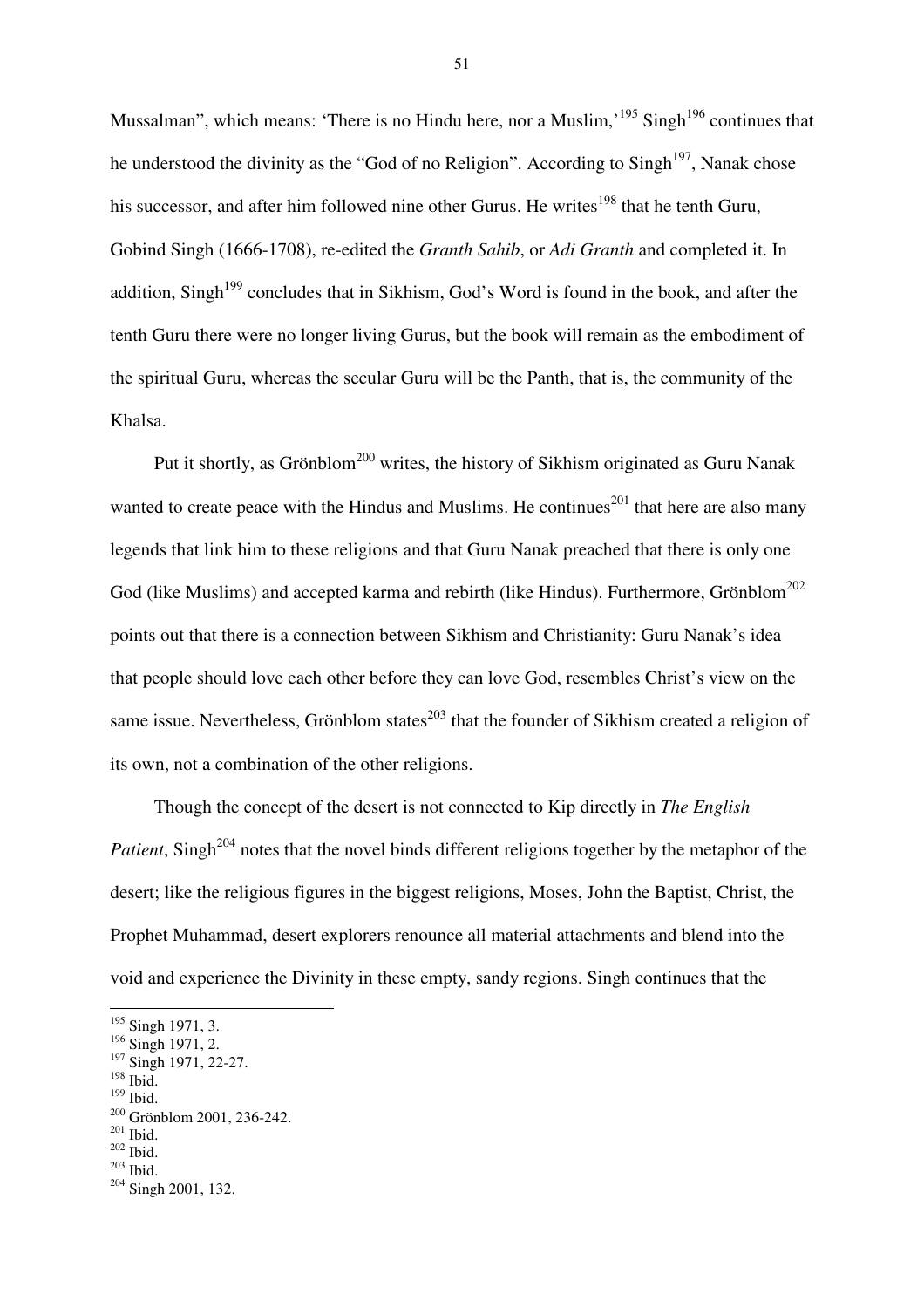Mussalman", which means: 'There is no Hindu here, nor a Muslim, $195$  Singh<sup>196</sup> continues that he understood the divinity as the "God of no Religion". According to  $\text{Sing}_{h}^{197}$ , Nanak chose his successor, and after him followed nine other Gurus. He writes<sup>198</sup> that he tenth Guru, Gobind Singh (1666-1708), re-edited the *Granth Sahib*, or *Adi Granth* and completed it. In addition, Singh<sup>199</sup> concludes that in Sikhism, God's Word is found in the book, and after the tenth Guru there were no longer living Gurus, but the book will remain as the embodiment of the spiritual Guru, whereas the secular Guru will be the Panth, that is, the community of the Khalsa.

Put it shortly, as Grönblom<sup>200</sup> writes, the history of Sikhism originated as Guru Nanak wanted to create peace with the Hindus and Muslims. He continues<sup>201</sup> that here are also many legends that link him to these religions and that Guru Nanak preached that there is only one God (like Muslims) and accepted karma and rebirth (like Hindus). Furthermore, Grönblom<sup>202</sup> points out that there is a connection between Sikhism and Christianity: Guru Nanak's idea that people should love each other before they can love God, resembles Christ's view on the same issue. Nevertheless, Grönblom states $^{203}$  that the founder of Sikhism created a religion of its own, not a combination of the other religions.

Though the concept of the desert is not connected to Kip directly in *The English Patient*, Singh<sup>204</sup> notes that the novel binds different religions together by the metaphor of the desert; like the religious figures in the biggest religions, Moses, John the Baptist, Christ, the Prophet Muhammad, desert explorers renounce all material attachments and blend into the void and experience the Divinity in these empty, sandy regions. Singh continues that the

 $\overline{a}$ 

 $199$  Ibid.

 $202$  Ibid.

<sup>&</sup>lt;sup>195</sup> Singh 1971, 3.

<sup>&</sup>lt;sup>196</sup> Singh 1971, 2.

<sup>&</sup>lt;sup>197</sup> Singh 1971, 22-27.

 $198$  Ibid.

<sup>200</sup> Grönblom 2001, 236-242.

<sup>201</sup> Ibid.

 $^{203}$  Ibid.

<sup>204</sup> Singh 2001, 132.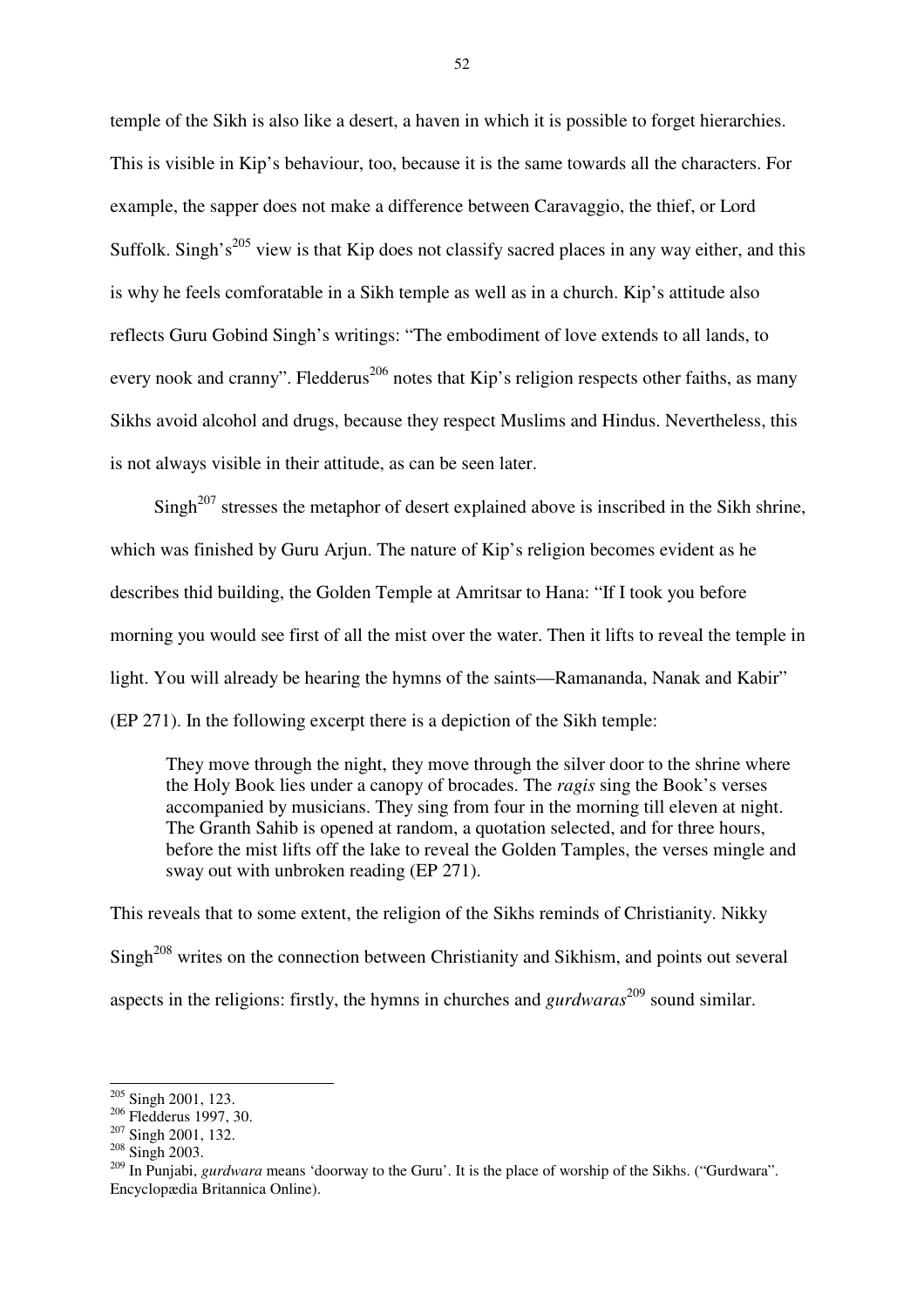temple of the Sikh is also like a desert, a haven in which it is possible to forget hierarchies. This is visible in Kip's behaviour, too, because it is the same towards all the characters. For example, the sapper does not make a difference between Caravaggio, the thief, or Lord Suffolk. Singh's<sup>205</sup> view is that Kip does not classify sacred places in any way either, and this is why he feels comforatable in a Sikh temple as well as in a church. Kip's attitude also reflects Guru Gobind Singh's writings: "The embodiment of love extends to all lands, to every nook and cranny". Fledderus<sup>206</sup> notes that Kip's religion respects other faiths, as many Sikhs avoid alcohol and drugs, because they respect Muslims and Hindus. Nevertheless, this is not always visible in their attitude, as can be seen later.

 $Sinph<sup>207</sup>$  stresses the metaphor of desert explained above is inscribed in the Sikh shrine, which was finished by Guru Arjun. The nature of Kip's religion becomes evident as he describes thid building, the Golden Temple at Amritsar to Hana: "If I took you before morning you would see first of all the mist over the water. Then it lifts to reveal the temple in light. You will already be hearing the hymns of the saints—Ramananda, Nanak and Kabir" (EP 271). In the following excerpt there is a depiction of the Sikh temple:

They move through the night, they move through the silver door to the shrine where the Holy Book lies under a canopy of brocades. The *ragis* sing the Book's verses accompanied by musicians. They sing from four in the morning till eleven at night. The Granth Sahib is opened at random, a quotation selected, and for three hours, before the mist lifts off the lake to reveal the Golden Tamples, the verses mingle and sway out with unbroken reading (EP 271).

This reveals that to some extent, the religion of the Sikhs reminds of Christianity. Nikky Singh<sup>208</sup> writes on the connection between Christianity and Sikhism, and points out several aspects in the religions: firstly, the hymns in churches and *gurdwaras*<sup>209</sup> sound similar.

<sup>&</sup>lt;sup>205</sup> Singh 2001, 123.

<sup>206</sup> Fledderus 1997, 30.

<sup>207</sup> Singh 2001, 132.

<sup>208</sup> Singh 2003.

<sup>&</sup>lt;sup>209</sup> In Punjabi, *gurdwara* means 'doorway to the Guru'. It is the place of worship of the Sikhs. ("Gurdwara". Encyclopædia Britannica Online).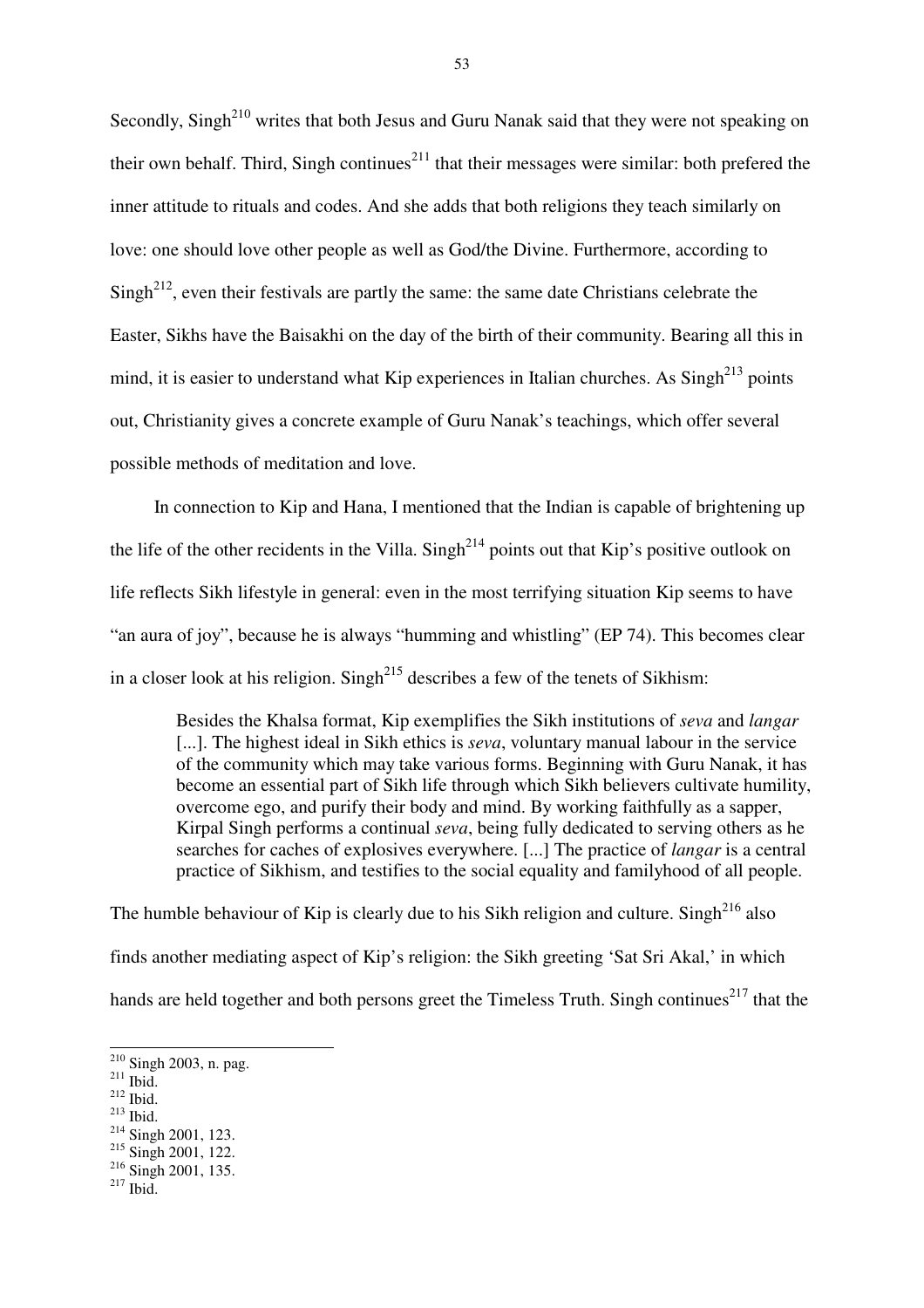Secondly,  $Singh<sup>210</sup>$  writes that both Jesus and Guru Nanak said that they were not speaking on their own behalf. Third, Singh continues<sup>211</sup> that their messages were similar: both prefered the inner attitude to rituals and codes. And she adds that both religions they teach similarly on love: one should love other people as well as God/the Divine. Furthermore, according to  $Sing<sup>212</sup>$ , even their festivals are partly the same: the same date Christians celebrate the Easter, Sikhs have the Baisakhi on the day of the birth of their community. Bearing all this in mind, it is easier to understand what Kip experiences in Italian churches. As  $\text{Singh}^{213}$  points out, Christianity gives a concrete example of Guru Nanak's teachings, which offer several possible methods of meditation and love.

In connection to Kip and Hana, I mentioned that the Indian is capable of brightening up the life of the other recidents in the Villa. Singh<sup>214</sup> points out that Kip's positive outlook on life reflects Sikh lifestyle in general: even in the most terrifying situation Kip seems to have "an aura of joy", because he is always "humming and whistling" (EP 74). This becomes clear in a closer look at his religion. Singh<sup> $215$ </sup> describes a few of the tenets of Sikhism:

Besides the Khalsa format, Kip exemplifies the Sikh institutions of *seva* and *langar*  [...]. The highest ideal in Sikh ethics is *seva*, voluntary manual labour in the service of the community which may take various forms. Beginning with Guru Nanak, it has become an essential part of Sikh life through which Sikh believers cultivate humility, overcome ego, and purify their body and mind. By working faithfully as a sapper, Kirpal Singh performs a continual *seva*, being fully dedicated to serving others as he searches for caches of explosives everywhere. [...] The practice of *langar* is a central practice of Sikhism, and testifies to the social equality and familyhood of all people.

The humble behaviour of Kip is clearly due to his Sikh religion and culture. Singh<sup>216</sup> also finds another mediating aspect of Kip's religion: the Sikh greeting 'Sat Sri Akal,' in which hands are held together and both persons greet the Timeless Truth. Singh continues<sup>217</sup> that the

 $\overline{a}$ 

- $212$  Ibid.
- $^{213}$  Ibid.

<sup>215</sup> Singh 2001, 122.

 $217$  Ibid.

 $2^{210}$  Singh 2003, n. pag.

 $^{211}$  Ibid.

<sup>214</sup> Singh 2001, 123.

<sup>&</sup>lt;sup>216</sup> Singh 2001, 135.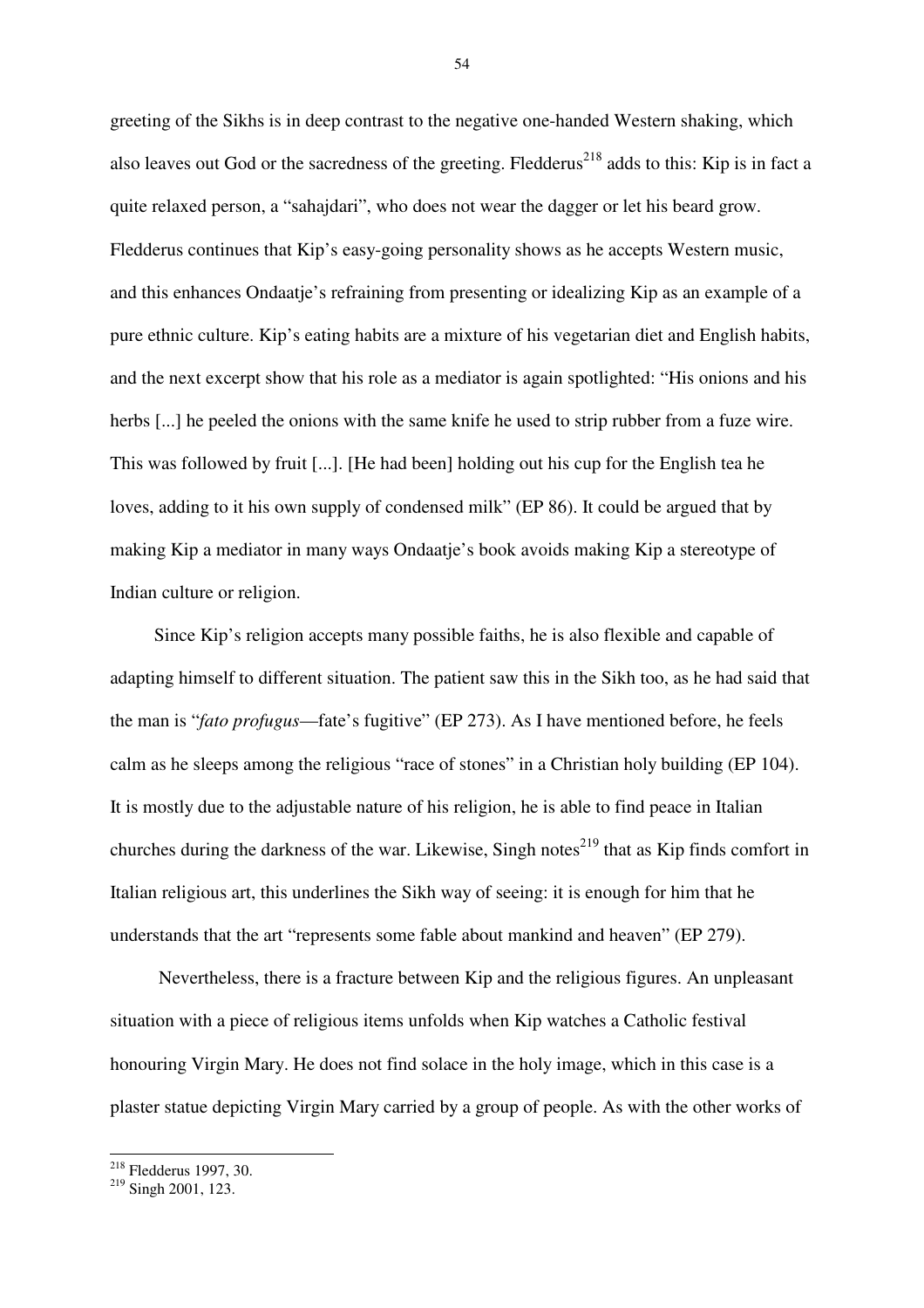greeting of the Sikhs is in deep contrast to the negative one-handed Western shaking, which also leaves out God or the sacredness of the greeting. Fledderus<sup>218</sup> adds to this: Kip is in fact a quite relaxed person, a "sahajdari", who does not wear the dagger or let his beard grow. Fledderus continues that Kip's easy-going personality shows as he accepts Western music, and this enhances Ondaatje's refraining from presenting or idealizing Kip as an example of a pure ethnic culture. Kip's eating habits are a mixture of his vegetarian diet and English habits, and the next excerpt show that his role as a mediator is again spotlighted: "His onions and his herbs [...] he peeled the onions with the same knife he used to strip rubber from a fuze wire. This was followed by fruit [...]. [He had been] holding out his cup for the English tea he loves, adding to it his own supply of condensed milk" (EP 86). It could be argued that by making Kip a mediator in many ways Ondaatje's book avoids making Kip a stereotype of Indian culture or religion.

Since Kip's religion accepts many possible faiths, he is also flexible and capable of adapting himself to different situation. The patient saw this in the Sikh too, as he had said that the man is "*fato profugus*—fate's fugitive" (EP 273). As I have mentioned before, he feels calm as he sleeps among the religious "race of stones" in a Christian holy building (EP 104). It is mostly due to the adjustable nature of his religion, he is able to find peace in Italian churches during the darkness of the war. Likewise, Singh notes<sup>219</sup> that as Kip finds comfort in Italian religious art, this underlines the Sikh way of seeing: it is enough for him that he understands that the art "represents some fable about mankind and heaven" (EP 279).

 Nevertheless, there is a fracture between Kip and the religious figures. An unpleasant situation with a piece of religious items unfolds when Kip watches a Catholic festival honouring Virgin Mary. He does not find solace in the holy image, which in this case is a plaster statue depicting Virgin Mary carried by a group of people. As with the other works of

 $\overline{a}$ <sup>218</sup> Fledderus 1997, 30.

<sup>&</sup>lt;sup>219</sup> Singh 2001, 123.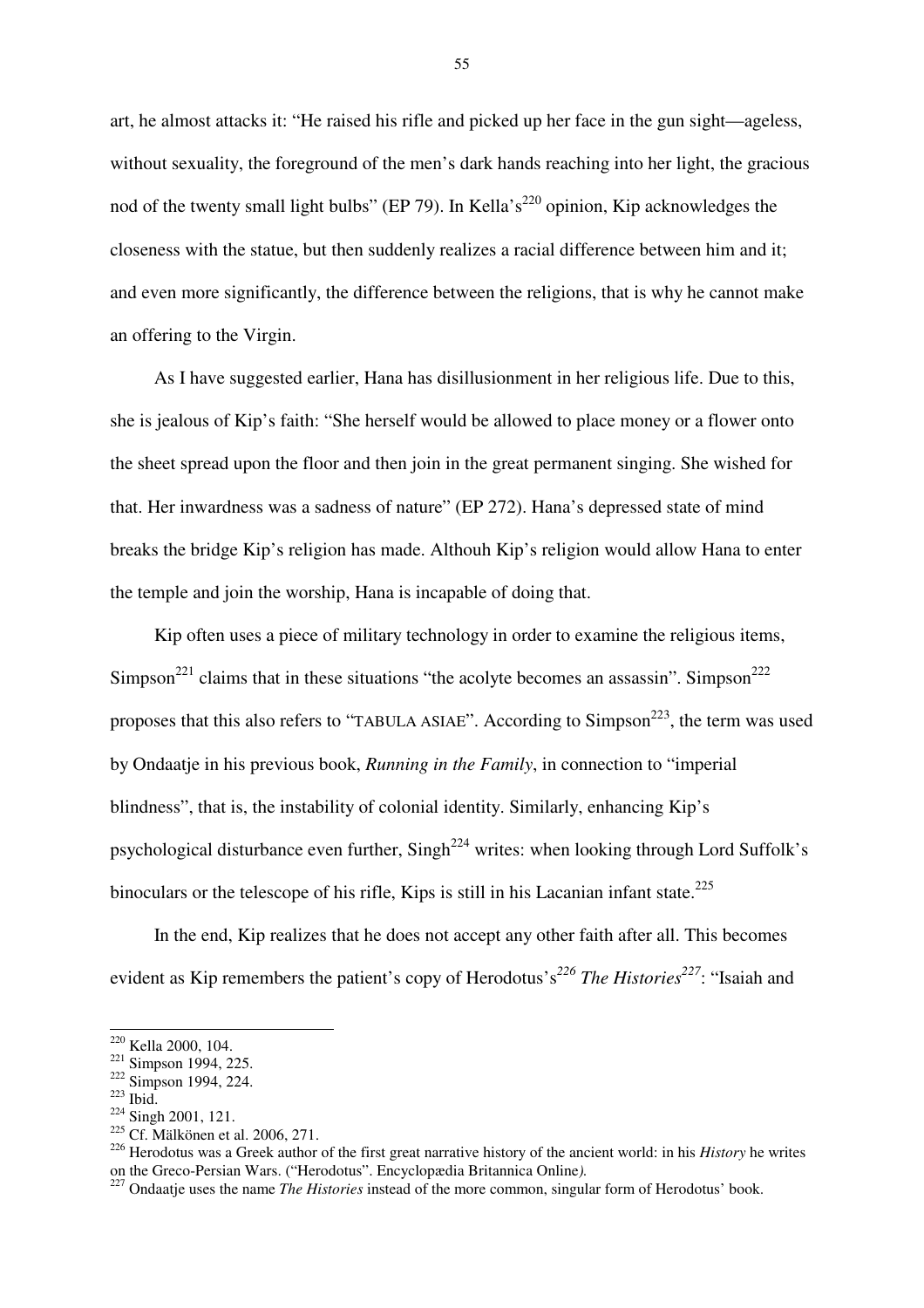art, he almost attacks it: "He raised his rifle and picked up her face in the gun sight—ageless, without sexuality, the foreground of the men's dark hands reaching into her light, the gracious nod of the twenty small light bulbs" (EP 79). In Kella's<sup>220</sup> opinion, Kip acknowledges the closeness with the statue, but then suddenly realizes a racial difference between him and it; and even more significantly, the difference between the religions, that is why he cannot make an offering to the Virgin.

As I have suggested earlier, Hana has disillusionment in her religious life. Due to this, she is jealous of Kip's faith: "She herself would be allowed to place money or a flower onto the sheet spread upon the floor and then join in the great permanent singing. She wished for that. Her inwardness was a sadness of nature" (EP 272). Hana's depressed state of mind breaks the bridge Kip's religion has made. Althouh Kip's religion would allow Hana to enter the temple and join the worship, Hana is incapable of doing that.

Kip often uses a piece of military technology in order to examine the religious items, Simpson<sup>221</sup> claims that in these situations "the acolyte becomes an assassin". Simpson<sup>222</sup> proposes that this also refers to "TABULA ASIAE". According to Simpson<sup>223</sup>, the term was used by Ondaatje in his previous book, *Running in the Family*, in connection to "imperial blindness", that is, the instability of colonial identity. Similarly, enhancing Kip's psychological disturbance even further, Singh<sup>224</sup> writes: when looking through Lord Suffolk's binoculars or the telescope of his rifle, Kips is still in his Lacanian infant state.<sup>225</sup>

In the end, Kip realizes that he does not accept any other faith after all. This becomes evident as Kip remembers the patient's copy of Herodotus's*<sup>226</sup> The Histories<sup>227</sup>*: "Isaiah and

 $\overline{a}$ 

<sup>226</sup> Herodotus was a Greek author of the first great narrative history of the ancient world: in his *History* he writes on the Greco-Persian Wars. ("Herodotus". Encyclopædia Britannica Online*).*

<sup>220</sup> Kella 2000, 104.

<sup>221</sup> Simpson 1994, 225.

 $222 \overline{\text{Simpson}}$  1994, 224.

 $223$  Ibid.

<sup>&</sup>lt;sup>224</sup> Singh 2001, 121.

<sup>&</sup>lt;sup>225</sup> Cf. Mälkönen et al. 2006, 271.

<sup>&</sup>lt;sup>227</sup> Ondaatje uses the name *The Histories* instead of the more common, singular form of Herodotus' book.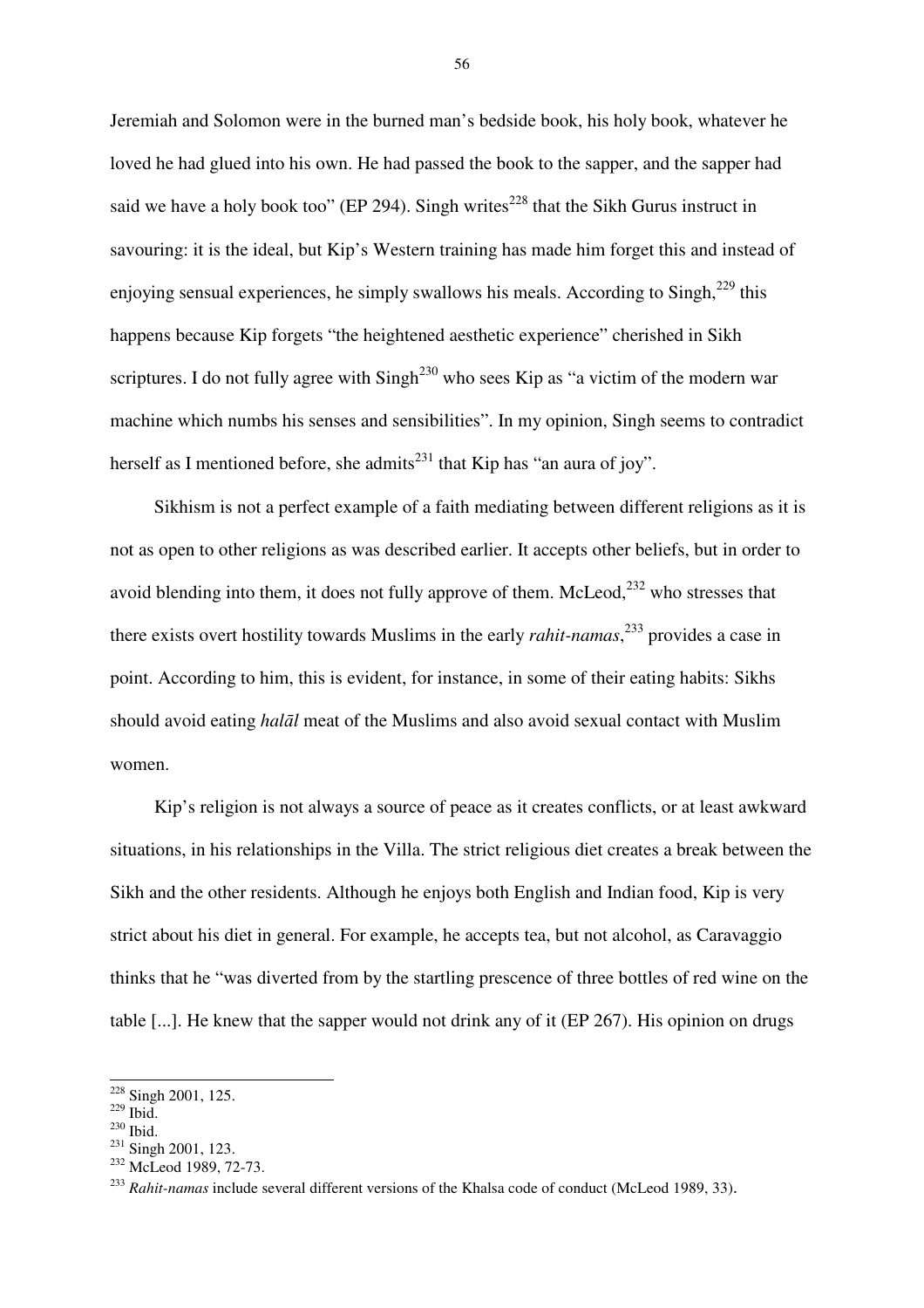Jeremiah and Solomon were in the burned man's bedside book, his holy book, whatever he loved he had glued into his own. He had passed the book to the sapper, and the sapper had said we have a holy book too" (EP 294). Singh writes<sup>228</sup> that the Sikh Gurus instruct in savouring: it is the ideal, but Kip's Western training has made him forget this and instead of enjoying sensual experiences, he simply swallows his meals. According to  $\text{Singh}^{229}$  this happens because Kip forgets "the heightened aesthetic experience" cherished in Sikh scriptures. I do not fully agree with Singh<sup>230</sup> who sees Kip as "a victim of the modern war machine which numbs his senses and sensibilities". In my opinion, Singh seems to contradict herself as I mentioned before, she admits<sup>231</sup> that Kip has "an aura of joy".

Sikhism is not a perfect example of a faith mediating between different religions as it is not as open to other religions as was described earlier. It accepts other beliefs, but in order to avoid blending into them, it does not fully approve of them. McLeod, $^{232}$  who stresses that there exists overt hostility towards Muslims in the early *rahit-namas*, <sup>233</sup> provides a case in point. According to him, this is evident, for instance, in some of their eating habits: Sikhs should avoid eating *hal*ā*l* meat of the Muslims and also avoid sexual contact with Muslim women.

Kip's religion is not always a source of peace as it creates conflicts, or at least awkward situations, in his relationships in the Villa. The strict religious diet creates a break between the Sikh and the other residents. Although he enjoys both English and Indian food, Kip is very strict about his diet in general. For example, he accepts tea, but not alcohol, as Caravaggio thinks that he "was diverted from by the startling prescence of three bottles of red wine on the table [...]. He knew that the sapper would not drink any of it (EP 267). His opinion on drugs

 $\overline{a}$ 

 $228$  Singh 2001, 125.

 $229$  Ibid.

<sup>230</sup> Ibid.

<sup>231</sup> Singh 2001, 123.

<sup>&</sup>lt;sup>232</sup> McLeod 1989, 72-73.

<sup>233</sup> *Rahit-namas* include several different versions of the Khalsa code of conduct (McLeod 1989, 33).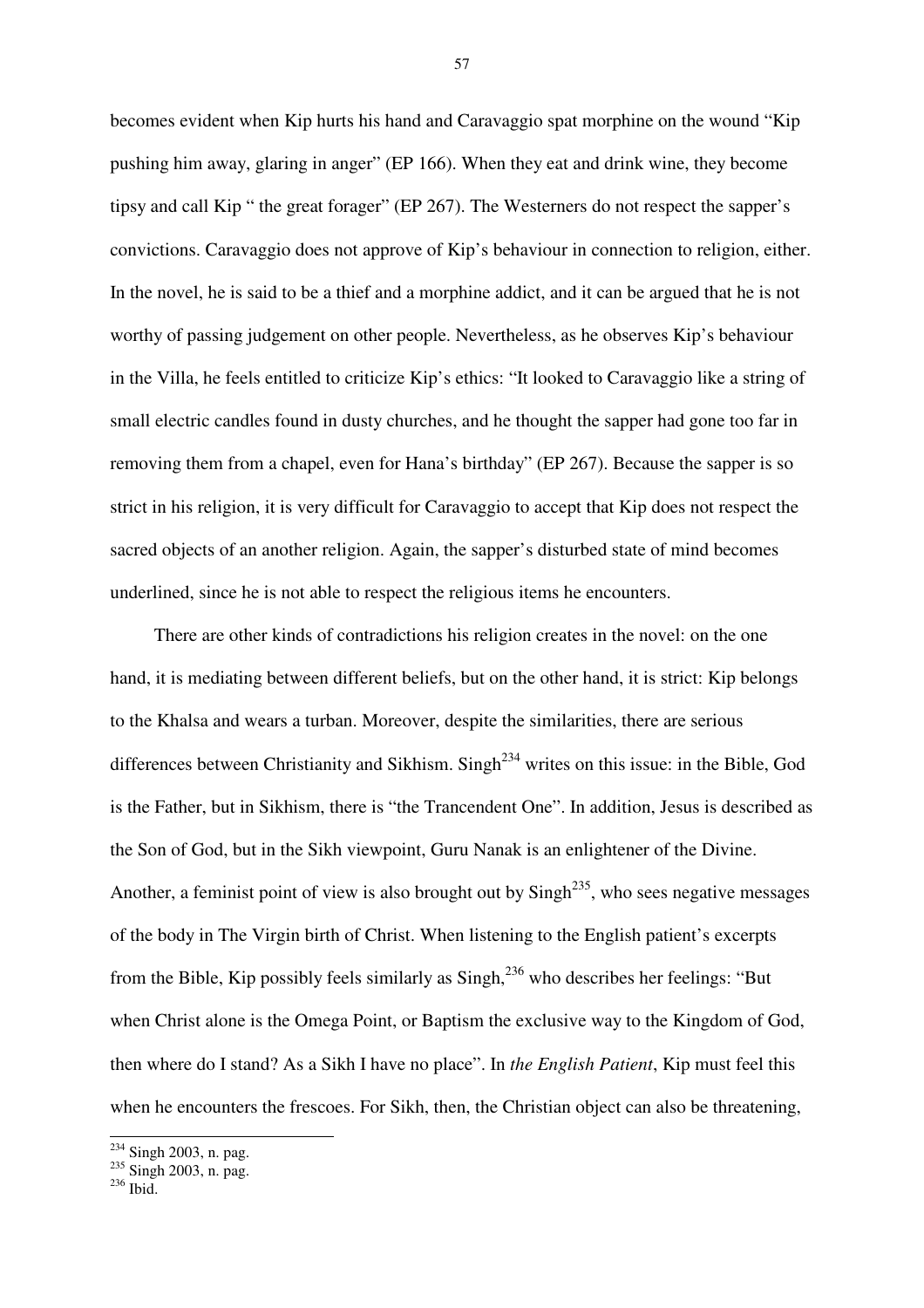becomes evident when Kip hurts his hand and Caravaggio spat morphine on the wound "Kip pushing him away, glaring in anger" (EP 166). When they eat and drink wine, they become tipsy and call Kip " the great forager" (EP 267). The Westerners do not respect the sapper's convictions. Caravaggio does not approve of Kip's behaviour in connection to religion, either. In the novel, he is said to be a thief and a morphine addict, and it can be argued that he is not worthy of passing judgement on other people. Nevertheless, as he observes Kip's behaviour in the Villa, he feels entitled to criticize Kip's ethics: "It looked to Caravaggio like a string of small electric candles found in dusty churches, and he thought the sapper had gone too far in removing them from a chapel, even for Hana's birthday" (EP 267). Because the sapper is so strict in his religion, it is very difficult for Caravaggio to accept that Kip does not respect the sacred objects of an another religion. Again, the sapper's disturbed state of mind becomes underlined, since he is not able to respect the religious items he encounters.

There are other kinds of contradictions his religion creates in the novel: on the one hand, it is mediating between different beliefs, but on the other hand, it is strict: Kip belongs to the Khalsa and wears a turban. Moreover, despite the similarities, there are serious differences between Christianity and Sikhism. Singh<sup>234</sup> writes on this issue: in the Bible, God is the Father, but in Sikhism, there is "the Trancendent One". In addition, Jesus is described as the Son of God, but in the Sikh viewpoint, Guru Nanak is an enlightener of the Divine. Another, a feminist point of view is also brought out by  $\text{Sing}^{235}$ , who sees negative messages of the body in The Virgin birth of Christ. When listening to the English patient's excerpts from the Bible, Kip possibly feels similarly as  $S$ ingh,<sup>236</sup> who describes her feelings: "But when Christ alone is the Omega Point, or Baptism the exclusive way to the Kingdom of God, then where do I stand? As a Sikh I have no place". In *the English Patient*, Kip must feel this when he encounters the frescoes. For Sikh, then, the Christian object can also be threatening,

 $\overline{a}$ 

<sup>&</sup>lt;sup>234</sup> Singh 2003, n. pag.

<sup>&</sup>lt;sup>235</sup> Singh 2003, n. pag.

 $236$  Ibid.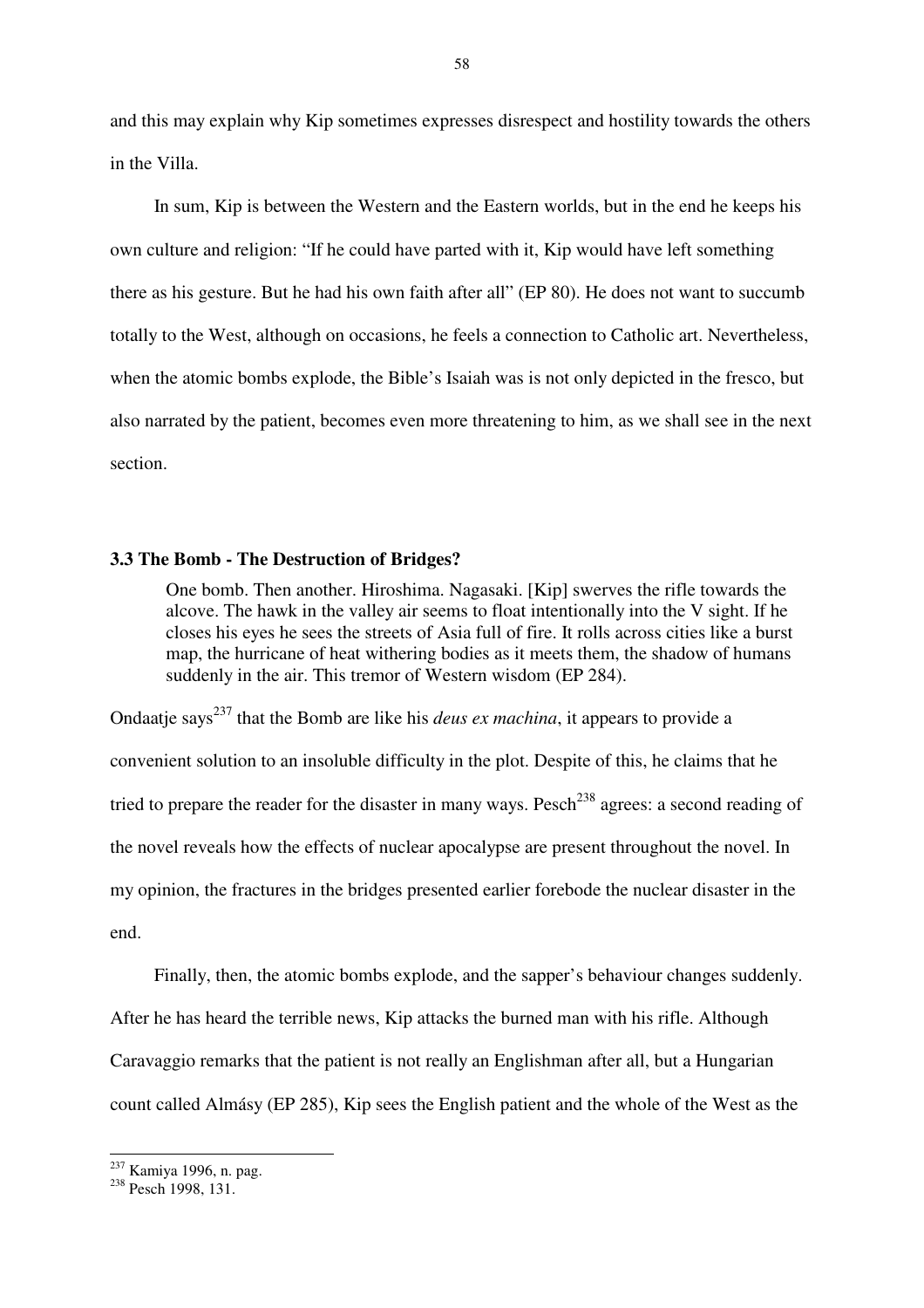and this may explain why Kip sometimes expresses disrespect and hostility towards the others in the Villa.

In sum, Kip is between the Western and the Eastern worlds, but in the end he keeps his own culture and religion: "If he could have parted with it, Kip would have left something there as his gesture. But he had his own faith after all" (EP 80). He does not want to succumb totally to the West, although on occasions, he feels a connection to Catholic art. Nevertheless, when the atomic bombs explode, the Bible's Isaiah was is not only depicted in the fresco, but also narrated by the patient, becomes even more threatening to him, as we shall see in the next section.

#### **3.3 The Bomb - The Destruction of Bridges?**

One bomb. Then another. Hiroshima. Nagasaki. [Kip] swerves the rifle towards the alcove. The hawk in the valley air seems to float intentionally into the V sight. If he closes his eyes he sees the streets of Asia full of fire. It rolls across cities like a burst map, the hurricane of heat withering bodies as it meets them, the shadow of humans suddenly in the air. This tremor of Western wisdom (EP 284).

Ondaatie says<sup>237</sup> that the Bomb are like his *deus ex machina*, it appears to provide a convenient solution to an insoluble difficulty in the plot. Despite of this, he claims that he tried to prepare the reader for the disaster in many ways. Pesch<sup>238</sup> agrees: a second reading of the novel reveals how the effects of nuclear apocalypse are present throughout the novel. In my opinion, the fractures in the bridges presented earlier forebode the nuclear disaster in the end.

Finally, then, the atomic bombs explode, and the sapper's behaviour changes suddenly. After he has heard the terrible news, Kip attacks the burned man with his rifle. Although Caravaggio remarks that the patient is not really an Englishman after all, but a Hungarian count called Almásy (EP 285), Kip sees the English patient and the whole of the West as the

 $\overline{a}$ <sup>237</sup> Kamiya 1996, n. pag.

<sup>&</sup>lt;sup>238</sup> Pesch 1998, 131<sup>1</sup>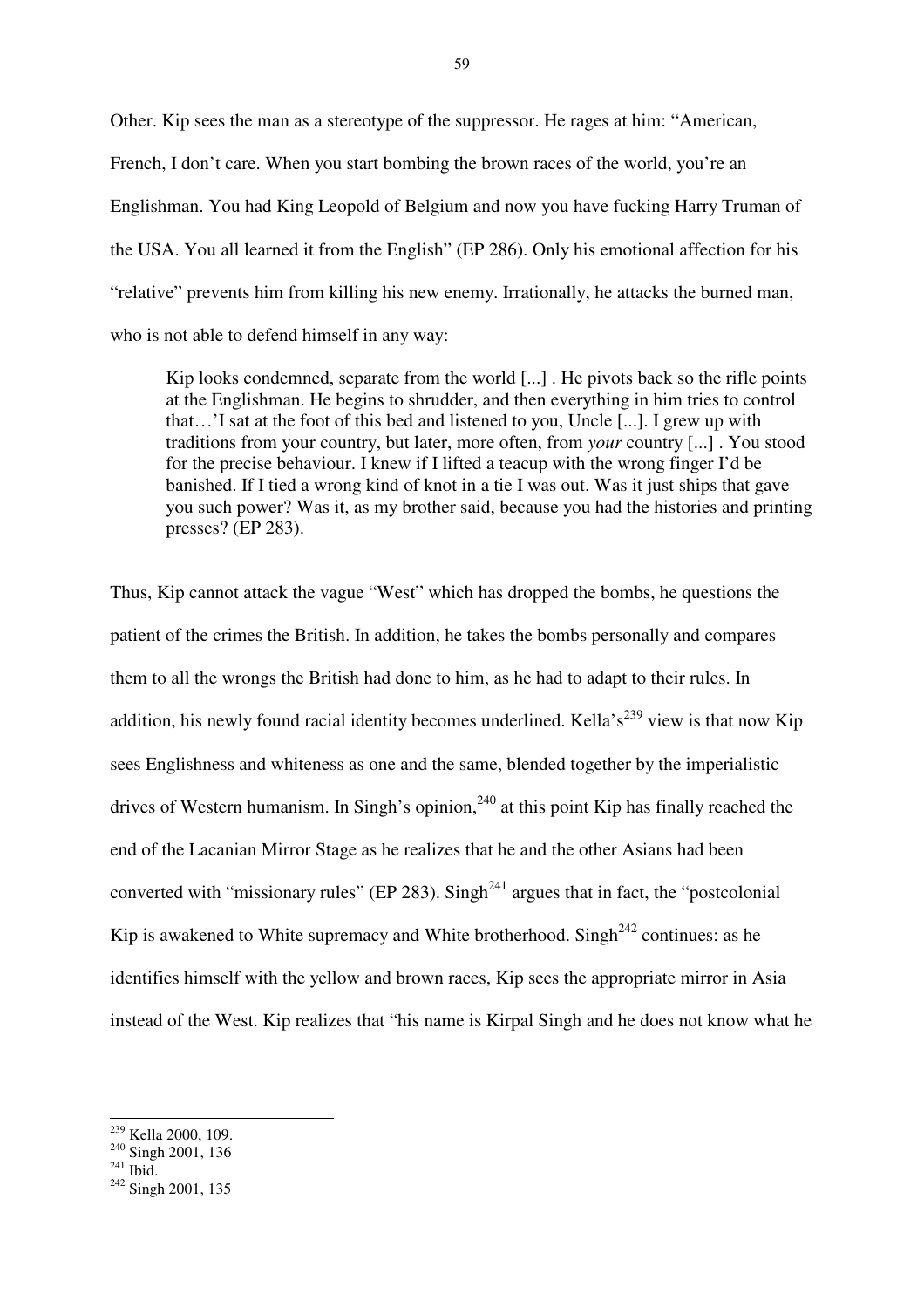Other. Kip sees the man as a stereotype of the suppressor. He rages at him: "American, French, I don't care. When you start bombing the brown races of the world, you're an Englishman. You had King Leopold of Belgium and now you have fucking Harry Truman of the USA. You all learned it from the English" (EP 286). Only his emotional affection for his "relative" prevents him from killing his new enemy. Irrationally, he attacks the burned man, who is not able to defend himself in any way:

Kip looks condemned, separate from the world [...]. He pivots back so the rifle points at the Englishman. He begins to shrudder, and then everything in him tries to control that…'I sat at the foot of this bed and listened to you, Uncle [...]. I grew up with traditions from your country, but later, more often, from *your* country [...] . You stood for the precise behaviour. I knew if I lifted a teacup with the wrong finger I'd be banished. If I tied a wrong kind of knot in a tie I was out. Was it just ships that gave you such power? Was it, as my brother said, because you had the histories and printing presses? (EP 283).

Thus, Kip cannot attack the vague "West" which has dropped the bombs, he questions the patient of the crimes the British. In addition, he takes the bombs personally and compares them to all the wrongs the British had done to him, as he had to adapt to their rules. In addition, his newly found racial identity becomes underlined. Kella's<sup>239</sup> view is that now Kip sees Englishness and whiteness as one and the same, blended together by the imperialistic drives of Western humanism. In Singh's opinion,  $240$  at this point Kip has finally reached the end of the Lacanian Mirror Stage as he realizes that he and the other Asians had been converted with "missionary rules" (EP 283). Singh<sup>241</sup> argues that in fact, the "postcolonial" Kip is awakened to White supremacy and White brotherhood. Singh<sup>242</sup> continues: as he identifies himself with the yellow and brown races, Kip sees the appropriate mirror in Asia instead of the West. Kip realizes that "his name is Kirpal Singh and he does not know what he

<sup>&</sup>lt;sup>239</sup> Kella 2000, 109.

<sup>&</sup>lt;sup>240</sup> Singh 2001, 136

 $^{241}$  Ibid.

<sup>&</sup>lt;sup>242</sup> Singh 2001, 135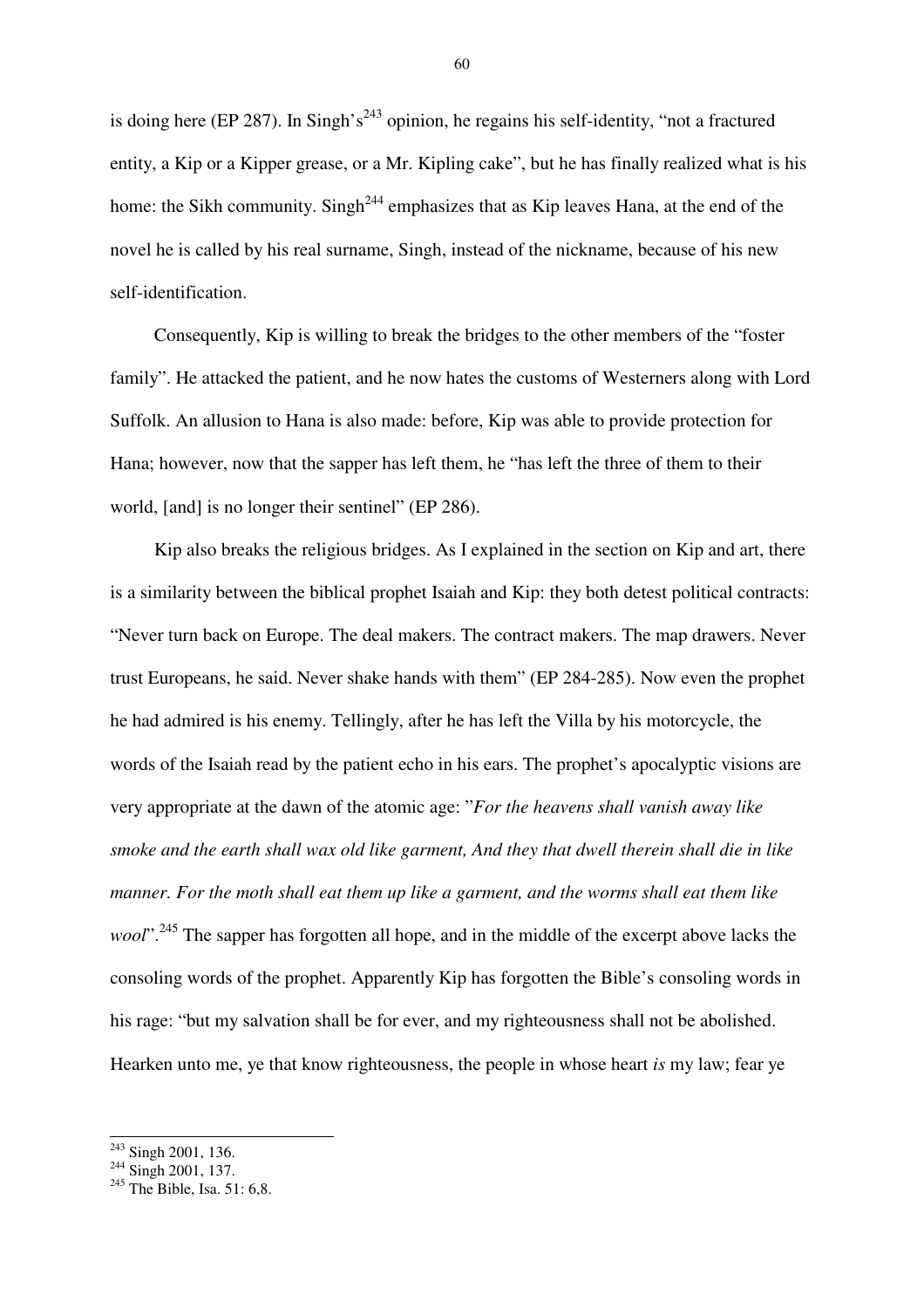is doing here (EP 287). In Singh's<sup>243</sup> opinion, he regains his self-identity, "not a fractured entity, a Kip or a Kipper grease, or a Mr. Kipling cake", but he has finally realized what is his home: the Sikh community. Singh<sup>244</sup> emphasizes that as Kip leaves Hana, at the end of the novel he is called by his real surname, Singh, instead of the nickname, because of his new self-identification.

Consequently, Kip is willing to break the bridges to the other members of the "foster family". He attacked the patient, and he now hates the customs of Westerners along with Lord Suffolk. An allusion to Hana is also made: before, Kip was able to provide protection for Hana; however, now that the sapper has left them, he "has left the three of them to their world, [and] is no longer their sentinel" (EP 286).

Kip also breaks the religious bridges. As I explained in the section on Kip and art, there is a similarity between the biblical prophet Isaiah and Kip: they both detest political contracts: "Never turn back on Europe. The deal makers. The contract makers. The map drawers. Never trust Europeans, he said. Never shake hands with them" (EP 284-285). Now even the prophet he had admired is his enemy. Tellingly, after he has left the Villa by his motorcycle, the words of the Isaiah read by the patient echo in his ears. The prophet's apocalyptic visions are very appropriate at the dawn of the atomic age: "*For the heavens shall vanish away like smoke and the earth shall wax old like garment, And they that dwell therein shall die in like manner. For the moth shall eat them up like a garment, and the worms shall eat them like wool*".<sup>245</sup> The sapper has forgotten all hope, and in the middle of the excerpt above lacks the consoling words of the prophet. Apparently Kip has forgotten the Bible's consoling words in his rage: "but my salvation shall be for ever, and my righteousness shall not be abolished. Hearken unto me, ye that know righteousness, the people in whose heart *is* my law; fear ye

<sup>&</sup>lt;sup>243</sup> Singh 2001, 136.

<sup>&</sup>lt;sup>244</sup> Singh 2001, 137.

 $245$  The Bible, Isa. 51: 6,8.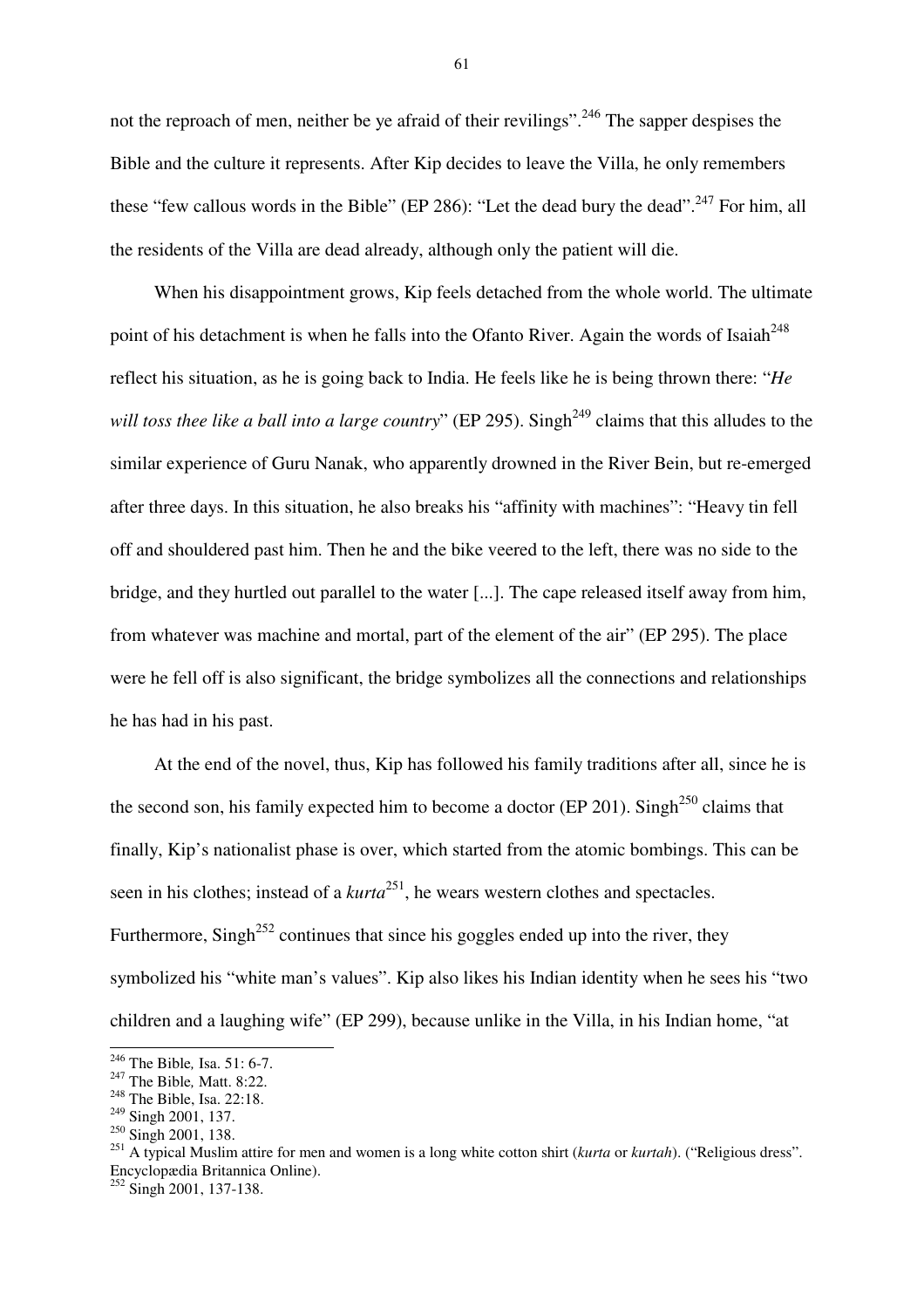not the reproach of men, neither be ye afraid of their revilings".<sup>246</sup> The sapper despises the Bible and the culture it represents. After Kip decides to leave the Villa, he only remembers these "few callous words in the Bible" (EP 286): "Let the dead bury the dead".<sup>247</sup> For him, all the residents of the Villa are dead already, although only the patient will die.

When his disappointment grows, Kip feels detached from the whole world. The ultimate point of his detachment is when he falls into the Ofanto River. Again the words of Isaiah<sup> $^{248}$ </sup> reflect his situation, as he is going back to India. He feels like he is being thrown there: "*He will toss thee like a ball into a large country*" (EP 295). Singh<sup>249</sup> claims that this alludes to the similar experience of Guru Nanak, who apparently drowned in the River Bein, but re-emerged after three days. In this situation, he also breaks his "affinity with machines": "Heavy tin fell off and shouldered past him. Then he and the bike veered to the left, there was no side to the bridge, and they hurtled out parallel to the water [...]. The cape released itself away from him, from whatever was machine and mortal, part of the element of the air" (EP 295). The place were he fell off is also significant, the bridge symbolizes all the connections and relationships he has had in his past.

At the end of the novel, thus, Kip has followed his family traditions after all, since he is the second son, his family expected him to become a doctor (EP 201). Singh<sup>250</sup> claims that finally, Kip's nationalist phase is over, which started from the atomic bombings. This can be seen in his clothes; instead of a *kurta*<sup>251</sup>, he wears western clothes and spectacles. Furthermore, Singh<sup>252</sup> continues that since his goggles ended up into the river, they symbolized his "white man's values". Kip also likes his Indian identity when he sees his "two children and a laughing wife" (EP 299), because unlike in the Villa, in his Indian home, "at

 $\overline{a}$ 

<sup>246</sup> The Bible*,* Isa. 51: 6-7.

<sup>247</sup> The Bible*,* Matt. 8:22.

<sup>&</sup>lt;sup>248</sup> The Bible, Isa. 22:18.

<sup>&</sup>lt;sup>249</sup> Singh 2001, 137.

<sup>250</sup> Singh 2001, 138.

<sup>251</sup> A typical Muslim attire for men and women is a long white cotton shirt (*kurta* or *kurtah*). ("Religious dress". Encyclopædia Britannica Online).

 $252$  Singh 2001, 137-138.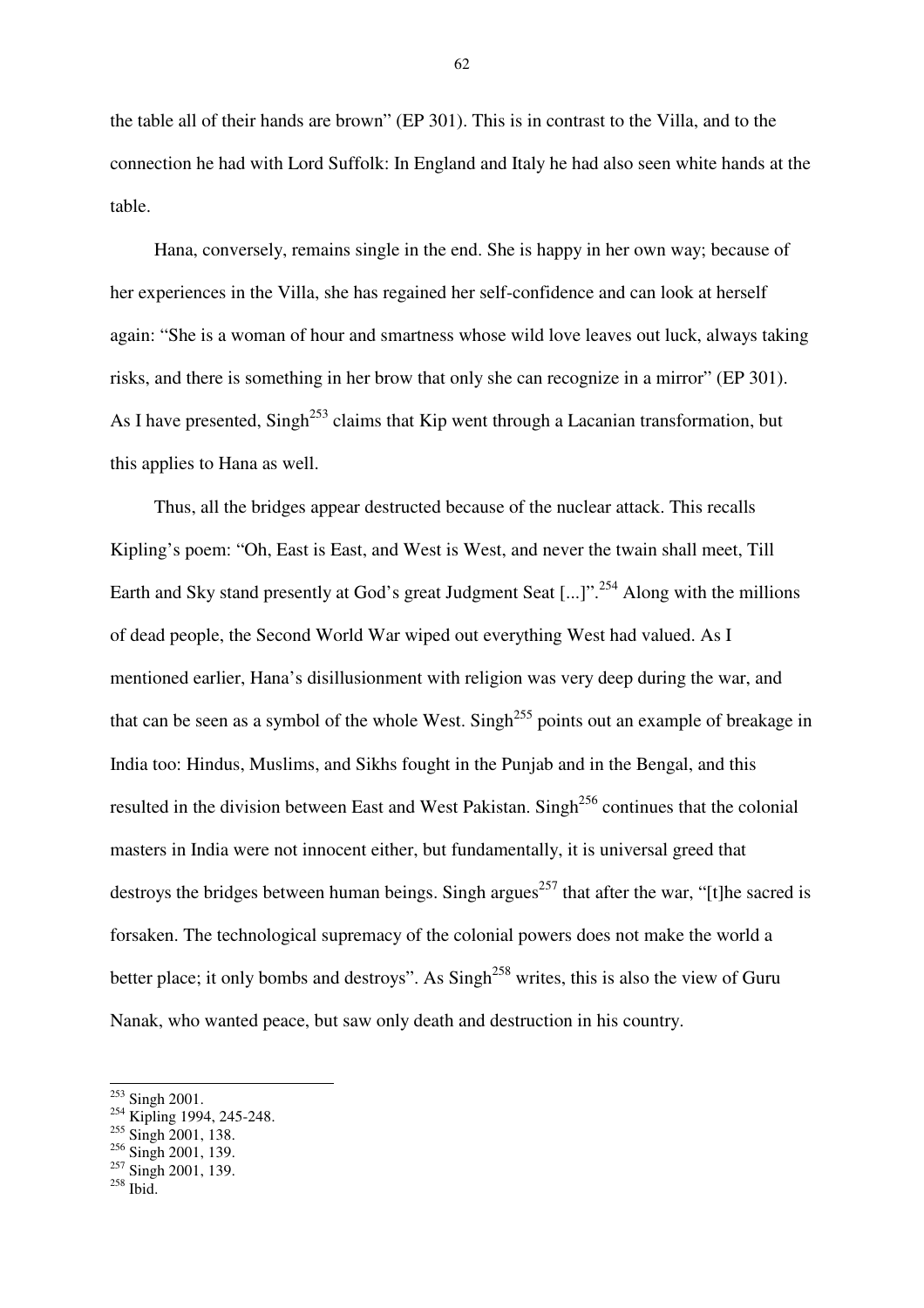the table all of their hands are brown" (EP 301). This is in contrast to the Villa, and to the connection he had with Lord Suffolk: In England and Italy he had also seen white hands at the table.

Hana, conversely, remains single in the end. She is happy in her own way; because of her experiences in the Villa, she has regained her self-confidence and can look at herself again: "She is a woman of hour and smartness whose wild love leaves out luck, always taking risks, and there is something in her brow that only she can recognize in a mirror" (EP 301). As I have presented, Singh<sup>253</sup> claims that Kip went through a Lacanian transformation, but this applies to Hana as well.

Thus, all the bridges appear destructed because of the nuclear attack. This recalls Kipling's poem: "Oh, East is East, and West is West, and never the twain shall meet, Till Earth and Sky stand presently at God's great Judgment Seat [...]".<sup>254</sup> Along with the millions of dead people, the Second World War wiped out everything West had valued. As I mentioned earlier, Hana's disillusionment with religion was very deep during the war, and that can be seen as a symbol of the whole West. Singh<sup>255</sup> points out an example of breakage in India too: Hindus, Muslims, and Sikhs fought in the Punjab and in the Bengal, and this resulted in the division between East and West Pakistan. Singh<sup>256</sup> continues that the colonial masters in India were not innocent either, but fundamentally, it is universal greed that destroys the bridges between human beings. Singh argues<sup>257</sup> that after the war, "[t]he sacred is forsaken. The technological supremacy of the colonial powers does not make the world a better place; it only bombs and destroys". As  $\text{Sing}^{258}$  writes, this is also the view of Guru Nanak, who wanted peace, but saw only death and destruction in his country.

 $253$  Singh 2001.

 $254$  Kipling 1994, 245-248.

<sup>&</sup>lt;sup>255</sup> Singh 2001, 138.

 $^{256}$  Singh 2001, 139.

 $^{257}$  Singh 2001, 139.

 $258$  Ibid.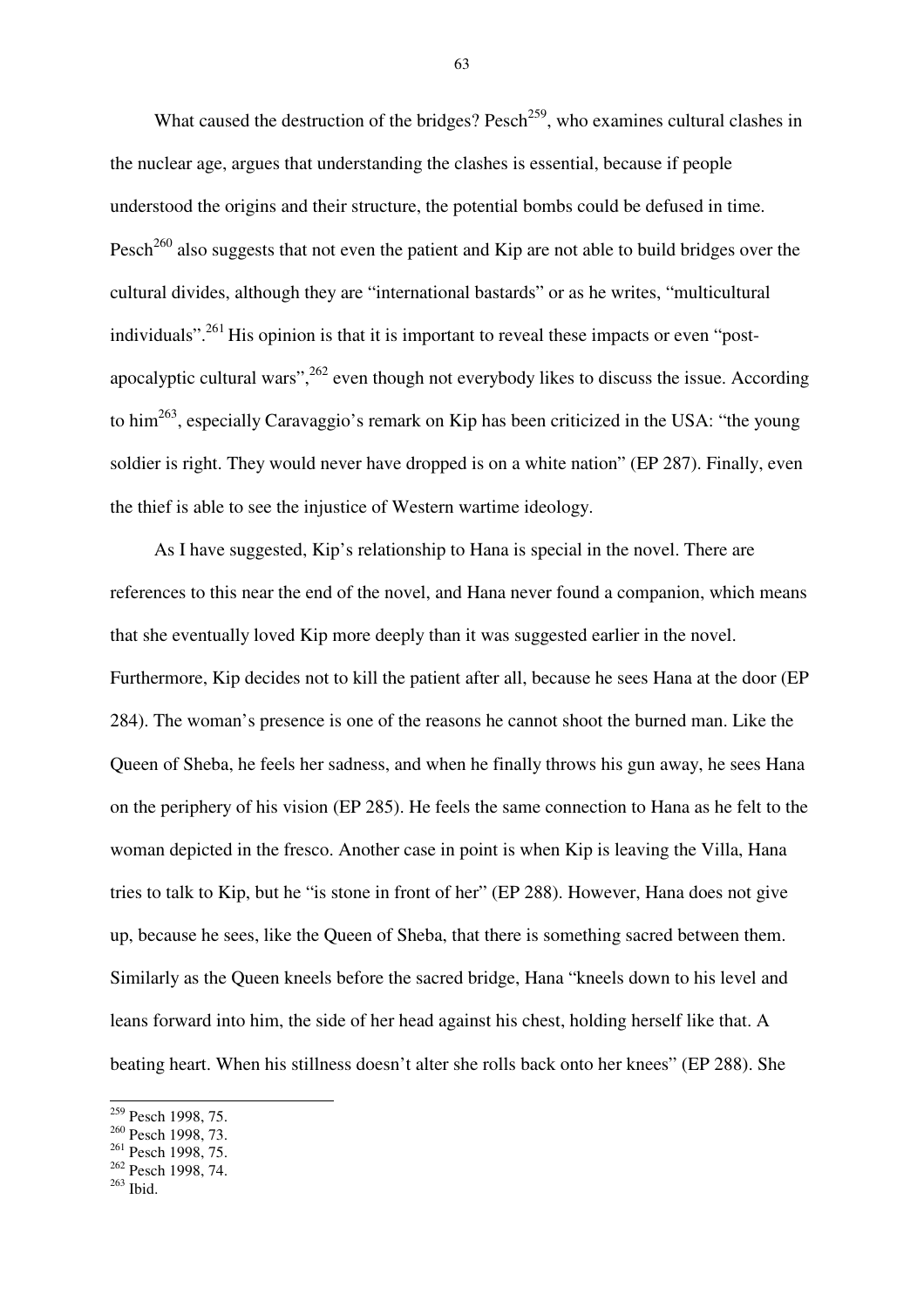What caused the destruction of the bridges? Pesch<sup>259</sup>, who examines cultural clashes in the nuclear age, argues that understanding the clashes is essential, because if people understood the origins and their structure, the potential bombs could be defused in time. Pesch<sup>260</sup> also suggests that not even the patient and Kip are not able to build bridges over the cultural divides, although they are "international bastards" or as he writes, "multicultural individuals".<sup>261</sup> His opinion is that it is important to reveal these impacts or even "postapocalyptic cultural wars",  $262$  even though not everybody likes to discuss the issue. According to him<sup>263</sup>, especially Caravaggio's remark on Kip has been criticized in the USA: "the young soldier is right. They would never have dropped is on a white nation" (EP 287). Finally, even the thief is able to see the injustice of Western wartime ideology.

As I have suggested, Kip's relationship to Hana is special in the novel. There are references to this near the end of the novel, and Hana never found a companion, which means that she eventually loved Kip more deeply than it was suggested earlier in the novel. Furthermore, Kip decides not to kill the patient after all, because he sees Hana at the door (EP 284). The woman's presence is one of the reasons he cannot shoot the burned man. Like the Queen of Sheba, he feels her sadness, and when he finally throws his gun away, he sees Hana on the periphery of his vision (EP 285). He feels the same connection to Hana as he felt to the woman depicted in the fresco. Another case in point is when Kip is leaving the Villa, Hana tries to talk to Kip, but he "is stone in front of her" (EP 288). However, Hana does not give up, because he sees, like the Queen of Sheba, that there is something sacred between them. Similarly as the Queen kneels before the sacred bridge, Hana "kneels down to his level and leans forward into him, the side of her head against his chest, holding herself like that. A beating heart. When his stillness doesn't alter she rolls back onto her knees" (EP 288). She

 $\overline{a}$ 

<sup>&</sup>lt;sup>259</sup> Pesch 1998, 75.

<sup>260</sup> Pesch 1998, 73.

<sup>&</sup>lt;sup>261</sup> Pesch 1998, 75.

<sup>262</sup> Pesch 1998, 74.

<sup>263</sup> Ibid.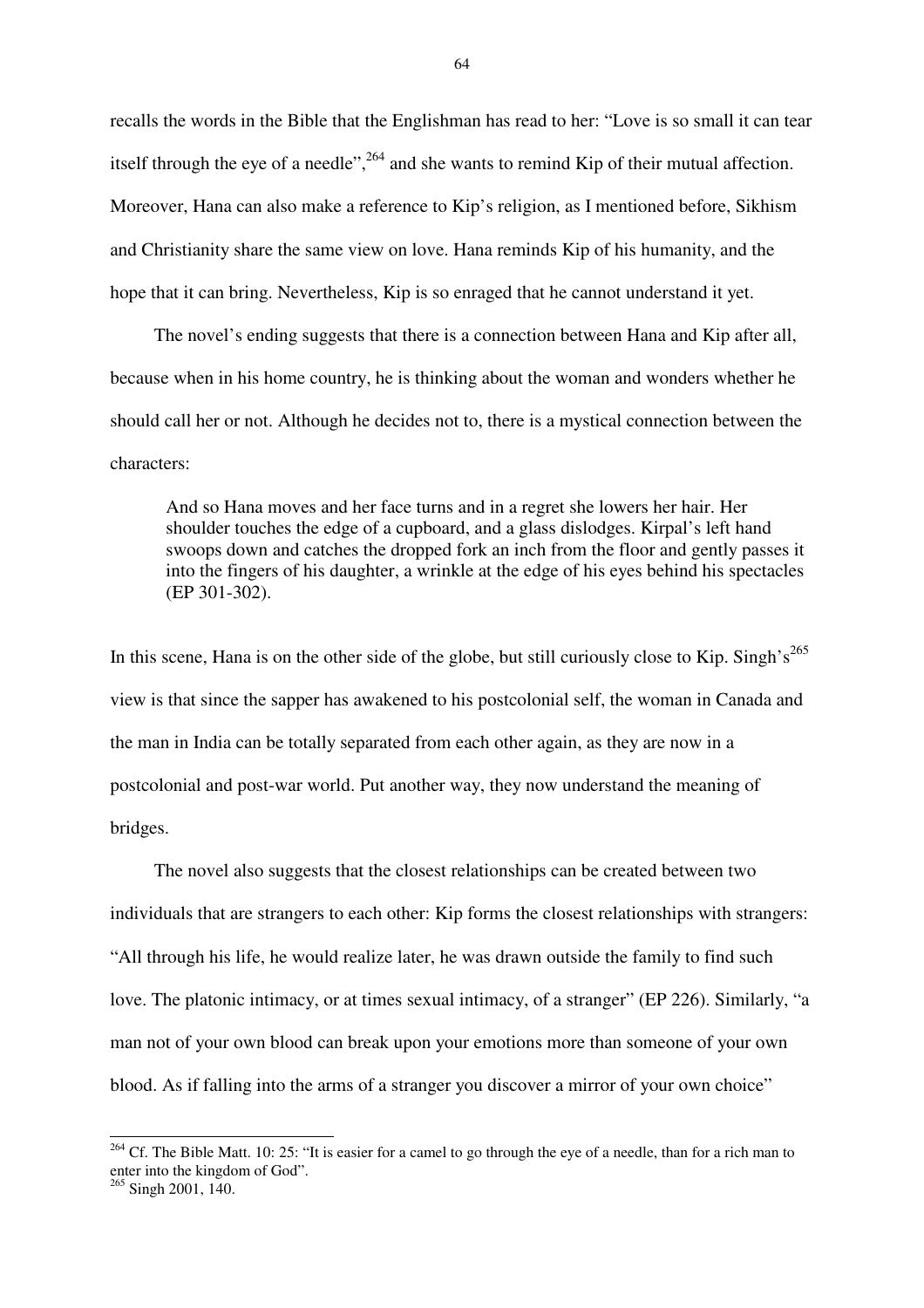recalls the words in the Bible that the Englishman has read to her: "Love is so small it can tear itself through the eye of a needle",  $^{264}$  and she wants to remind Kip of their mutual affection. Moreover, Hana can also make a reference to Kip's religion, as I mentioned before, Sikhism and Christianity share the same view on love. Hana reminds Kip of his humanity, and the hope that it can bring. Nevertheless, Kip is so enraged that he cannot understand it yet.

The novel's ending suggests that there is a connection between Hana and Kip after all, because when in his home country, he is thinking about the woman and wonders whether he should call her or not. Although he decides not to, there is a mystical connection between the characters:

And so Hana moves and her face turns and in a regret she lowers her hair. Her shoulder touches the edge of a cupboard, and a glass dislodges. Kirpal's left hand swoops down and catches the dropped fork an inch from the floor and gently passes it into the fingers of his daughter, a wrinkle at the edge of his eyes behind his spectacles (EP 301-302).

In this scene, Hana is on the other side of the globe, but still curiously close to Kip. Singh's<sup>265</sup> view is that since the sapper has awakened to his postcolonial self, the woman in Canada and the man in India can be totally separated from each other again, as they are now in a postcolonial and post-war world. Put another way, they now understand the meaning of bridges.

The novel also suggests that the closest relationships can be created between two individuals that are strangers to each other: Kip forms the closest relationships with strangers: "All through his life, he would realize later, he was drawn outside the family to find such love. The platonic intimacy, or at times sexual intimacy, of a stranger" (EP 226). Similarly, "a man not of your own blood can break upon your emotions more than someone of your own blood. As if falling into the arms of a stranger you discover a mirror of your own choice"

 $^{264}$  Cf. The Bible Matt. 10: 25: "It is easier for a camel to go through the eye of a needle, than for a rich man to enter into the kingdom of God".

<sup>&</sup>lt;sup>265</sup> Singh 2001, 140.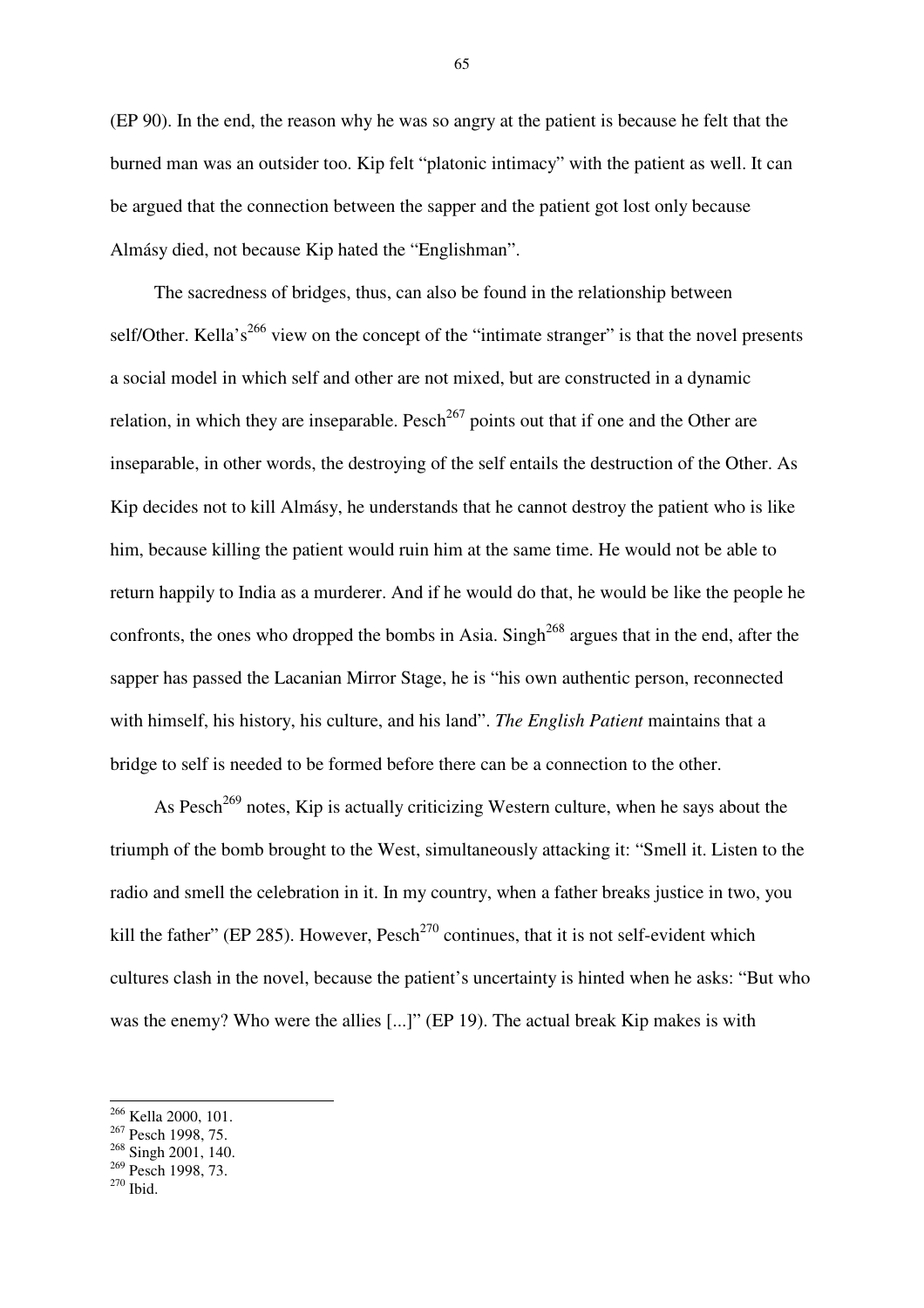(EP 90). In the end, the reason why he was so angry at the patient is because he felt that the burned man was an outsider too. Kip felt "platonic intimacy" with the patient as well. It can be argued that the connection between the sapper and the patient got lost only because Almásy died, not because Kip hated the "Englishman".

The sacredness of bridges, thus, can also be found in the relationship between self/Other. Kella's<sup>266</sup> view on the concept of the "intimate stranger" is that the novel presents a social model in which self and other are not mixed, but are constructed in a dynamic relation, in which they are inseparable. Pesch<sup>267</sup> points out that if one and the Other are inseparable, in other words, the destroying of the self entails the destruction of the Other. As Kip decides not to kill Almásy, he understands that he cannot destroy the patient who is like him, because killing the patient would ruin him at the same time. He would not be able to return happily to India as a murderer. And if he would do that, he would be like the people he confronts, the ones who dropped the bombs in Asia. Singh<sup>268</sup> argues that in the end, after the sapper has passed the Lacanian Mirror Stage, he is "his own authentic person, reconnected with himself, his history, his culture, and his land". *The English Patient* maintains that a bridge to self is needed to be formed before there can be a connection to the other.

As Pesch<sup>269</sup> notes, Kip is actually criticizing Western culture, when he says about the triumph of the bomb brought to the West, simultaneously attacking it: "Smell it. Listen to the radio and smell the celebration in it. In my country, when a father breaks justice in two, you kill the father" (EP 285). However,  $Pesch<sup>270</sup>$  continues, that it is not self-evident which cultures clash in the novel, because the patient's uncertainty is hinted when he asks: "But who was the enemy? Who were the allies [...]" (EP 19). The actual break Kip makes is with

 $270$  Ibid.

<sup>&</sup>lt;sup>266</sup> Kella 2000, 101.

<sup>&</sup>lt;sup>267</sup> Pesch 1998, 75.

<sup>&</sup>lt;sup>268</sup> Singh 2001, 140.

<sup>&</sup>lt;sup>269</sup> Pesch 1998, 73.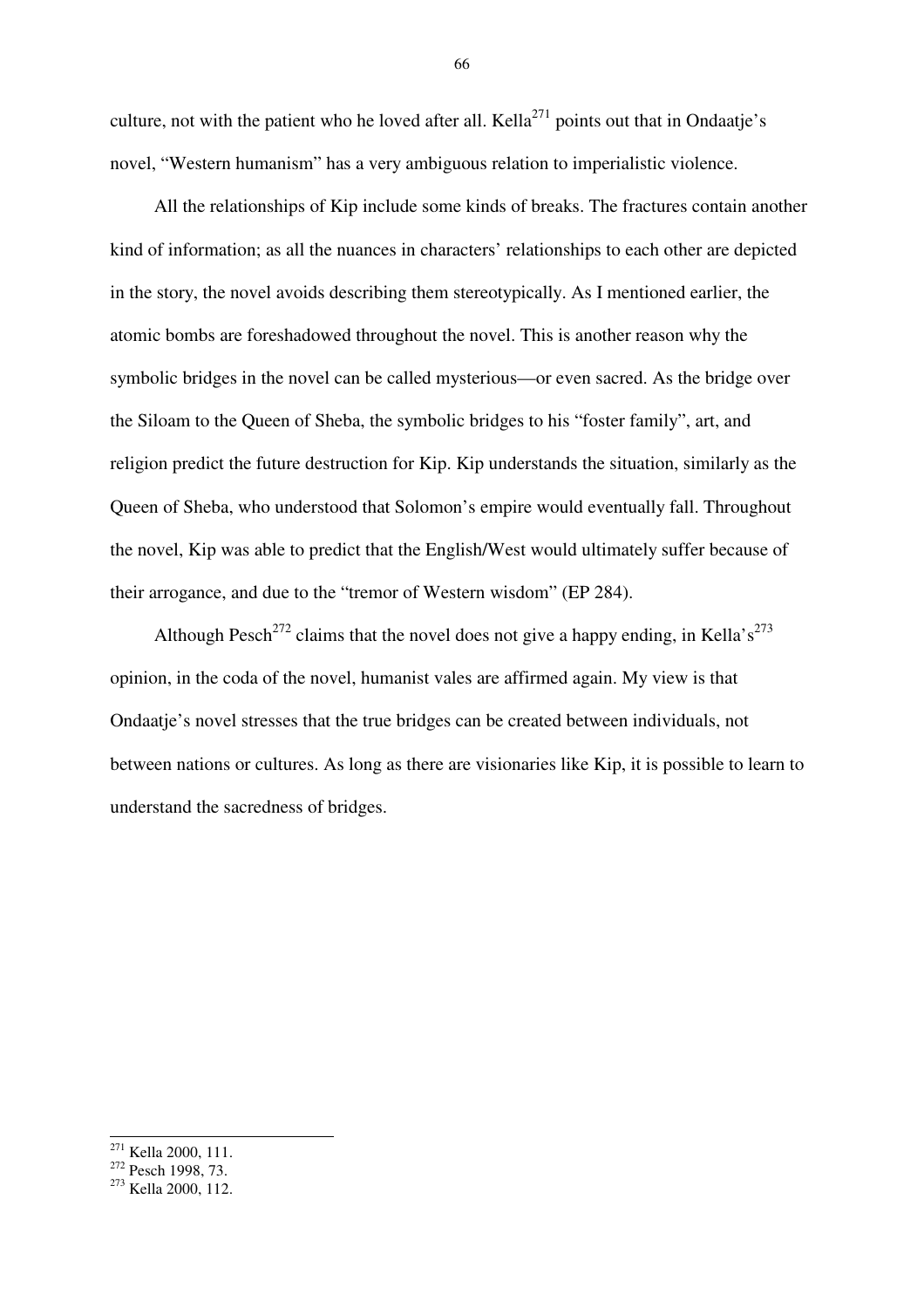culture, not with the patient who he loved after all. Kella<sup>271</sup> points out that in Ondaatje's novel, "Western humanism" has a very ambiguous relation to imperialistic violence.

All the relationships of Kip include some kinds of breaks. The fractures contain another kind of information; as all the nuances in characters' relationships to each other are depicted in the story, the novel avoids describing them stereotypically. As I mentioned earlier, the atomic bombs are foreshadowed throughout the novel. This is another reason why the symbolic bridges in the novel can be called mysterious—or even sacred. As the bridge over the Siloam to the Queen of Sheba, the symbolic bridges to his "foster family", art, and religion predict the future destruction for Kip. Kip understands the situation, similarly as the Queen of Sheba, who understood that Solomon's empire would eventually fall. Throughout the novel, Kip was able to predict that the English/West would ultimately suffer because of their arrogance, and due to the "tremor of Western wisdom" (EP 284).

Although Pesch<sup>272</sup> claims that the novel does not give a happy ending, in Kella's<sup>273</sup> opinion, in the coda of the novel, humanist vales are affirmed again. My view is that Ondaatje's novel stresses that the true bridges can be created between individuals, not between nations or cultures. As long as there are visionaries like Kip, it is possible to learn to understand the sacredness of bridges.

 $\overline{a}$ 

<sup>&</sup>lt;sup>271</sup> Kella 2000, 111.

<sup>&</sup>lt;sup>272</sup> Pesch 1998, 73.

<sup>273</sup> Kella 2000, 112.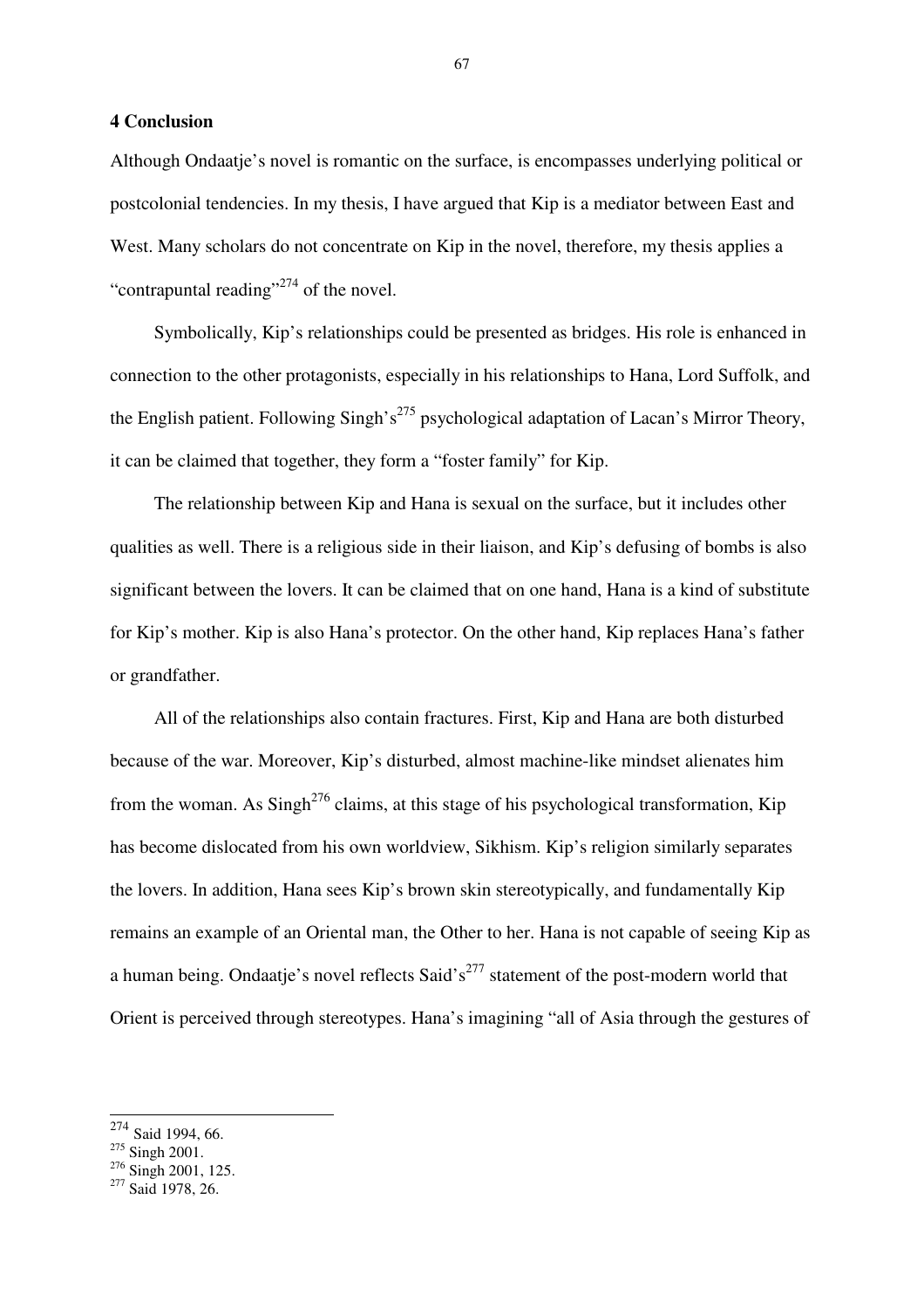## **4 Conclusion**

Although Ondaatje's novel is romantic on the surface, is encompasses underlying political or postcolonial tendencies. In my thesis, I have argued that Kip is a mediator between East and West. Many scholars do not concentrate on Kip in the novel, therefore, my thesis applies a "contrapuntal reading"<sup>274</sup> of the novel.

Symbolically, Kip's relationships could be presented as bridges. His role is enhanced in connection to the other protagonists, especially in his relationships to Hana, Lord Suffolk, and the English patient. Following Singh's<sup>275</sup> psychological adaptation of Lacan's Mirror Theory, it can be claimed that together, they form a "foster family" for Kip.

The relationship between Kip and Hana is sexual on the surface, but it includes other qualities as well. There is a religious side in their liaison, and Kip's defusing of bombs is also significant between the lovers. It can be claimed that on one hand, Hana is a kind of substitute for Kip's mother. Kip is also Hana's protector. On the other hand, Kip replaces Hana's father or grandfather.

All of the relationships also contain fractures. First, Kip and Hana are both disturbed because of the war. Moreover, Kip's disturbed, almost machine-like mindset alienates him from the woman. As  $\text{Sing}h^{276}$  claims, at this stage of his psychological transformation, Kip has become dislocated from his own worldview, Sikhism. Kip's religion similarly separates the lovers. In addition, Hana sees Kip's brown skin stereotypically, and fundamentally Kip remains an example of an Oriental man, the Other to her. Hana is not capable of seeing Kip as a human being. Ondaatje's novel reflects Said's<sup>277</sup> statement of the post-modern world that Orient is perceived through stereotypes. Hana's imagining "all of Asia through the gestures of

- <sup>275</sup> Singh 2001.
- <sup>276</sup> Singh 2001, 125.

<sup>274</sup> Said 1994, 66.

 $277$  Said 1978, 26.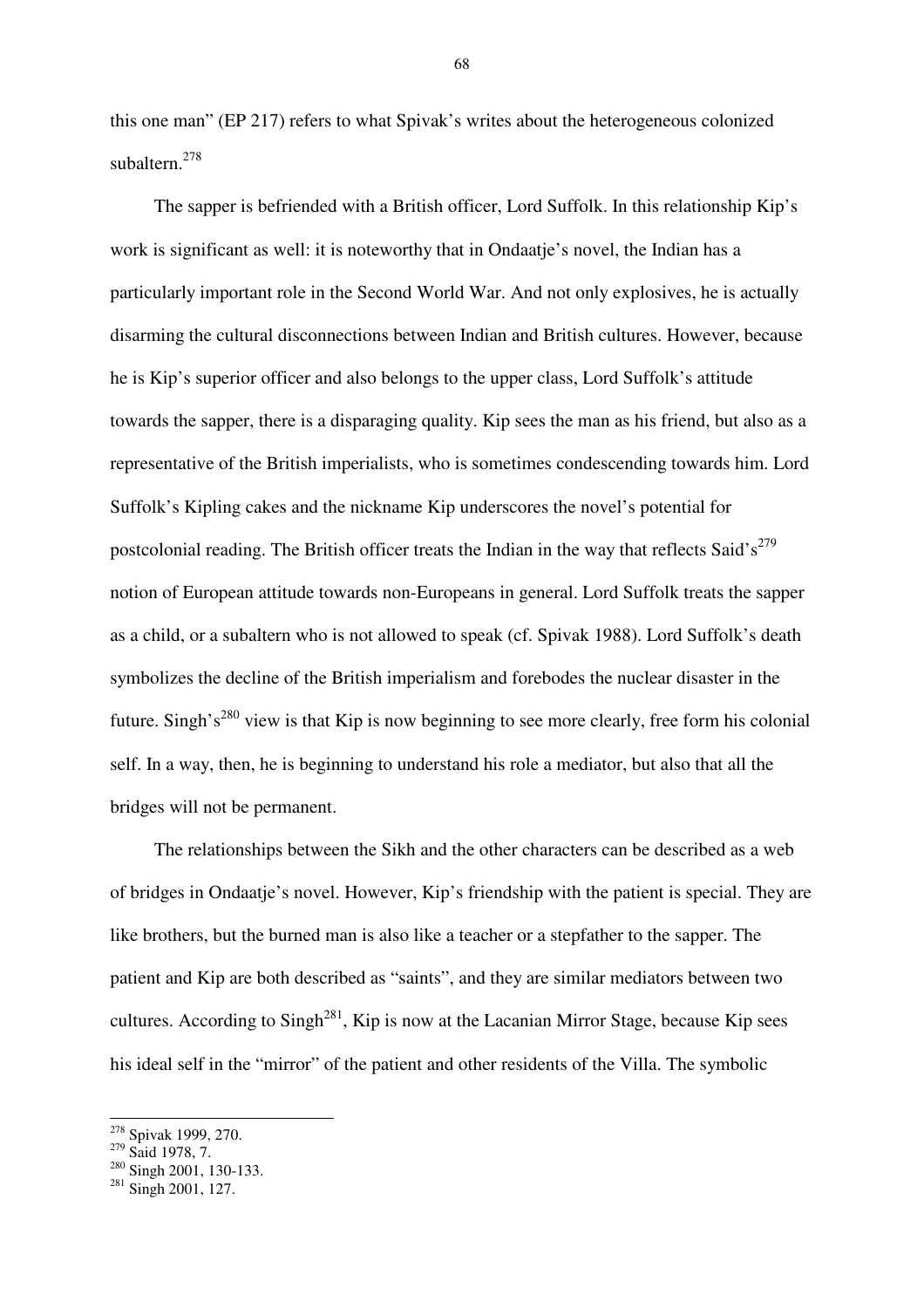this one man" (EP 217) refers to what Spivak's writes about the heterogeneous colonized subaltern.<sup>278</sup>

The sapper is befriended with a British officer, Lord Suffolk. In this relationship Kip's work is significant as well: it is noteworthy that in Ondaatje's novel, the Indian has a particularly important role in the Second World War. And not only explosives, he is actually disarming the cultural disconnections between Indian and British cultures. However, because he is Kip's superior officer and also belongs to the upper class, Lord Suffolk's attitude towards the sapper, there is a disparaging quality. Kip sees the man as his friend, but also as a representative of the British imperialists, who is sometimes condescending towards him. Lord Suffolk's Kipling cakes and the nickname Kip underscores the novel's potential for postcolonial reading. The British officer treats the Indian in the way that reflects Said's<sup> $279$ </sup> notion of European attitude towards non-Europeans in general. Lord Suffolk treats the sapper as a child, or a subaltern who is not allowed to speak (cf. Spivak 1988). Lord Suffolk's death symbolizes the decline of the British imperialism and forebodes the nuclear disaster in the future. Singh's<sup>280</sup> view is that Kip is now beginning to see more clearly, free form his colonial self. In a way, then, he is beginning to understand his role a mediator, but also that all the bridges will not be permanent.

The relationships between the Sikh and the other characters can be described as a web of bridges in Ondaatje's novel. However, Kip's friendship with the patient is special. They are like brothers, but the burned man is also like a teacher or a stepfather to the sapper. The patient and Kip are both described as "saints", and they are similar mediators between two cultures. According to  $Singh^{281}$ , Kip is now at the Lacanian Mirror Stage, because Kip sees his ideal self in the "mirror" of the patient and other residents of the Villa. The symbolic

 $\overline{a}$ 

<sup>&</sup>lt;sup>278</sup> Spivak 1999, 270.

 $279$  Said 1978, 7.

<sup>&</sup>lt;sup>280</sup> Singh 2001, 130-133.

 $281$  Singh 2001, 127.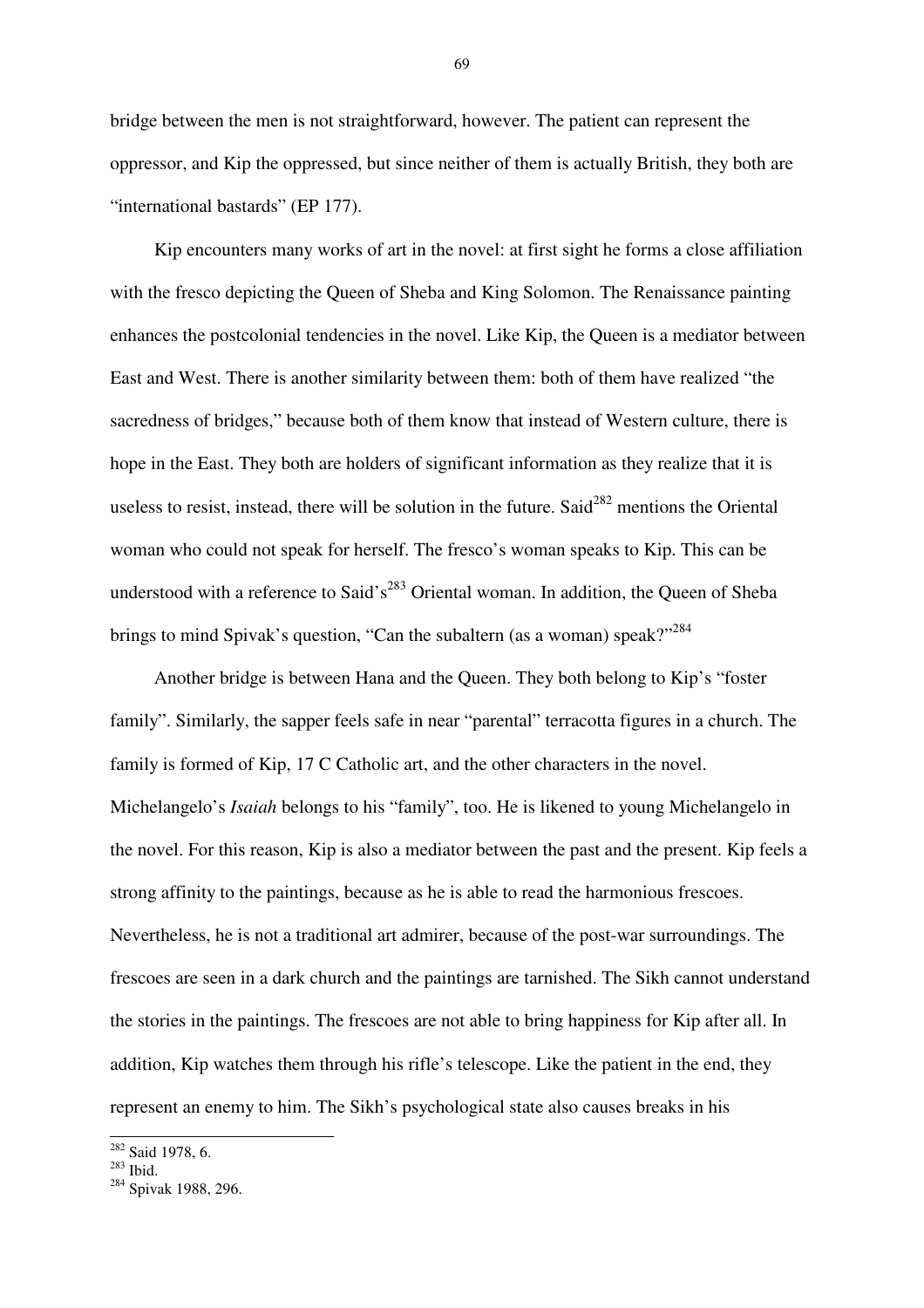bridge between the men is not straightforward, however. The patient can represent the oppressor, and Kip the oppressed, but since neither of them is actually British, they both are "international bastards" (EP 177).

Kip encounters many works of art in the novel: at first sight he forms a close affiliation with the fresco depicting the Queen of Sheba and King Solomon. The Renaissance painting enhances the postcolonial tendencies in the novel. Like Kip, the Queen is a mediator between East and West. There is another similarity between them: both of them have realized "the sacredness of bridges," because both of them know that instead of Western culture, there is hope in the East. They both are holders of significant information as they realize that it is useless to resist, instead, there will be solution in the future. Said<sup>282</sup> mentions the Oriental woman who could not speak for herself. The fresco's woman speaks to Kip. This can be understood with a reference to Said's<sup>283</sup> Oriental woman. In addition, the Queen of Sheba brings to mind Spivak's question, "Can the subaltern (as a woman) speak?"<sup>284</sup>

Another bridge is between Hana and the Queen. They both belong to Kip's "foster family". Similarly, the sapper feels safe in near "parental" terracotta figures in a church. The family is formed of Kip, 17 C Catholic art, and the other characters in the novel. Michelangelo's *Isaiah* belongs to his "family", too. He is likened to young Michelangelo in the novel. For this reason, Kip is also a mediator between the past and the present. Kip feels a strong affinity to the paintings, because as he is able to read the harmonious frescoes. Nevertheless, he is not a traditional art admirer, because of the post-war surroundings. The frescoes are seen in a dark church and the paintings are tarnished. The Sikh cannot understand the stories in the paintings. The frescoes are not able to bring happiness for Kip after all. In addition, Kip watches them through his rifle's telescope. Like the patient in the end, they represent an enemy to him. The Sikh's psychological state also causes breaks in his

 $\overline{a}$ 

 $282$  Said 1978, 6.

 $283$  Ibid.

<sup>284</sup> Spivak 1988, 296.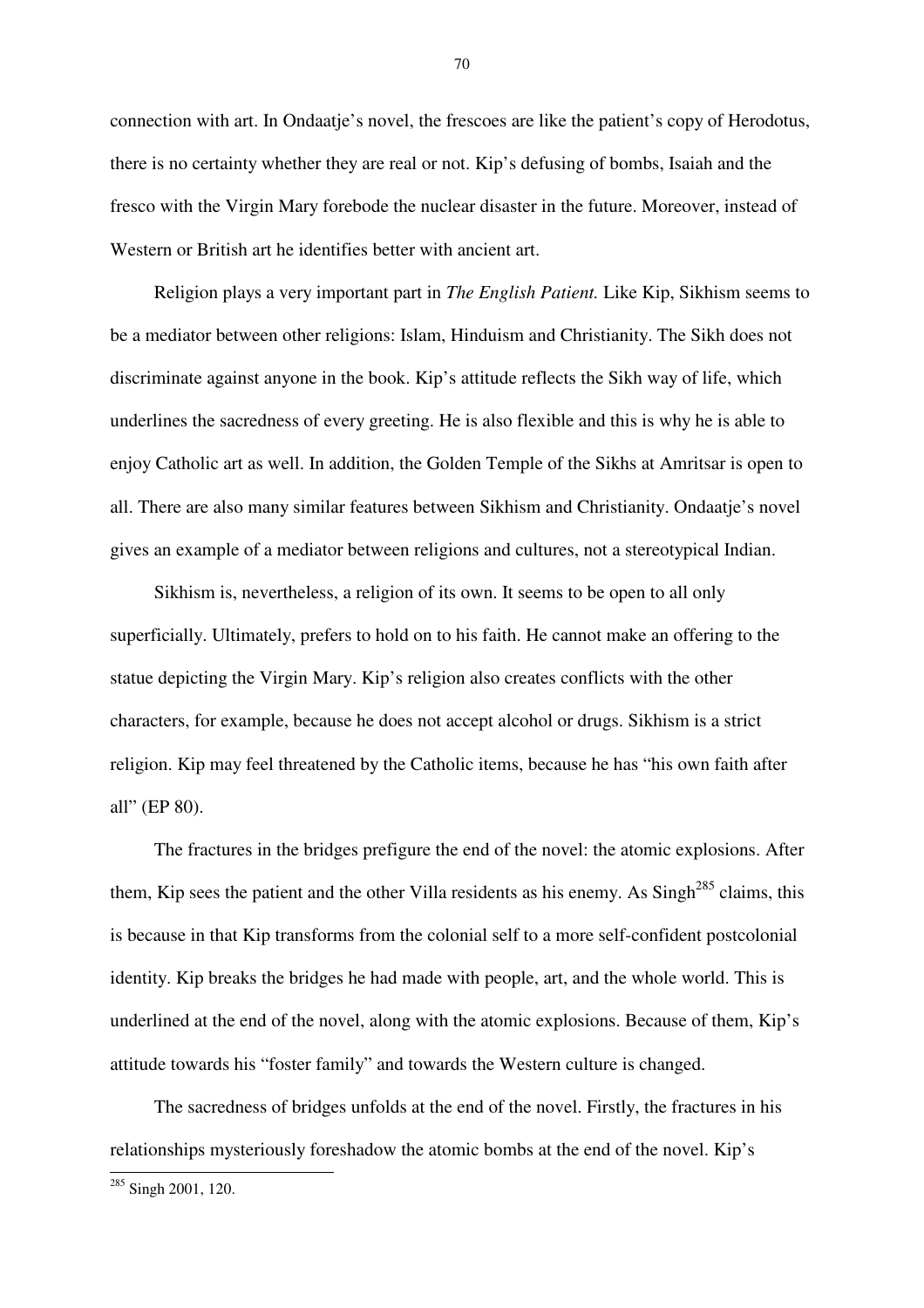connection with art. In Ondaatje's novel, the frescoes are like the patient's copy of Herodotus, there is no certainty whether they are real or not. Kip's defusing of bombs, Isaiah and the fresco with the Virgin Mary forebode the nuclear disaster in the future. Moreover, instead of Western or British art he identifies better with ancient art.

Religion plays a very important part in *The English Patient.* Like Kip, Sikhism seems to be a mediator between other religions: Islam, Hinduism and Christianity. The Sikh does not discriminate against anyone in the book. Kip's attitude reflects the Sikh way of life, which underlines the sacredness of every greeting. He is also flexible and this is why he is able to enjoy Catholic art as well. In addition, the Golden Temple of the Sikhs at Amritsar is open to all. There are also many similar features between Sikhism and Christianity. Ondaatje's novel gives an example of a mediator between religions and cultures, not a stereotypical Indian.

Sikhism is, nevertheless, a religion of its own. It seems to be open to all only superficially. Ultimately, prefers to hold on to his faith. He cannot make an offering to the statue depicting the Virgin Mary. Kip's religion also creates conflicts with the other characters, for example, because he does not accept alcohol or drugs. Sikhism is a strict religion. Kip may feel threatened by the Catholic items, because he has "his own faith after all" (EP 80).

The fractures in the bridges prefigure the end of the novel: the atomic explosions. After them, Kip sees the patient and the other Villa residents as his enemy. As  $\text{Sing}h^{285}$  claims, this is because in that Kip transforms from the colonial self to a more self-confident postcolonial identity. Kip breaks the bridges he had made with people, art, and the whole world. This is underlined at the end of the novel, along with the atomic explosions. Because of them, Kip's attitude towards his "foster family" and towards the Western culture is changed.

The sacredness of bridges unfolds at the end of the novel. Firstly, the fractures in his relationships mysteriously foreshadow the atomic bombs at the end of the novel. Kip's

 $\overline{a}$ 

<sup>&</sup>lt;sup>285</sup> Singh 2001, 120.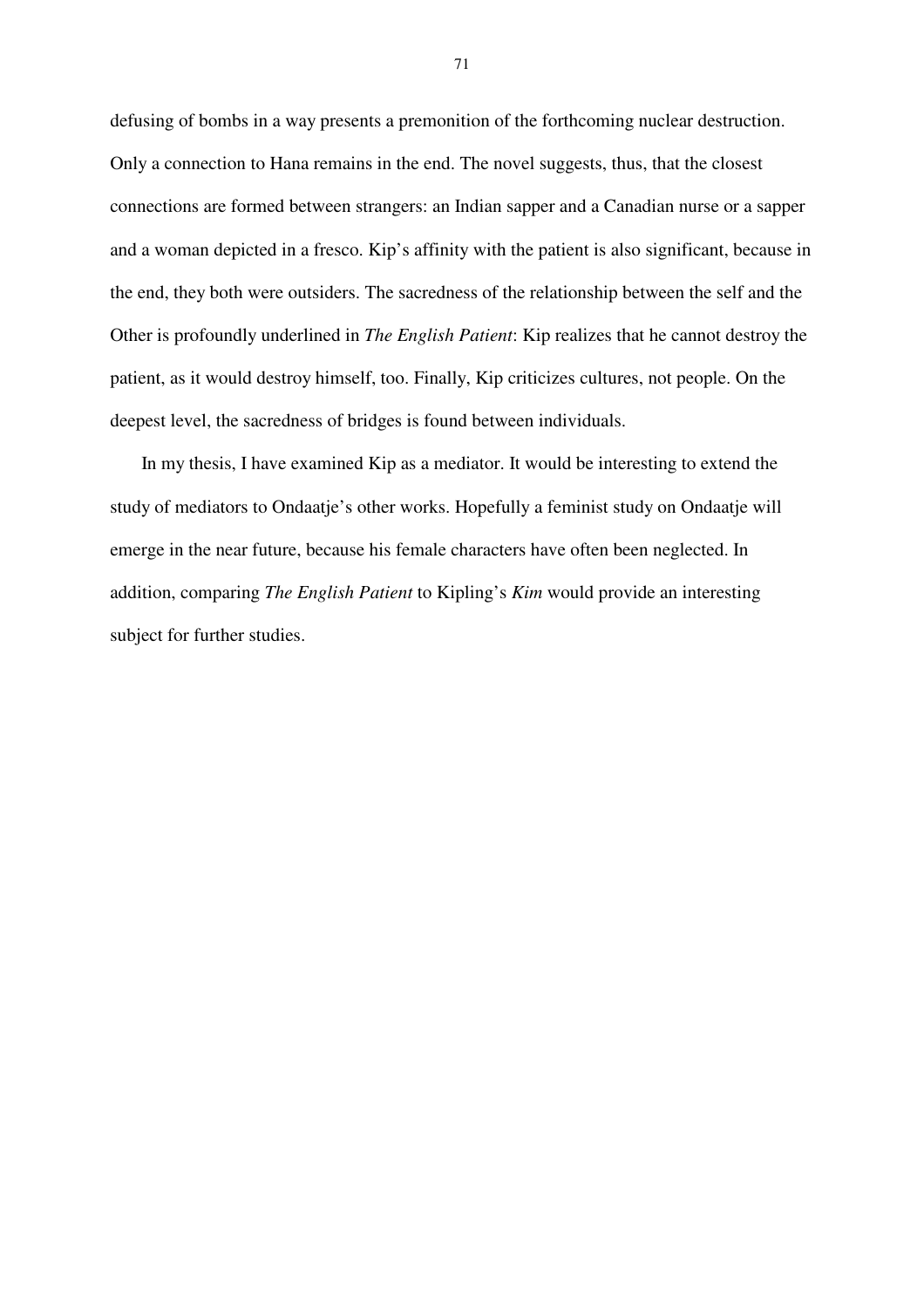defusing of bombs in a way presents a premonition of the forthcoming nuclear destruction. Only a connection to Hana remains in the end. The novel suggests, thus, that the closest connections are formed between strangers: an Indian sapper and a Canadian nurse or a sapper and a woman depicted in a fresco. Kip's affinity with the patient is also significant, because in the end, they both were outsiders. The sacredness of the relationship between the self and the Other is profoundly underlined in *The English Patient*: Kip realizes that he cannot destroy the patient, as it would destroy himself, too. Finally, Kip criticizes cultures, not people. On the deepest level, the sacredness of bridges is found between individuals.

 In my thesis, I have examined Kip as a mediator. It would be interesting to extend the study of mediators to Ondaatje's other works. Hopefully a feminist study on Ondaatje will emerge in the near future, because his female characters have often been neglected. In addition, comparing *The English Patient* to Kipling's *Kim* would provide an interesting subject for further studies.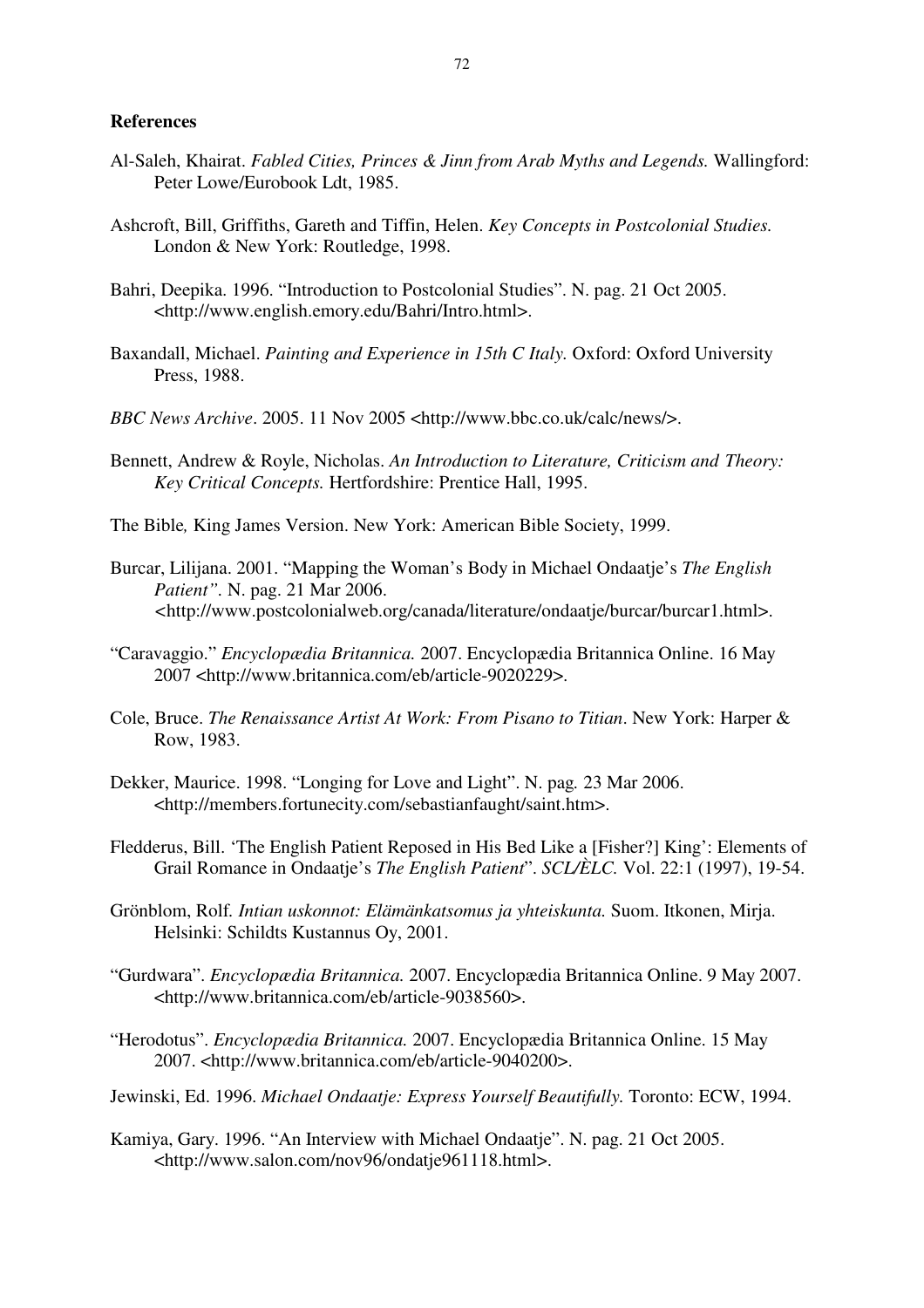## **References**

- Al-Saleh, Khairat. *Fabled Cities, Princes & Jinn from Arab Myths and Legends.* Wallingford: Peter Lowe/Eurobook Ldt, 1985.
- Ashcroft, Bill, Griffiths, Gareth and Tiffin, Helen. *Key Concepts in Postcolonial Studies.* London & New York: Routledge, 1998.
- Bahri, Deepika. 1996. "Introduction to Postcolonial Studies". N. pag. 21 Oct 2005. <http://www.english.emory.edu/Bahri/Intro.html>.
- Baxandall, Michael. *Painting and Experience in 15th C Italy.* Oxford: Oxford University Press, 1988.
- *BBC News Archive*. 2005. 11 Nov 2005 <http://www.bbc.co.uk/calc/news/>.
- Bennett, Andrew & Royle, Nicholas. *An Introduction to Literature, Criticism and Theory: Key Critical Concepts.* Hertfordshire: Prentice Hall, 1995.
- The Bible*,* King James Version. New York: American Bible Society, 1999.
- Burcar, Lilijana. 2001. "Mapping the Woman's Body in Michael Ondaatje's *The English Patient".* N. pag. 21 Mar 2006. *<*http://www.postcolonialweb.org/canada/literature/ondaatje/burcar/burcar1.html>.
- "Caravaggio." *Encyclopædia Britannica.* 2007. Encyclopædia Britannica Online. 16 May 2007 <http://www.britannica.com/eb/article-9020229>.
- Cole, Bruce. *The Renaissance Artist At Work: From Pisano to Titian*. New York: Harper & Row, 1983.
- Dekker, Maurice. 1998. "Longing for Love and Light". N. pag*.* 23 Mar 2006. <http://members.fortunecity.com/sebastianfaught/saint.htm>.
- Fledderus, Bill. 'The English Patient Reposed in His Bed Like a [Fisher?] King': Elements of Grail Romance in Ondaatje's *The English Patient*". *SCL/ÈLC.* Vol. 22:1 (1997), 19-54.
- Grönblom, Rolf*. Intian uskonnot: Elämänkatsomus ja yhteiskunta.* Suom. Itkonen, Mirja. Helsinki: Schildts Kustannus Oy, 2001.
- "Gurdwara". *Encyclopædia Britannica.* 2007. Encyclopædia Britannica Online. 9 May 2007. <http://www.britannica.com/eb/article-9038560>.
- "Herodotus". *Encyclopædia Britannica.* 2007. Encyclopædia Britannica Online. 15 May 2007. <http://www.britannica.com/eb/article-9040200>.
- Jewinski, Ed. 1996. *Michael Ondaatje: Express Yourself Beautifully.* Toronto: ECW, 1994.
- Kamiya, Gary. 1996. "An Interview with Michael Ondaatje". N. pag. 21 Oct 2005. <http://www.salon.com/nov96/ondatje961118.html>.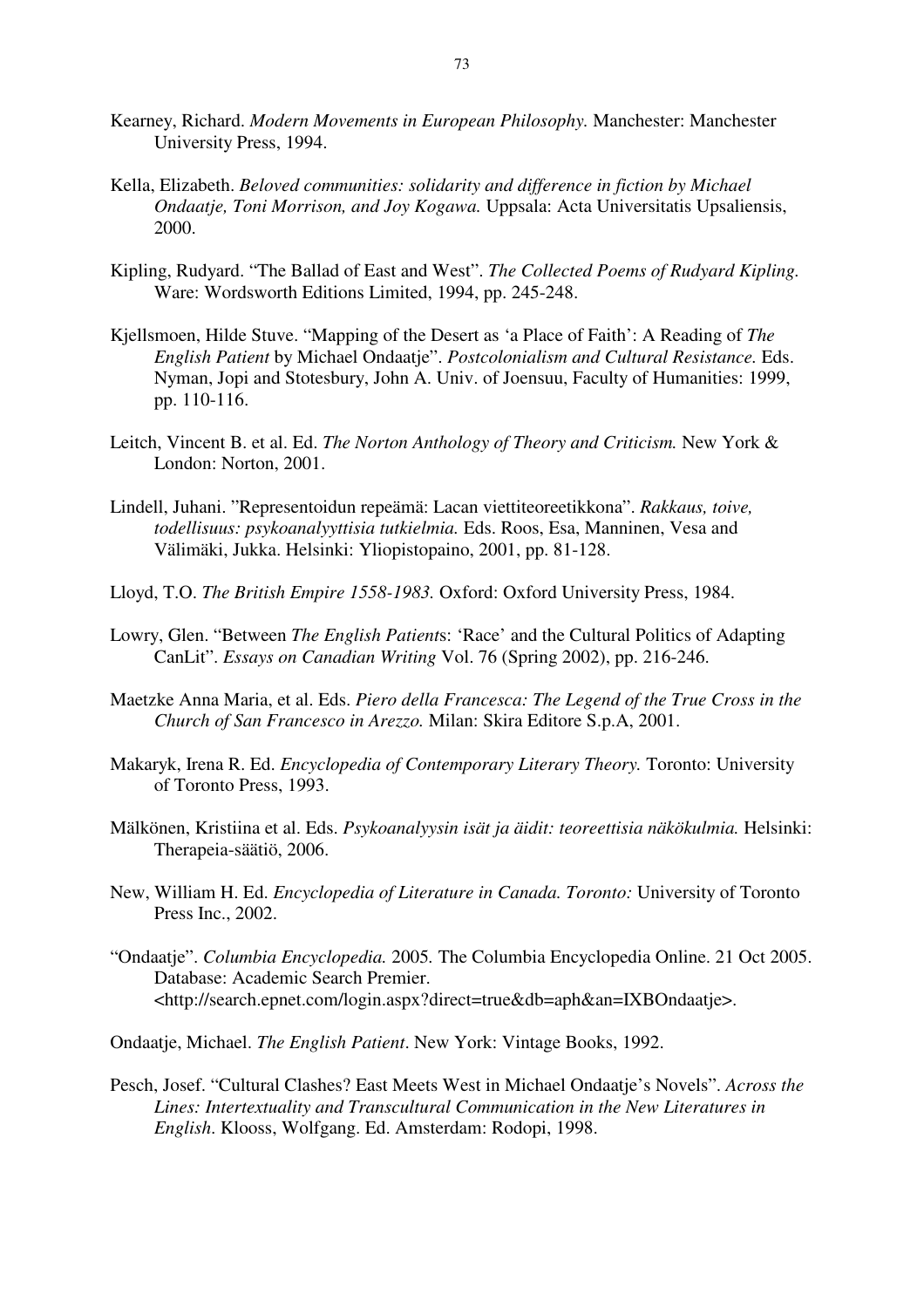- Kearney, Richard. *Modern Movements in European Philosophy.* Manchester: Manchester University Press, 1994.
- Kella, Elizabeth. *Beloved communities: solidarity and difference in fiction by Michael Ondaatje, Toni Morrison, and Joy Kogawa.* Uppsala: Acta Universitatis Upsaliensis, 2000.
- Kipling, Rudyard. "The Ballad of East and West". *The Collected Poems of Rudyard Kipling.*  Ware: Wordsworth Editions Limited, 1994, pp. 245-248.
- Kjellsmoen, Hilde Stuve. "Mapping of the Desert as 'a Place of Faith': A Reading of *The English Patient* by Michael Ondaatje". *Postcolonialism and Cultural Resistance.* Eds. Nyman, Jopi and Stotesbury, John A. Univ. of Joensuu, Faculty of Humanities: 1999, pp. 110-116.
- Leitch, Vincent B. et al. Ed. *The Norton Anthology of Theory and Criticism.* New York & London: Norton, 2001.
- Lindell, Juhani. "Representoidun repeämä: Lacan viettiteoreetikkona". *Rakkaus, toive, todellisuus: psykoanalyyttisia tutkielmia.* Eds. Roos, Esa, Manninen, Vesa and Välimäki, Jukka. Helsinki: Yliopistopaino, 2001, pp. 81-128.
- Lloyd, T.O. *The British Empire 1558-1983.* Oxford: Oxford University Press, 1984.
- Lowry, Glen. "Between *The English Patient*s: 'Race' and the Cultural Politics of Adapting CanLit". *Essays on Canadian Writing* Vol. 76 (Spring 2002), pp. 216-246.
- Maetzke Anna Maria, et al. Eds. *Piero della Francesca: The Legend of the True Cross in the Church of San Francesco in Arezzo.* Milan: Skira Editore S.p.A, 2001.
- Makaryk, Irena R. Ed. *Encyclopedia of Contemporary Literary Theory.* Toronto: University of Toronto Press, 1993.
- Mälkönen, Kristiina et al. Eds. *Psykoanalyysin isät ja äidit: teoreettisia näkökulmia.* Helsinki: Therapeia-säätiö, 2006.
- New, William H. Ed. *Encyclopedia of Literature in Canada. Toronto:* University of Toronto Press Inc., 2002.
- "Ondaatje". *Columbia Encyclopedia.* 2005*.* The Columbia Encyclopedia Online. 21 Oct 2005. Database: Academic Search Premier. <http://search.epnet.com/login.aspx?direct=true&db=aph&an=IXBOndaatje>.
- Ondaatje, Michael. *The English Patient*. New York: Vintage Books, 1992.
- Pesch, Josef. "Cultural Clashes? East Meets West in Michael Ondaatje's Novels". *Across the Lines: Intertextuality and Transcultural Communication in the New Literatures in English*. Klooss, Wolfgang. Ed. Amsterdam: Rodopi, 1998.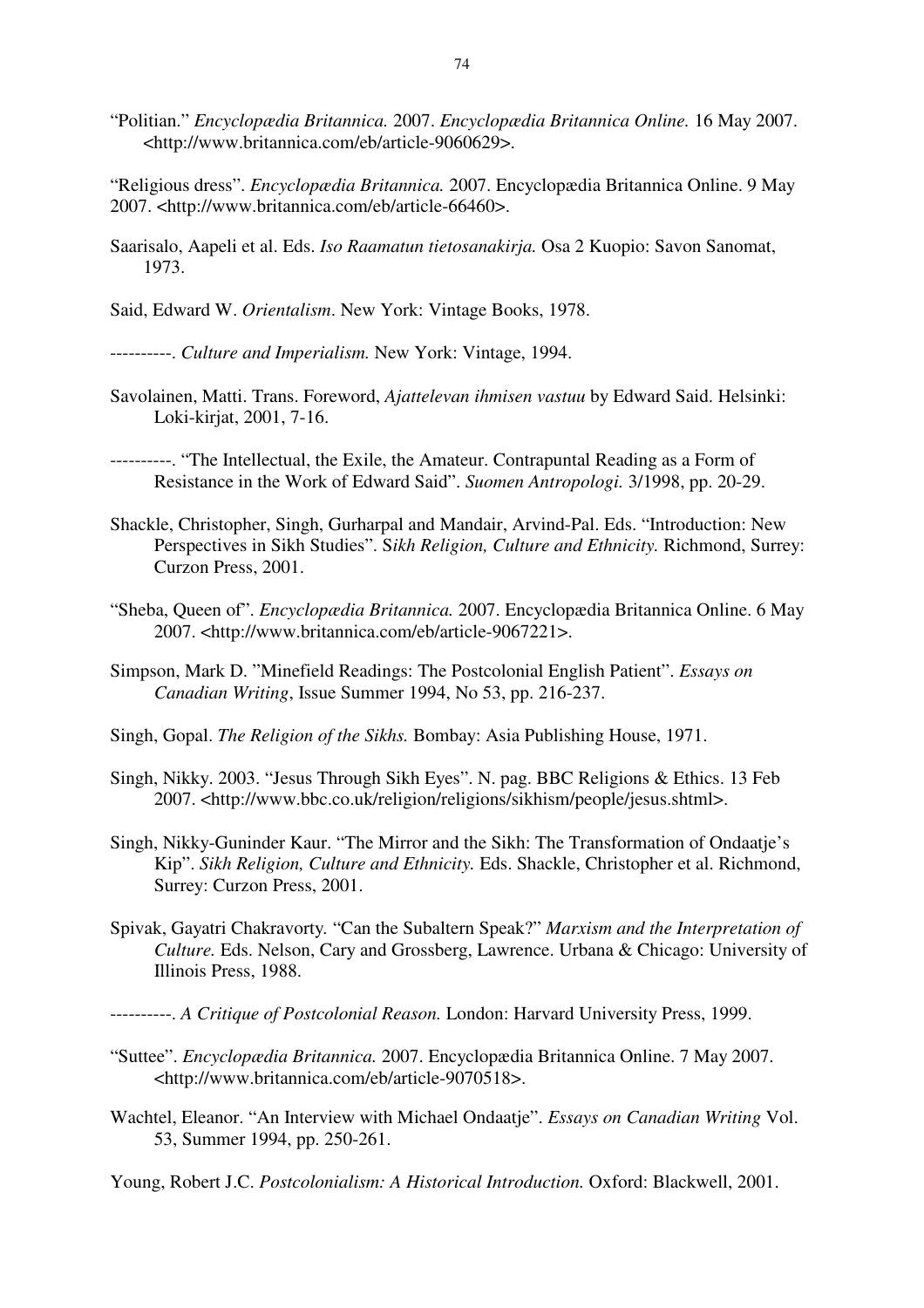- "Politian." *Encyclopædia Britannica.* 2007. *Encyclopædia Britannica Online.* 16 May 2007. <http://www.britannica.com/eb/article-9060629>.
- "Religious dress". *Encyclopædia Britannica.* 2007. Encyclopædia Britannica Online. 9 May 2007. <http://www.britannica.com/eb/article-66460>.
- Saarisalo, Aapeli et al. Eds. *Iso Raamatun tietosanakirja.* Osa 2 Kuopio: Savon Sanomat, 1973.
- Said, Edward W. *Orientalism*. New York: Vintage Books, 1978.

----------. *Culture and Imperialism.* New York: Vintage, 1994.

- Savolainen, Matti. Trans. Foreword, *Ajattelevan ihmisen vastuu* by Edward Said. Helsinki: Loki-kirjat, 2001, 7-16.
- ----------. "The Intellectual, the Exile, the Amateur. Contrapuntal Reading as a Form of Resistance in the Work of Edward Said". *Suomen Antropologi.* 3/1998, pp. 20-29.
- Shackle, Christopher, Singh, Gurharpal and Mandair, Arvind-Pal. Eds. "Introduction: New Perspectives in Sikh Studies". S*ikh Religion, Culture and Ethnicity.* Richmond, Surrey: Curzon Press, 2001.
- "Sheba, Queen of". *Encyclopædia Britannica.* 2007. Encyclopædia Britannica Online. 6 May 2007. <http://www.britannica.com/eb/article-9067221>.
- Simpson, Mark D. "Minefield Readings: The Postcolonial English Patient". *Essays on Canadian Writing*, Issue Summer 1994, No 53, pp. 216-237.
- Singh, Gopal. *The Religion of the Sikhs.* Bombay: Asia Publishing House, 1971.
- Singh, Nikky. 2003. "Jesus Through Sikh Eyes". N. pag. BBC Religions & Ethics. 13 Feb 2007. <http://www.bbc.co.uk/religion/religions/sikhism/people/jesus.shtml>.
- Singh, Nikky-Guninder Kaur. "The Mirror and the Sikh: The Transformation of Ondaatje's Kip". *Sikh Religion, Culture and Ethnicity.* Eds. Shackle, Christopher et al. Richmond, Surrey: Curzon Press, 2001.
- Spivak, Gayatri Chakravorty*.* "Can the Subaltern Speak?" *Marxism and the Interpretation of Culture.* Eds. Nelson, Cary and Grossberg, Lawrence. Urbana & Chicago: University of Illinois Press, 1988.
- ----------. *A Critique of Postcolonial Reason.* London: Harvard University Press, 1999.
- "Suttee". *Encyclopædia Britannica.* 2007. Encyclopædia Britannica Online. 7 May 2007. <http://www.britannica.com/eb/article-9070518>.
- Wachtel, Eleanor. "An Interview with Michael Ondaatje". *Essays on Canadian Writing* Vol. 53, Summer 1994, pp. 250-261.

Young, Robert J.C. *Postcolonialism: A Historical Introduction.* Oxford: Blackwell, 2001.